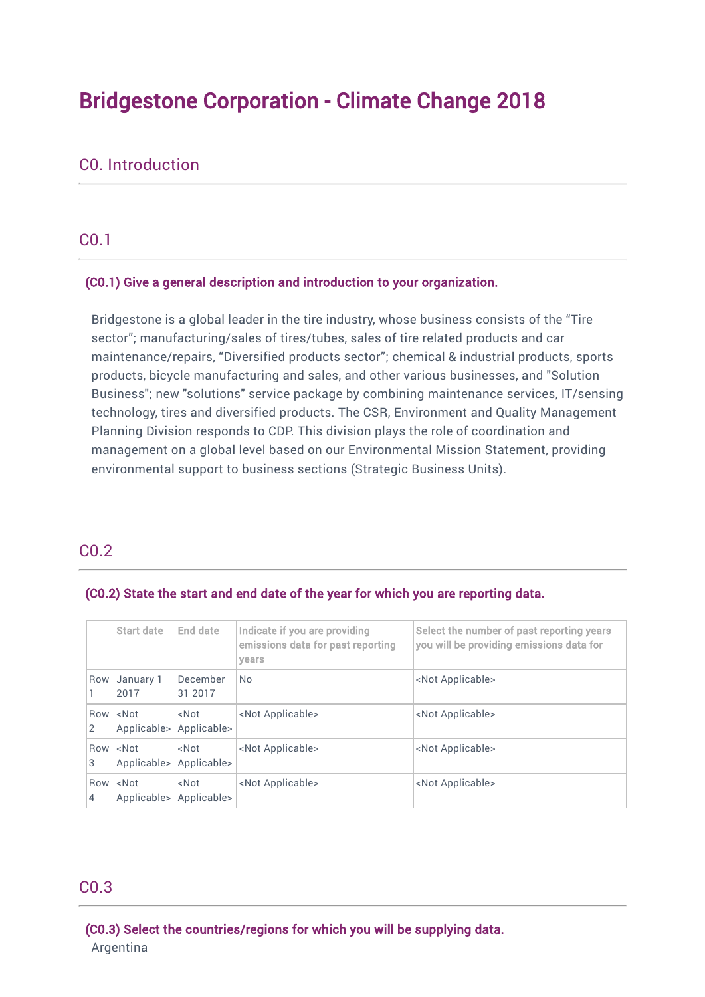# Bridgestone Corporation - Climate Change 2018

# C0. Introduction

# C0.1

#### (C0.1) Give a general description and introduction to your organization.

Bridgestone is a global leader in the tire industry, whose business consists of the "Tire sector"; manufacturing/sales of tires/tubes, sales of tire related products and car maintenance/repairs, "Diversified products sector"; chemical & industrial products, sports products, bicycle manufacturing and sales, and other various businesses, and "Solution Business"; new "solutions" service package by combining maintenance services, IT/sensing technology, tires and diversified products. The CSR, Environment and Quality Management Planning Division responds to CDP. This division plays the role of coordination and management on a global level based on our Environmental Mission Statement, providing environmental support to business sections (Strategic Business Units).

# C0.2

#### (C0.2) State the start and end date of the year for which you are reporting data.

|                       | Start date                          | End date                        | Indicate if you are providing<br>emissions data for past reporting<br>years | Select the number of past reporting years<br>you will be providing emissions data for |
|-----------------------|-------------------------------------|---------------------------------|-----------------------------------------------------------------------------|---------------------------------------------------------------------------------------|
| Row                   | January 1<br>2017                   | December<br>31 2017             | <b>No</b>                                                                   | <not applicable=""></not>                                                             |
| $\overline{2}$        | Row <not<br>Applicable&gt;</not<br> | <not<br>Applicable&gt;</not<br> | <not applicable=""></not>                                                   | <not applicable=""></not>                                                             |
| 3                     | Row <not<br>Applicable&gt;</not<br> | <not<br>Applicable&gt;</not<br> | <not applicable=""></not>                                                   | <not applicable=""></not>                                                             |
| Row<br>$\overline{4}$ | $<$ Not<br>Applicable>              | <not<br>Applicable&gt;</not<br> | <not applicable=""></not>                                                   | <not applicable=""></not>                                                             |

#### C0.3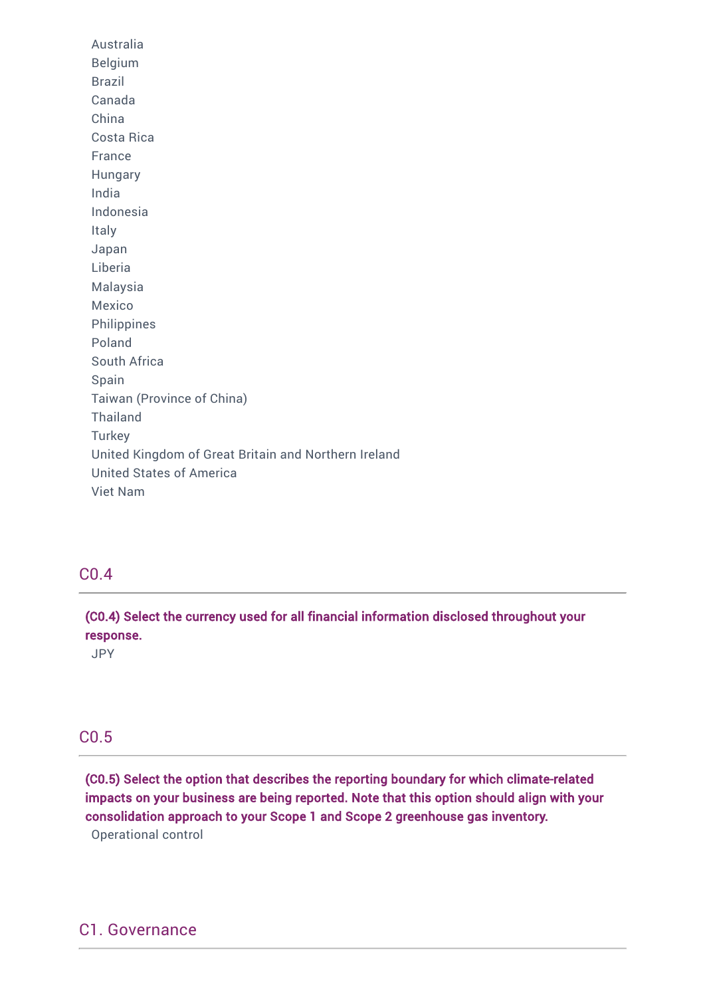Australia Belgium Brazil Canada China Costa Rica France Hungary India Indonesia Italy Japan Liberia Malaysia Mexico Philippines Poland South Africa Spain Taiwan (Province of China) Thailand **Turkey** United Kingdom of Great Britain and Northern Ireland United States of America Viet Nam

# C0.4

(C0.4) Select the currency used for all financial information disclosed throughout your response.

JPY

# C0.5

(C0.5) Select the option that describes the reporting boundary for which climate-related impacts on your business are being reported. Note that this option should align with your consolidation approach to your Scope 1 and Scope 2 greenhouse gas inventory. Operational control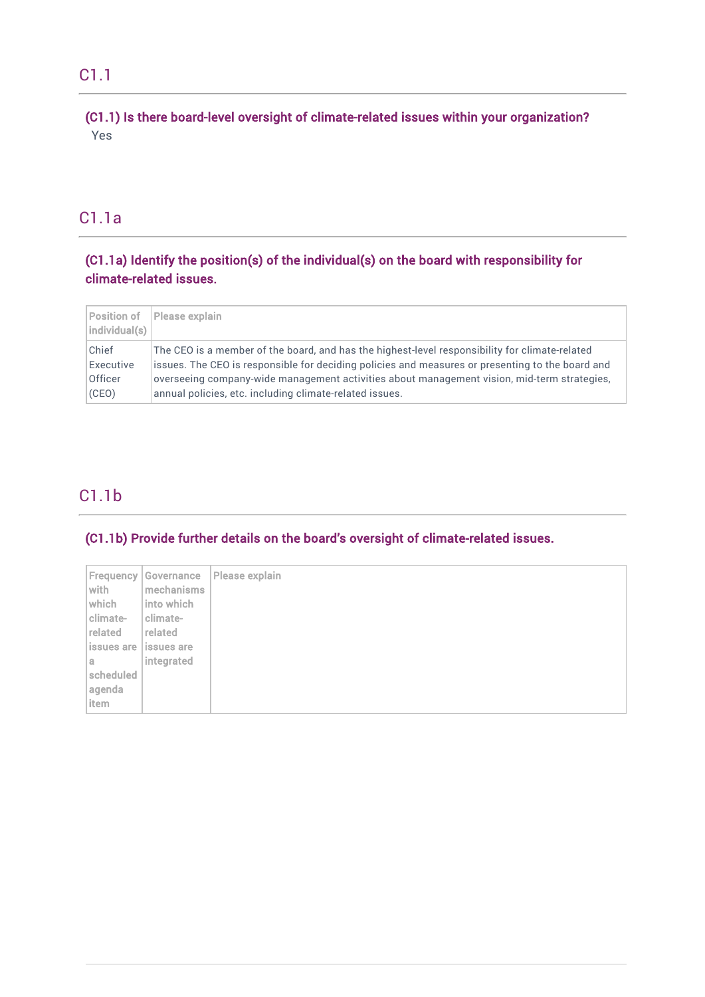# (C1.1) Is there board-level oversight of climate-related issues within your organization? Yes

# C1.1a

# (C1.1a) Identify the position(s) of the individual(s) on the board with responsibility for climate-related issues.

| Position of<br> individual(s)                 | Please explain                                                                                                                                                                                                                                                                                                                                               |
|-----------------------------------------------|--------------------------------------------------------------------------------------------------------------------------------------------------------------------------------------------------------------------------------------------------------------------------------------------------------------------------------------------------------------|
| Chief<br>Executive<br><b>Officer</b><br>(CEO) | The CEO is a member of the board, and has the highest-level responsibility for climate-related<br>issues. The CEO is responsible for deciding policies and measures or presenting to the board and<br>overseeing company-wide management activities about management vision, mid-term strategies,<br>annual policies, etc. including climate-related issues. |

# C1.1b

# (C1.1b) Provide further details on the board's oversight of climate-related issues.

|           | <b>Frequency Governance</b> | Please explain |
|-----------|-----------------------------|----------------|
| with      | mechanisms                  |                |
| which     | into which                  |                |
| climate-  | climate-                    |                |
| related   | related                     |                |
|           | issues are lissues are      |                |
| a         | integrated                  |                |
| scheduled |                             |                |
| agenda    |                             |                |
| item      |                             |                |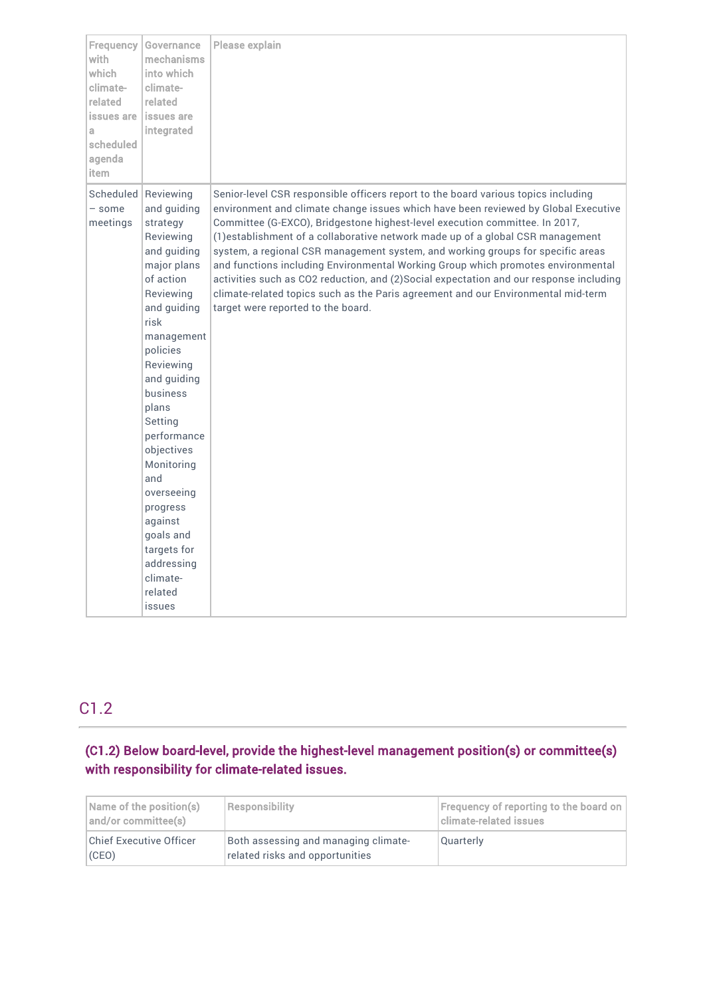| Frequency<br>with<br>which<br>climate-<br>related<br>issues are<br>a.<br>scheduled<br>agenda<br>item | Governance<br>mechanisms<br>into which<br>climate-<br>related<br>issues are<br>integrated                                                                                                                                                                                                                                                                                                          | Please explain                                                                                                                                                                                                                                                                                                                                                                                                                                                                                                                                                                                                                                                                                                                         |
|------------------------------------------------------------------------------------------------------|----------------------------------------------------------------------------------------------------------------------------------------------------------------------------------------------------------------------------------------------------------------------------------------------------------------------------------------------------------------------------------------------------|----------------------------------------------------------------------------------------------------------------------------------------------------------------------------------------------------------------------------------------------------------------------------------------------------------------------------------------------------------------------------------------------------------------------------------------------------------------------------------------------------------------------------------------------------------------------------------------------------------------------------------------------------------------------------------------------------------------------------------------|
| $-$ some<br>meetings                                                                                 | Scheduled Reviewing<br>and guiding<br>strategy<br>Reviewing<br>and guiding<br>major plans<br>of action<br>Reviewing<br>and guiding<br>risk<br>management<br>policies<br>Reviewing<br>and guiding<br>business<br>plans<br>Setting<br>performance<br>objectives<br>Monitoring<br>and<br>overseeing<br>progress<br>against<br>goals and<br>targets for<br>addressing<br>climate-<br>related<br>issues | Senior-level CSR responsible officers report to the board various topics including<br>environment and climate change issues which have been reviewed by Global Executive<br>Committee (G-EXCO), Bridgestone highest-level execution committee. In 2017,<br>(1) establishment of a collaborative network made up of a global CSR management<br>system, a regional CSR management system, and working groups for specific areas<br>and functions including Environmental Working Group which promotes environmental<br>activities such as CO2 reduction, and (2)Social expectation and our response including<br>climate-related topics such as the Paris agreement and our Environmental mid-term<br>target were reported to the board. |

# C1.2

# (C1.2) Below board-level, provide the highest-level management position(s) or committee(s) with responsibility for climate-related issues.

| Name of the position(s)<br>and/or committee(s) | <b>Responsibility</b>                                                   | <b>Frequency of reporting to the board on</b><br>Iclimate-related issues |  |
|------------------------------------------------|-------------------------------------------------------------------------|--------------------------------------------------------------------------|--|
| <b>Chief Executive Officer</b><br>(CEO)        | Both assessing and managing climate-<br>related risks and opportunities | Quarterly                                                                |  |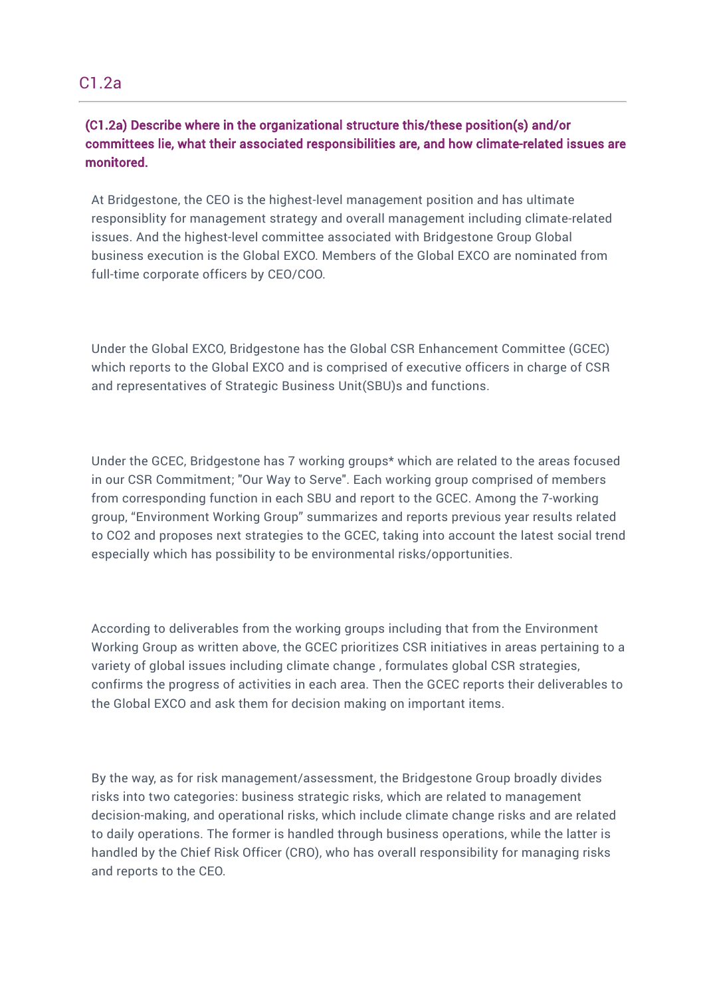# C1.2a

# (C1.2a) Describe where in the organizational structure this/these position(s) and/or committees lie, what their associated responsibilities are, and how climate-related issues are monitored.

At Bridgestone, the CEO is the highest-level management position and has ultimate responsiblity for management strategy and overall management including climate-related issues. And the highest-level committee associated with Bridgestone Group Global business execution is the Global EXCO. Members of the Global EXCO are nominated from full-time corporate officers by CEO/COO.

Under the Global EXCO, Bridgestone has the Global CSR Enhancement Committee (GCEC) which reports to the Global EXCO and is comprised of executive officers in charge of CSR and representatives of Strategic Business Unit(SBU)s and functions.

Under the GCEC, Bridgestone has 7 working groups\* which are related to the areas focused in our CSR Commitment; "Our Way to Serve". Each working group comprised of members from corresponding function in each SBU and report to the GCEC. Among the 7-working group, "Environment Working Group" summarizes and reports previous year results related to CO2 and proposes next strategies to the GCEC, taking into account the latest social trend especially which has possibility to be environmental risks/opportunities.

According to deliverables from the working groups including that from the Environment Working Group as written above, the GCEC prioritizes CSR initiatives in areas pertaining to a variety of global issues including climate change , formulates global CSR strategies, confirms the progress of activities in each area. Then the GCEC reports their deliverables to the Global EXCO and ask them for decision making on important items.

By the way, as for risk management/assessment, the Bridgestone Group broadly divides risks into two categories: business strategic risks, which are related to management decision-making, and operational risks, which include climate change risks and are related to daily operations. The former is handled through business operations, while the latter is handled by the Chief Risk Officer (CRO), who has overall responsibility for managing risks and reports to the CEO.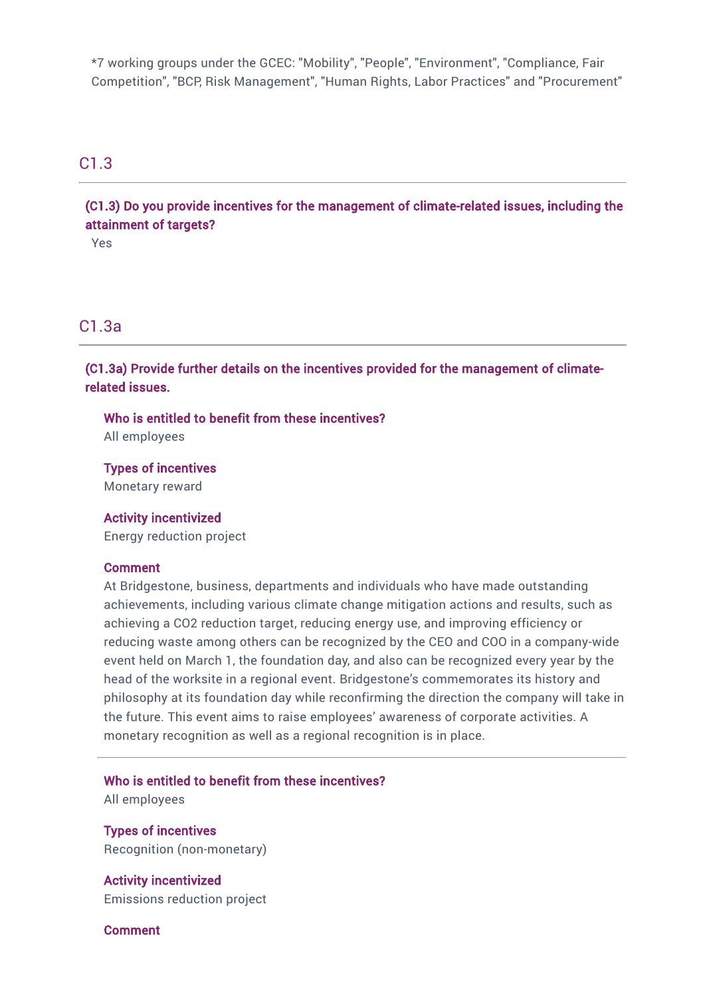\*7 working groups under the GCEC: "Mobility", "People", "Environment", "Compliance, Fair Competition", "BCP, Risk Management", "Human Rights, Labor Practices" and "Procurement"

# C1.3

(C1.3) Do you provide incentives for the management of climate-related issues, including the attainment of targets?

Yes

# C1.3a

(C1.3a) Provide further details on the incentives provided for the management of climaterelated issues.

Who is entitled to benefit from these incentives?

All employees

Types of incentives Monetary reward

Activity incentivized Energy reduction project

#### Comment

At Bridgestone, business, departments and individuals who have made outstanding achievements, including various climate change mitigation actions and results, such as achieving a CO2 reduction target, reducing energy use, and improving efficiency or reducing waste among others can be recognized by the CEO and COO in a company-wide event held on March 1, the foundation day, and also can be recognized every year by the head of the worksite in a regional event. Bridgestone's commemorates its history and philosophy at its foundation day while reconfirming the direction the company will take in the future. This event aims to raise employees' awareness of corporate activities. A monetary recognition as well as a regional recognition is in place.

Who is entitled to benefit from these incentives?

All employees

Types of incentives Recognition (non-monetary)

Activity incentivized Emissions reduction project

Comment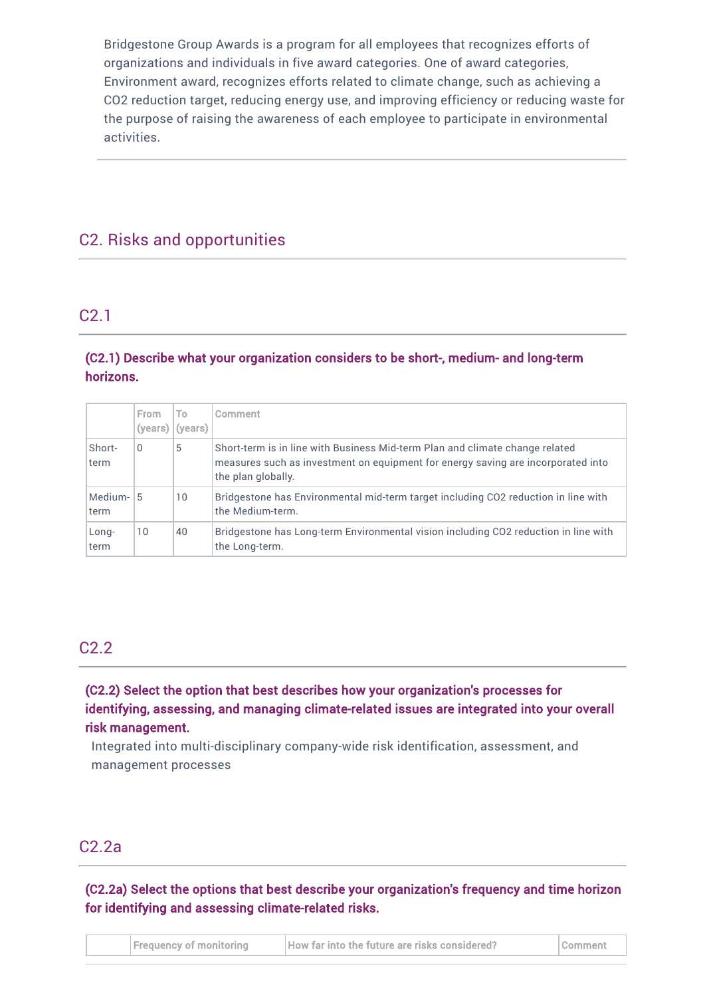Bridgestone Group Awards is a program for all employees that recognizes efforts of organizations and individuals in five award categories. One of award categories, Environment award, recognizes efforts related to climate change, such as achieving a CO2 reduction target, reducing energy use, and improving efficiency or reducing waste for the purpose of raising the awareness of each employee to participate in environmental activities.

# C2. Risks and opportunities

# C2.1

# (C2.1) Describe what your organization considers to be short-, medium- and long-term horizons.

|                   | From<br>(years) | To.<br>(years) | Comment                                                                                                                                                                                |
|-------------------|-----------------|----------------|----------------------------------------------------------------------------------------------------------------------------------------------------------------------------------------|
| Short-<br>term    | 0               | 5              | Short-term is in line with Business Mid-term Plan and climate change related<br>measures such as investment on equipment for energy saving are incorporated into<br>the plan globally. |
| Medium-15<br>term |                 | 10             | Bridgestone has Environmental mid-term target including CO2 reduction in line with<br>the Medium-term.                                                                                 |
| Long-<br>term     | 10              | 40             | Bridgestone has Long-term Environmental vision including CO2 reduction in line with<br>the Long-term.                                                                                  |

# C2.2

(C2.2) Select the option that best describes how your organization's processes for identifying, assessing, and managing climate-related issues are integrated into your overall risk management.

Integrated into multi-disciplinary company-wide risk identification, assessment, and management processes

# C2.2a

(C2.2a) Select the options that best describe your organization's frequency and time horizon for identifying and assessing climate-related risks.

|  | <b>Frequency of monitoring</b> | How far into the future are risks considered? | <b>I</b> Comment |
|--|--------------------------------|-----------------------------------------------|------------------|
|--|--------------------------------|-----------------------------------------------|------------------|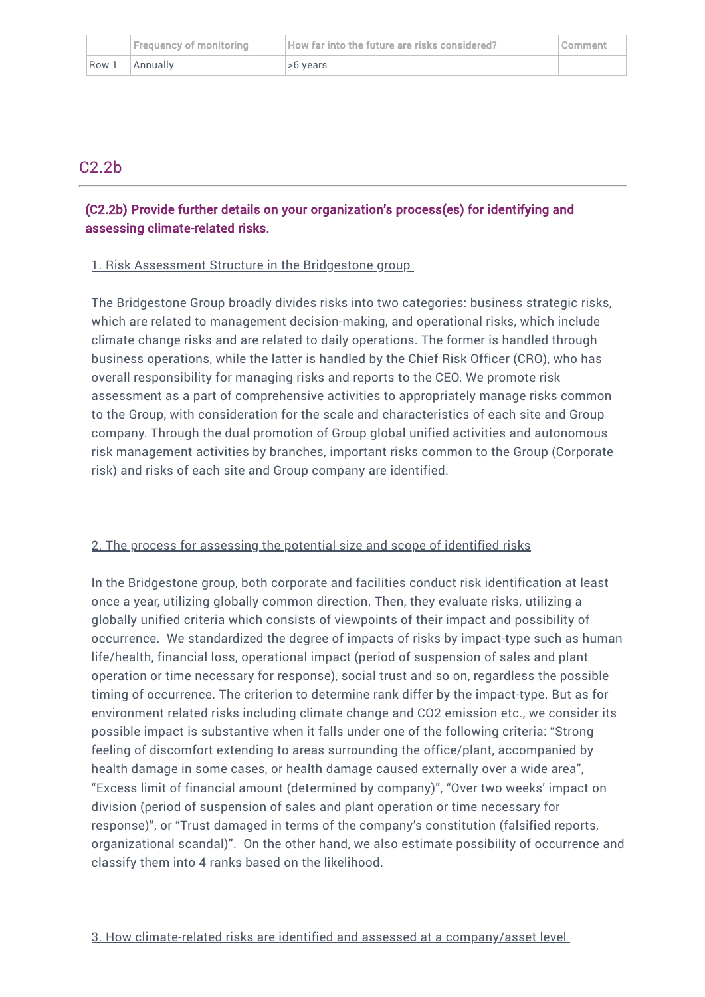|       | Frequency of monitoring | How far into the future are risks considered? | l Comment |
|-------|-------------------------|-----------------------------------------------|-----------|
| Row 1 | Annually                | .>6 vears                                     |           |

# C2.2b

# (C2.2b) Provide further details on your organization's process(es) for identifying and assessing climate-related risks.

### 1. Risk Assessment Structure in the Bridgestone group

The Bridgestone Group broadly divides risks into two categories: business strategic risks, which are related to management decision-making, and operational risks, which include climate change risks and are related to daily operations. The former is handled through business operations, while the latter is handled by the Chief Risk Officer (CRO), who has overall responsibility for managing risks and reports to the CEO. We promote risk assessment as a part of comprehensive activities to appropriately manage risks common to the Group, with consideration for the scale and characteristics of each site and Group company. Through the dual promotion of Group global unified activities and autonomous risk management activities by branches, important risks common to the Group (Corporate risk) and risks of each site and Group company are identified.

# 2. The process for assessing the potential size and scope of identified risks

In the Bridgestone group, both corporate and facilities conduct risk identification at least once a year, utilizing globally common direction. Then, they evaluate risks, utilizing a globally unified criteria which consists of viewpoints of their impact and possibility of occurrence. We standardized the degree of impacts of risks by impact-type such as human life/health, financial loss, operational impact (period of suspension of sales and plant operation or time necessary for response), social trust and so on, regardless the possible timing of occurrence. The criterion to determine rank differ by the impact-type. But as for environment related risks including climate change and CO2 emission etc., we consider its possible impact is substantive when it falls under one of the following criteria: "Strong feeling of discomfort extending to areas surrounding the office/plant, accompanied by health damage in some cases, or health damage caused externally over a wide area", "Excess limit of financial amount (determined by company)", "Over two weeks' impact on division (period of suspension of sales and plant operation or time necessary for response)", or "Trust damaged in terms of the company's constitution (falsified reports, organizational scandal)". On the other hand, we also estimate possibility of occurrence and classify them into 4 ranks based on the likelihood.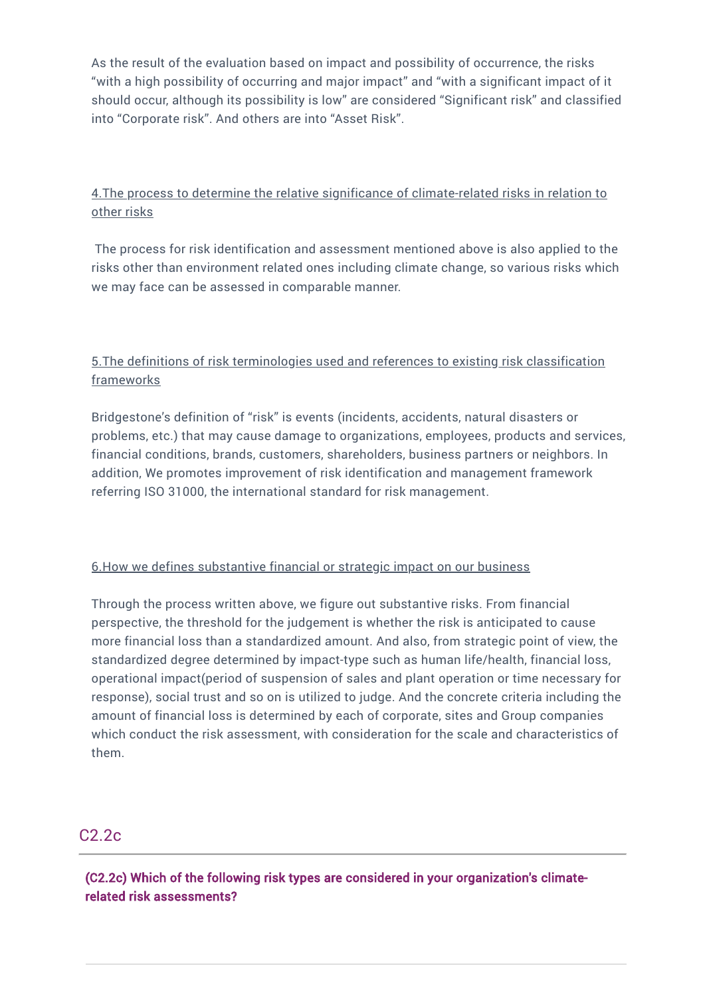As the result of the evaluation based on impact and possibility of occurrence, the risks "with a high possibility of occurring and major impact" and "with a significant impact of it should occur, although its possibility is low" are considered "Significant risk" and classified into "Corporate risk". And others are into "Asset Risk".

# 4.The process to determine the relative significance of climate-related risks in relation to other risks

The process for risk identification and assessment mentioned above is also applied to the risks other than environment related ones including climate change, so various risks which we may face can be assessed in comparable manner.

# 5.The definitions of risk terminologies used and references to existing risk classification **frameworks**

Bridgestone's definition of "risk" is events (incidents, accidents, natural disasters or problems, etc.) that may cause damage to organizations, employees, products and services, financial conditions, brands, customers, shareholders, business partners or neighbors. In addition, We promotes improvement of risk identification and management framework referring ISO 31000, the international standard for risk management.

# 6.How we defines substantive financial or strategic impact on our business

Through the process written above, we figure out substantive risks. From financial perspective, the threshold for the judgement is whether the risk is anticipated to cause more financial loss than a standardized amount. And also, from strategic point of view, the standardized degree determined by impact-type such as human life/health, financial loss, operational impact(period of suspension of sales and plant operation or time necessary for response), social trust and so on is utilized to judge. And the concrete criteria including the amount of financial loss is determined by each of corporate, sites and Group companies which conduct the risk assessment, with consideration for the scale and characteristics of them.

# C2.2c

(C2.2c) Which of the following risk types are considered in your organization's climaterelated risk assessments?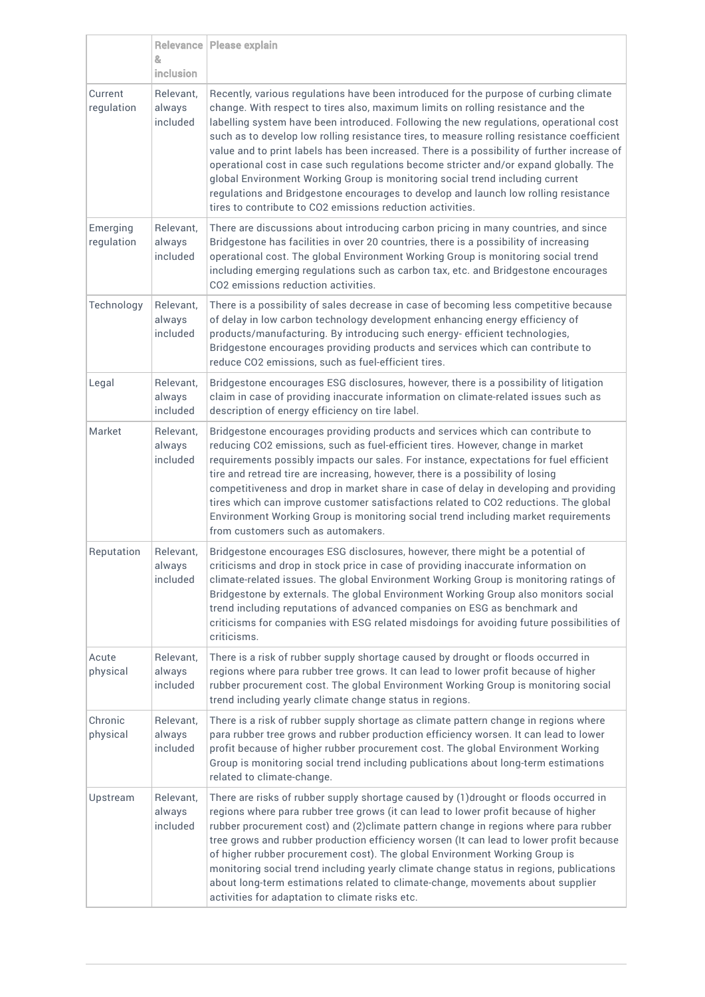|                        | &<br>inclusion                  | Relevance   Please explain                                                                                                                                                                                                                                                                                                                                                                                                                                                                                                                                                                                                                                                                                                                                                                      |
|------------------------|---------------------------------|-------------------------------------------------------------------------------------------------------------------------------------------------------------------------------------------------------------------------------------------------------------------------------------------------------------------------------------------------------------------------------------------------------------------------------------------------------------------------------------------------------------------------------------------------------------------------------------------------------------------------------------------------------------------------------------------------------------------------------------------------------------------------------------------------|
| Current<br>regulation  | Relevant,<br>always<br>included | Recently, various regulations have been introduced for the purpose of curbing climate<br>change. With respect to tires also, maximum limits on rolling resistance and the<br>labelling system have been introduced. Following the new regulations, operational cost<br>such as to develop low rolling resistance tires, to measure rolling resistance coefficient<br>value and to print labels has been increased. There is a possibility of further increase of<br>operational cost in case such regulations become stricter and/or expand globally. The<br>global Environment Working Group is monitoring social trend including current<br>regulations and Bridgestone encourages to develop and launch low rolling resistance<br>tires to contribute to CO2 emissions reduction activities. |
| Emerging<br>regulation | Relevant,<br>always<br>included | There are discussions about introducing carbon pricing in many countries, and since<br>Bridgestone has facilities in over 20 countries, there is a possibility of increasing<br>operational cost. The global Environment Working Group is monitoring social trend<br>including emerging regulations such as carbon tax, etc. and Bridgestone encourages<br>CO2 emissions reduction activities.                                                                                                                                                                                                                                                                                                                                                                                                  |
| Technology             | Relevant,<br>always<br>included | There is a possibility of sales decrease in case of becoming less competitive because<br>of delay in low carbon technology development enhancing energy efficiency of<br>products/manufacturing. By introducing such energy- efficient technologies,<br>Bridgestone encourages providing products and services which can contribute to<br>reduce CO2 emissions, such as fuel-efficient tires.                                                                                                                                                                                                                                                                                                                                                                                                   |
| Legal                  | Relevant,<br>always<br>included | Bridgestone encourages ESG disclosures, however, there is a possibility of litigation<br>claim in case of providing inaccurate information on climate-related issues such as<br>description of energy efficiency on tire label.                                                                                                                                                                                                                                                                                                                                                                                                                                                                                                                                                                 |
| Market                 | Relevant,<br>always<br>included | Bridgestone encourages providing products and services which can contribute to<br>reducing CO2 emissions, such as fuel-efficient tires. However, change in market<br>requirements possibly impacts our sales. For instance, expectations for fuel efficient<br>tire and retread tire are increasing, however, there is a possibility of losing<br>competitiveness and drop in market share in case of delay in developing and providing<br>tires which can improve customer satisfactions related to CO2 reductions. The global<br>Environment Working Group is monitoring social trend including market requirements<br>from customers such as automakers.                                                                                                                                     |
| Reputation             | Relevant,<br>always<br>included | Bridgestone encourages ESG disclosures, however, there might be a potential of<br>criticisms and drop in stock price in case of providing inaccurate information on<br>climate-related issues. The global Environment Working Group is monitoring ratings of<br>Bridgestone by externals. The global Environment Working Group also monitors social<br>trend including reputations of advanced companies on ESG as benchmark and<br>criticisms for companies with ESG related misdoings for avoiding future possibilities of<br>criticisms.                                                                                                                                                                                                                                                     |
| Acute<br>physical      | Relevant,<br>always<br>included | There is a risk of rubber supply shortage caused by drought or floods occurred in<br>regions where para rubber tree grows. It can lead to lower profit because of higher<br>rubber procurement cost. The global Environment Working Group is monitoring social<br>trend including yearly climate change status in regions.                                                                                                                                                                                                                                                                                                                                                                                                                                                                      |
| Chronic<br>physical    | Relevant,<br>always<br>included | There is a risk of rubber supply shortage as climate pattern change in regions where<br>para rubber tree grows and rubber production efficiency worsen. It can lead to lower<br>profit because of higher rubber procurement cost. The global Environment Working<br>Group is monitoring social trend including publications about long-term estimations<br>related to climate-change.                                                                                                                                                                                                                                                                                                                                                                                                           |
| Upstream               | Relevant,<br>always<br>included | There are risks of rubber supply shortage caused by (1)drought or floods occurred in<br>regions where para rubber tree grows (it can lead to lower profit because of higher<br>rubber procurement cost) and (2)climate pattern change in regions where para rubber<br>tree grows and rubber production efficiency worsen (It can lead to lower profit because<br>of higher rubber procurement cost). The global Environment Working Group is<br>monitoring social trend including yearly climate change status in regions, publications<br>about long-term estimations related to climate-change, movements about supplier<br>activities for adaptation to climate risks etc.                                                                                                                   |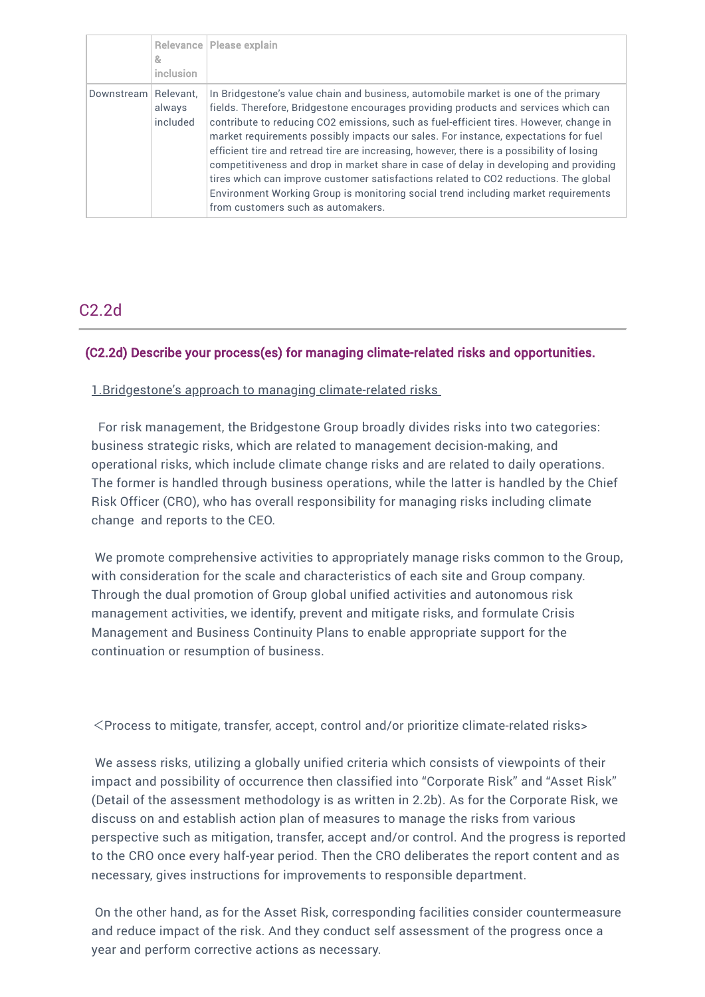|            | &<br>inclusion                  | Relevance   Please explain                                                                                                                                                                                                                                                                                                                                                                                                                                                                                                                                                                                                                                                                                                                                           |
|------------|---------------------------------|----------------------------------------------------------------------------------------------------------------------------------------------------------------------------------------------------------------------------------------------------------------------------------------------------------------------------------------------------------------------------------------------------------------------------------------------------------------------------------------------------------------------------------------------------------------------------------------------------------------------------------------------------------------------------------------------------------------------------------------------------------------------|
| Downstream | Relevant.<br>always<br>included | In Bridgestone's value chain and business, automobile market is one of the primary<br>fields. Therefore, Bridgestone encourages providing products and services which can<br>contribute to reducing CO2 emissions, such as fuel-efficient tires. However, change in<br>market requirements possibly impacts our sales. For instance, expectations for fuel<br>efficient tire and retread tire are increasing, however, there is a possibility of losing<br>competitiveness and drop in market share in case of delay in developing and providing<br>tires which can improve customer satisfactions related to CO2 reductions. The global<br>Environment Working Group is monitoring social trend including market requirements<br>from customers such as automakers. |

# C2.2d

# (C2.2d) Describe your process(es) for managing climate-related risks and opportunities.

### 1.Bridgestone's approach to managing climate-related risks

For risk management, the Bridgestone Group broadly divides risks into two categories: business strategic risks, which are related to management decision-making, and operational risks, which include climate change risks and are related to daily operations. The former is handled through business operations, while the latter is handled by the Chief Risk Officer (CRO), who has overall responsibility for managing risks including climate change and reports to the CEO.

We promote comprehensive activities to appropriately manage risks common to the Group, with consideration for the scale and characteristics of each site and Group company. Through the dual promotion of Group global unified activities and autonomous risk management activities, we identify, prevent and mitigate risks, and formulate Crisis Management and Business Continuity Plans to enable appropriate support for the continuation or resumption of business.

<Process to mitigate, transfer, accept, control and/or prioritize climate-related risks>

We assess risks, utilizing a globally unified criteria which consists of viewpoints of their impact and possibility of occurrence then classified into "Corporate Risk" and "Asset Risk" (Detail of the assessment methodology is as written in 2.2b). As for the Corporate Risk, we discuss on and establish action plan of measures to manage the risks from various perspective such as mitigation, transfer, accept and/or control. And the progress is reported to the CRO once every half-year period. Then the CRO deliberates the report content and as necessary, gives instructions for improvements to responsible department.

On the other hand, as for the Asset Risk, corresponding facilities consider countermeasure and reduce impact of the risk. And they conduct self assessment of the progress once a year and perform corrective actions as necessary.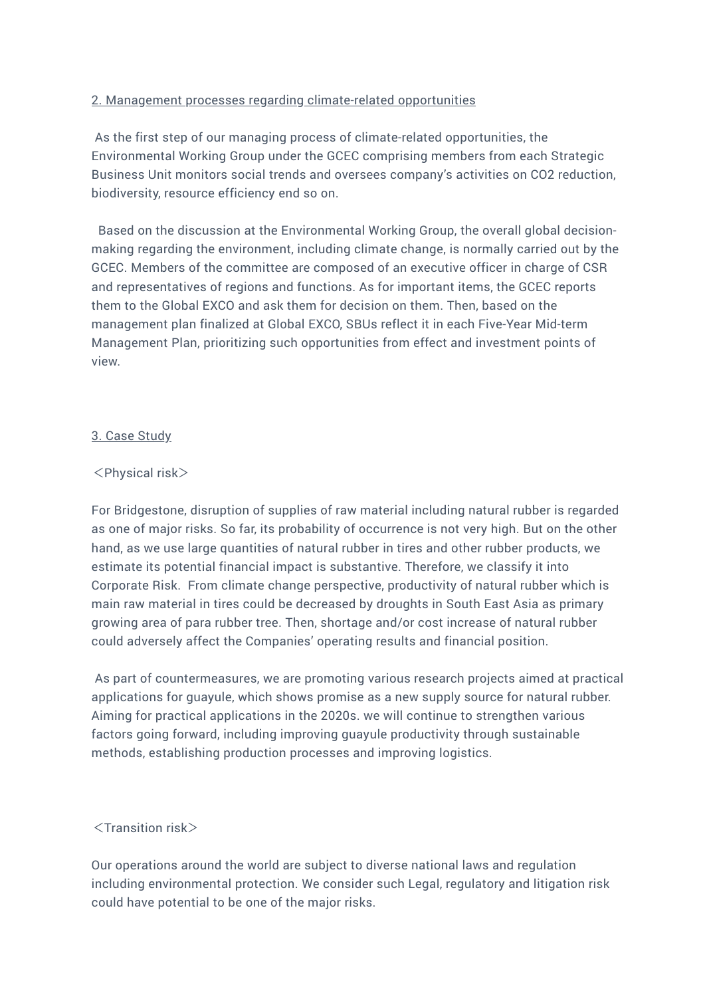### 2. Management processes regarding climate-related opportunities

As the first step of our managing process of climate-related opportunities, the Environmental Working Group under the GCEC comprising members from each Strategic Business Unit monitors social trends and oversees company's activities on CO2 reduction, biodiversity, resource efficiency end so on.

Based on the discussion at the Environmental Working Group, the overall global decisionmaking regarding the environment, including climate change, is normally carried out by the GCEC. Members of the committee are composed of an executive officer in charge of CSR and representatives of regions and functions. As for important items, the GCEC reports them to the Global EXCO and ask them for decision on them. Then, based on the management plan finalized at Global EXCO, SBUs reflect it in each Five-Year Mid-term Management Plan, prioritizing such opportunities from effect and investment points of view.

### 3. Case Study

### <Physical risk>

For Bridgestone, disruption of supplies of raw material including natural rubber is regarded as one of major risks. So far, its probability of occurrence is not very high. But on the other hand, as we use large quantities of natural rubber in tires and other rubber products, we estimate its potential financial impact is substantive. Therefore, we classify it into Corporate Risk. From climate change perspective, productivity of natural rubber which is main raw material in tires could be decreased by droughts in South East Asia as primary growing area of para rubber tree. Then, shortage and/or cost increase of natural rubber could adversely affect the Companies' operating results and financial position.

As part of countermeasures, we are promoting various research projects aimed at practical applications for guayule, which shows promise as a new supply source for natural rubber. Aiming for practical applications in the 2020s. we will continue to strengthen various factors going forward, including improving guayule productivity through sustainable methods, establishing production processes and improving logistics.

# <Transition risk>

Our operations around the world are subject to diverse national laws and regulation including environmental protection. We consider such Legal, regulatory and litigation risk could have potential to be one of the major risks.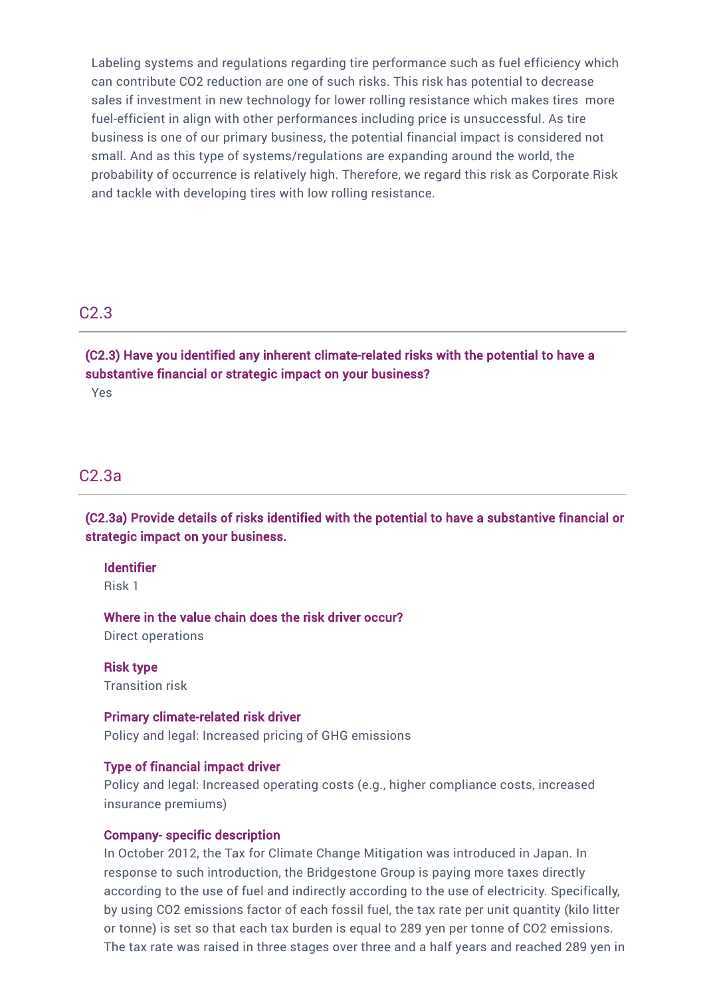Labeling systems and regulations regarding tire performance such as fuel efficiency which can contribute CO2 reduction are one of such risks. This risk has potential to decrease sales if investment in new technology for lower rolling resistance which makes tires more fuel-efficient in align with other performances including price is unsuccessful. As tire business is one of our primary business, the potential financial impact is considered not small. And as this type of systems/regulations are expanding around the world, the probability of occurrence is relatively high. Therefore, we regard this risk as Corporate Risk and tackle with developing tires with low rolling resistance.

# C2.3

(C2.3) Have you identified any inherent climate-related risks with the potential to have a substantive financial or strategic impact on your business? Yes

# C2.3a

(C2.3a) Provide details of risks identified with the potential to have a substantive financial or strategic impact on your business.

#### Identifier

Risk 1

Where in the value chain does the risk driver occur? Direct operations

Risk type Transition risk

#### Primary climate-related risk driver

Policy and legal: Increased pricing of GHG emissions

#### Type of financial impact driver

Policy and legal: Increased operating costs (e.g., higher compliance costs, increased insurance premiums)

#### Company- specific description

In October 2012, the Tax for Climate Change Mitigation was introduced in Japan. In response to such introduction, the Bridgestone Group is paying more taxes directly according to the use of fuel and indirectly according to the use of electricity. Specifically, by using CO2 emissions factor of each fossil fuel, the tax rate per unit quantity (kilo litter or tonne) is set so that each tax burden is equal to 289 yen per tonne of CO2 emissions. The tax rate was raised in three stages over three and a half years and reached 289 yen in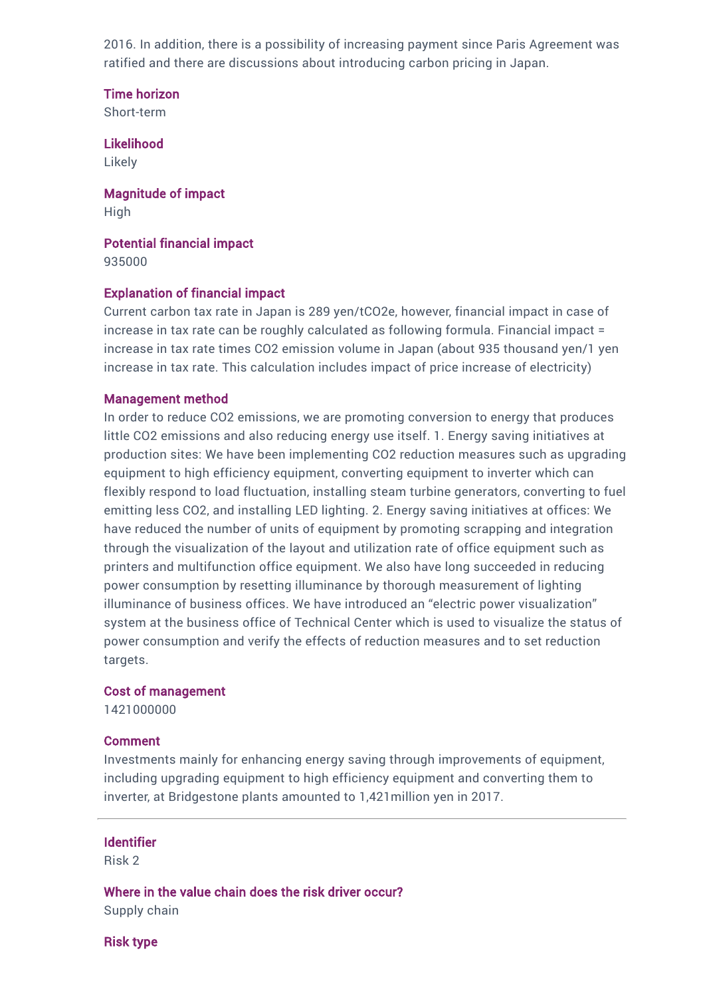2016. In addition, there is a possibility of increasing payment since Paris Agreement was ratified and there are discussions about introducing carbon pricing in Japan.

Time horizon Short-term

Likelihood Likely

Magnitude of impact High

Potential financial impact 935000

#### Explanation of financial impact

Current carbon tax rate in Japan is 289 yen/tCO2e, however, financial impact in case of increase in tax rate can be roughly calculated as following formula. Financial impact = increase in tax rate times CO2 emission volume in Japan (about 935 thousand yen/1 yen increase in tax rate. This calculation includes impact of price increase of electricity)

#### Management method

In order to reduce CO2 emissions, we are promoting conversion to energy that produces little CO2 emissions and also reducing energy use itself. 1. Energy saving initiatives at production sites: We have been implementing CO2 reduction measures such as upgrading equipment to high efficiency equipment, converting equipment to inverter which can flexibly respond to load fluctuation, installing steam turbine generators, converting to fuel emitting less CO2, and installing LED lighting. 2. Energy saving initiatives at offices: We have reduced the number of units of equipment by promoting scrapping and integration through the visualization of the layout and utilization rate of office equipment such as printers and multifunction office equipment. We also have long succeeded in reducing power consumption by resetting illuminance by thorough measurement of lighting illuminance of business offices. We have introduced an "electric power visualization" system at the business office of Technical Center which is used to visualize the status of power consumption and verify the effects of reduction measures and to set reduction targets.

#### Cost of management

1421000000

#### Comment

Investments mainly for enhancing energy saving through improvements of equipment, including upgrading equipment to high efficiency equipment and converting them to inverter, at Bridgestone plants amounted to 1,421million yen in 2017.

#### Identifier

Risk 2

Where in the value chain does the risk driver occur? Supply chain

Risk type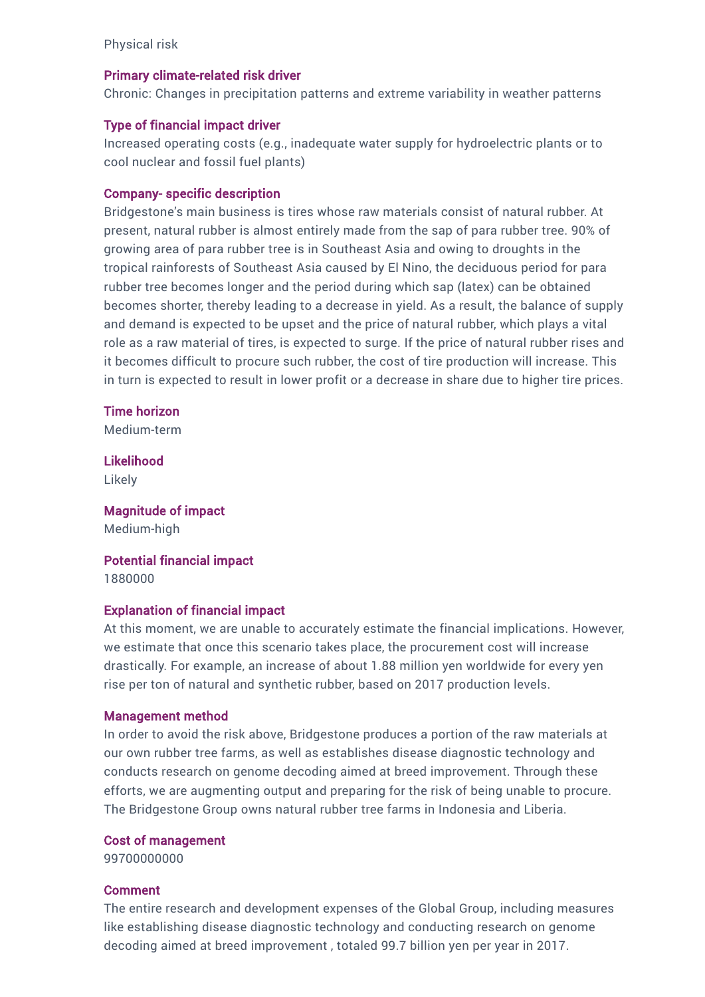Physical risk

#### Primary climate-related risk driver

Chronic: Changes in precipitation patterns and extreme variability in weather patterns

#### Type of financial impact driver

Increased operating costs (e.g., inadequate water supply for hydroelectric plants or to cool nuclear and fossil fuel plants)

#### Company- specific description

Bridgestone's main business is tires whose raw materials consist of natural rubber. At present, natural rubber is almost entirely made from the sap of para rubber tree. 90% of growing area of para rubber tree is in Southeast Asia and owing to droughts in the tropical rainforests of Southeast Asia caused by El Nino, the deciduous period for para rubber tree becomes longer and the period during which sap (latex) can be obtained becomes shorter, thereby leading to a decrease in yield. As a result, the balance of supply and demand is expected to be upset and the price of natural rubber, which plays a vital role as a raw material of tires, is expected to surge. If the price of natural rubber rises and it becomes difficult to procure such rubber, the cost of tire production will increase. This in turn is expected to result in lower profit or a decrease in share due to higher tire prices.

#### Time horizon

Medium-term

Likelihood Likely

Magnitude of impact Medium-high

Potential financial impact 1880000

#### Explanation of financial impact

At this moment, we are unable to accurately estimate the financial implications. However, we estimate that once this scenario takes place, the procurement cost will increase drastically. For example, an increase of about 1.88 million yen worldwide for every yen rise per ton of natural and synthetic rubber, based on 2017 production levels.

#### Management method

In order to avoid the risk above, Bridgestone produces a portion of the raw materials at our own rubber tree farms, as well as establishes disease diagnostic technology and conducts research on genome decoding aimed at breed improvement. Through these efforts, we are augmenting output and preparing for the risk of being unable to procure. The Bridgestone Group owns natural rubber tree farms in Indonesia and Liberia.

#### Cost of management

99700000000

#### Comment

The entire research and development expenses of the Global Group, including measures like establishing disease diagnostic technology and conducting research on genome decoding aimed at breed improvement , totaled 99.7 billion yen per year in 2017.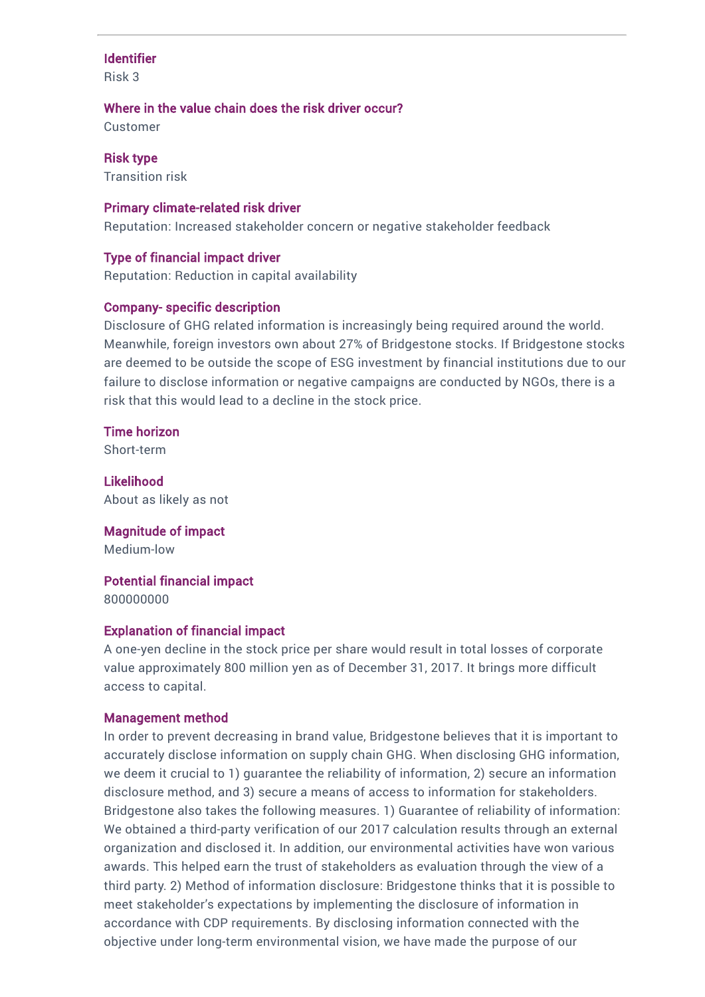### Identifier

Risk 3

#### Where in the value chain does the risk driver occur?

Customer

Risk type Transition risk

#### Primary climate-related risk driver

Reputation: Increased stakeholder concern or negative stakeholder feedback

#### Type of financial impact driver

Reputation: Reduction in capital availability

#### Company- specific description

Disclosure of GHG related information is increasingly being required around the world. Meanwhile, foreign investors own about 27% of Bridgestone stocks. If Bridgestone stocks are deemed to be outside the scope of ESG investment by financial institutions due to our failure to disclose information or negative campaigns are conducted by NGOs, there is a risk that this would lead to a decline in the stock price.

Time horizon Short-term

Likelihood About as likely as not

Magnitude of impact Medium-low

Potential financial impact

800000000

#### Explanation of financial impact

A one-yen decline in the stock price per share would result in total losses of corporate value approximately 800 million yen as of December 31, 2017. It brings more difficult access to capital.

#### Management method

In order to prevent decreasing in brand value, Bridgestone believes that it is important to accurately disclose information on supply chain GHG. When disclosing GHG information, we deem it crucial to 1) guarantee the reliability of information, 2) secure an information disclosure method, and 3) secure a means of access to information for stakeholders. Bridgestone also takes the following measures. 1) Guarantee of reliability of information: We obtained a third-party verification of our 2017 calculation results through an external organization and disclosed it. In addition, our environmental activities have won various awards. This helped earn the trust of stakeholders as evaluation through the view of a third party. 2) Method of information disclosure: Bridgestone thinks that it is possible to meet stakeholder's expectations by implementing the disclosure of information in accordance with CDP requirements. By disclosing information connected with the objective under long-term environmental vision, we have made the purpose of our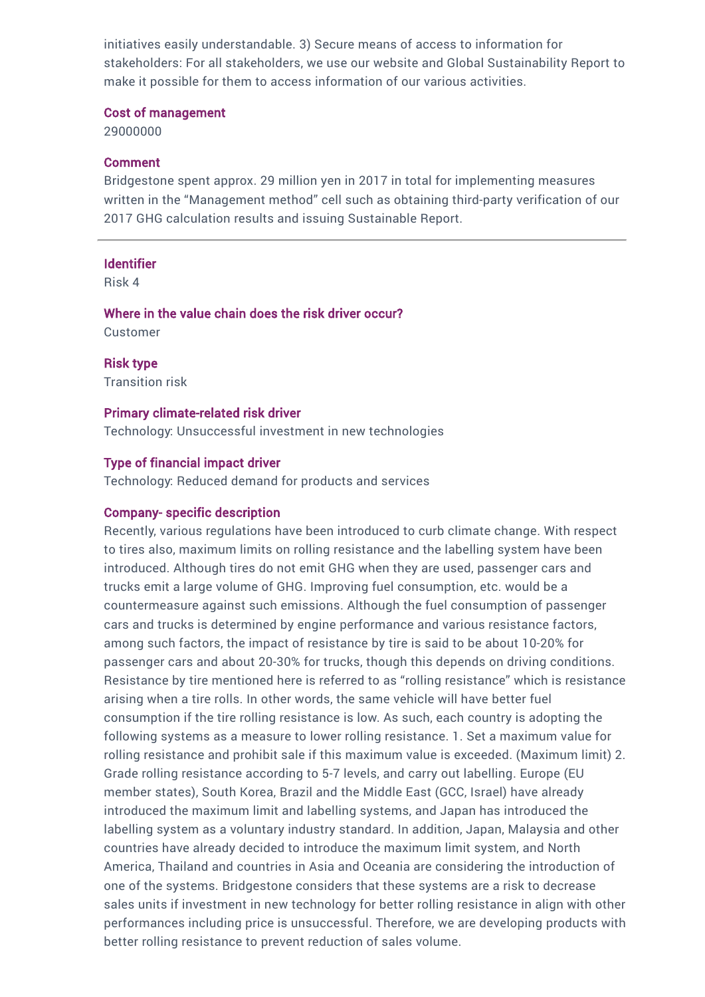initiatives easily understandable. 3) Secure means of access to information for stakeholders: For all stakeholders, we use our website and Global Sustainability Report to make it possible for them to access information of our various activities.

#### Cost of management

29000000

#### Comment

Bridgestone spent approx. 29 million yen in 2017 in total for implementing measures written in the "Management method" cell such as obtaining third-party verification of our 2017 GHG calculation results and issuing Sustainable Report.

#### **Identifier**

Risk 4

Where in the value chain does the risk driver occur? Customer

Risk type Transition risk

#### Primary climate-related risk driver

Technology: Unsuccessful investment in new technologies

#### Type of financial impact driver

Technology: Reduced demand for products and services

#### Company- specific description

Recently, various regulations have been introduced to curb climate change. With respect to tires also, maximum limits on rolling resistance and the labelling system have been introduced. Although tires do not emit GHG when they are used, passenger cars and trucks emit a large volume of GHG. Improving fuel consumption, etc. would be a countermeasure against such emissions. Although the fuel consumption of passenger cars and trucks is determined by engine performance and various resistance factors, among such factors, the impact of resistance by tire is said to be about 10-20% for passenger cars and about 20-30% for trucks, though this depends on driving conditions. Resistance by tire mentioned here is referred to as "rolling resistance" which is resistance arising when a tire rolls. In other words, the same vehicle will have better fuel consumption if the tire rolling resistance is low. As such, each country is adopting the following systems as a measure to lower rolling resistance. 1. Set a maximum value for rolling resistance and prohibit sale if this maximum value is exceeded. (Maximum limit) 2. Grade rolling resistance according to 5-7 levels, and carry out labelling. Europe (EU member states), South Korea, Brazil and the Middle East (GCC, Israel) have already introduced the maximum limit and labelling systems, and Japan has introduced the labelling system as a voluntary industry standard. In addition, Japan, Malaysia and other countries have already decided to introduce the maximum limit system, and North America, Thailand and countries in Asia and Oceania are considering the introduction of one of the systems. Bridgestone considers that these systems are a risk to decrease sales units if investment in new technology for better rolling resistance in align with other performances including price is unsuccessful. Therefore, we are developing products with better rolling resistance to prevent reduction of sales volume.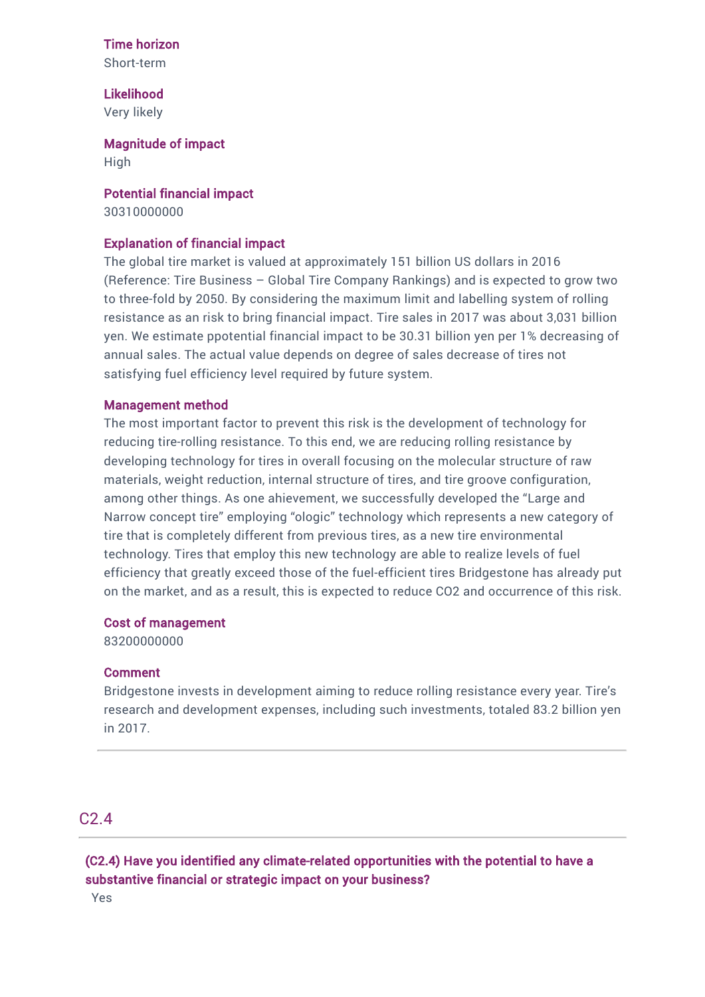#### Time horizon

Short-term

Likelihood Very likely

Magnitude of impact High

Potential financial impact 30310000000

#### Explanation of financial impact

The global tire market is valued at approximately 151 billion US dollars in 2016 (Reference: Tire Business – Global Tire Company Rankings) and is expected to grow two to three-fold by 2050. By considering the maximum limit and labelling system of rolling resistance as an risk to bring financial impact. Tire sales in 2017 was about 3,031 billion yen. We estimate ppotential financial impact to be 30.31 billion yen per 1% decreasing of annual sales. The actual value depends on degree of sales decrease of tires not satisfying fuel efficiency level required by future system.

#### Management method

The most important factor to prevent this risk is the development of technology for reducing tire-rolling resistance. To this end, we are reducing rolling resistance by developing technology for tires in overall focusing on the molecular structure of raw materials, weight reduction, internal structure of tires, and tire groove configuration, among other things. As one ahievement, we successfully developed the "Large and Narrow concept tire" employing "ologic" technology which represents a new category of tire that is completely different from previous tires, as a new tire environmental technology. Tires that employ this new technology are able to realize levels of fuel efficiency that greatly exceed those of the fuel-efficient tires Bridgestone has already put on the market, and as a result, this is expected to reduce CO2 and occurrence of this risk.

#### Cost of management

83200000000

#### Comment

Bridgestone invests in development aiming to reduce rolling resistance every year. Tire's research and development expenses, including such investments, totaled 83.2 billion yen in 2017.

# C2.4

(C2.4) Have you identified any climate-related opportunities with the potential to have a substantive financial or strategic impact on your business?

Yes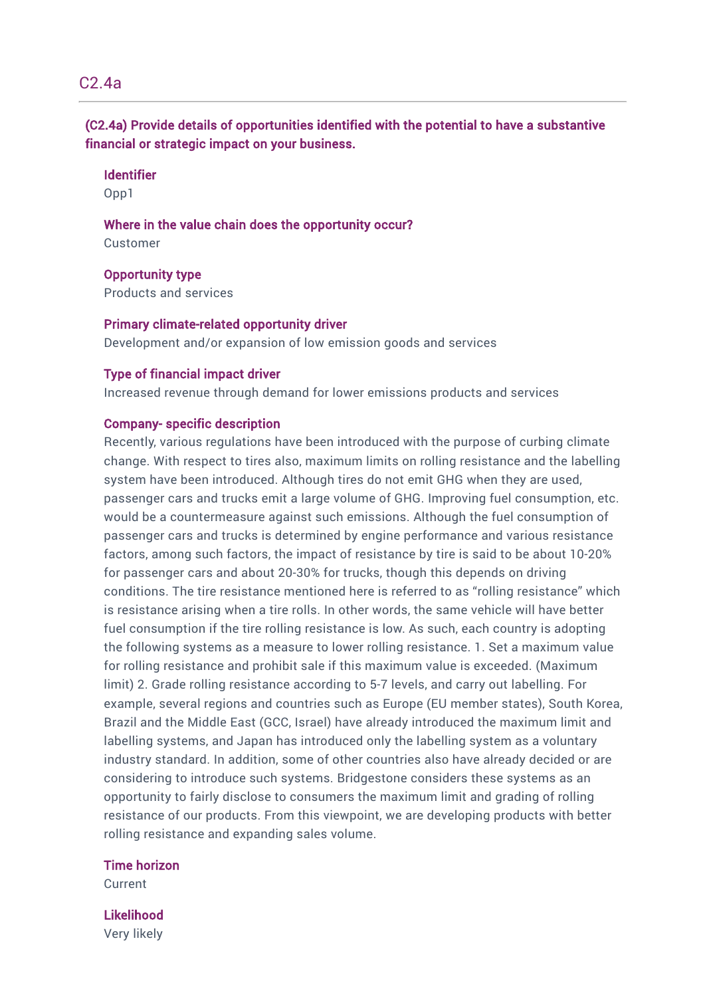# C2.4a

(C2.4a) Provide details of opportunities identified with the potential to have a substantive financial or strategic impact on your business.

#### Identifier

Opp1

Where in the value chain does the opportunity occur? Customer

Opportunity type

Products and services

Primary climate-related opportunity driver Development and/or expansion of low emission goods and services

#### Type of financial impact driver

Increased revenue through demand for lower emissions products and services

#### Company- specific description

Recently, various regulations have been introduced with the purpose of curbing climate change. With respect to tires also, maximum limits on rolling resistance and the labelling system have been introduced. Although tires do not emit GHG when they are used, passenger cars and trucks emit a large volume of GHG. Improving fuel consumption, etc. would be a countermeasure against such emissions. Although the fuel consumption of passenger cars and trucks is determined by engine performance and various resistance factors, among such factors, the impact of resistance by tire is said to be about 10-20% for passenger cars and about 20-30% for trucks, though this depends on driving conditions. The tire resistance mentioned here is referred to as "rolling resistance" which is resistance arising when a tire rolls. In other words, the same vehicle will have better fuel consumption if the tire rolling resistance is low. As such, each country is adopting the following systems as a measure to lower rolling resistance. 1. Set a maximum value for rolling resistance and prohibit sale if this maximum value is exceeded. (Maximum limit) 2. Grade rolling resistance according to 5-7 levels, and carry out labelling. For example, several regions and countries such as Europe (EU member states), South Korea, Brazil and the Middle East (GCC, Israel) have already introduced the maximum limit and labelling systems, and Japan has introduced only the labelling system as a voluntary industry standard. In addition, some of other countries also have already decided or are considering to introduce such systems. Bridgestone considers these systems as an opportunity to fairly disclose to consumers the maximum limit and grading of rolling resistance of our products. From this viewpoint, we are developing products with better rolling resistance and expanding sales volume.

#### Time horizon

Current

#### Likelihood

Very likely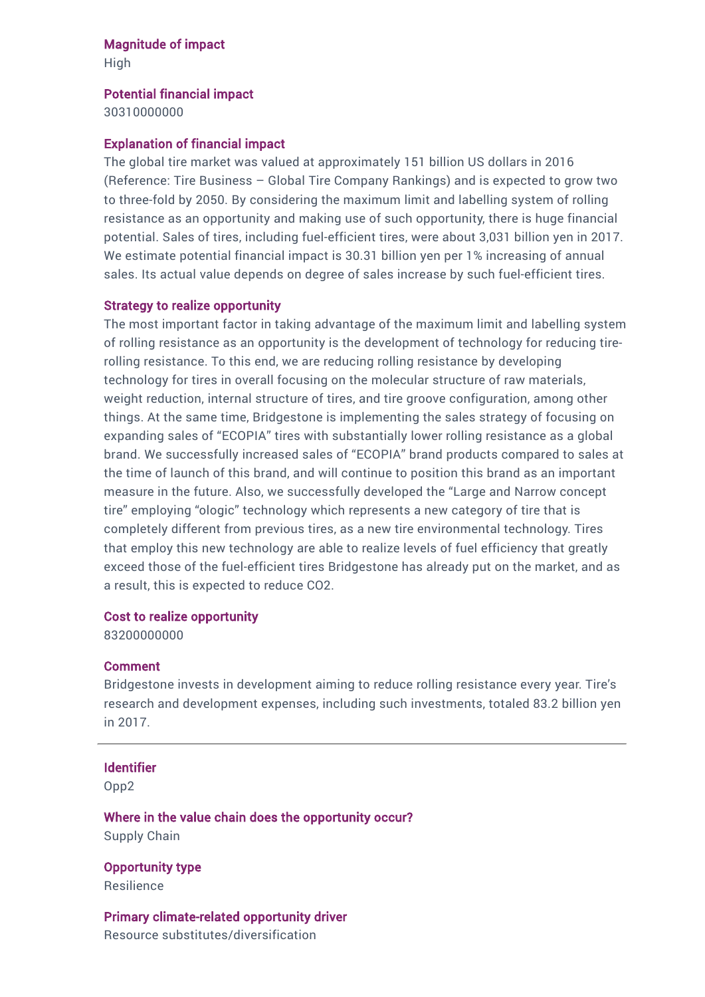#### Magnitude of impact

High

#### Potential financial impact

30310000000

#### Explanation of financial impact

The global tire market was valued at approximately 151 billion US dollars in 2016 (Reference: Tire Business – Global Tire Company Rankings) and is expected to grow two to three-fold by 2050. By considering the maximum limit and labelling system of rolling resistance as an opportunity and making use of such opportunity, there is huge financial potential. Sales of tires, including fuel-efficient tires, were about 3,031 billion yen in 2017. We estimate potential financial impact is 30.31 billion yen per 1% increasing of annual sales. Its actual value depends on degree of sales increase by such fuel-efficient tires.

#### Strategy to realize opportunity

The most important factor in taking advantage of the maximum limit and labelling system of rolling resistance as an opportunity is the development of technology for reducing tirerolling resistance. To this end, we are reducing rolling resistance by developing technology for tires in overall focusing on the molecular structure of raw materials, weight reduction, internal structure of tires, and tire groove configuration, among other things. At the same time, Bridgestone is implementing the sales strategy of focusing on expanding sales of "ECOPIA" tires with substantially lower rolling resistance as a global brand. We successfully increased sales of "ECOPIA" brand products compared to sales at the time of launch of this brand, and will continue to position this brand as an important measure in the future. Also, we successfully developed the "Large and Narrow concept tire" employing "ologic" technology which represents a new category of tire that is completely different from previous tires, as a new tire environmental technology. Tires that employ this new technology are able to realize levels of fuel efficiency that greatly exceed those of the fuel-efficient tires Bridgestone has already put on the market, and as a result, this is expected to reduce CO2.

#### Cost to realize opportunity

83200000000

#### Comment

Bridgestone invests in development aiming to reduce rolling resistance every year. Tire's research and development expenses, including such investments, totaled 83.2 billion yen in 2017.

#### Identifier

Opp2

Where in the value chain does the opportunity occur? Supply Chain

Opportunity type Resilience

Primary climate-related opportunity driver Resource substitutes/diversification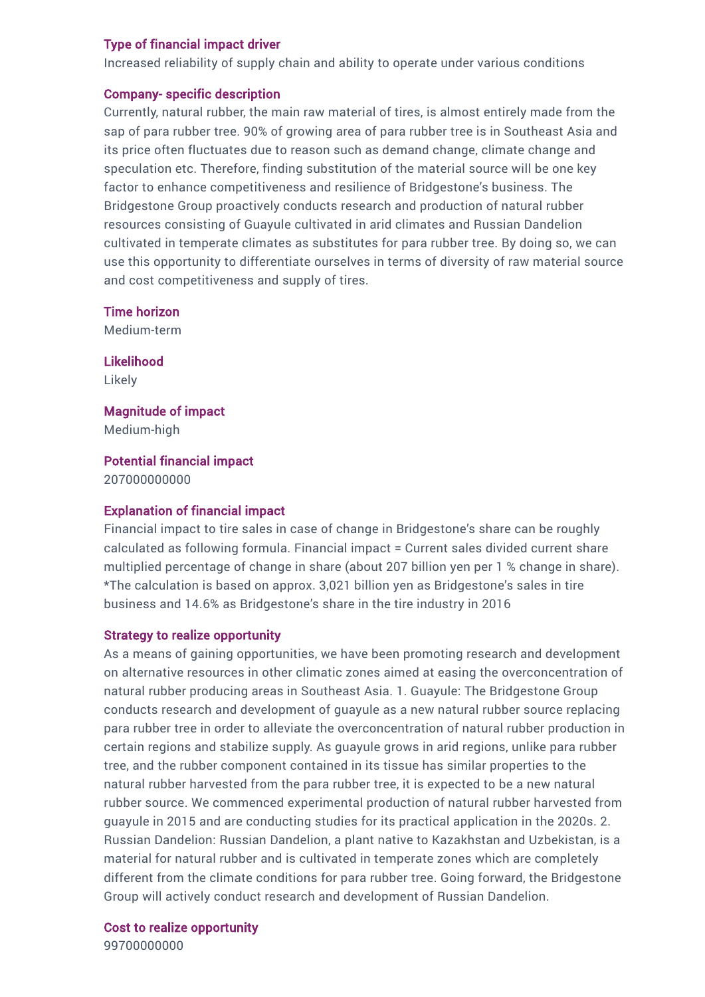#### Type of financial impact driver

Increased reliability of supply chain and ability to operate under various conditions

#### Company- specific description

Currently, natural rubber, the main raw material of tires, is almost entirely made from the sap of para rubber tree. 90% of growing area of para rubber tree is in Southeast Asia and its price often fluctuates due to reason such as demand change, climate change and speculation etc. Therefore, finding substitution of the material source will be one key factor to enhance competitiveness and resilience of Bridgestone's business. The Bridgestone Group proactively conducts research and production of natural rubber resources consisting of Guayule cultivated in arid climates and Russian Dandelion cultivated in temperate climates as substitutes for para rubber tree. By doing so, we can use this opportunity to differentiate ourselves in terms of diversity of raw material source and cost competitiveness and supply of tires.

Time horizon

Medium-term

Likelihood Likely

Magnitude of impact Medium-high

Potential financial impact

207000000000

#### Explanation of financial impact

Financial impact to tire sales in case of change in Bridgestone's share can be roughly calculated as following formula. Financial impact = Current sales divided current share multiplied percentage of change in share (about 207 billion yen per 1 % change in share). \*The calculation is based on approx. 3,021 billion yen as Bridgestone's sales in tire business and 14.6% as Bridgestone's share in the tire industry in 2016

#### Strategy to realize opportunity

As a means of gaining opportunities, we have been promoting research and development on alternative resources in other climatic zones aimed at easing the overconcentration of natural rubber producing areas in Southeast Asia. 1. Guayule: The Bridgestone Group conducts research and development of guayule as a new natural rubber source replacing para rubber tree in order to alleviate the overconcentration of natural rubber production in certain regions and stabilize supply. As guayule grows in arid regions, unlike para rubber tree, and the rubber component contained in its tissue has similar properties to the natural rubber harvested from the para rubber tree, it is expected to be a new natural rubber source. We commenced experimental production of natural rubber harvested from guayule in 2015 and are conducting studies for its practical application in the 2020s. 2. Russian Dandelion: Russian Dandelion, a plant native to Kazakhstan and Uzbekistan, is a material for natural rubber and is cultivated in temperate zones which are completely different from the climate conditions for para rubber tree. Going forward, the Bridgestone Group will actively conduct research and development of Russian Dandelion.

Cost to realize opportunity

99700000000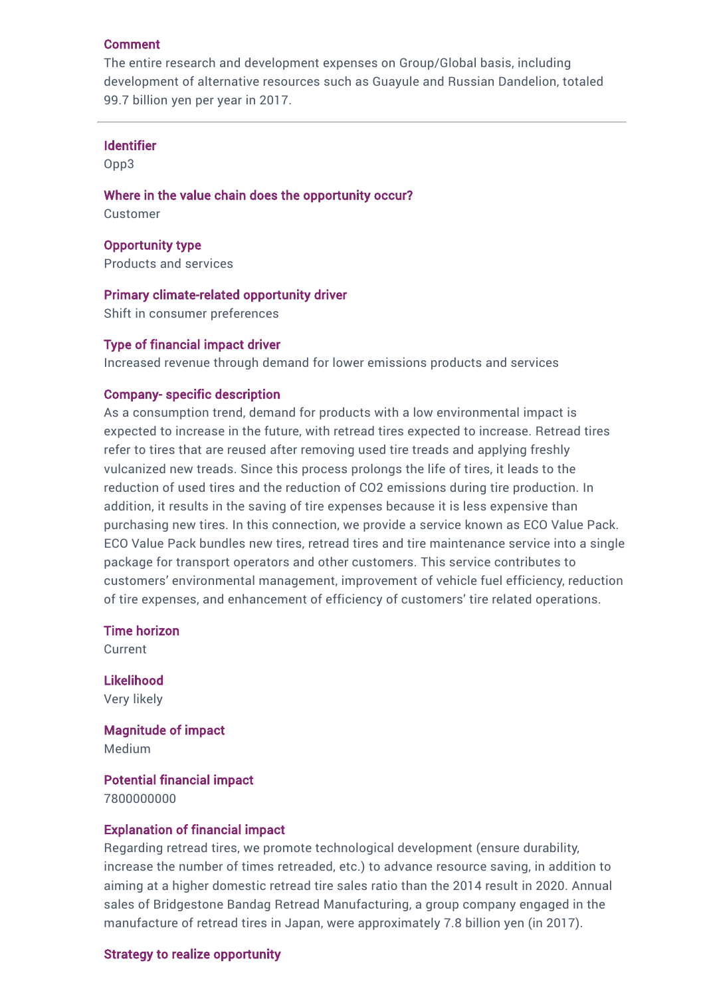#### Comment

The entire research and development expenses on Group/Global basis, including development of alternative resources such as Guayule and Russian Dandelion, totaled 99.7 billion yen per year in 2017.

#### Identifier

Opp3

Where in the value chain does the opportunity occur? Customer

Opportunity type Products and services

Primary climate-related opportunity driver Shift in consumer preferences

#### Type of financial impact driver

Increased revenue through demand for lower emissions products and services

#### Company- specific description

As a consumption trend, demand for products with a low environmental impact is expected to increase in the future, with retread tires expected to increase. Retread tires refer to tires that are reused after removing used tire treads and applying freshly vulcanized new treads. Since this process prolongs the life of tires, it leads to the reduction of used tires and the reduction of CO2 emissions during tire production. In addition, it results in the saving of tire expenses because it is less expensive than purchasing new tires. In this connection, we provide a service known as ECO Value Pack. ECO Value Pack bundles new tires, retread tires and tire maintenance service into a single package for transport operators and other customers. This service contributes to customers' environmental management, improvement of vehicle fuel efficiency, reduction of tire expenses, and enhancement of efficiency of customers' tire related operations.

Time horizon

Current

Likelihood Very likely

Magnitude of impact Medium

Potential financial impact 7800000000

#### Explanation of financial impact

Regarding retread tires, we promote technological development (ensure durability, increase the number of times retreaded, etc.) to advance resource saving, in addition to aiming at a higher domestic retread tire sales ratio than the 2014 result in 2020. Annual sales of Bridgestone Bandag Retread Manufacturing, a group company engaged in the manufacture of retread tires in Japan, were approximately 7.8 billion yen (in 2017).

#### Strategy to realize opportunity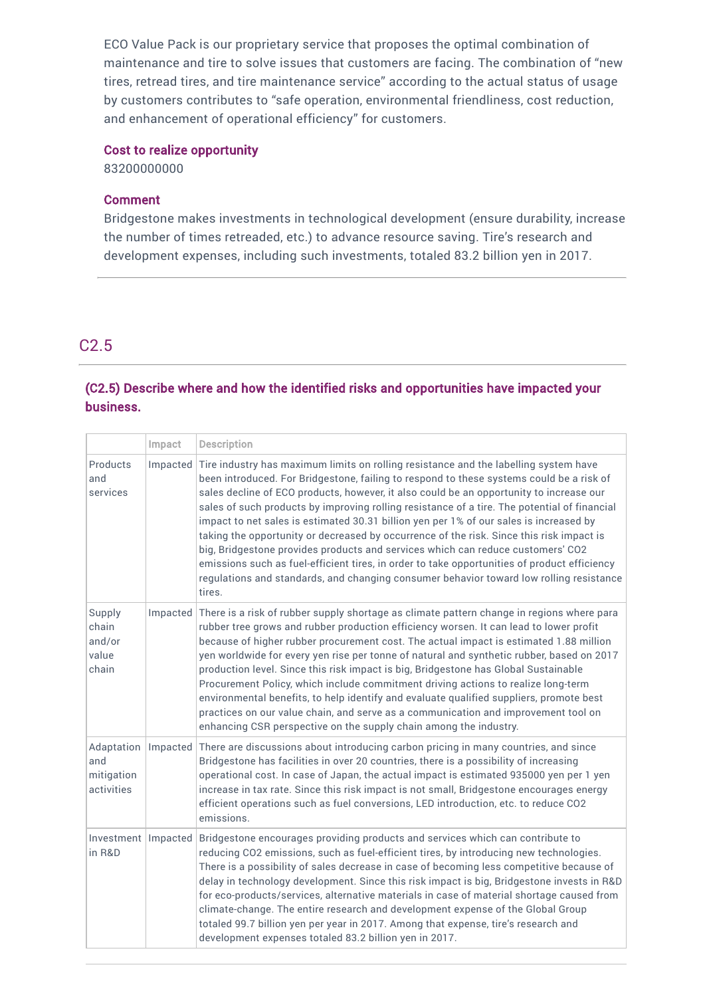ECO Value Pack is our proprietary service that proposes the optimal combination of maintenance and tire to solve issues that customers are facing. The combination of "new tires, retread tires, and tire maintenance service" according to the actual status of usage by customers contributes to "safe operation, environmental friendliness, cost reduction, and enhancement of operational efficiency" for customers.

#### Cost to realize opportunity

83200000000

#### **Comment**

Bridgestone makes investments in technological development (ensure durability, increase the number of times retreaded, etc.) to advance resource saving. Tire's research and development expenses, including such investments, totaled 83.2 billion yen in 2017.

# C2.5

# (C2.5) Describe where and how the identified risks and opportunities have impacted your business.

|                                               | Impact | <b>Description</b>                                                                                                                                                                                                                                                                                                                                                                                                                                                                                                                                                                                                                                                                                                                                                                                                                                                 |
|-----------------------------------------------|--------|--------------------------------------------------------------------------------------------------------------------------------------------------------------------------------------------------------------------------------------------------------------------------------------------------------------------------------------------------------------------------------------------------------------------------------------------------------------------------------------------------------------------------------------------------------------------------------------------------------------------------------------------------------------------------------------------------------------------------------------------------------------------------------------------------------------------------------------------------------------------|
| Products<br>and<br>services                   |        | Impacted Tire industry has maximum limits on rolling resistance and the labelling system have<br>been introduced. For Bridgestone, failing to respond to these systems could be a risk of<br>sales decline of ECO products, however, it also could be an opportunity to increase our<br>sales of such products by improving rolling resistance of a tire. The potential of financial<br>impact to net sales is estimated 30.31 billion yen per 1% of our sales is increased by<br>taking the opportunity or decreased by occurrence of the risk. Since this risk impact is<br>big, Bridgestone provides products and services which can reduce customers' CO2<br>emissions such as fuel-efficient tires, in order to take opportunities of product efficiency<br>regulations and standards, and changing consumer behavior toward low rolling resistance<br>tires. |
| Supply<br>chain<br>and/or<br>value<br>chain   |        | Impacted There is a risk of rubber supply shortage as climate pattern change in regions where para<br>rubber tree grows and rubber production efficiency worsen. It can lead to lower profit<br>because of higher rubber procurement cost. The actual impact is estimated 1.88 million<br>yen worldwide for every yen rise per tonne of natural and synthetic rubber, based on 2017<br>production level. Since this risk impact is big, Bridgestone has Global Sustainable<br>Procurement Policy, which include commitment driving actions to realize long-term<br>environmental benefits, to help identify and evaluate qualified suppliers, promote best<br>practices on our value chain, and serve as a communication and improvement tool on<br>enhancing CSR perspective on the supply chain among the industry.                                              |
| Adaptation<br>and<br>mitigation<br>activities |        | Impacted There are discussions about introducing carbon pricing in many countries, and since<br>Bridgestone has facilities in over 20 countries, there is a possibility of increasing<br>operational cost. In case of Japan, the actual impact is estimated 935000 yen per 1 yen<br>increase in tax rate. Since this risk impact is not small, Bridgestone encourages energy<br>efficient operations such as fuel conversions, LED introduction, etc. to reduce CO2<br>emissions.                                                                                                                                                                                                                                                                                                                                                                                  |
| Investment   Impacted<br>in R&D               |        | Bridgestone encourages providing products and services which can contribute to<br>reducing CO2 emissions, such as fuel-efficient tires, by introducing new technologies.<br>There is a possibility of sales decrease in case of becoming less competitive because of<br>delay in technology development. Since this risk impact is big, Bridgestone invests in R&D<br>for eco-products/services, alternative materials in case of material shortage caused from<br>climate-change. The entire research and development expense of the Global Group<br>totaled 99.7 billion yen per year in 2017. Among that expense, tire's research and<br>development expenses totaled 83.2 billion yen in 2017.                                                                                                                                                                 |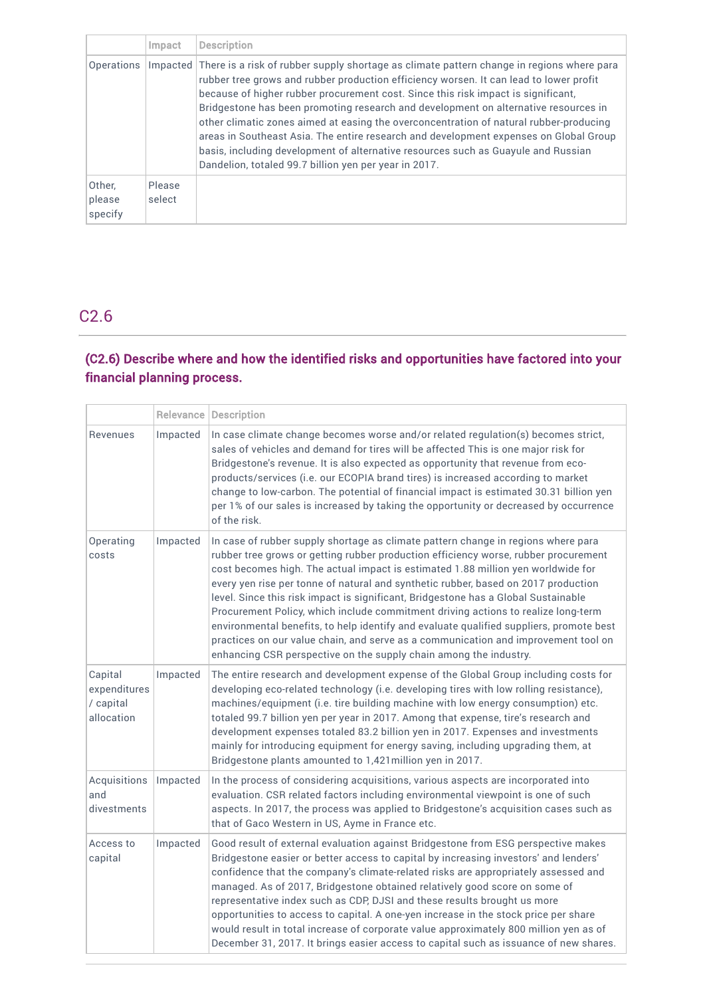|                             | Impact           | <b>Description</b>                                                                                                                                                                                                                                                                                                                                                                                                                                                                                                                                                                                                                                                                                        |
|-----------------------------|------------------|-----------------------------------------------------------------------------------------------------------------------------------------------------------------------------------------------------------------------------------------------------------------------------------------------------------------------------------------------------------------------------------------------------------------------------------------------------------------------------------------------------------------------------------------------------------------------------------------------------------------------------------------------------------------------------------------------------------|
| <b>Operations</b>           |                  | Impacted There is a risk of rubber supply shortage as climate pattern change in regions where para<br>rubber tree grows and rubber production efficiency worsen. It can lead to lower profit<br>because of higher rubber procurement cost. Since this risk impact is significant,<br>Bridgestone has been promoting research and development on alternative resources in<br>other climatic zones aimed at easing the overconcentration of natural rubber-producing<br>areas in Southeast Asia. The entire research and development expenses on Global Group<br>basis, including development of alternative resources such as Guayule and Russian<br>Dandelion, totaled 99.7 billion yen per year in 2017. |
| Other,<br>please<br>specify | Please<br>select |                                                                                                                                                                                                                                                                                                                                                                                                                                                                                                                                                                                                                                                                                                           |

# C2.6

# (C2.6) Describe where and how the identified risks and opportunities have factored into your financial planning process.

|                                                    |          | <b>Relevance Description</b>                                                                                                                                                                                                                                                                                                                                                                                                                                                                                                                                                                                                                                                                                                                                                        |  |
|----------------------------------------------------|----------|-------------------------------------------------------------------------------------------------------------------------------------------------------------------------------------------------------------------------------------------------------------------------------------------------------------------------------------------------------------------------------------------------------------------------------------------------------------------------------------------------------------------------------------------------------------------------------------------------------------------------------------------------------------------------------------------------------------------------------------------------------------------------------------|--|
| Revenues                                           | Impacted | In case climate change becomes worse and/or related regulation(s) becomes strict,<br>sales of vehicles and demand for tires will be affected This is one major risk for<br>Bridgestone's revenue. It is also expected as opportunity that revenue from eco-<br>products/services (i.e. our ECOPIA brand tires) is increased according to market<br>change to low-carbon. The potential of financial impact is estimated 30.31 billion yen<br>per 1% of our sales is increased by taking the opportunity or decreased by occurrence<br>of the risk.                                                                                                                                                                                                                                  |  |
| Operating<br>costs                                 | Impacted | In case of rubber supply shortage as climate pattern change in regions where para<br>rubber tree grows or getting rubber production efficiency worse, rubber procurement<br>cost becomes high. The actual impact is estimated 1.88 million yen worldwide for<br>every yen rise per tonne of natural and synthetic rubber, based on 2017 production<br>level. Since this risk impact is significant, Bridgestone has a Global Sustainable<br>Procurement Policy, which include commitment driving actions to realize long-term<br>environmental benefits, to help identify and evaluate qualified suppliers, promote best<br>practices on our value chain, and serve as a communication and improvement tool on<br>enhancing CSR perspective on the supply chain among the industry. |  |
| Capital<br>expenditures<br>/ capital<br>allocation | Impacted | The entire research and development expense of the Global Group including costs for<br>developing eco-related technology (i.e. developing tires with low rolling resistance),<br>machines/equipment (i.e. tire building machine with low energy consumption) etc.<br>totaled 99.7 billion yen per year in 2017. Among that expense, tire's research and<br>development expenses totaled 83.2 billion yen in 2017. Expenses and investments<br>mainly for introducing equipment for energy saving, including upgrading them, at<br>Bridgestone plants amounted to 1,421 million yen in 2017.                                                                                                                                                                                         |  |
| Acquisitions<br>and<br>divestments                 | Impacted | In the process of considering acquisitions, various aspects are incorporated into<br>evaluation. CSR related factors including environmental viewpoint is one of such<br>aspects. In 2017, the process was applied to Bridgestone's acquisition cases such as<br>that of Gaco Western in US, Ayme in France etc.                                                                                                                                                                                                                                                                                                                                                                                                                                                                    |  |
| Access to<br>capital                               | Impacted | Good result of external evaluation against Bridgestone from ESG perspective makes<br>Bridgestone easier or better access to capital by increasing investors' and lenders'<br>confidence that the company's climate-related risks are appropriately assessed and<br>managed. As of 2017, Bridgestone obtained relatively good score on some of<br>representative index such as CDP, DJSI and these results brought us more<br>opportunities to access to capital. A one-yen increase in the stock price per share<br>would result in total increase of corporate value approximately 800 million yen as of<br>December 31, 2017. It brings easier access to capital such as issuance of new shares.                                                                                  |  |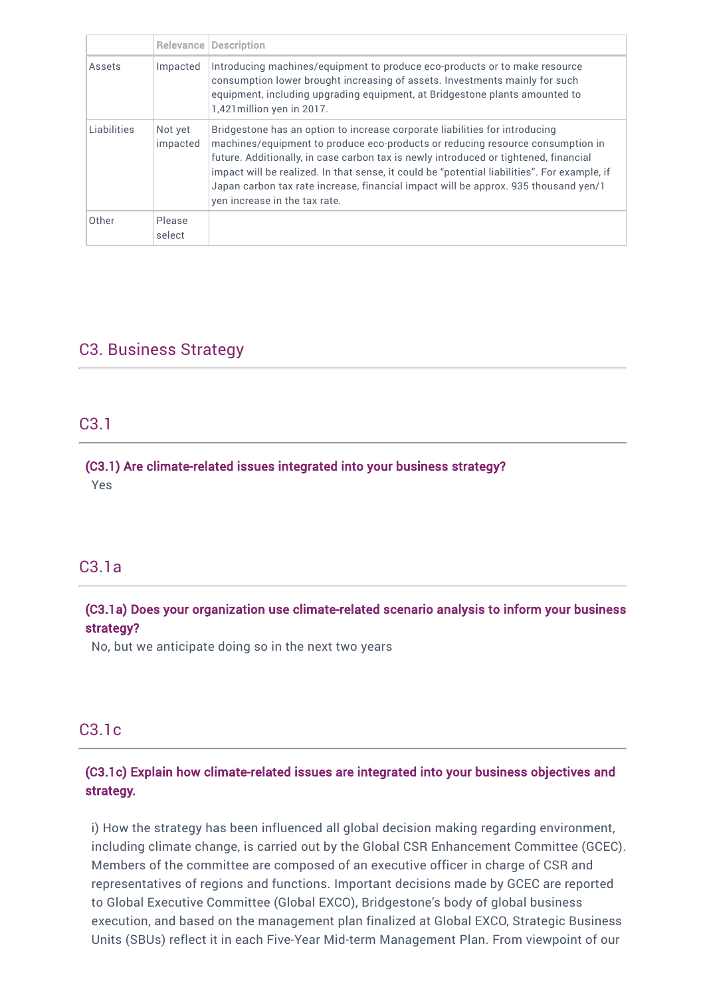|             |                     | <b>Relevance Description</b>                                                                                                                                                                                                                                                                                                                                                                                                                                                  |
|-------------|---------------------|-------------------------------------------------------------------------------------------------------------------------------------------------------------------------------------------------------------------------------------------------------------------------------------------------------------------------------------------------------------------------------------------------------------------------------------------------------------------------------|
| Assets      | Impacted            | Introducing machines/equipment to produce eco-products or to make resource<br>consumption lower brought increasing of assets. Investments mainly for such<br>equipment, including upgrading equipment, at Bridgestone plants amounted to<br>1,421 million yen in 2017.                                                                                                                                                                                                        |
| Liabilities | Not yet<br>impacted | Bridgestone has an option to increase corporate liabilities for introducing<br>machines/equipment to produce eco-products or reducing resource consumption in<br>future. Additionally, in case carbon tax is newly introduced or tightened, financial<br>impact will be realized. In that sense, it could be "potential liabilities". For example, if<br>Japan carbon tax rate increase, financial impact will be approx. 935 thousand yen/1<br>yen increase in the tax rate. |
| Other       | Please<br>select    |                                                                                                                                                                                                                                                                                                                                                                                                                                                                               |

# C3. Business Strategy

# C3.1

### (C3.1) Are climate-related issues integrated into your business strategy? Yes

# C3.1a

# (C3.1a) Does your organization use climate-related scenario analysis to inform your business strategy?

No, but we anticipate doing so in the next two years

# C3.1c

# (C3.1c) Explain how climate-related issues are integrated into your business objectives and strategy.

i) How the strategy has been influenced all global decision making regarding environment, including climate change, is carried out by the Global CSR Enhancement Committee (GCEC). Members of the committee are composed of an executive officer in charge of CSR and representatives of regions and functions. Important decisions made by GCEC are reported to Global Executive Committee (Global EXCO), Bridgestone's body of global business execution, and based on the management plan finalized at Global EXCO, Strategic Business Units (SBUs) reflect it in each Five-Year Mid-term Management Plan. From viewpoint of our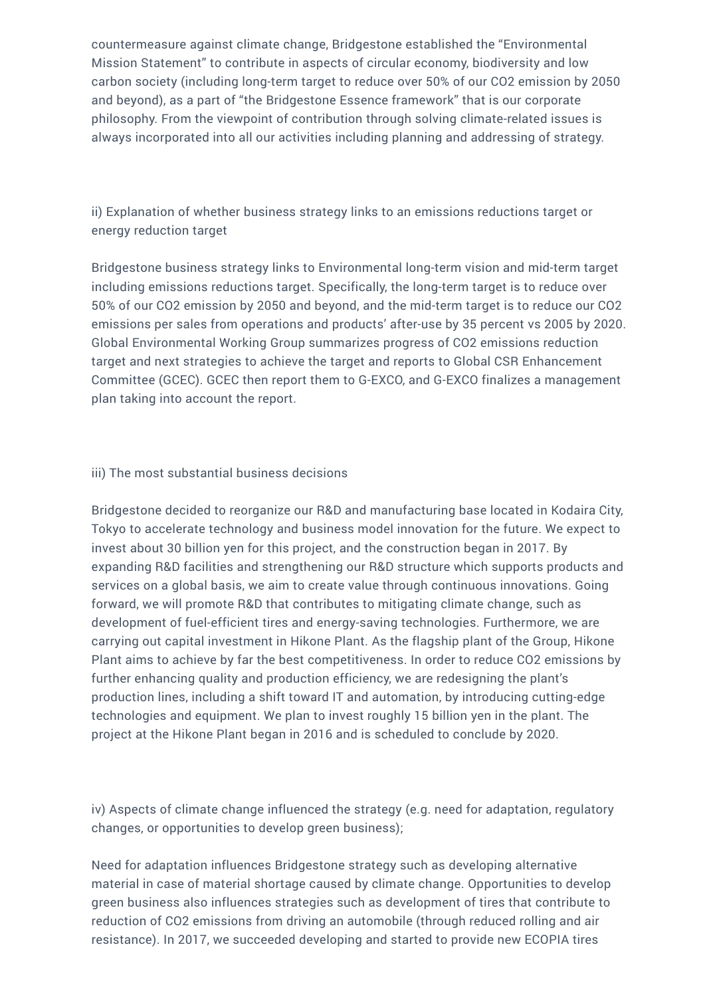countermeasure against climate change, Bridgestone established the "Environmental Mission Statement" to contribute in aspects of circular economy, biodiversity and low carbon society (including long-term target to reduce over 50% of our CO2 emission by 2050 and beyond), as a part of "the Bridgestone Essence framework" that is our corporate philosophy. From the viewpoint of contribution through solving climate-related issues is always incorporated into all our activities including planning and addressing of strategy.

ii) Explanation of whether business strategy links to an emissions reductions target or energy reduction target

Bridgestone business strategy links to Environmental long-term vision and mid-term target including emissions reductions target. Specifically, the long-term target is to reduce over 50% of our CO2 emission by 2050 and beyond, and the mid-term target is to reduce our CO2 emissions per sales from operations and products' after-use by 35 percent vs 2005 by 2020. Global Environmental Working Group summarizes progress of CO2 emissions reduction target and next strategies to achieve the target and reports to Global CSR Enhancement Committee (GCEC). GCEC then report them to G-EXCO, and G-EXCO finalizes a management plan taking into account the report.

#### iii) The most substantial business decisions

Bridgestone decided to reorganize our R&D and manufacturing base located in Kodaira City, Tokyo to accelerate technology and business model innovation for the future. We expect to invest about 30 billion yen for this project, and the construction began in 2017. By expanding R&D facilities and strengthening our R&D structure which supports products and services on a global basis, we aim to create value through continuous innovations. Going forward, we will promote R&D that contributes to mitigating climate change, such as development of fuel-efficient tires and energy-saving technologies. Furthermore, we are carrying out capital investment in Hikone Plant. As the flagship plant of the Group, Hikone Plant aims to achieve by far the best competitiveness. In order to reduce CO2 emissions by further enhancing quality and production efficiency, we are redesigning the plant's production lines, including a shift toward IT and automation, by introducing cutting-edge technologies and equipment. We plan to invest roughly 15 billion yen in the plant. The project at the Hikone Plant began in 2016 and is scheduled to conclude by 2020.

iv) Aspects of climate change influenced the strategy (e.g. need for adaptation, regulatory changes, or opportunities to develop green business);

Need for adaptation influences Bridgestone strategy such as developing alternative material in case of material shortage caused by climate change. Opportunities to develop green business also influences strategies such as development of tires that contribute to reduction of CO2 emissions from driving an automobile (through reduced rolling and air resistance). In 2017, we succeeded developing and started to provide new ECOPIA tires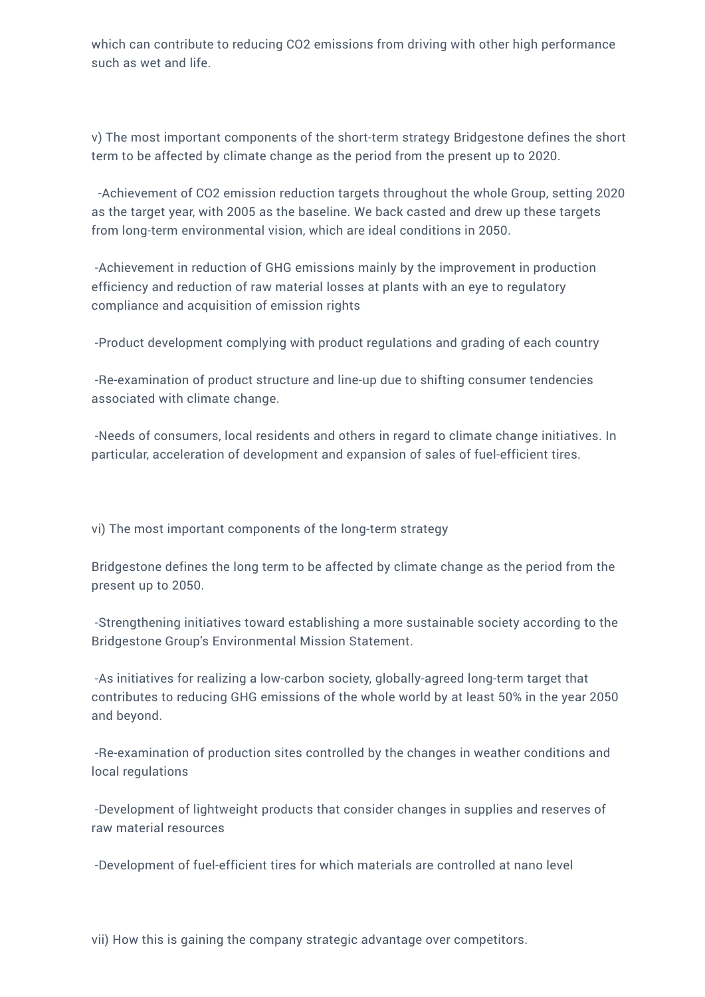which can contribute to reducing CO2 emissions from driving with other high performance such as wet and life.

v) The most important components of the short-term strategy Bridgestone defines the short term to be affected by climate change as the period from the present up to 2020.

-Achievement of CO2 emission reduction targets throughout the whole Group, setting 2020 as the target year, with 2005 as the baseline. We back casted and drew up these targets from long-term environmental vision, which are ideal conditions in 2050.

-Achievement in reduction of GHG emissions mainly by the improvement in production efficiency and reduction of raw material losses at plants with an eye to regulatory compliance and acquisition of emission rights

-Product development complying with product regulations and grading of each country

-Re-examination of product structure and line-up due to shifting consumer tendencies associated with climate change.

-Needs of consumers, local residents and others in regard to climate change initiatives. In particular, acceleration of development and expansion of sales of fuel-efficient tires.

vi) The most important components of the long-term strategy

Bridgestone defines the long term to be affected by climate change as the period from the present up to 2050.

-Strengthening initiatives toward establishing a more sustainable society according to the Bridgestone Group's Environmental Mission Statement.

-As initiatives for realizing a low-carbon society, globally-agreed long-term target that contributes to reducing GHG emissions of the whole world by at least 50% in the year 2050 and beyond.

-Re-examination of production sites controlled by the changes in weather conditions and local regulations

-Development of lightweight products that consider changes in supplies and reserves of raw material resources

-Development of fuel-efficient tires for which materials are controlled at nano level

vii) How this is gaining the company strategic advantage over competitors.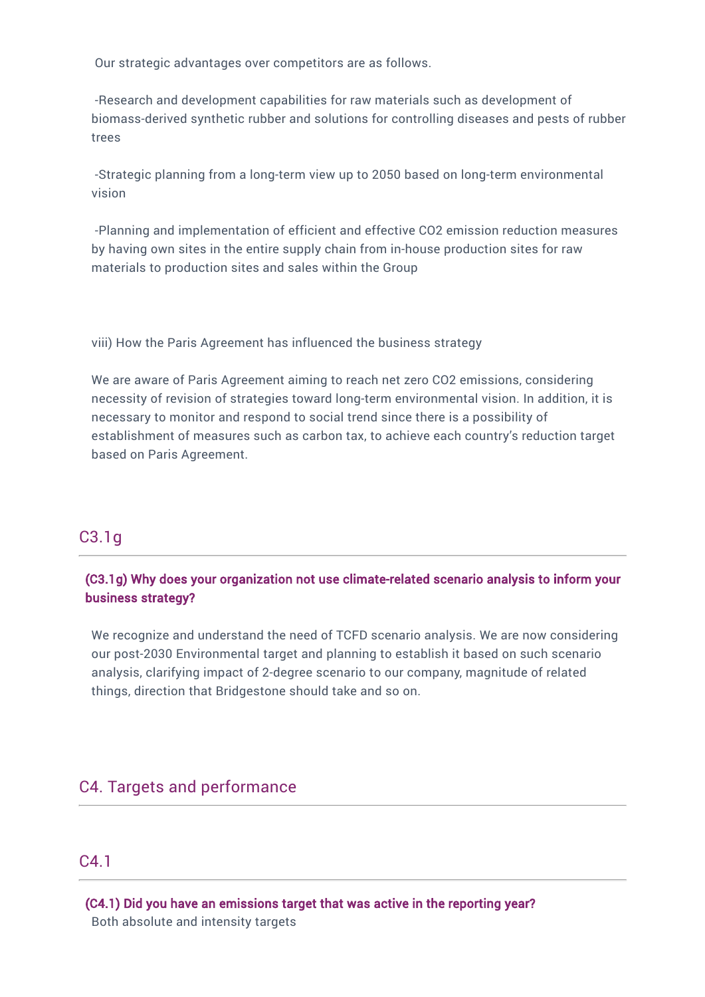Our strategic advantages over competitors are as follows.

-Research and development capabilities for raw materials such as development of biomass-derived synthetic rubber and solutions for controlling diseases and pests of rubber trees

-Strategic planning from a long-term view up to 2050 based on long-term environmental vision

-Planning and implementation of efficient and effective CO2 emission reduction measures by having own sites in the entire supply chain from in-house production sites for raw materials to production sites and sales within the Group

viii) How the Paris Agreement has influenced the business strategy

We are aware of Paris Agreement aiming to reach net zero CO2 emissions, considering necessity of revision of strategies toward long-term environmental vision. In addition, it is necessary to monitor and respond to social trend since there is a possibility of establishment of measures such as carbon tax, to achieve each country's reduction target based on Paris Agreement.

# C3.1g

# (C3.1g) Why does your organization not use climate-related scenario analysis to inform your business strategy?

We recognize and understand the need of TCFD scenario analysis. We are now considering our post-2030 Environmental target and planning to establish it based on such scenario analysis, clarifying impact of 2-degree scenario to our company, magnitude of related things, direction that Bridgestone should take and so on.

# C4. Targets and performance

# C4.1

(C4.1) Did you have an emissions target that was active in the reporting year? Both absolute and intensity targets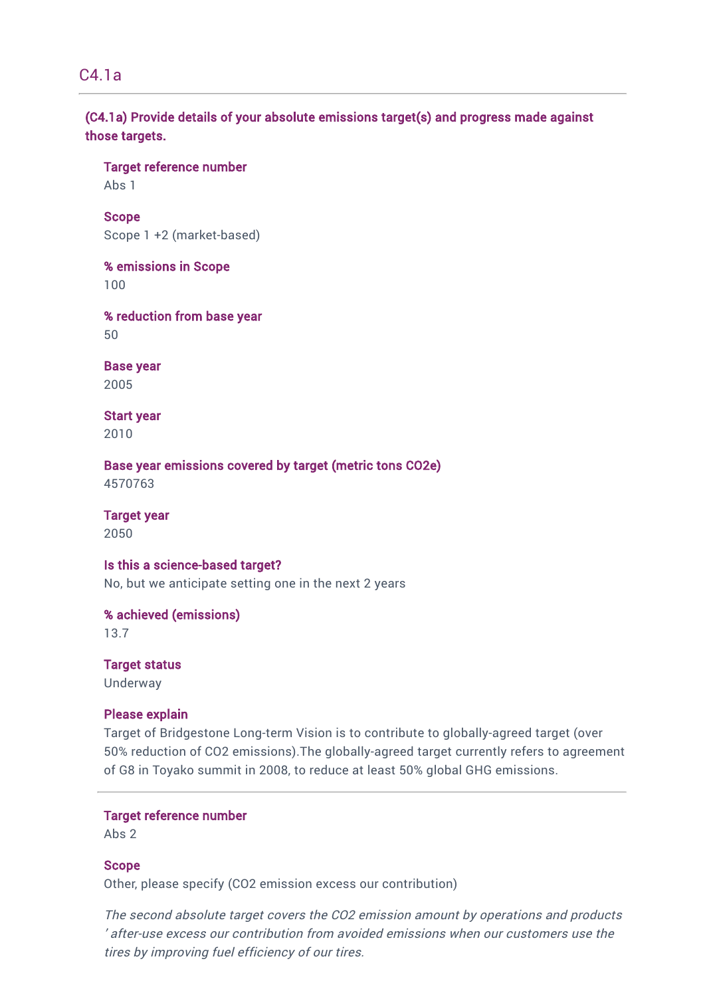C4.1a

(C4.1a) Provide details of your absolute emissions target(s) and progress made against those targets.

Target reference number

Abs 1

Scope Scope 1 +2 (market-based)

% emissions in Scope 100

% reduction from base year 50

Base year 2005

Start year 2010

Base year emissions covered by target (metric tons CO2e) 4570763

Target year 2050

# Is this a science-based target?

No, but we anticipate setting one in the next 2 years

% achieved (emissions)

13.7

Target status Underway

#### Please explain

Target of Bridgestone Long-term Vision is to contribute to globally-agreed target (over 50% reduction of CO2 emissions).The globally-agreed target currently refers to agreement of G8 in Toyako summit in 2008, to reduce at least 50% global GHG emissions.

#### Target reference number

Abs 2

#### Scope

Other, please specify (CO2 emission excess our contribution)

The second absolute target covers the CO2 emission amount by operations and products ' after-use excess our contribution from avoided emissions when our customers use the tires by improving fuel efficiency of our tires.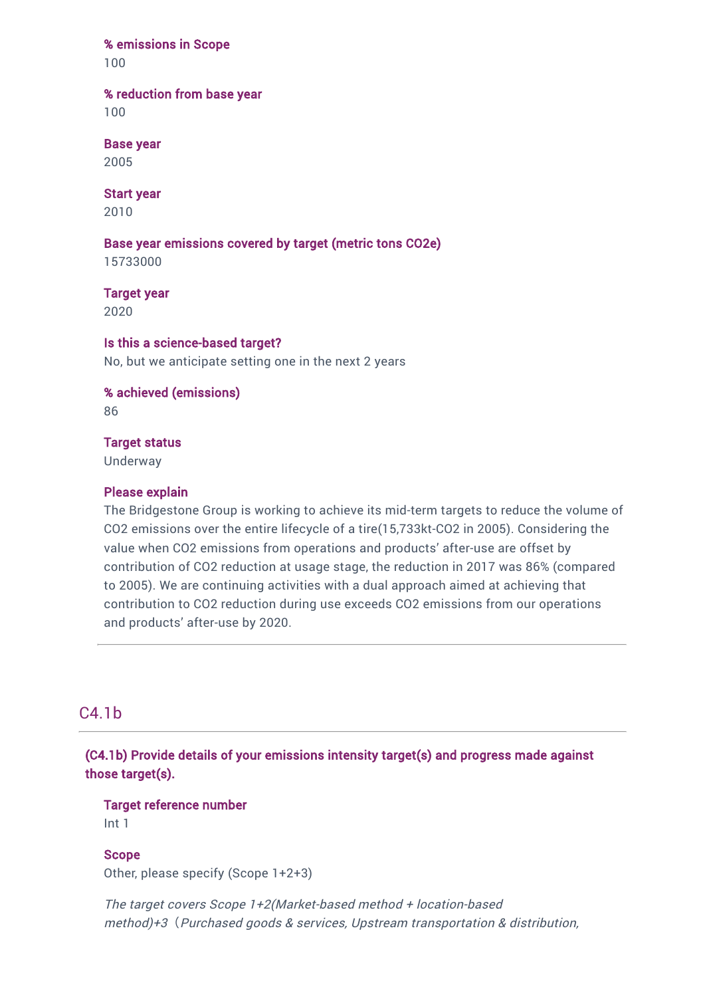#### % emissions in Scope

100

#### % reduction from base year

100

# Base year

2005

# Start year

2010

# Base year emissions covered by target (metric tons CO2e)

15733000

# Target year

2020

# Is this a science-based target?

No, but we anticipate setting one in the next 2 years

# % achieved (emissions)

86

### Target status

Underway

### Please explain

The Bridgestone Group is working to achieve its mid-term targets to reduce the volume of CO2 emissions over the entire lifecycle of a tire(15,733kt-CO2 in 2005). Considering the value when CO2 emissions from operations and products' after-use are offset by contribution of CO2 reduction at usage stage, the reduction in 2017 was 86% (compared to 2005). We are continuing activities with a dual approach aimed at achieving that contribution to CO2 reduction during use exceeds CO2 emissions from our operations and products' after-use by 2020.

# C4.1b

(C4.1b) Provide details of your emissions intensity target(s) and progress made against those target(s).

# Target reference number

Int 1

#### Scope

Other, please specify (Scope 1+2+3)

The target covers Scope 1+2(Market-based method <sup>+</sup> location-based method)+3*(*Purchased goods & services, Upstream transportation & distribution,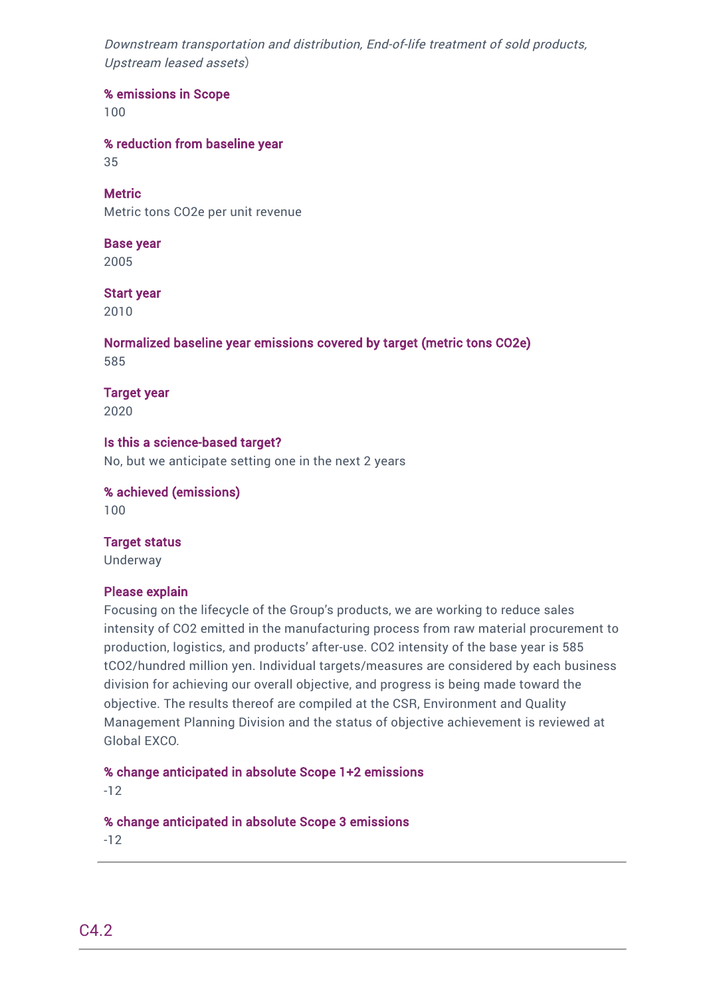Downstream transportation and distribution, End-of-life treatment of sold products, Upstream leased assets*)*

% emissions in Scope

100

% reduction from baseline year

35

**Metric** Metric tons CO2e per unit revenue

Base year 2005

Start year

2010

Normalized baseline year emissions covered by target (metric tons CO2e) 585

Target year 2020

Is this a science-based target? No, but we anticipate setting one in the next 2 years

% achieved (emissions) 100

#### Target status

Underway

# Please explain

Focusing on the lifecycle of the Group's products, we are working to reduce sales intensity of CO2 emitted in the manufacturing process from raw material procurement to production, logistics, and products' after-use. CO2 intensity of the base year is 585 tCO2/hundred million yen. Individual targets/measures are considered by each business division for achieving our overall objective, and progress is being made toward the objective. The results thereof are compiled at the CSR, Environment and Quality Management Planning Division and the status of objective achievement is reviewed at Global EXCO.

% change anticipated in absolute Scope 1+2 emissions

-12

% change anticipated in absolute Scope 3 emissions

-12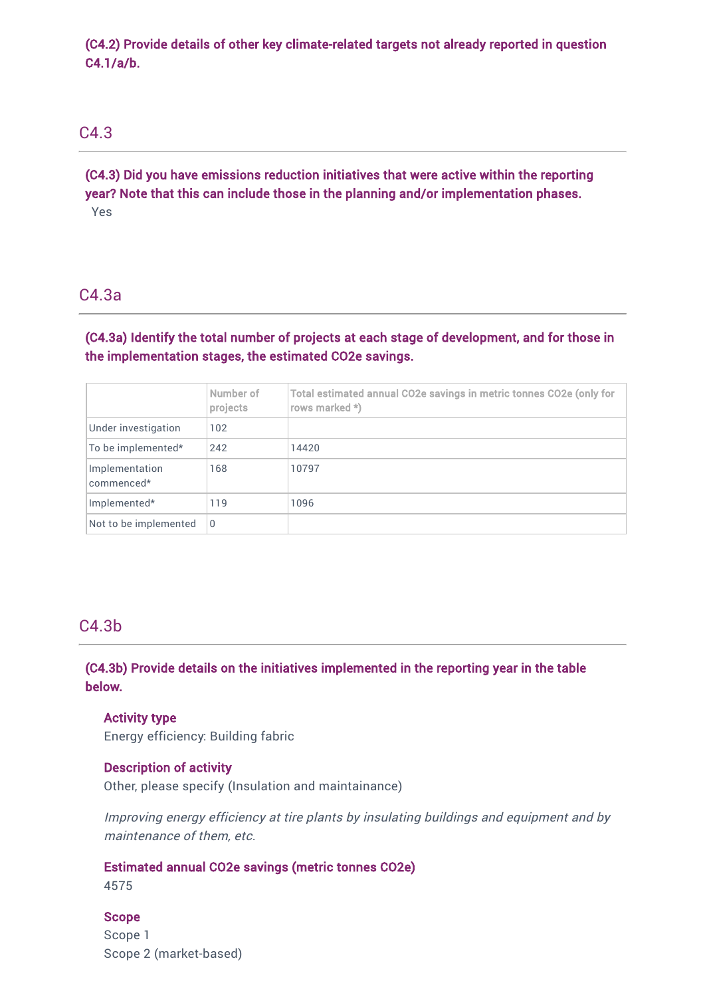(C4.2) Provide details of other key climate-related targets not already reported in question C4.1/a/b.

# C4.3

(C4.3) Did you have emissions reduction initiatives that were active within the reporting year? Note that this can include those in the planning and/or implementation phases. Yes

# C4.3a

(C4.3a) Identify the total number of projects at each stage of development, and for those in the implementation stages, the estimated CO2e savings.

|                              | Number of<br>projects | Total estimated annual CO2e savings in metric tonnes CO2e (only for<br>rows marked *) |
|------------------------------|-----------------------|---------------------------------------------------------------------------------------|
| Under investigation          | 102                   |                                                                                       |
| To be implemented*           | 242                   | 14420                                                                                 |
| Implementation<br>commenced* | 168                   | 10797                                                                                 |
| Implemented*                 | 119                   | 1096                                                                                  |
| Not to be implemented        | $\Omega$              |                                                                                       |

# C4.3b

(C4.3b) Provide details on the initiatives implemented in the reporting year in the table below.

# Activity type

Energy efficiency: Building fabric

#### Description of activity

Other, please specify (Insulation and maintainance)

Improving energy efficiency at tire plants by insulating buildings and equipment and by maintenance of them, etc.

#### Estimated annual CO2e savings (metric tonnes CO2e)

4575

#### Scope

Scope 1 Scope 2 (market-based)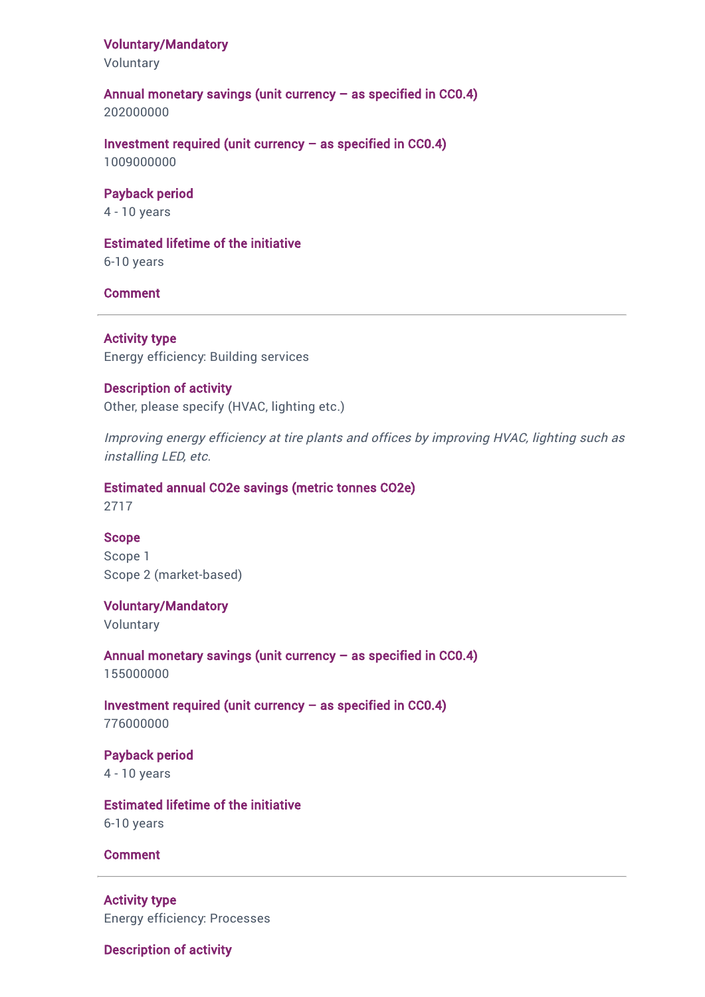#### Voluntary/Mandatory

Voluntary

#### Annual monetary savings (unit currency – as specified in CC0.4)

202000000

Investment required (unit currency  $-$  as specified in CC0.4) 1009000000

#### Payback period

4 - 10 years

#### Estimated lifetime of the initiative

6-10 years

#### Comment

Activity type Energy efficiency: Building services

#### Description of activity

Other, please specify (HVAC, lighting etc.)

Improving energy efficiency at tire plants and offices by improving HVAC, lighting such as installing LED, etc.

### Estimated annual CO2e savings (metric tonnes CO2e)

2717

#### Scope

Scope 1 Scope 2 (market-based)

#### Voluntary/Mandatory

Voluntary

Annual monetary savings (unit currency – as specified in CC0.4) 155000000

Investment required (unit currency  $-$  as specified in CC0.4) 776000000

#### Payback period 4 - 10 years

Estimated lifetime of the initiative 6-10 years

#### Comment

Activity type Energy efficiency: Processes

Description of activity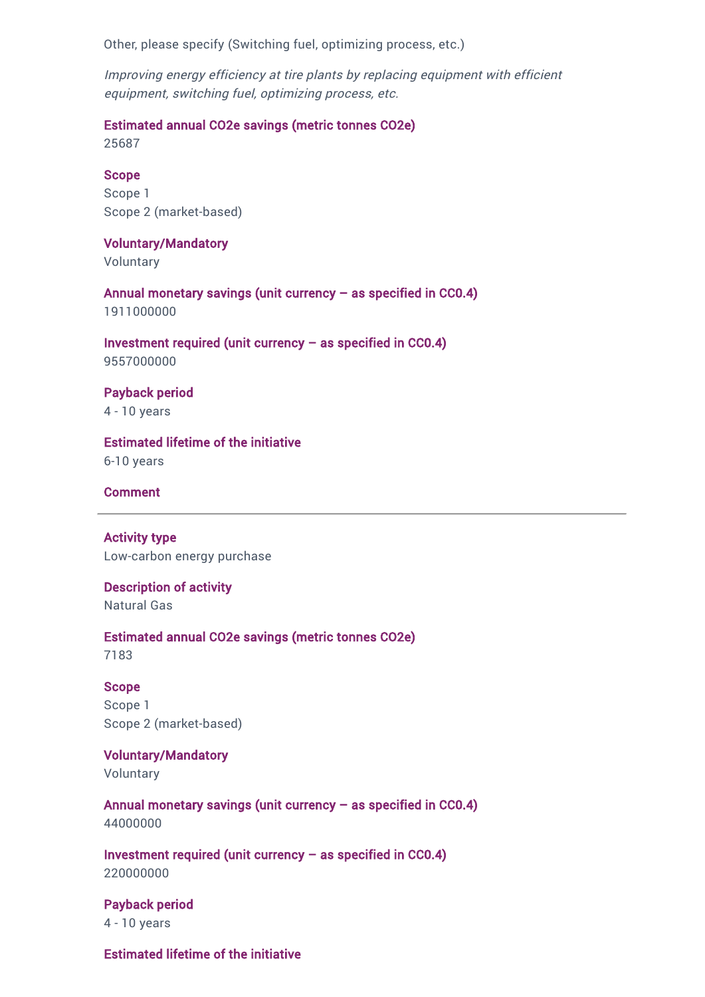Other, please specify (Switching fuel, optimizing process, etc.)

Improving energy efficiency at tire plants by replacing equipment with efficient equipment, switching fuel, optimizing process, etc.

Estimated annual CO2e savings (metric tonnes CO2e)

25687

#### Scope

Scope 1 Scope 2 (market-based)

#### Voluntary/Mandatory

Voluntary

Annual monetary savings (unit currency – as specified in CC0.4) 1911000000

Investment required (unit currency  $-$  as specified in CC0.4) 9557000000

Payback period 4 - 10 years

Estimated lifetime of the initiative 6-10 years

Comment

Activity type Low-carbon energy purchase

Description of activity Natural Gas

Estimated annual CO2e savings (metric tonnes CO2e) 7183

Scope Scope 1 Scope 2 (market-based)

Voluntary/Mandatory

Voluntary

Annual monetary savings (unit currency – as specified in CC0.4) 44000000

Investment required (unit currency  $-$  as specified in CC0.4) 220000000

Payback period 4 - 10 years

Estimated lifetime of the initiative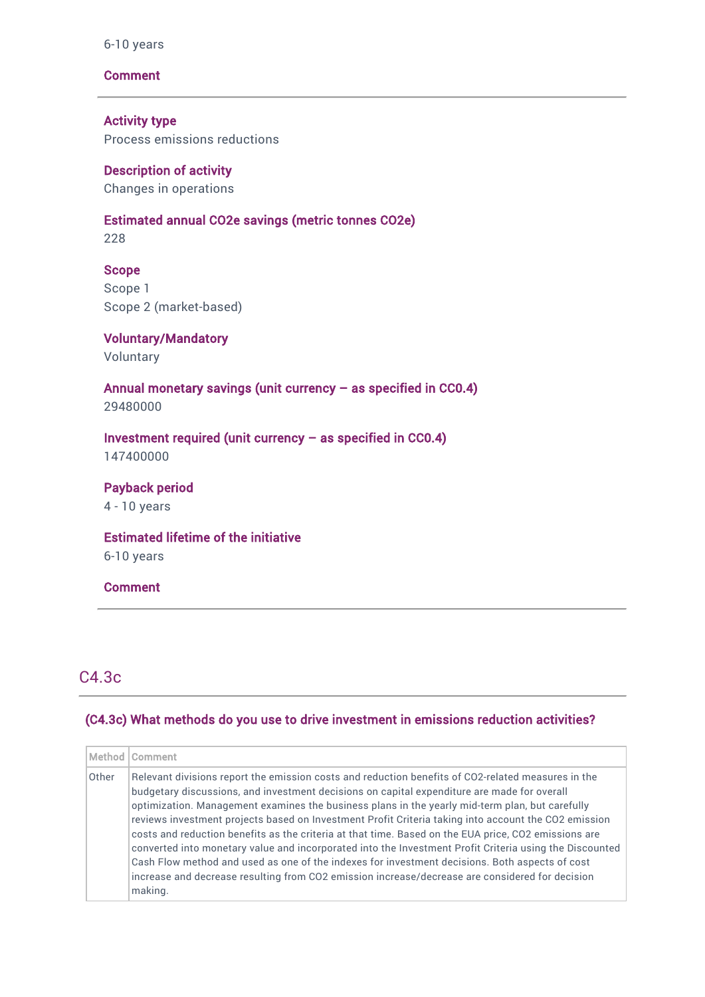#### 6-10 years

#### **Comment**

Activity type Process emissions reductions

Description of activity Changes in operations

#### Estimated annual CO2e savings (metric tonnes CO2e)

228

#### Scope

Scope 1 Scope 2 (market-based)

Voluntary/Mandatory Voluntary

Annual monetary savings (unit currency – as specified in CC0.4) 29480000

Investment required (unit currency – as specified in CC0.4) 147400000

Payback period 4 - 10 years

Estimated lifetime of the initiative

6-10 years

#### Comment

# C4.3c

#### (C4.3c) What methods do you use to drive investment in emissions reduction activities?

|       | Method   Comment                                                                                                                                                                                                                                                                                                                                                                                                                                                                                                                                                                                                                                                                                                                                                                                                                                |
|-------|-------------------------------------------------------------------------------------------------------------------------------------------------------------------------------------------------------------------------------------------------------------------------------------------------------------------------------------------------------------------------------------------------------------------------------------------------------------------------------------------------------------------------------------------------------------------------------------------------------------------------------------------------------------------------------------------------------------------------------------------------------------------------------------------------------------------------------------------------|
| Other | Relevant divisions report the emission costs and reduction benefits of CO2-related measures in the<br>budgetary discussions, and investment decisions on capital expenditure are made for overall<br>optimization. Management examines the business plans in the yearly mid-term plan, but carefully<br>reviews investment projects based on Investment Profit Criteria taking into account the CO2 emission<br>costs and reduction benefits as the criteria at that time. Based on the EUA price, CO2 emissions are<br>converted into monetary value and incorporated into the Investment Profit Criteria using the Discounted<br>Cash Flow method and used as one of the indexes for investment decisions. Both aspects of cost<br>increase and decrease resulting from CO2 emission increase/decrease are considered for decision<br>making. |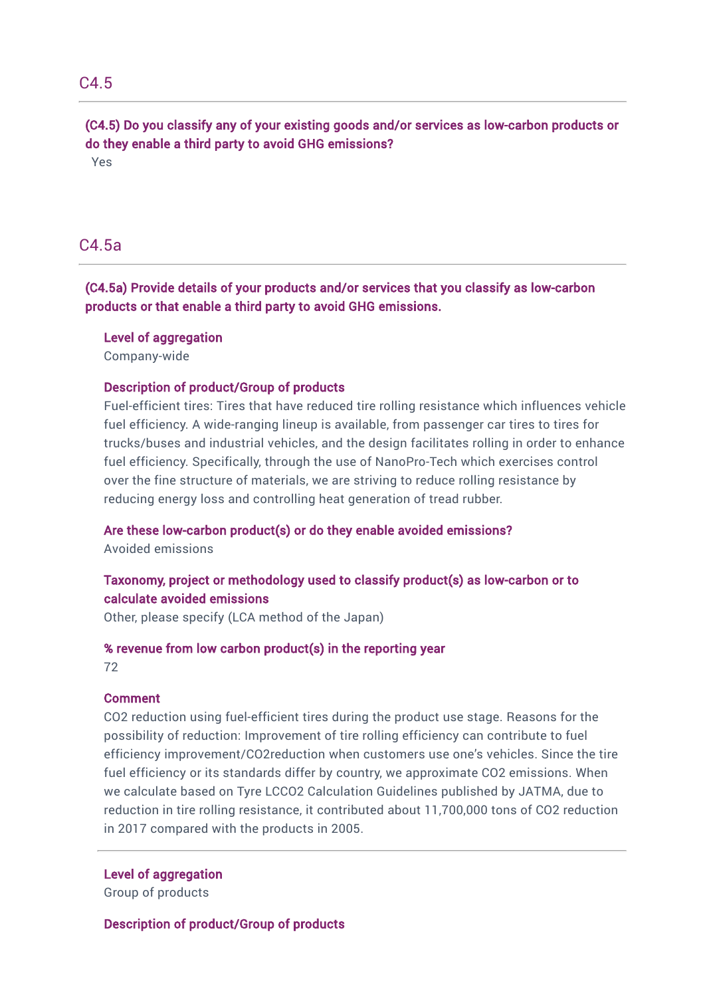# C4.5

(C4.5) Do you classify any of your existing goods and/or services as low-carbon products or do they enable a third party to avoid GHG emissions?

Yes

# C4.5a

(C4.5a) Provide details of your products and/or services that you classify as low-carbon products or that enable a third party to avoid GHG emissions.

#### Level of aggregation

Company-wide

#### Description of product/Group of products

Fuel-efficient tires: Tires that have reduced tire rolling resistance which influences vehicle fuel efficiency. A wide-ranging lineup is available, from passenger car tires to tires for trucks/buses and industrial vehicles, and the design facilitates rolling in order to enhance fuel efficiency. Specifically, through the use of NanoPro-Tech which exercises control over the fine structure of materials, we are striving to reduce rolling resistance by reducing energy loss and controlling heat generation of tread rubber.

#### Are these low-carbon product(s) or do they enable avoided emissions?

Avoided emissions

# Taxonomy, project or methodology used to classify product(s) as low-carbon or to calculate avoided emissions

Other, please specify (LCA method of the Japan)

# % revenue from low carbon product(s) in the reporting year

72

#### Comment

CO2 reduction using fuel-efficient tires during the product use stage. Reasons for the possibility of reduction: Improvement of tire rolling efficiency can contribute to fuel efficiency improvement/CO2reduction when customers use one's vehicles. Since the tire fuel efficiency or its standards differ by country, we approximate CO2 emissions. When we calculate based on Tyre LCCO2 Calculation Guidelines published by JATMA, due to reduction in tire rolling resistance, it contributed about 11,700,000 tons of CO2 reduction in 2017 compared with the products in 2005.

#### Level of aggregation

Group of products

Description of product/Group of products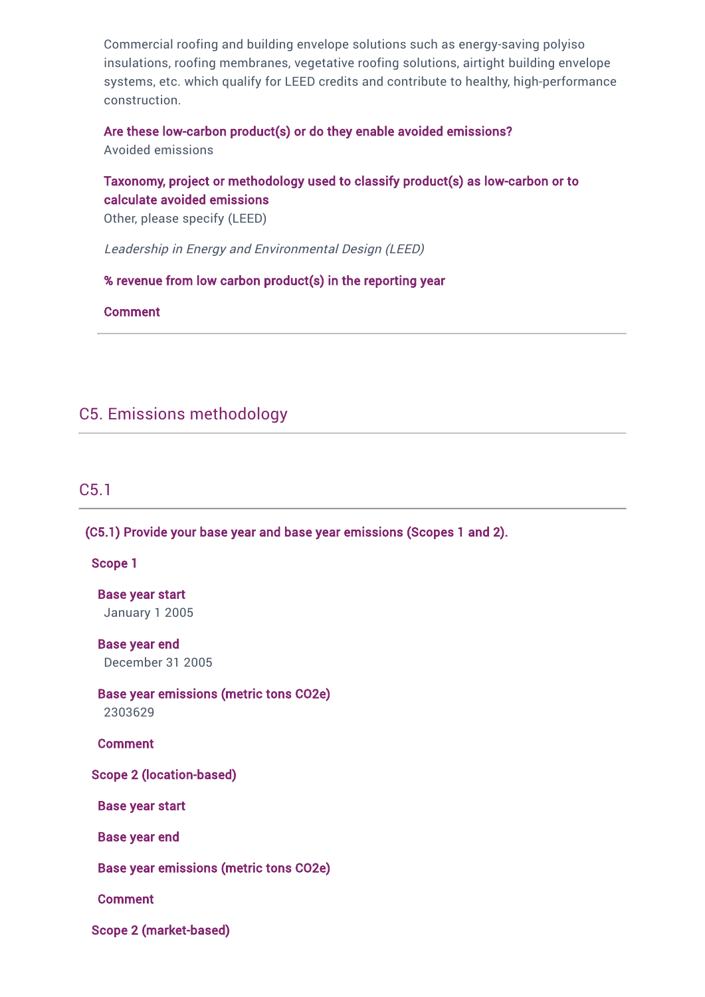Commercial roofing and building envelope solutions such as energy-saving polyiso insulations, roofing membranes, vegetative roofing solutions, airtight building envelope systems, etc. which qualify for LEED credits and contribute to healthy, high-performance construction.

Are these low-carbon product(s) or do they enable avoided emissions? Avoided emissions

### Taxonomy, project or methodology used to classify product(s) as low-carbon or to calculate avoided emissions

Other, please specify (LEED)

Leadership in Energy and Environmental Design (LEED)

% revenue from low carbon product(s) in the reporting year

Comment

## C5. Emissions methodology

C5.1

(C5.1) Provide your base year and base year emissions (Scopes 1 and 2).

Scope 1

Base year start January 1 2005

Base year end December 31 2005

Base year emissions (metric tons CO2e) 2303629

Comment

Scope 2 (location-based)

Base year start

Base year end

Base year emissions (metric tons CO2e)

Comment

Scope 2 (market-based)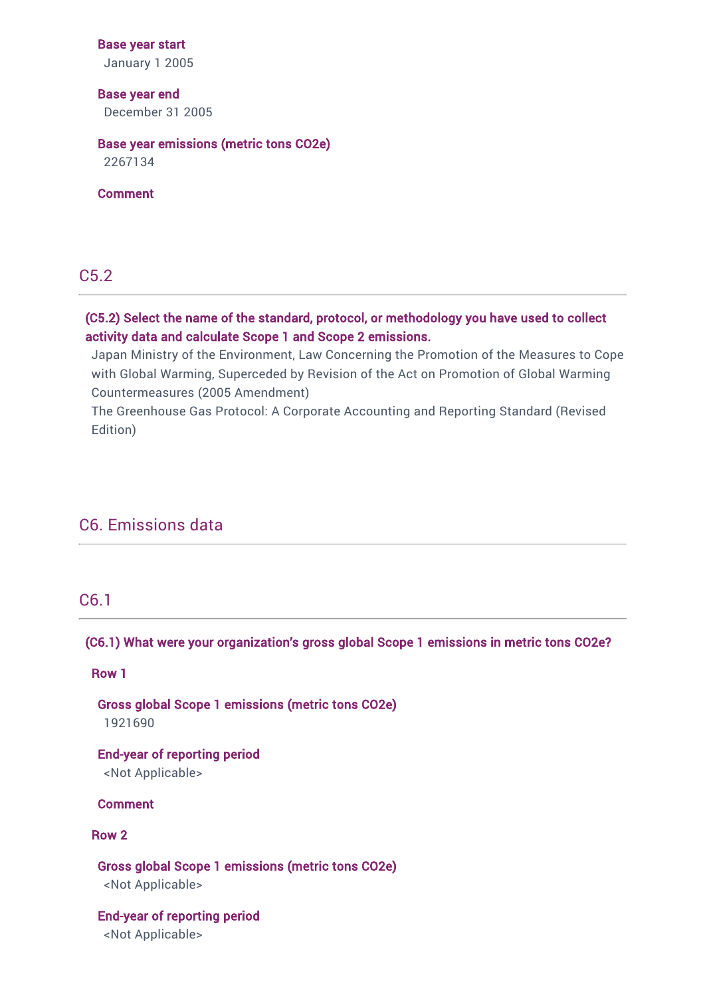#### Base year start

January 1 2005

### Base year end December 31 2005

### Base year emissions (metric tons CO2e)

2267134

Comment

### C5.2

### (C5.2) Select the name of the standard, protocol, or methodology you have used to collect activity data and calculate Scope 1 and Scope 2 emissions.

Japan Ministry of the Environment, Law Concerning the Promotion of the Measures to Cope with Global Warming, Superceded by Revision of the Act on Promotion of Global Warming Countermeasures (2005 Amendment)

The Greenhouse Gas Protocol: A Corporate Accounting and Reporting Standard (Revised Edition)

### C6. Emissions data

### C6.1

### (C6.1) What were your organization's gross global Scope 1 emissions in metric tons CO2e?

Row 1

Gross global Scope 1 emissions (metric tons CO2e) 1921690

End-year of reporting period <Not Applicable>

Comment

### Row 2

### Gross global Scope 1 emissions (metric tons CO2e) <Not Applicable>

End-year of reporting period <Not Applicable>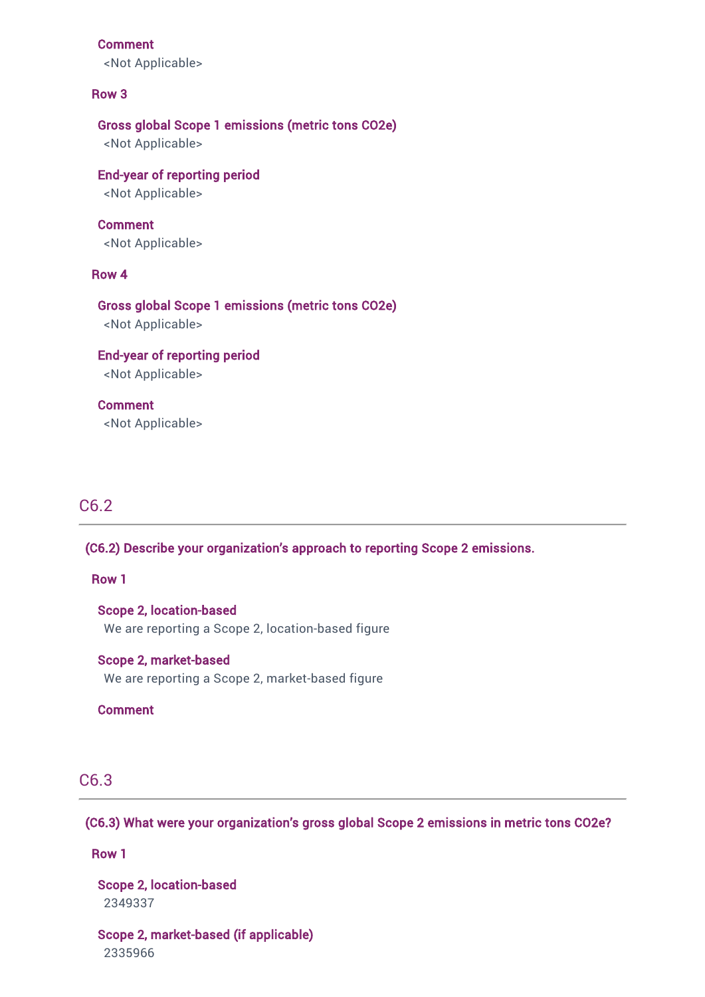#### Comment

<Not Applicable>

#### Row 3

### Gross global Scope 1 emissions (metric tons CO2e)

<Not Applicable>

### End-year of reporting period <Not Applicable>

### Comment

<Not Applicable>

### Row 4

### Gross global Scope 1 emissions (metric tons CO2e)

<Not Applicable>

# End-year of reporting period

<Not Applicable>

### Comment

<Not Applicable>

## C6.2

#### (C6.2) Describe your organization's approach to reporting Scope 2 emissions.

### Row 1

### Scope 2, location-based We are reporting a Scope 2, location-based figure

### Scope 2, market-based

We are reporting a Scope 2, market-based figure

### Comment

### C6.3

### (C6.3) What were your organization's gross global Scope 2 emissions in metric tons CO2e?

### Row 1

Scope 2, location-based 2349337

Scope 2, market-based (if applicable) 2335966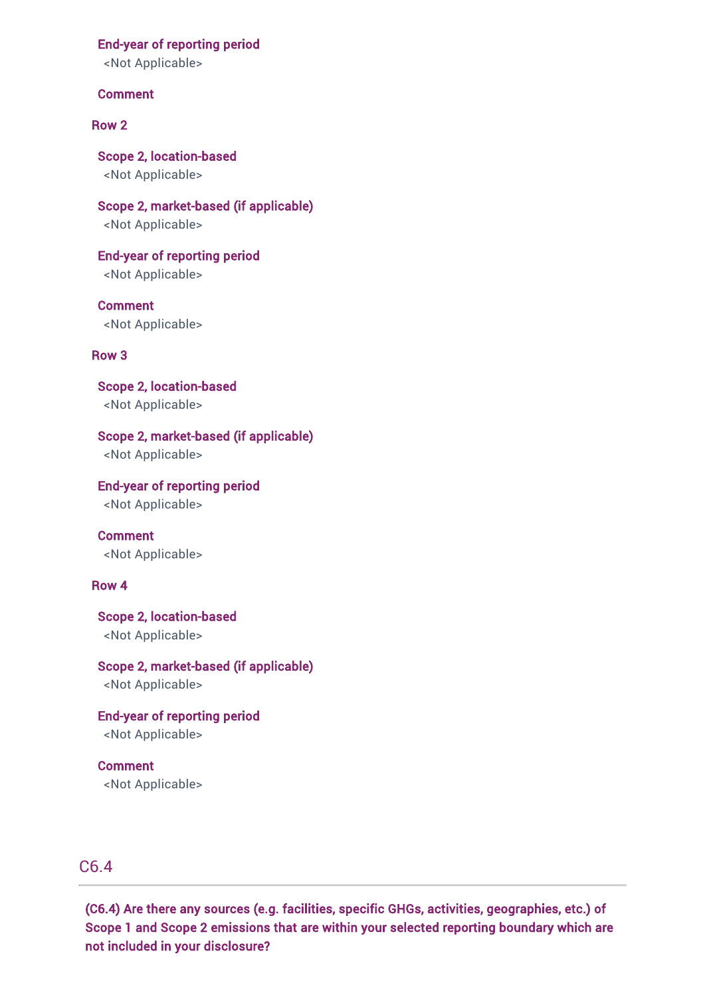### End-year of reporting period

<Not Applicable>

### Comment

#### Row 2

Scope 2, location-based <Not Applicable>

Scope 2, market-based (if applicable) <Not Applicable>

End-year of reporting period <Not Applicable>

**Comment** <Not Applicable>

### Row 3

Scope 2, location-based <Not Applicable>

### Scope 2, market-based (if applicable)

<Not Applicable>

End-year of reporting period

<Not Applicable>

Comment <Not Applicable>

#### Row 4

Scope 2, location-based <Not Applicable>

### Scope 2, market-based (if applicable)

<Not Applicable>

End-year of reporting period <Not Applicable>

Comment <Not Applicable>

### C6.4

(C6.4) Are there any sources (e.g. facilities, specific GHGs, activities, geographies, etc.) of Scope 1 and Scope 2 emissions that are within your selected reporting boundary which are not included in your disclosure?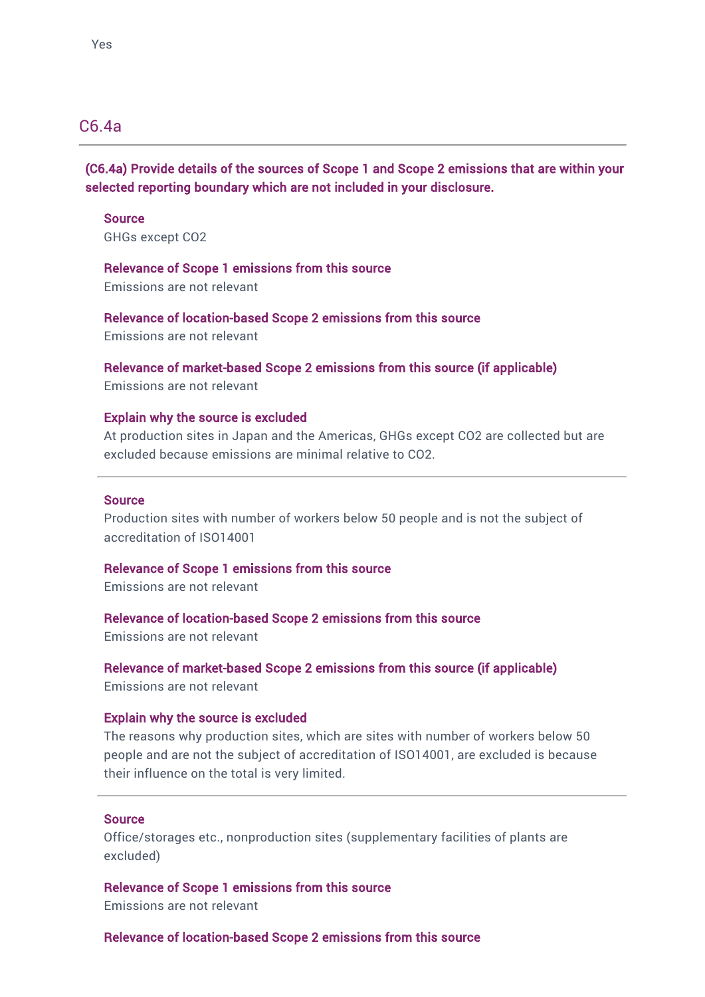## C6.4a

(C6.4a) Provide details of the sources of Scope 1 and Scope 2 emissions that are within your selected reporting boundary which are not included in your disclosure.

Source GHGs except CO2

Relevance of Scope 1 emissions from this source Emissions are not relevant

Relevance of location-based Scope 2 emissions from this source Emissions are not relevant

Relevance of market-based Scope 2 emissions from this source (if applicable) Emissions are not relevant

### Explain why the source is excluded

At production sites in Japan and the Americas, GHGs except CO2 are collected but are excluded because emissions are minimal relative to CO2.

#### Source

Production sites with number of workers below 50 people and is not the subject of accreditation of ISO14001

Relevance of Scope 1 emissions from this source

Emissions are not relevant

Relevance of location-based Scope 2 emissions from this source

Emissions are not relevant

Relevance of market-based Scope 2 emissions from this source (if applicable) Emissions are not relevant

### Explain why the source is excluded

The reasons why production sites, which are sites with number of workers below 50 people and are not the subject of accreditation of ISO14001, are excluded is because their influence on the total is very limited.

#### **Source**

Office/storages etc., nonproduction sites (supplementary facilities of plants are excluded)

Relevance of Scope 1 emissions from this source Emissions are not relevant

Relevance of location-based Scope 2 emissions from this source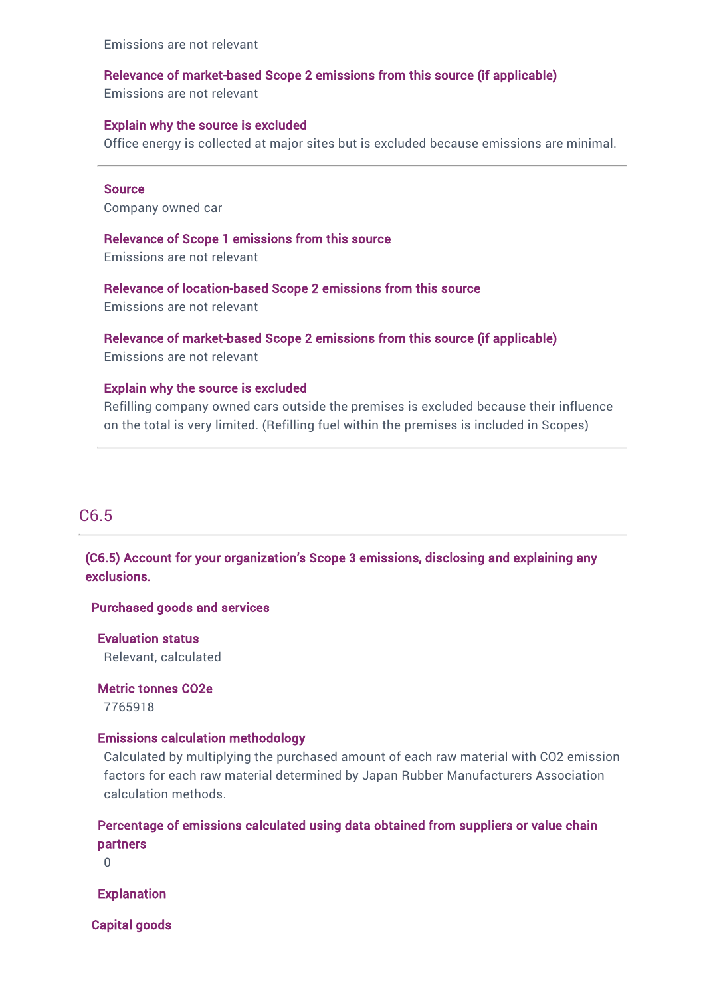Emissions are not relevant

### Relevance of market-based Scope 2 emissions from this source (if applicable)

Emissions are not relevant

### Explain why the source is excluded

Office energy is collected at major sites but is excluded because emissions are minimal.

#### **Source**

Company owned car

#### Relevance of Scope 1 emissions from this source

Emissions are not relevant

### Relevance of location-based Scope 2 emissions from this source

Emissions are not relevant

#### Relevance of market-based Scope 2 emissions from this source (if applicable)

Emissions are not relevant

#### Explain why the source is excluded

Refilling company owned cars outside the premises is excluded because their influence on the total is very limited. (Refilling fuel within the premises is included in Scopes)

### C6.5

### (C6.5) Account for your organization's Scope 3 emissions, disclosing and explaining any exclusions.

### Purchased goods and services

Evaluation status Relevant, calculated

Metric tonnes CO2e

### 7765918

### Emissions calculation methodology

Calculated by multiplying the purchased amount of each raw material with CO2 emission factors for each raw material determined by Japan Rubber Manufacturers Association calculation methods.

### Percentage of emissions calculated using data obtained from suppliers or value chain partners

 $\Omega$ 

Explanation

Capital goods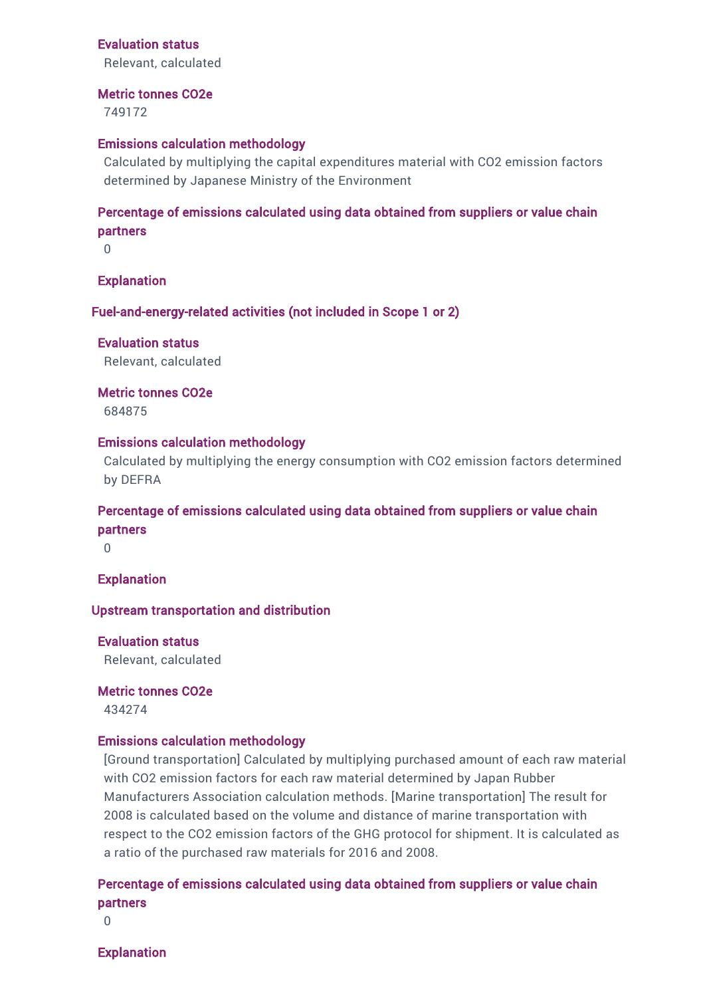### Evaluation status

Relevant, calculated

#### Metric tonnes CO2e

749172

#### Emissions calculation methodology

Calculated by multiplying the capital expenditures material with CO2 emission factors determined by Japanese Ministry of the Environment

### Percentage of emissions calculated using data obtained from suppliers or value chain partners

0

#### Explanation

Fuel-and-energy-related activities (not included in Scope 1 or 2)

Evaluation status Relevant, calculated

Metric tonnes CO2e 684875

#### Emissions calculation methodology

Calculated by multiplying the energy consumption with CO2 emission factors determined by DEFRA

### Percentage of emissions calculated using data obtained from suppliers or value chain partners

0

#### **Explanation**

#### Upstream transportation and distribution

Evaluation status Relevant, calculated

Metric tonnes CO2e 434274

#### Emissions calculation methodology

[Ground transportation] Calculated by multiplying purchased amount of each raw material with CO2 emission factors for each raw material determined by Japan Rubber Manufacturers Association calculation methods. [Marine transportation] The result for 2008 is calculated based on the volume and distance of marine transportation with respect to the CO2 emission factors of the GHG protocol for shipment. It is calculated as a ratio of the purchased raw materials for 2016 and 2008.

### Percentage of emissions calculated using data obtained from suppliers or value chain partners

0

Explanation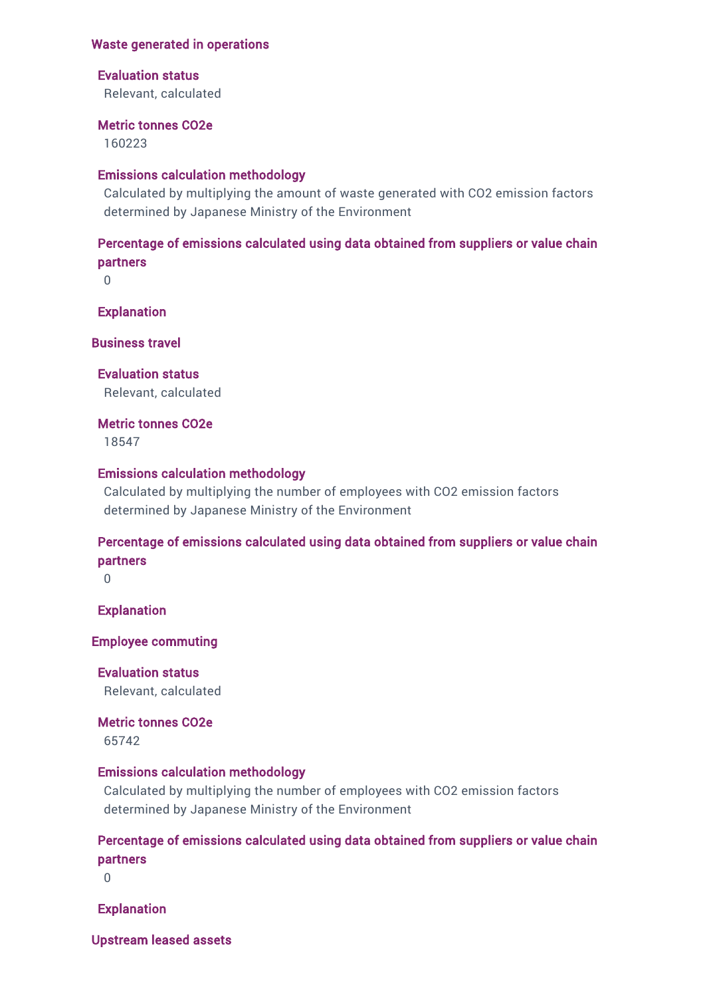### Waste generated in operations

### Evaluation status

Relevant, calculated

#### Metric tonnes CO2e

160223

### Emissions calculation methodology

Calculated by multiplying the amount of waste generated with CO2 emission factors determined by Japanese Ministry of the Environment

### Percentage of emissions calculated using data obtained from suppliers or value chain partners

 $\Omega$ 

**Explanation** 

Business travel

Evaluation status Relevant, calculated

Metric tonnes CO2e

18547

### Emissions calculation methodology

Calculated by multiplying the number of employees with CO2 emission factors determined by Japanese Ministry of the Environment

### Percentage of emissions calculated using data obtained from suppliers or value chain partners

 $\Omega$ 

Explanation

Employee commuting

Evaluation status Relevant, calculated

Metric tonnes CO2e

65742

### Emissions calculation methodology

Calculated by multiplying the number of employees with CO2 emission factors determined by Japanese Ministry of the Environment

### Percentage of emissions calculated using data obtained from suppliers or value chain partners

 $\Omega$ 

Explanation

Upstream leased assets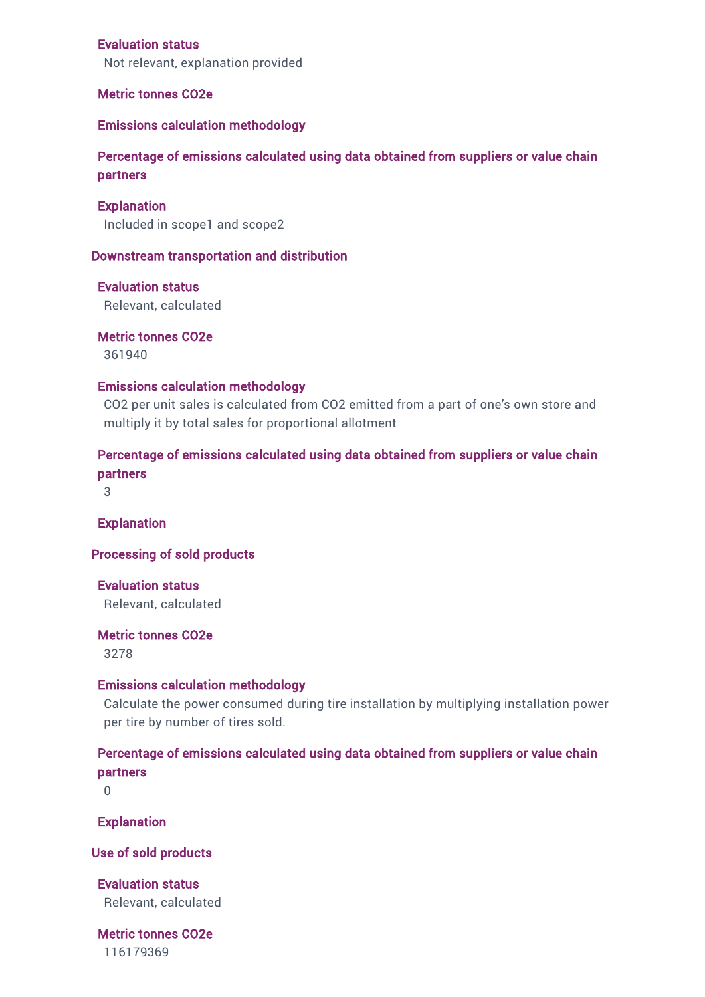### Evaluation status

Not relevant, explanation provided

#### Metric tonnes CO2e

#### Emissions calculation methodology

Percentage of emissions calculated using data obtained from suppliers or value chain partners

#### **Explanation**

Included in scope1 and scope2

#### Downstream transportation and distribution

#### Evaluation status

Relevant, calculated

Metric tonnes CO2e 361940

#### Emissions calculation methodology

CO2 per unit sales is calculated from CO2 emitted from a part of one's own store and multiply it by total sales for proportional allotment

### Percentage of emissions calculated using data obtained from suppliers or value chain partners

3

Explanation

#### Processing of sold products

Evaluation status Relevant, calculated

#### Metric tonnes CO2e

3278

#### Emissions calculation methodology

Calculate the power consumed during tire installation by multiplying installation power per tire by number of tires sold.

### Percentage of emissions calculated using data obtained from suppliers or value chain partners

 $\Omega$ 

Explanation

#### Use of sold products

Evaluation status Relevant, calculated

# Metric tonnes CO2e

116179369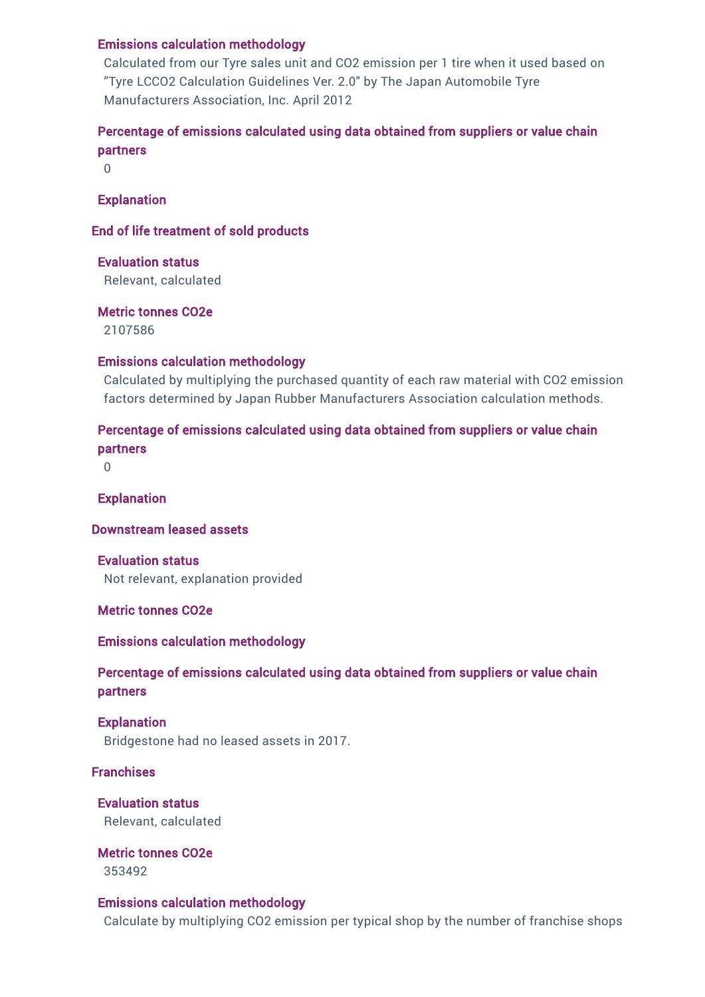### Emissions calculation methodology

Calculated from our Tyre sales unit and CO2 emission per 1 tire when it used based on "Tyre LCCO2 Calculation Guidelines Ver. 2.0" by The Japan Automobile Tyre Manufacturers Association, Inc. April 2012

### Percentage of emissions calculated using data obtained from suppliers or value chain partners

0

### Explanation

### End of life treatment of sold products

Evaluation status

Relevant, calculated

Metric tonnes CO2e

2107586

### Emissions calculation methodology

Calculated by multiplying the purchased quantity of each raw material with CO2 emission factors determined by Japan Rubber Manufacturers Association calculation methods.

### Percentage of emissions calculated using data obtained from suppliers or value chain partners

0

Explanation

Downstream leased assets

Evaluation status Not relevant, explanation provided

Metric tonnes CO2e

Emissions calculation methodology

### Percentage of emissions calculated using data obtained from suppliers or value chain partners

Explanation Bridgestone had no leased assets in 2017.

### Franchises

Evaluation status Relevant, calculated

Metric tonnes CO2e 353492

### Emissions calculation methodology

Calculate by multiplying CO2 emission per typical shop by the number of franchise shops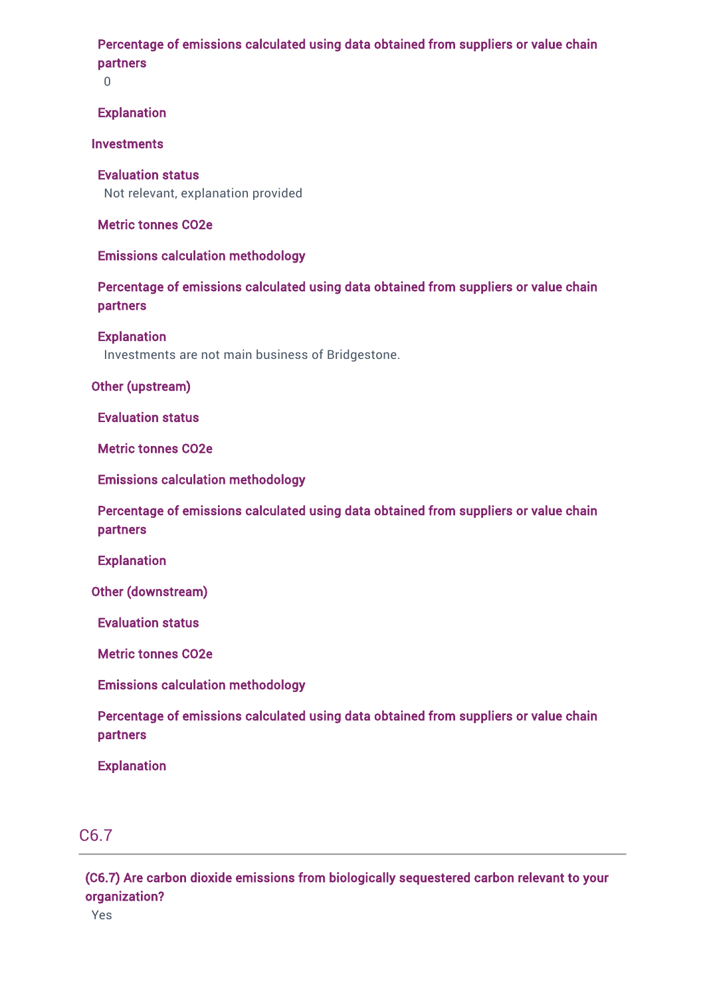### Percentage of emissions calculated using data obtained from suppliers or value chain partners

0

### Explanation

### **Investments**

Evaluation status Not relevant, explanation provided

### Metric tonnes CO2e

### Emissions calculation methodology

### Percentage of emissions calculated using data obtained from suppliers or value chain partners

### Explanation

Investments are not main business of Bridgestone.

### Other (upstream)

Evaluation status

Metric tonnes CO2e

Emissions calculation methodology

Percentage of emissions calculated using data obtained from suppliers or value chain partners

**Explanation** 

Other (downstream)

Evaluation status

Metric tonnes CO2e

Emissions calculation methodology

Percentage of emissions calculated using data obtained from suppliers or value chain partners

Explanation

### C6.7

(C6.7) Are carbon dioxide emissions from biologically sequestered carbon relevant to your organization?

Yes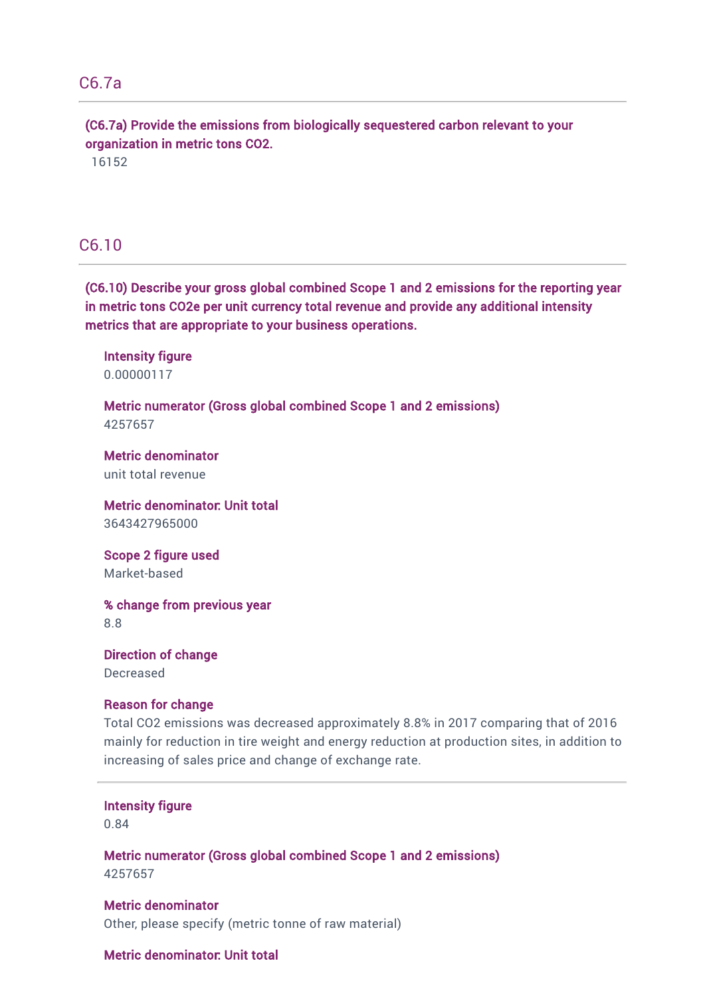### C6.7a

(C6.7a) Provide the emissions from biologically sequestered carbon relevant to your organization in metric tons CO2.

16152

### C6.10

(C6.10) Describe your gross global combined Scope 1 and 2 emissions for the reporting year in metric tons CO2e per unit currency total revenue and provide any additional intensity metrics that are appropriate to your business operations.

Intensity figure 0.00000117

Metric numerator (Gross global combined Scope 1 and 2 emissions) 4257657

Metric denominator unit total revenue

Metric denominator: Unit total 3643427965000

Scope 2 figure used Market-based

% change from previous year 8.8

Direction of change Decreased

#### Reason for change

Total CO2 emissions was decreased approximately 8.8% in 2017 comparing that of 2016 mainly for reduction in tire weight and energy reduction at production sites, in addition to increasing of sales price and change of exchange rate.

#### Intensity figure

0.84

Metric numerator (Gross global combined Scope 1 and 2 emissions) 4257657

Metric denominator Other, please specify (metric tonne of raw material)

### Metric denominator: Unit total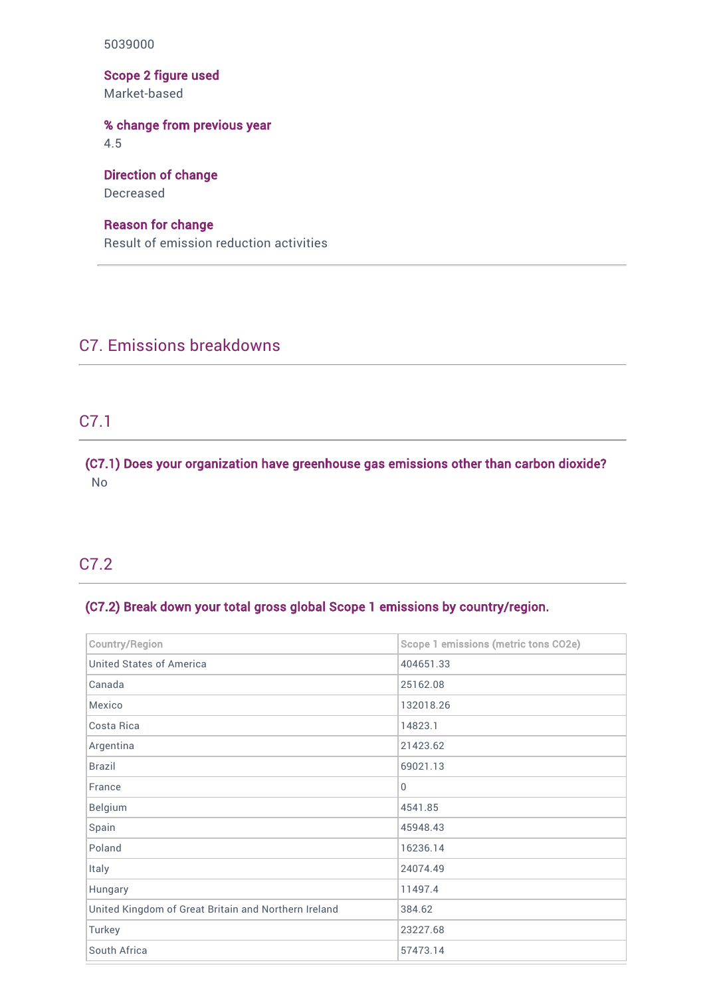5039000

Scope 2 figure used Market-based

### % change from previous year

4.5

## Direction of change

Decreased

### Reason for change

Result of emission reduction activities

## C7. Emissions breakdowns

### C7.1

(C7.1) Does your organization have greenhouse gas emissions other than carbon dioxide? No

## C7.2

### (C7.2) Break down your total gross global Scope 1 emissions by country/region.

| <b>Country/Region</b>                                | Scope 1 emissions (metric tons CO2e) |
|------------------------------------------------------|--------------------------------------|
| <b>United States of America</b>                      | 404651.33                            |
| Canada                                               | 25162.08                             |
| Mexico                                               | 132018.26                            |
| Costa Rica                                           | 14823.1                              |
| Argentina                                            | 21423.62                             |
| <b>Brazil</b>                                        | 69021.13                             |
| France                                               | $\mathbf 0$                          |
| <b>Belgium</b>                                       | 4541.85                              |
| Spain                                                | 45948.43                             |
| Poland                                               | 16236.14                             |
| Italy                                                | 24074.49                             |
| Hungary                                              | 11497.4                              |
| United Kingdom of Great Britain and Northern Ireland | 384.62                               |
| Turkey                                               | 23227.68                             |
| South Africa                                         | 57473.14                             |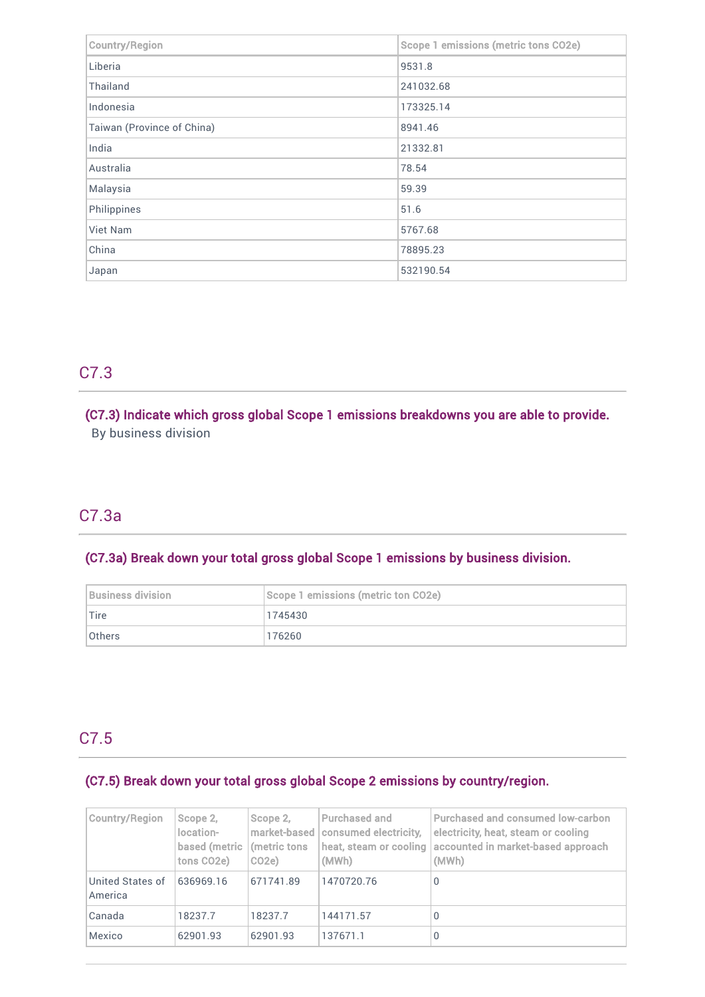| <b>Country/Region</b>      | Scope 1 emissions (metric tons CO2e) |
|----------------------------|--------------------------------------|
| Liberia                    | 9531.8                               |
| Thailand                   | 241032.68                            |
| Indonesia                  | 173325.14                            |
| Taiwan (Province of China) | 8941.46                              |
| India                      | 21332.81                             |
| Australia                  | 78.54                                |
| Malaysia                   | 59.39                                |
| Philippines                | 51.6                                 |
| Viet Nam                   | 5767.68                              |
| China                      | 78895.23                             |
| Japan                      | 532190.54                            |

## C7.3

### (C7.3) Indicate which gross global Scope 1 emissions breakdowns you are able to provide.

By business division

## C7.3a

### (C7.3a) Break down your total gross global Scope 1 emissions by business division.

| Business division | Scope 1 emissions (metric ton CO2e) |
|-------------------|-------------------------------------|
| Tire              | 1745430                             |
| <b>Others</b>     | 176260                              |

## C7.5

### (C7.5) Break down your total gross global Scope 2 emissions by country/region.

| Country/Region              | Scope 2,<br>location-<br>based (metric<br>tons CO2e) | Scope 2,<br>imarket-based<br>(metric tons)<br>CO <sub>2e</sub> | Purchased and<br>consumed electricity,<br>heat, steam or cooling<br>(MWh) | Purchased and consumed low-carbon<br>electricity, heat, steam or cooling<br>accounted in market-based approach<br>(MWh) |
|-----------------------------|------------------------------------------------------|----------------------------------------------------------------|---------------------------------------------------------------------------|-------------------------------------------------------------------------------------------------------------------------|
| United States of<br>America | 636969.16                                            | 671741.89                                                      | 1470720.76                                                                | 0                                                                                                                       |
| Canada                      | 18237.7                                              | 18237.7                                                        | 144171.57                                                                 | 0                                                                                                                       |
| Mexico                      | 62901.93                                             | 62901.93                                                       | 137671.1                                                                  | 0                                                                                                                       |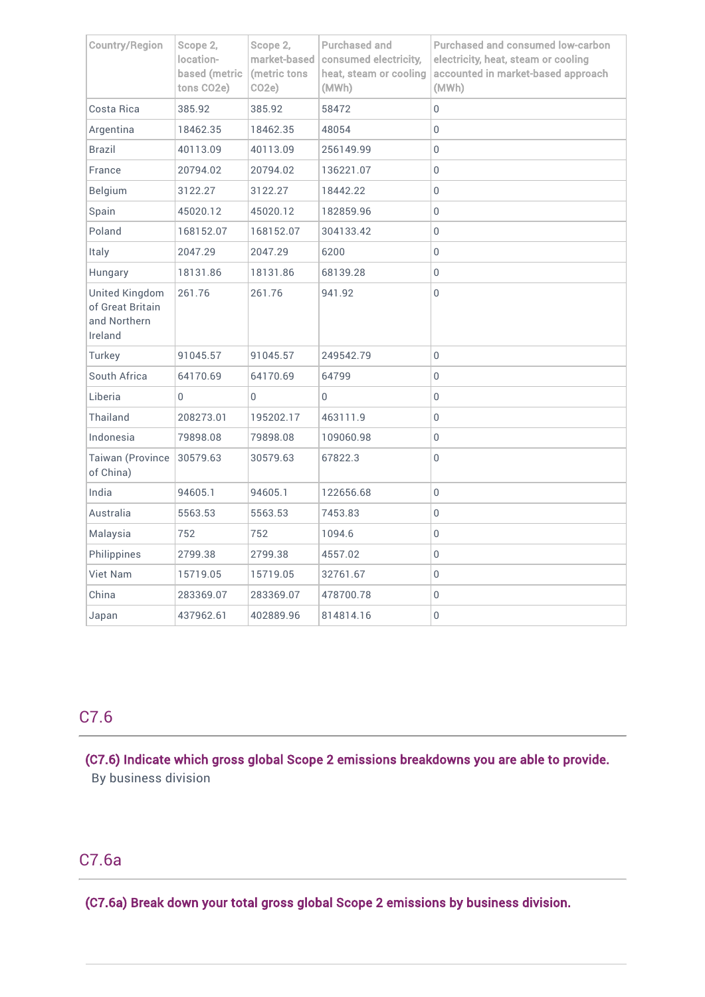| <b>Country/Region</b>                                                | Scope 2,<br>location-<br>based (metric<br>tons CO2e) | Scope 2,<br>market-based<br>(metric tons<br>CO <sub>2</sub> e) | Purchased and<br>consumed electricity,<br>heat, steam or cooling<br>(MWh) | <b>Purchased and consumed low-carbon</b><br>electricity, heat, steam or cooling<br>accounted in market-based approach<br>(MWh) |
|----------------------------------------------------------------------|------------------------------------------------------|----------------------------------------------------------------|---------------------------------------------------------------------------|--------------------------------------------------------------------------------------------------------------------------------|
| Costa Rica                                                           | 385.92                                               | 385.92                                                         | 58472                                                                     | 0                                                                                                                              |
| Argentina                                                            | 18462.35                                             | 18462.35                                                       | 48054                                                                     | 0                                                                                                                              |
| Brazil                                                               | 40113.09                                             | 40113.09                                                       | 256149.99                                                                 | 0                                                                                                                              |
| France                                                               | 20794.02                                             | 20794.02                                                       | 136221.07                                                                 | 0                                                                                                                              |
| Belgium                                                              | 3122.27                                              | 3122.27                                                        | 18442.22                                                                  | 0                                                                                                                              |
| Spain                                                                | 45020.12                                             | 45020.12                                                       | 182859.96                                                                 | 0                                                                                                                              |
| Poland                                                               | 168152.07                                            | 168152.07                                                      | 304133.42                                                                 | 0                                                                                                                              |
| Italy                                                                | 2047.29                                              | 2047.29                                                        | 6200                                                                      | 0                                                                                                                              |
| Hungary                                                              | 18131.86                                             | 18131.86                                                       | 68139.28                                                                  | 0                                                                                                                              |
| <b>United Kingdom</b><br>of Great Britain<br>and Northern<br>Ireland | 261.76                                               | 261.76                                                         | 941.92                                                                    | 0                                                                                                                              |
| Turkey                                                               | 91045.57                                             | 91045.57                                                       | 249542.79                                                                 | 0                                                                                                                              |
| South Africa                                                         | 64170.69                                             | 64170.69                                                       | 64799                                                                     | 0                                                                                                                              |
| Liberia                                                              | 0                                                    | 0                                                              | 0                                                                         | 0                                                                                                                              |
| Thailand                                                             | 208273.01                                            | 195202.17                                                      | 463111.9                                                                  | 0                                                                                                                              |
| Indonesia                                                            | 79898.08                                             | 79898.08                                                       | 109060.98                                                                 | 0                                                                                                                              |
| Taiwan (Province<br>of China)                                        | 30579.63                                             | 30579.63                                                       | 67822.3                                                                   | 0                                                                                                                              |
| India                                                                | 94605.1                                              | 94605.1                                                        | 122656.68                                                                 | 0                                                                                                                              |
| Australia                                                            | 5563.53                                              | 5563.53                                                        | 7453.83                                                                   | 0                                                                                                                              |
| Malaysia                                                             | 752                                                  | 752                                                            | 1094.6                                                                    | 0                                                                                                                              |
| Philippines                                                          | 2799.38                                              | 2799.38                                                        | 4557.02                                                                   | 0                                                                                                                              |
| <b>Viet Nam</b>                                                      | 15719.05                                             | 15719.05                                                       | 32761.67                                                                  | 0                                                                                                                              |
| China                                                                | 283369.07                                            | 283369.07                                                      | 478700.78                                                                 | 0                                                                                                                              |
| Japan                                                                | 437962.61                                            | 402889.96                                                      | 814814.16                                                                 | 0                                                                                                                              |

## C7.6

(C7.6) Indicate which gross global Scope 2 emissions breakdowns you are able to provide. By business division

## C7.6a

J.

(C7.6a) Break down your total gross global Scope 2 emissions by business division.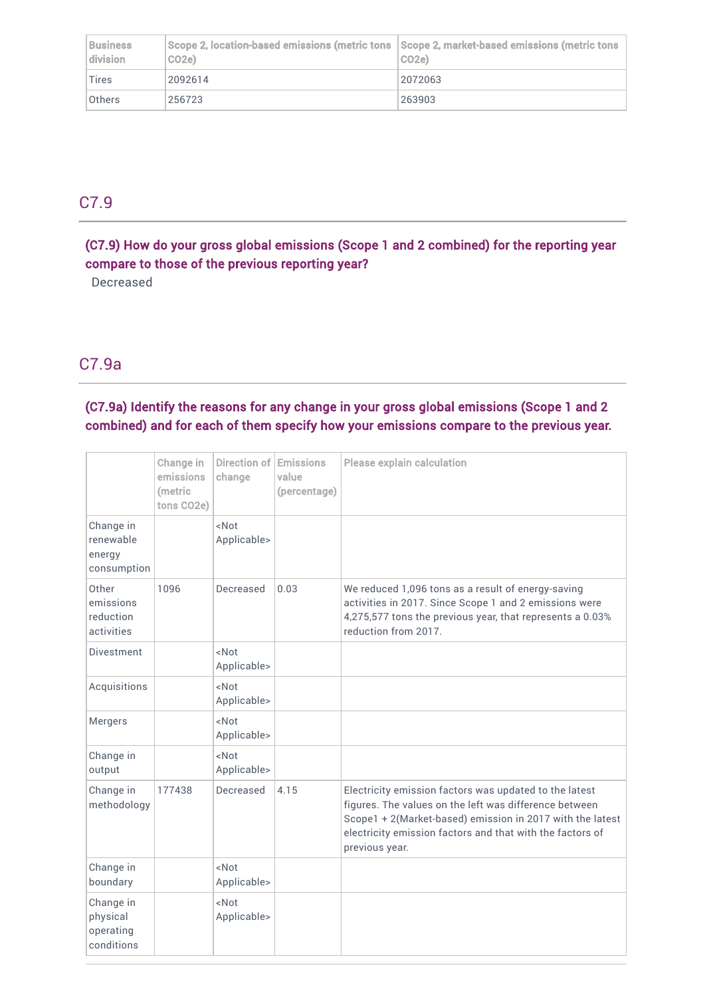| <b>Business</b><br>division | $ $ Scope 2, location-based emissions (metric tons $ $ Scope 2, market-based emissions (metric tons<br>CO <sub>2e</sub> ) | CO <sub>2</sub> e) |
|-----------------------------|---------------------------------------------------------------------------------------------------------------------------|--------------------|
| $ T$ ires                   | 2092614                                                                                                                   | 2072063            |
| <b>Others</b>               | 256723                                                                                                                    | 263903             |

## C7.9

(C7.9) How do your gross global emissions (Scope 1 and 2 combined) for the reporting year compare to those of the previous reporting year?

Decreased

## C7.9a

### (C7.9a) Identify the reasons for any change in your gross global emissions (Scope 1 and 2 combined) and for each of them specify how your emissions compare to the previous year.

|                                                  | Change in<br>emissions<br>(metric<br>tons CO2e) | Direction of<br>change          | <b>Emissions</b><br>value<br>(percentage) | <b>Please explain calculation</b>                                                                                                                                                                                                                            |
|--------------------------------------------------|-------------------------------------------------|---------------------------------|-------------------------------------------|--------------------------------------------------------------------------------------------------------------------------------------------------------------------------------------------------------------------------------------------------------------|
| Change in<br>renewable<br>energy<br>consumption  |                                                 | $<$ Not<br>Applicable>          |                                           |                                                                                                                                                                                                                                                              |
| Other<br>emissions<br>reduction<br>activities    | 1096                                            | Decreased                       | 0.03                                      | We reduced 1,096 tons as a result of energy-saving<br>activities in 2017. Since Scope 1 and 2 emissions were<br>4,275,577 tons the previous year, that represents a 0.03%<br>reduction from 2017.                                                            |
| <b>Divestment</b>                                |                                                 | <not<br>Applicable&gt;</not<br> |                                           |                                                                                                                                                                                                                                                              |
| Acquisitions                                     |                                                 | <not<br>Applicable&gt;</not<br> |                                           |                                                                                                                                                                                                                                                              |
| Mergers                                          |                                                 | <not<br>Applicable&gt;</not<br> |                                           |                                                                                                                                                                                                                                                              |
| Change in<br>output                              |                                                 | <not<br>Applicable&gt;</not<br> |                                           |                                                                                                                                                                                                                                                              |
| Change in<br>methodology                         | 177438                                          | Decreased                       | 4.15                                      | Electricity emission factors was updated to the latest<br>figures. The values on the left was difference between<br>Scope1 + 2(Market-based) emission in 2017 with the latest<br>electricity emission factors and that with the factors of<br>previous year. |
| Change in<br>boundary                            |                                                 | <not<br>Applicable&gt;</not<br> |                                           |                                                                                                                                                                                                                                                              |
| Change in<br>physical<br>operating<br>conditions |                                                 | $<$ Not<br>Applicable>          |                                           |                                                                                                                                                                                                                                                              |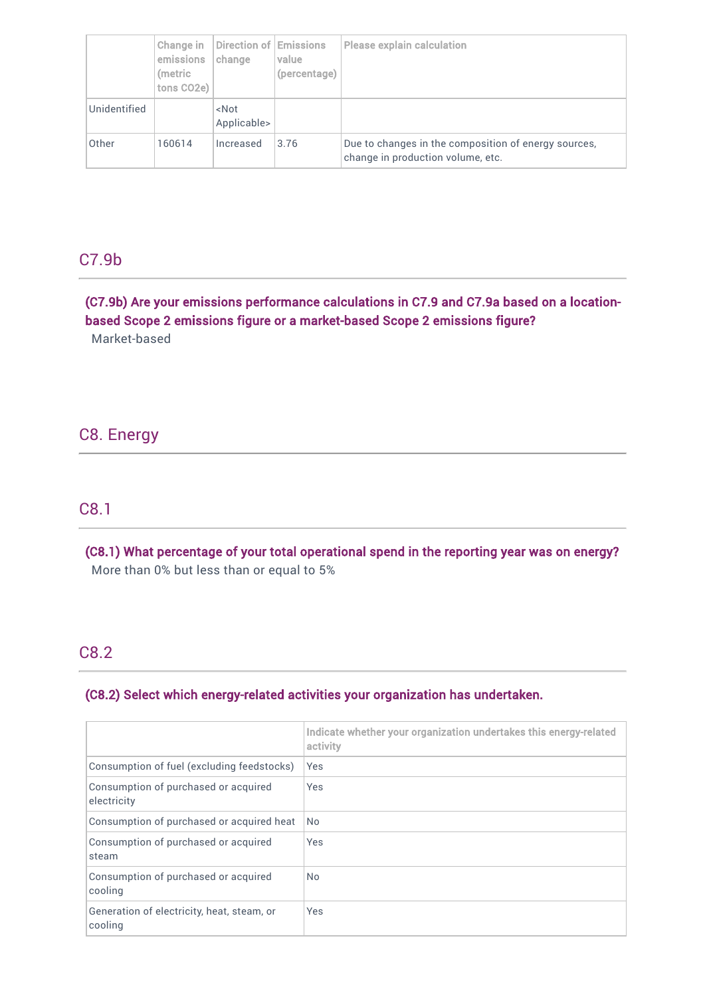|              | Change in<br>emissions<br>(metric<br>tons CO2e) | Direction of Emissions<br>change | value<br>(percentage) | <b>Please explain calculation</b>                                                         |
|--------------|-------------------------------------------------|----------------------------------|-----------------------|-------------------------------------------------------------------------------------------|
| Unidentified |                                                 | <not<br>Applicable&gt;</not<br>  |                       |                                                                                           |
| Other        | 160614                                          | Increased                        | 3.76                  | Due to changes in the composition of energy sources,<br>change in production volume, etc. |

### C7.9b

(C7.9b) Are your emissions performance calculations in C7.9 and C7.9a based on a locationbased Scope 2 emissions figure or a market-based Scope 2 emissions figure? Market-based

### C8. Energy

### C8.1

(C8.1) What percentage of your total operational spend in the reporting year was on energy? More than 0% but less than or equal to 5%

### C8.2

### (C8.2) Select which energy-related activities your organization has undertaken.

|                                                       | Indicate whether your organization undertakes this energy-related<br>activity |
|-------------------------------------------------------|-------------------------------------------------------------------------------|
| Consumption of fuel (excluding feedstocks)            | Yes                                                                           |
| Consumption of purchased or acquired<br>electricity   | Yes                                                                           |
| Consumption of purchased or acquired heat             | No.                                                                           |
| Consumption of purchased or acquired<br>steam         | Yes                                                                           |
| Consumption of purchased or acquired<br>cooling       | <b>No</b>                                                                     |
| Generation of electricity, heat, steam, or<br>cooling | Yes                                                                           |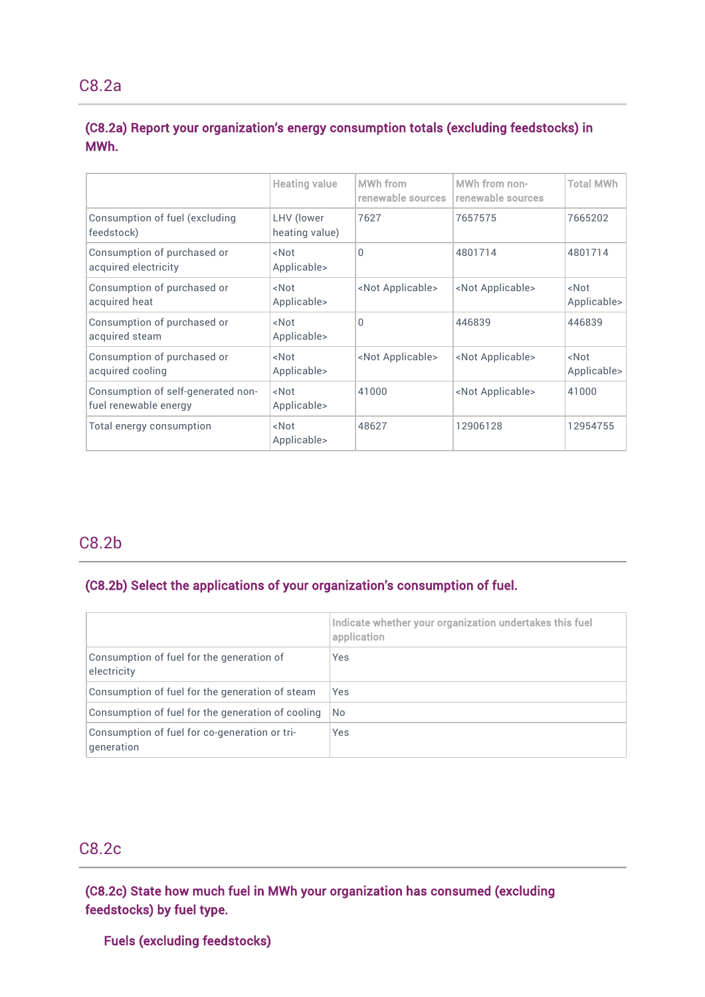### (C8.2a) Report your organization's energy consumption totals (excluding feedstocks) in MWh.

|                                                             | <b>Heating value</b>            | MWh from<br>renewable sources | MWh from non-<br>renewable sources | <b>Total MWh</b>                |
|-------------------------------------------------------------|---------------------------------|-------------------------------|------------------------------------|---------------------------------|
| Consumption of fuel (excluding<br>feedstock)                | LHV (lower<br>heating value)    | 7627                          | 7657575                            | 7665202                         |
| Consumption of purchased or<br>acquired electricity         | <not<br>Applicable&gt;</not<br> | 0                             | 4801714                            | 4801714                         |
| Consumption of purchased or<br>acquired heat                | <not<br>Applicable&gt;</not<br> | <not applicable=""></not>     | <not applicable=""></not>          | <not<br>Applicable&gt;</not<br> |
| Consumption of purchased or<br>acquired steam               | <not<br>Applicable&gt;</not<br> | $\Omega$                      | 446839                             | 446839                          |
| Consumption of purchased or<br>acquired cooling             | <not<br>Applicable&gt;</not<br> | <not applicable=""></not>     | <not applicable=""></not>          | <not<br>Applicable&gt;</not<br> |
| Consumption of self-generated non-<br>fuel renewable energy | <not<br>Applicable&gt;</not<br> | 41000                         | <not applicable=""></not>          | 41000                           |
| Total energy consumption                                    | <not<br>Applicable&gt;</not<br> | 48627                         | 12906128                           | 12954755                        |
|                                                             |                                 |                               |                                    |                                 |

## C8.2b

### (C8.2b) Select the applications of your organization's consumption of fuel.

|                                                             | Indicate whether your organization undertakes this fuel<br>application |
|-------------------------------------------------------------|------------------------------------------------------------------------|
| Consumption of fuel for the generation of<br>electricity    | Yes                                                                    |
| Consumption of fuel for the generation of steam             | <b>Yes</b>                                                             |
| Consumption of fuel for the generation of cooling           | No.                                                                    |
| Consumption of fuel for co-generation or tri-<br>generation | Yes                                                                    |

### C8.2c

(C8.2c) State how much fuel in MWh your organization has consumed (excluding feedstocks) by fuel type.

### Fuels (excluding feedstocks)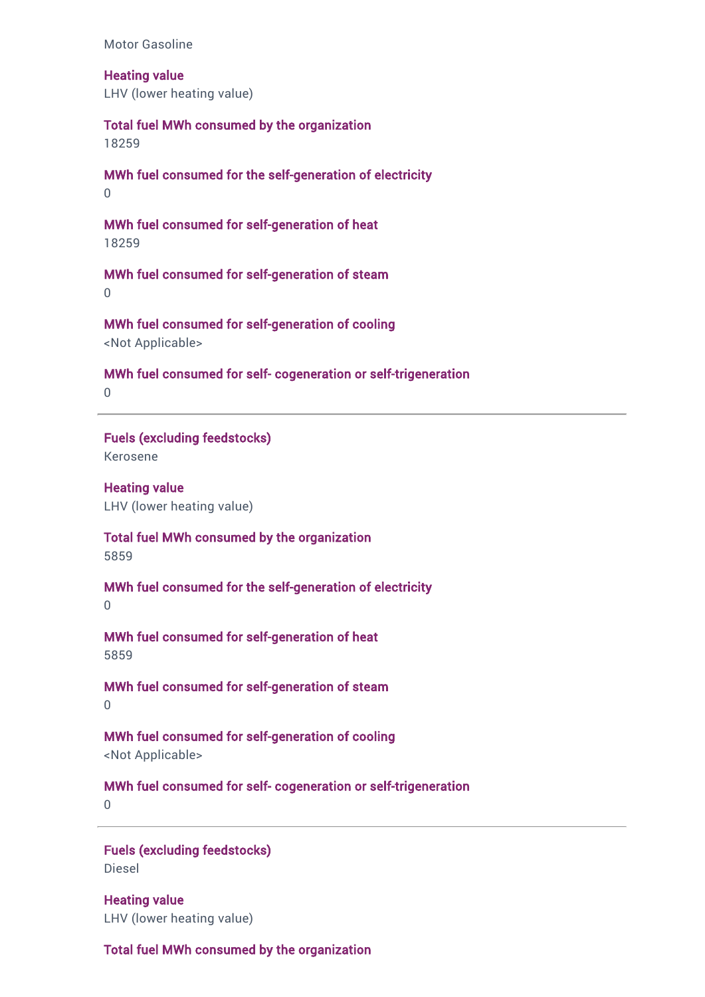Motor Gasoline

Heating value LHV (lower heating value)

Total fuel MWh consumed by the organization 18259

MWh fuel consumed for the self-generation of electricity  $\Omega$ 

MWh fuel consumed for self-generation of heat 18259

MWh fuel consumed for self-generation of steam  $\Omega$ 

MWh fuel consumed for self-generation of cooling <Not Applicable>

MWh fuel consumed for self- cogeneration or self-trigeneration

 $\Omega$ 

Fuels (excluding feedstocks)

Kerosene

Heating value LHV (lower heating value)

Total fuel MWh consumed by the organization 5859

MWh fuel consumed for the self-generation of electricity  $\Omega$ 

MWh fuel consumed for self-generation of heat 5859

MWh fuel consumed for self-generation of steam 0

MWh fuel consumed for self-generation of cooling <Not Applicable>

MWh fuel consumed for self- cogeneration or self-trigeneration

 $\Omega$ 

Fuels (excluding feedstocks) Diesel

Heating value LHV (lower heating value)

Total fuel MWh consumed by the organization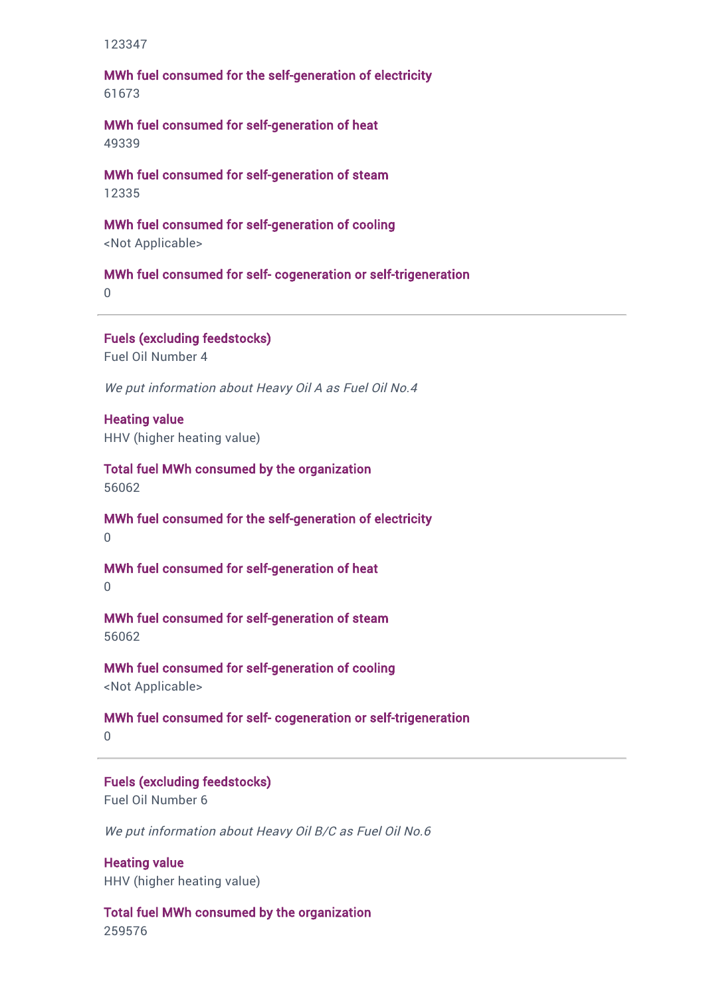123347

MWh fuel consumed for the self-generation of electricity 61673

MWh fuel consumed for self-generation of heat 49339

MWh fuel consumed for self-generation of steam 12335

MWh fuel consumed for self-generation of cooling <Not Applicable>

MWh fuel consumed for self- cogeneration or self-trigeneration 0

Fuels (excluding feedstocks) Fuel Oil Number 4

We put information about Heavy Oil A as Fuel Oil No.4

Heating value HHV (higher heating value)

Total fuel MWh consumed by the organization 56062

MWh fuel consumed for the self-generation of electricity  $\Omega$ 

MWh fuel consumed for self-generation of heat  $\Omega$ 

MWh fuel consumed for self-generation of steam 56062

MWh fuel consumed for self-generation of cooling

<Not Applicable>

MWh fuel consumed for self- cogeneration or self-trigeneration

 $\cap$ 

Fuels (excluding feedstocks) Fuel Oil Number 6

We put information about Heavy Oil B/C as Fuel Oil No.6

Heating value HHV (higher heating value)

Total fuel MWh consumed by the organization 259576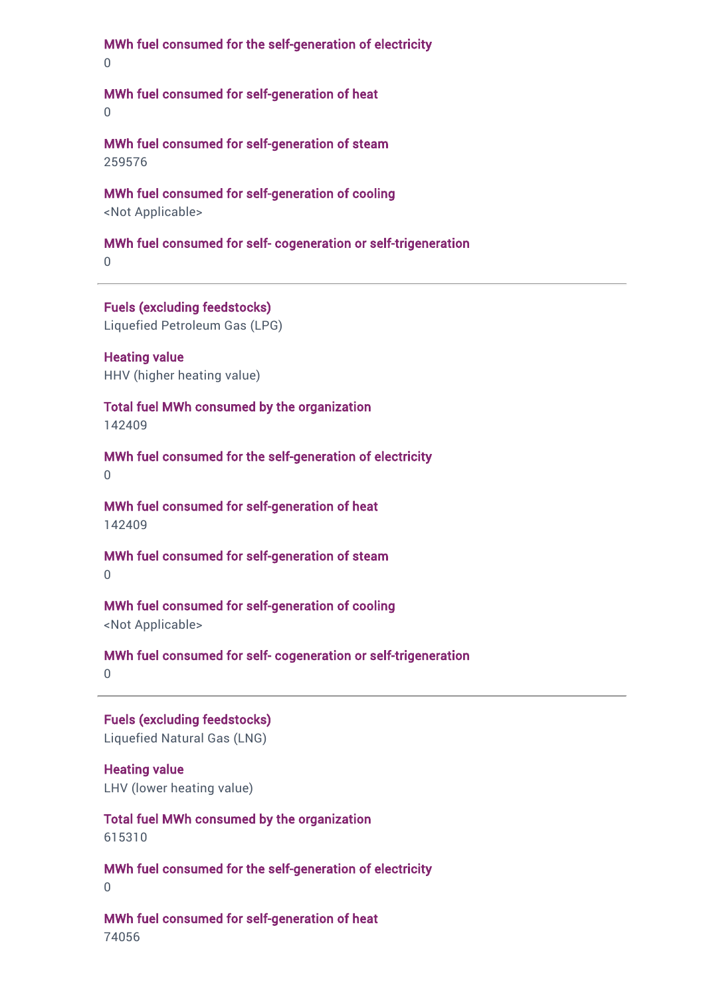MWh fuel consumed for the self-generation of electricity

0

### MWh fuel consumed for self-generation of heat

0

MWh fuel consumed for self-generation of steam 259576

MWh fuel consumed for self-generation of cooling

<Not Applicable>

### MWh fuel consumed for self- cogeneration or self-trigeneration

0

Fuels (excluding feedstocks)

Liquefied Petroleum Gas (LPG)

Heating value HHV (higher heating value)

Total fuel MWh consumed by the organization

142409

MWh fuel consumed for the self-generation of electricity

 $\Omega$ 

MWh fuel consumed for self-generation of heat 142409

MWh fuel consumed for self-generation of steam 0

MWh fuel consumed for self-generation of cooling <Not Applicable>

MWh fuel consumed for self- cogeneration or self-trigeneration 0

Fuels (excluding feedstocks) Liquefied Natural Gas (LNG)

Heating value LHV (lower heating value)

Total fuel MWh consumed by the organization 615310

MWh fuel consumed for the self-generation of electricity 0

MWh fuel consumed for self-generation of heat 74056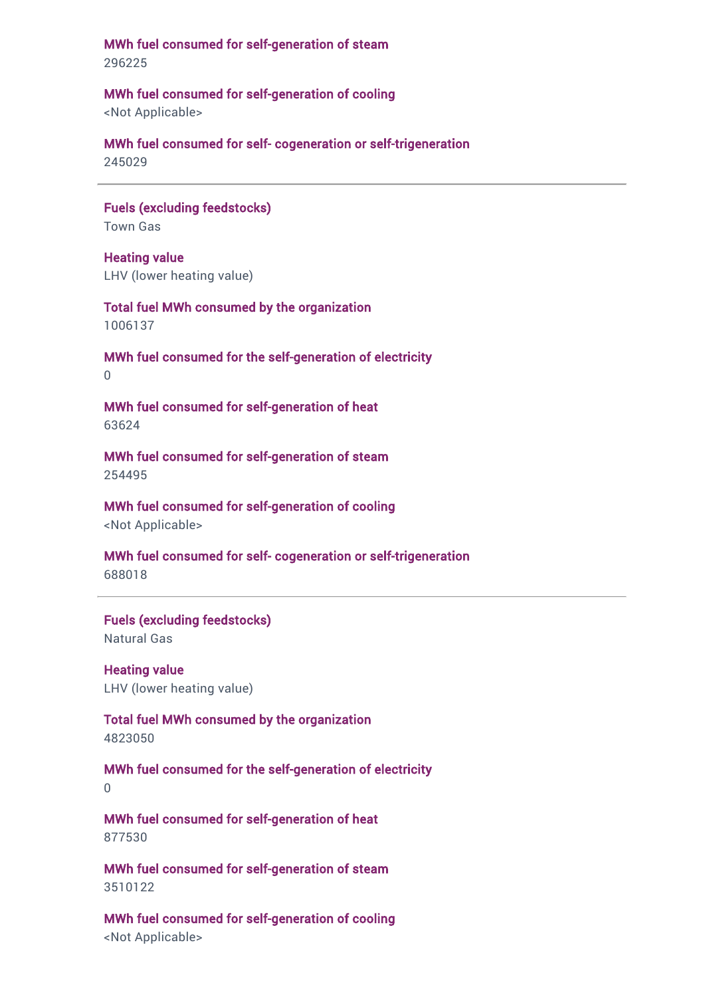MWh fuel consumed for self-generation of steam 296225

MWh fuel consumed for self-generation of cooling

<Not Applicable>

MWh fuel consumed for self- cogeneration or self-trigeneration

245029

Fuels (excluding feedstocks) Town Gas

Heating value LHV (lower heating value)

Total fuel MWh consumed by the organization 1006137

MWh fuel consumed for the self-generation of electricity  $\Omega$ 

MWh fuel consumed for self-generation of heat 63624

MWh fuel consumed for self-generation of steam 254495

MWh fuel consumed for self-generation of cooling <Not Applicable>

MWh fuel consumed for self- cogeneration or self-trigeneration 688018

Fuels (excluding feedstocks) Natural Gas

Heating value LHV (lower heating value)

Total fuel MWh consumed by the organization 4823050

MWh fuel consumed for the self-generation of electricity  $\Omega$ 

MWh fuel consumed for self-generation of heat 877530

MWh fuel consumed for self-generation of steam 3510122

MWh fuel consumed for self-generation of cooling <Not Applicable>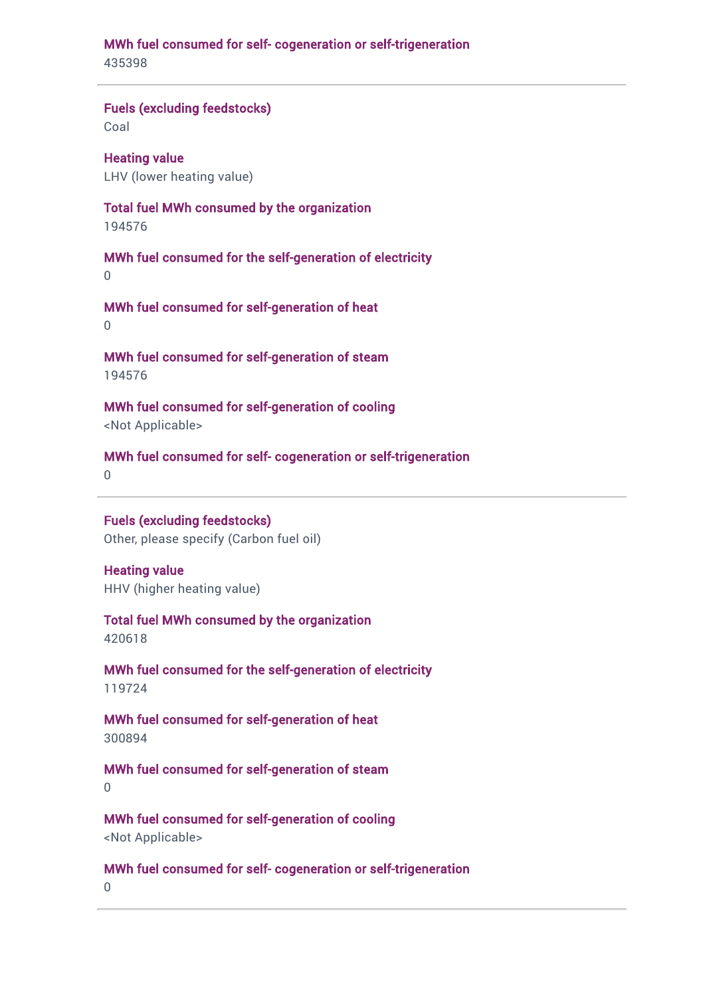# MWh fuel consumed for self- cogeneration or self-trigeneration

435398

### Fuels (excluding feedstocks)

Coal

Heating value LHV (lower heating value)

### Total fuel MWh consumed by the organization

194576

MWh fuel consumed for the self-generation of electricity 0

MWh fuel consumed for self-generation of heat 0

MWh fuel consumed for self-generation of steam 194576

MWh fuel consumed for self-generation of cooling <Not Applicable>

MWh fuel consumed for self- cogeneration or self-trigeneration

 $\Omega$ 

## Fuels (excluding feedstocks)

Other, please specify (Carbon fuel oil)

Heating value HHV (higher heating value)

Total fuel MWh consumed by the organization 420618

MWh fuel consumed for the self-generation of electricity 119724

MWh fuel consumed for self-generation of heat 300894

MWh fuel consumed for self-generation of steam 0

MWh fuel consumed for self-generation of cooling <Not Applicable>

MWh fuel consumed for self- cogeneration or self-trigeneration

0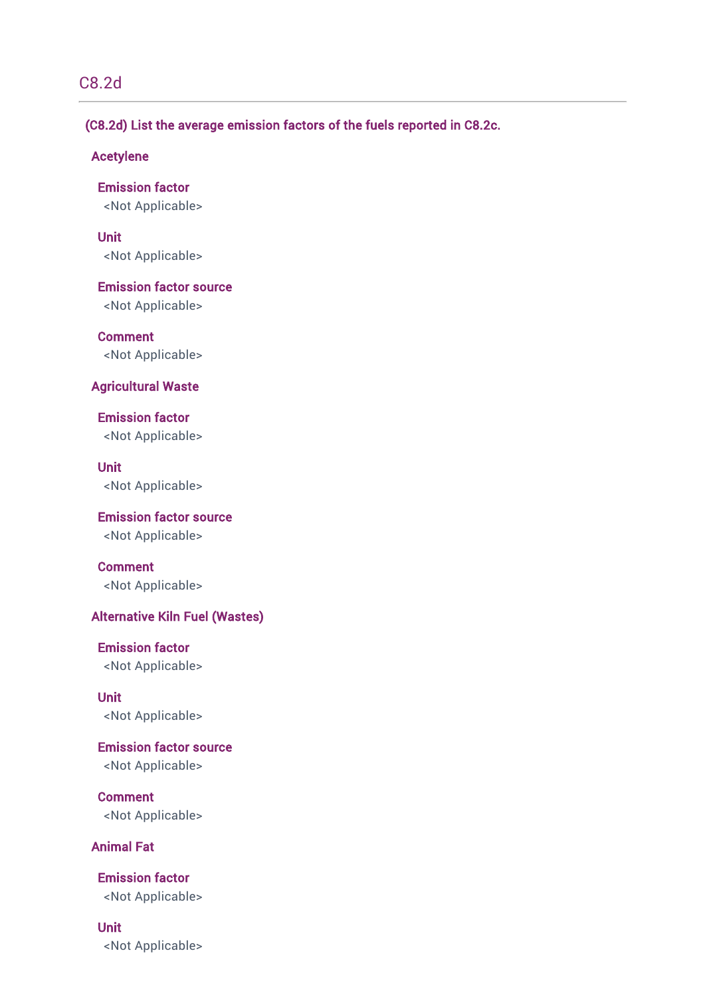## C8.2d

### (C8.2d) List the average emission factors of the fuels reported in C8.2c.

### Acetylene

Emission factor <Not Applicable>

Unit <Not Applicable>

Emission factor source <Not Applicable>

Comment <Not Applicable>

### Agricultural Waste

Emission factor <Not Applicable>

Unit <Not Applicable>

Emission factor source <Not Applicable>

Comment <Not Applicable>

### Alternative Kiln Fuel (Wastes)

Emission factor <Not Applicable>

Unit <Not Applicable>

Emission factor source <Not Applicable>

**Comment** <Not Applicable>

### Animal Fat

Emission factor <Not Applicable>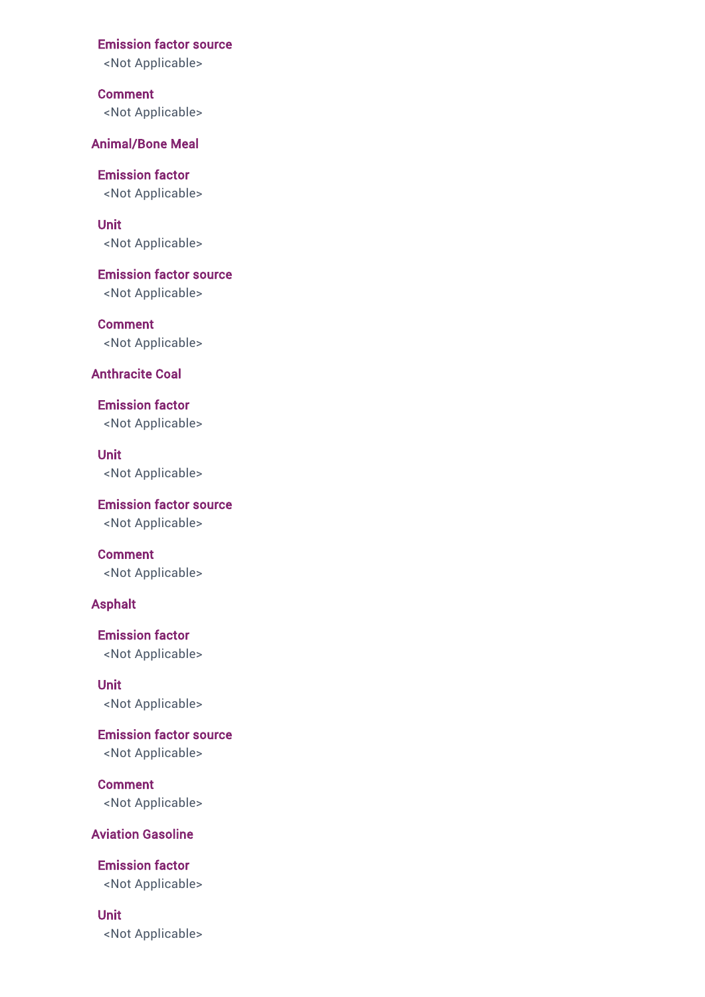<Not Applicable>

Comment <Not Applicable>

### Animal/Bone Meal

Emission factor <Not Applicable>

Unit <Not Applicable>

Emission factor source <Not Applicable>

Comment <Not Applicable>

### Anthracite Coal

Emission factor <Not Applicable>

Unit <Not Applicable>

Emission factor source <Not Applicable>

Comment <Not Applicable>

### Asphalt

Emission factor <Not Applicable>

Unit <Not Applicable>

Emission factor source <Not Applicable>

Comment <Not Applicable>

### Aviation Gasoline

Emission factor <Not Applicable>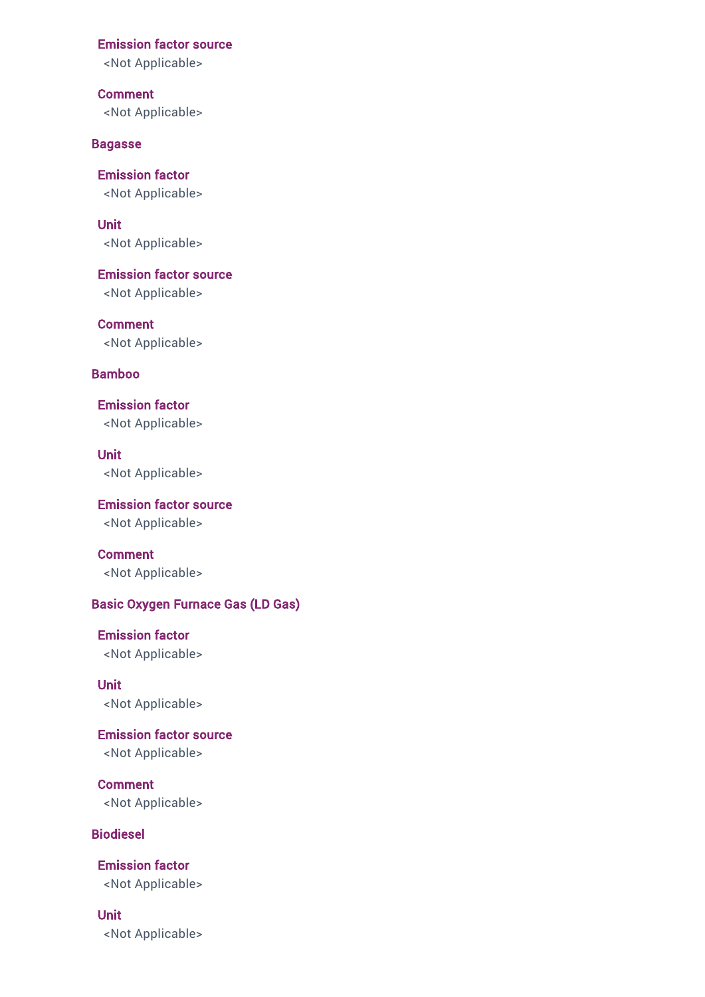<Not Applicable>

Comment <Not Applicable>

#### Bagasse

Emission factor <Not Applicable>

Unit <Not Applicable>

Emission factor source <Not Applicable>

**Comment** <Not Applicable>

### Bamboo

Emission factor <Not Applicable>

Unit <Not Applicable>

Emission factor source <Not Applicable>

Comment <Not Applicable>

### Basic Oxygen Furnace Gas (LD Gas)

Emission factor <Not Applicable>

Unit <Not Applicable>

Emission factor source <Not Applicable>

**Comment** <Not Applicable>

Biodiesel

Emission factor <Not Applicable>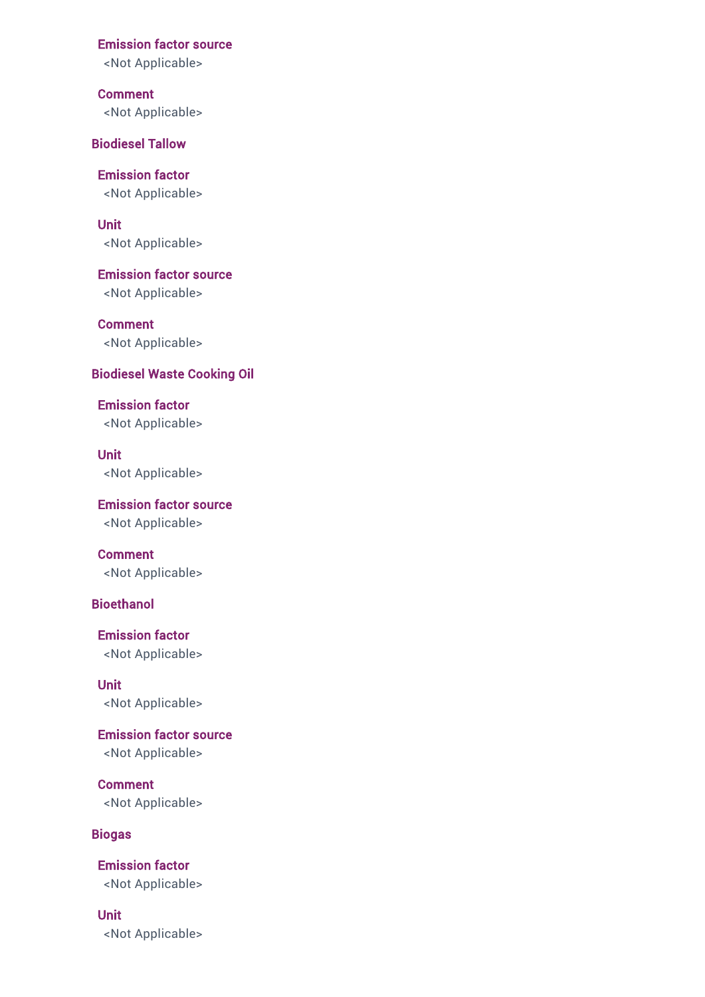<Not Applicable>

Comment <Not Applicable>

Biodiesel Tallow

Emission factor <Not Applicable>

Unit <Not Applicable>

Emission factor source <Not Applicable>

**Comment** <Not Applicable>

### Biodiesel Waste Cooking Oil

Emission factor <Not Applicable>

Unit <Not Applicable>

Emission factor source <Not Applicable>

Comment <Not Applicable>

### **Bioethanol**

Emission factor <Not Applicable>

Unit <Not Applicable>

Emission factor source <Not Applicable>

Comment <Not Applicable>

### Biogas

Unit

Emission factor <Not Applicable>

<Not Applicable>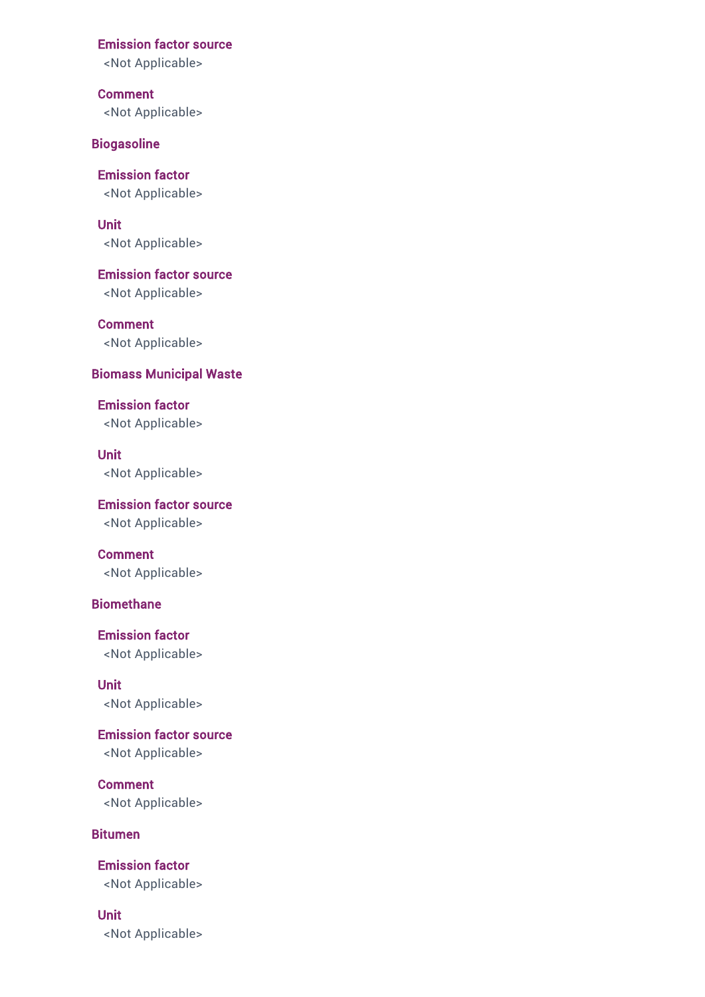<Not Applicable>

Comment <Not Applicable>

**Biogasoline** 

Emission factor <Not Applicable>

Unit <Not Applicable>

Emission factor source <Not Applicable>

**Comment** <Not Applicable>

### Biomass Municipal Waste

Emission factor <Not Applicable>

Unit <Not Applicable>

Emission factor source <Not Applicable>

Comment <Not Applicable>

### **Biomethane**

Emission factor <Not Applicable>

Unit <Not Applicable>

Emission factor source <Not Applicable>

Comment <Not Applicable>

#### Bitumen

Emission factor <Not Applicable>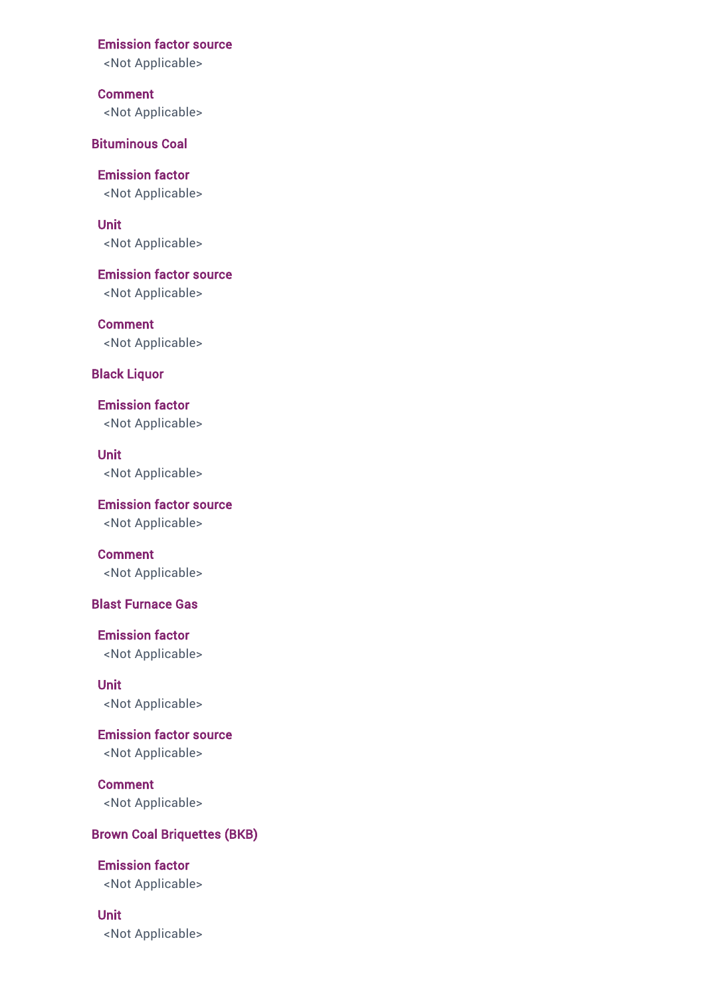<Not Applicable>

Comment <Not Applicable>

Bituminous Coal

Emission factor <Not Applicable>

Unit <Not Applicable>

Emission factor source <Not Applicable>

**Comment** <Not Applicable>

### Black Liquor

Emission factor <Not Applicable>

Unit <Not Applicable>

Emission factor source <Not Applicable>

Comment <Not Applicable>

### Blast Furnace Gas

Emission factor <Not Applicable>

Unit <Not Applicable>

Emission factor source <Not Applicable>

Comment <Not Applicable>

### Brown Coal Briquettes (BKB)

Emission factor <Not Applicable>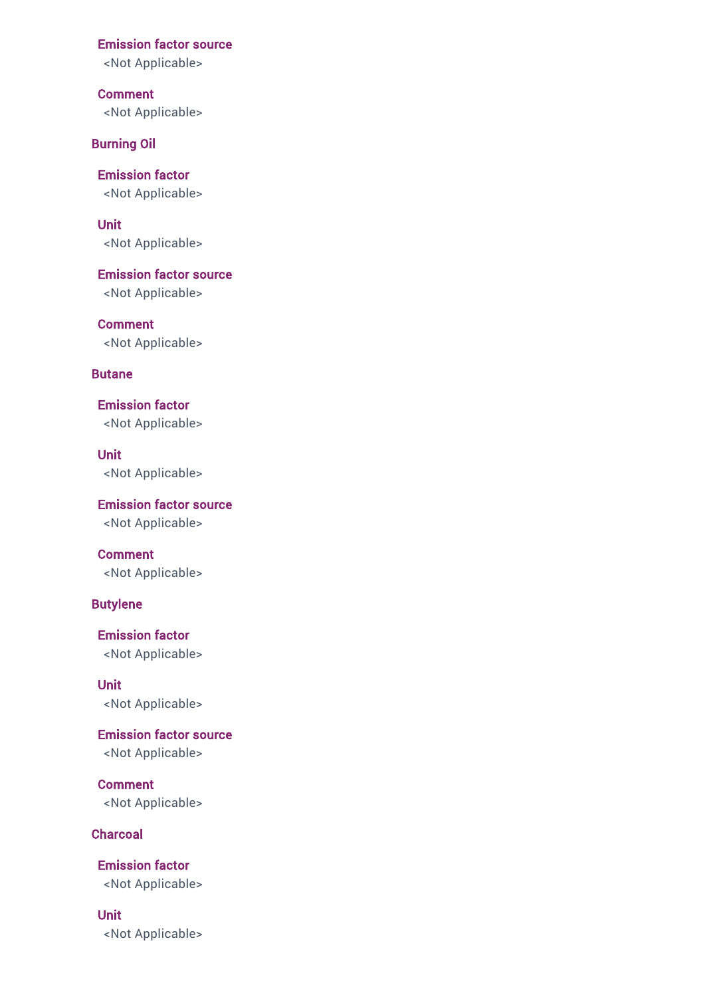<Not Applicable>

Comment <Not Applicable>

Burning Oil

Emission factor <Not Applicable>

Unit <Not Applicable>

Emission factor source <Not Applicable>

**Comment** <Not Applicable>

### Butane

Emission factor <Not Applicable>

Unit <Not Applicable>

Emission factor source <Not Applicable>

Comment <Not Applicable>

### Butylene

Emission factor <Not Applicable>

Unit <Not Applicable>

Emission factor source <Not Applicable>

**Comment** <Not Applicable>

**Charcoal** 

Emission factor <Not Applicable>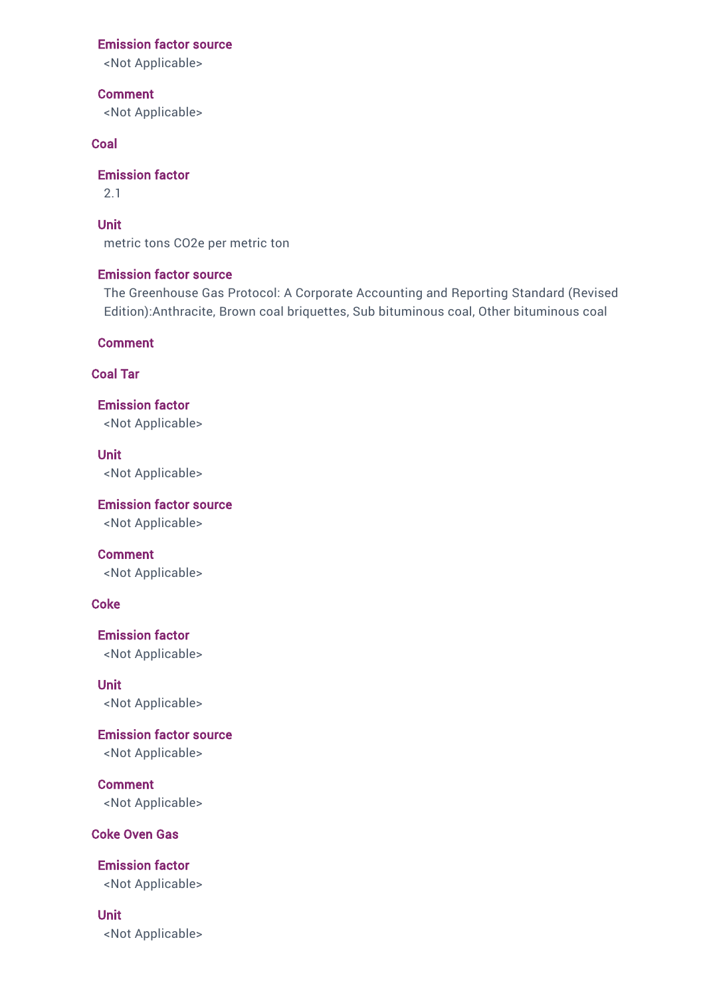<Not Applicable>

Comment

<Not Applicable>

### Coal

Emission factor

2.1

Unit

metric tons CO2e per metric ton

### Emission factor source

The Greenhouse Gas Protocol: A Corporate Accounting and Reporting Standard (Revised Edition):Anthracite, Brown coal briquettes, Sub bituminous coal, Other bituminous coal

Comment

### Coal Tar

Emission factor <Not Applicable>

Unit <Not Applicable>

Emission factor source <Not Applicable>

Comment

<Not Applicable>

### **Coke**

Emission factor <Not Applicable>

Unit <Not Applicable>

Emission factor source <Not Applicable>

Comment <Not Applicable>

### Coke Oven Gas

Emission factor <Not Applicable>

Unit

<Not Applicable>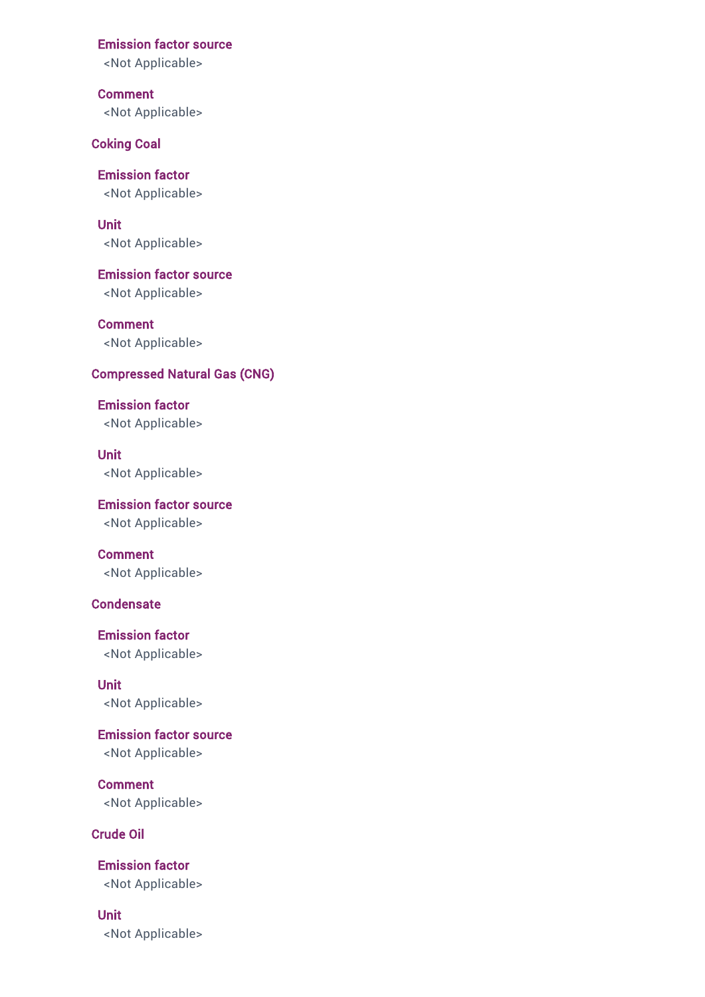<Not Applicable>

Comment <Not Applicable>

Coking Coal

Emission factor <Not Applicable>

Unit <Not Applicable>

Emission factor source <Not Applicable>

**Comment** <Not Applicable>

### Compressed Natural Gas (CNG)

Emission factor <Not Applicable>

Unit <Not Applicable>

Emission factor source <Not Applicable>

Comment <Not Applicable>

### **Condensate**

Emission factor <Not Applicable>

Unit <Not Applicable>

Emission factor source <Not Applicable>

**Comment** <Not Applicable>

Crude Oil

Emission factor <Not Applicable>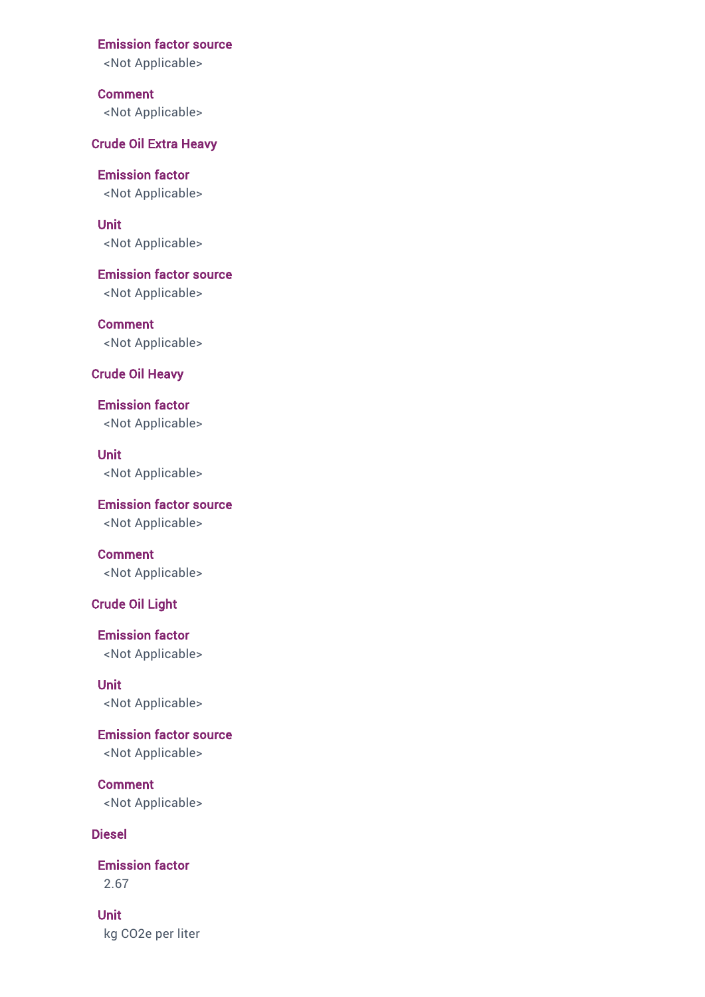<Not Applicable>

Comment <Not Applicable>

Crude Oil Extra Heavy

Emission factor <Not Applicable>

Unit <Not Applicable>

Emission factor source <Not Applicable>

**Comment** <Not Applicable>

### Crude Oil Heavy

Emission factor <Not Applicable>

Unit <Not Applicable>

Emission factor source <Not Applicable>

Comment <Not Applicable>

### Crude Oil Light

Emission factor <Not Applicable>

Unit <Not Applicable>

Emission factor source <Not Applicable>

Comment <Not Applicable>

### Diesel

Emission factor 2.67

Unit kg CO2e per liter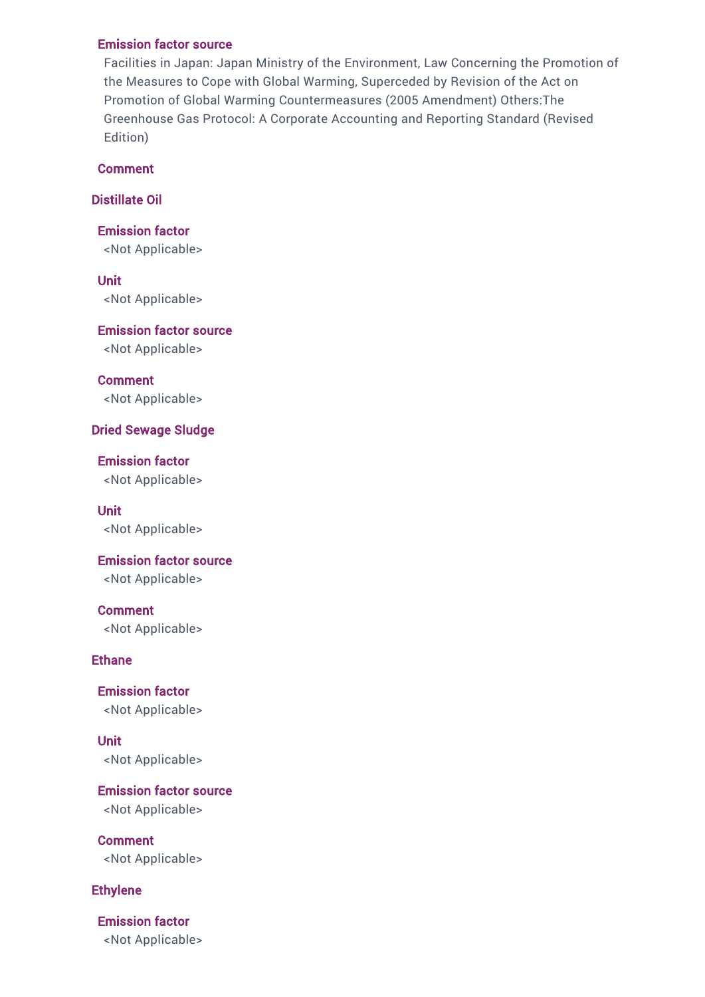Facilities in Japan: Japan Ministry of the Environment, Law Concerning the Promotion of the Measures to Cope with Global Warming, Superceded by Revision of the Act on Promotion of Global Warming Countermeasures (2005 Amendment) Others:The Greenhouse Gas Protocol: A Corporate Accounting and Reporting Standard (Revised Edition)

### **Comment**

Distillate Oil

Emission factor <Not Applicable>

Unit <Not Applicable>

Emission factor source <Not Applicable>

Comment <Not Applicable>

### Dried Sewage Sludge

Emission factor <Not Applicable>

Unit <Not Applicable>

Emission factor source <Not Applicable>

Comment <Not Applicable>

### Ethane

Emission factor <Not Applicable>

Unit <Not Applicable>

Emission factor source <Not Applicable>

Comment <Not Applicable>

### Ethylene

Emission factor <Not Applicable>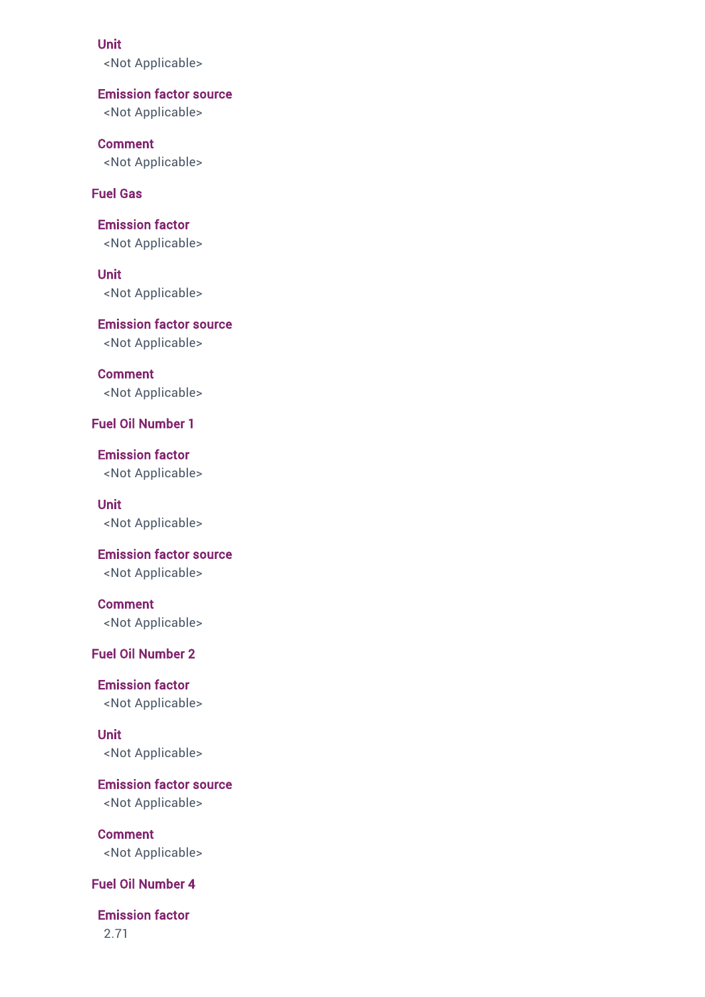#### Unit

<Not Applicable>

### Emission factor source

<Not Applicable>

### Comment

<Not Applicable>

### Fuel Gas

Emission factor <Not Applicable>

Unit <Not Applicable>

Emission factor source <Not Applicable>

**Comment** <Not Applicable>

Fuel Oil Number 1

Emission factor <Not Applicable>

Unit <Not Applicable>

## Emission factor source

<Not Applicable>

### Comment <Not Applicable>

### Fuel Oil Number 2

Emission factor <Not Applicable>

Unit <Not Applicable>

Emission factor source <Not Applicable>

Comment <Not Applicable>

### Fuel Oil Number 4

Emission factor

2.71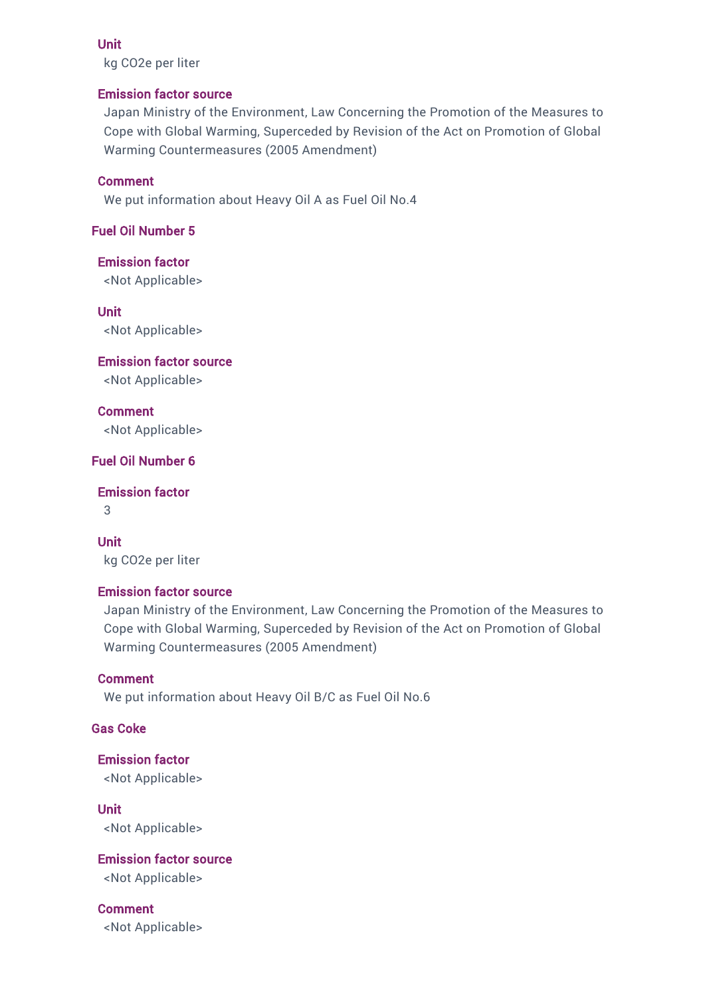#### Unit

kg CO2e per liter

### Emission factor source

Japan Ministry of the Environment, Law Concerning the Promotion of the Measures to Cope with Global Warming, Superceded by Revision of the Act on Promotion of Global Warming Countermeasures (2005 Amendment)

### Comment

We put information about Heavy Oil A as Fuel Oil No.4

### Fuel Oil Number 5

Emission factor

<Not Applicable>

Unit

<Not Applicable>

Emission factor source

<Not Applicable>

Comment <Not Applicable>

### Fuel Oil Number 6

Emission factor

3

Unit kg CO2e per liter

### Emission factor source

Japan Ministry of the Environment, Law Concerning the Promotion of the Measures to Cope with Global Warming, Superceded by Revision of the Act on Promotion of Global Warming Countermeasures (2005 Amendment)

### Comment

We put information about Heavy Oil B/C as Fuel Oil No.6

### Gas Coke

Emission factor <Not Applicable>

Unit <Not Applicable>

Emission factor source

<Not Applicable>

Comment <Not Applicable>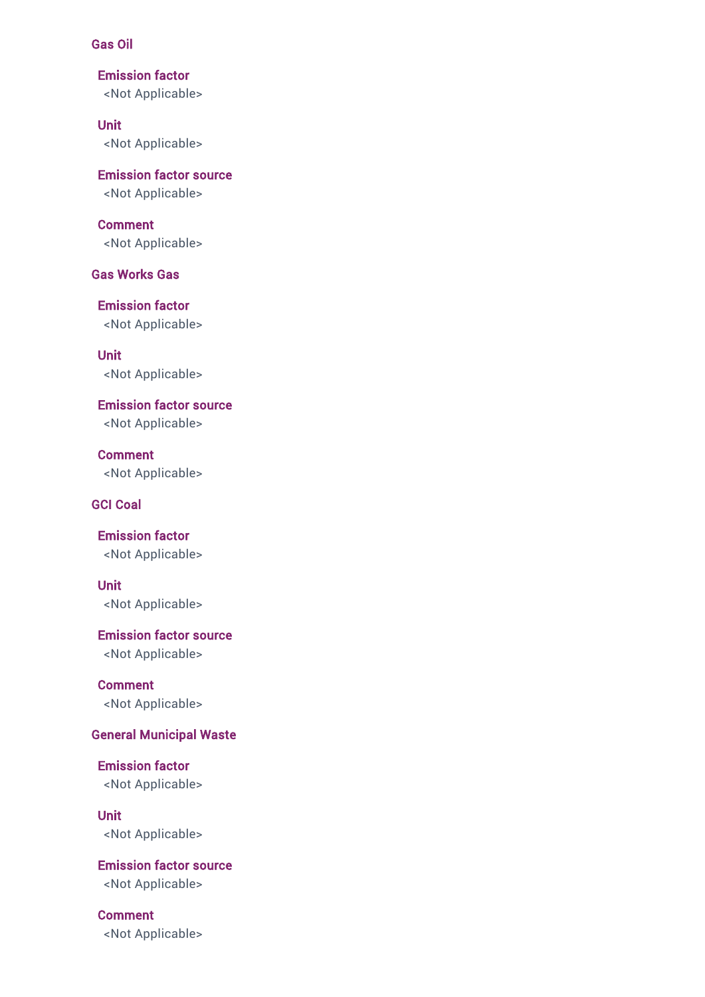### Gas Oil

Emission factor <Not Applicable>

Unit <Not Applicable>

Emission factor source <Not Applicable>

Comment <Not Applicable>

Gas Works Gas

Emission factor <Not Applicable>

Unit <Not Applicable>

Emission factor source <Not Applicable>

Comment <Not Applicable>

## GCI Coal

Emission factor <Not Applicable>

Unit <Not Applicable>

Emission factor source <Not Applicable>

Comment <Not Applicable>

# General Municipal Waste

Emission factor <Not Applicable>

Unit <Not Applicable>

Emission factor source

<Not Applicable>

Comment <Not Applicable>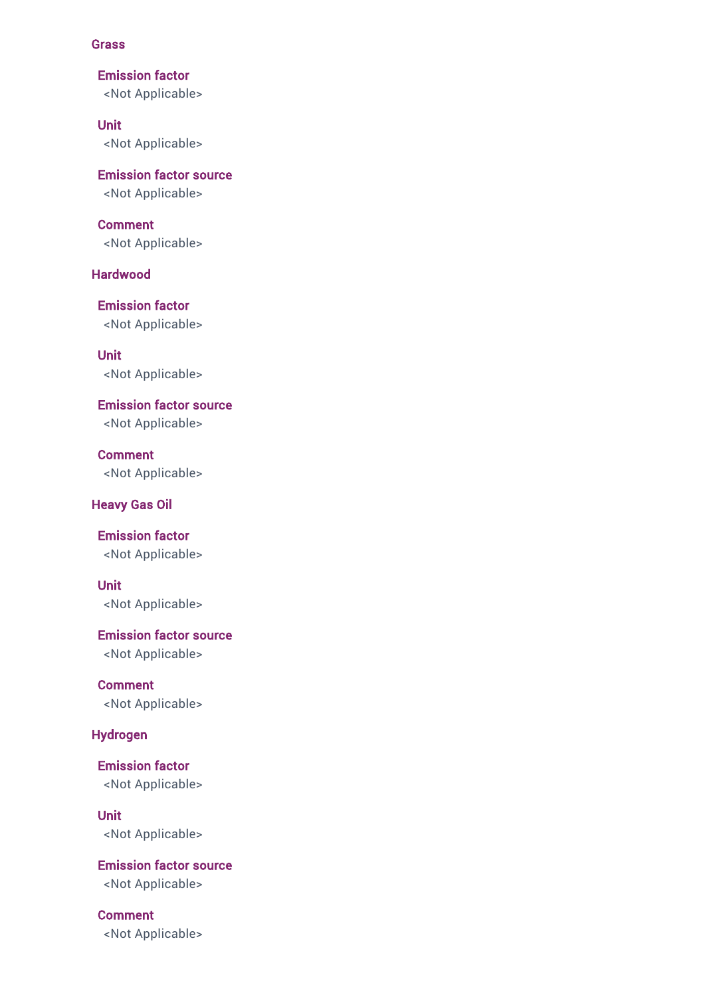#### Grass

Emission factor <Not Applicable>

Unit <Not Applicable>

Emission factor source <Not Applicable>

Comment <Not Applicable>

### Hardwood

Emission factor <Not Applicable>

Unit <Not Applicable>

Emission factor source <Not Applicable>

Comment <Not Applicable>

### Heavy Gas Oil

Emission factor <Not Applicable>

Unit <Not Applicable>

Emission factor source <Not Applicable>

Comment <Not Applicable>

# Hydrogen

Emission factor <Not Applicable>

Unit <Not Applicable>

Emission factor source <Not Applicable>

Comment <Not Applicable>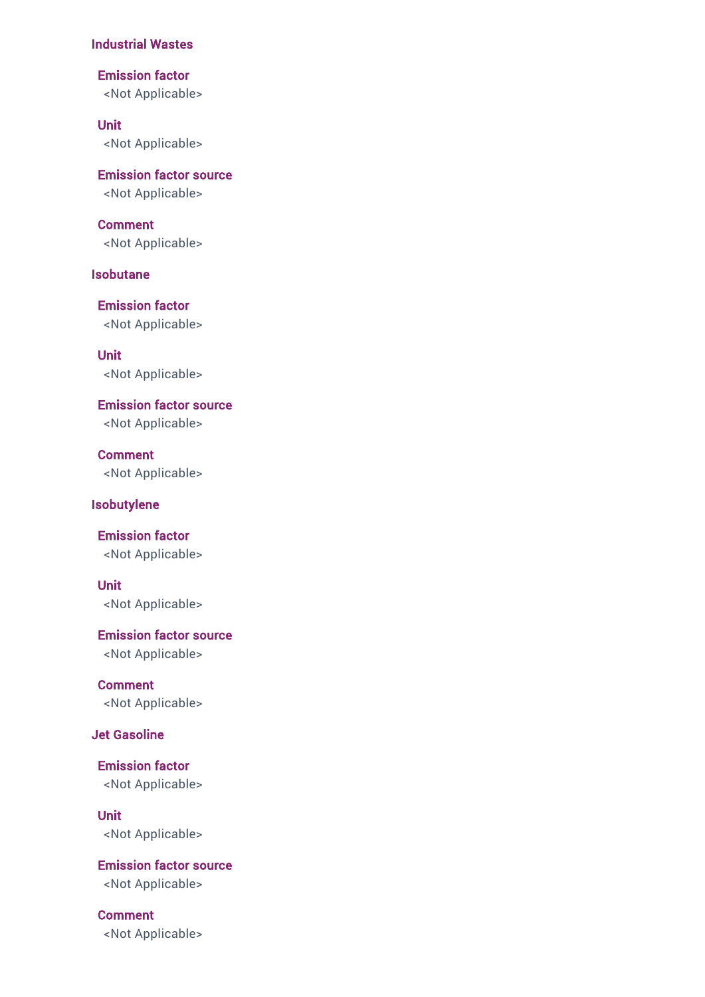#### Industrial Wastes

Emission factor

<Not Applicable>

# Unit

<Not Applicable>

# Emission factor source <Not Applicable>

# Comment

<Not Applicable>

# Isobutane

Emission factor <Not Applicable>

Unit <Not Applicable>

Emission factor source <Not Applicable>

Comment <Not Applicable>

### Isobutylene

Emission factor <Not Applicable>

### Unit

<Not Applicable>

Emission factor source <Not Applicable>

Comment <Not Applicable>

# Jet Gasoline

Emission factor <Not Applicable>

Unit <Not Applicable>

Emission factor source <Not Applicable>

# Comment

<Not Applicable>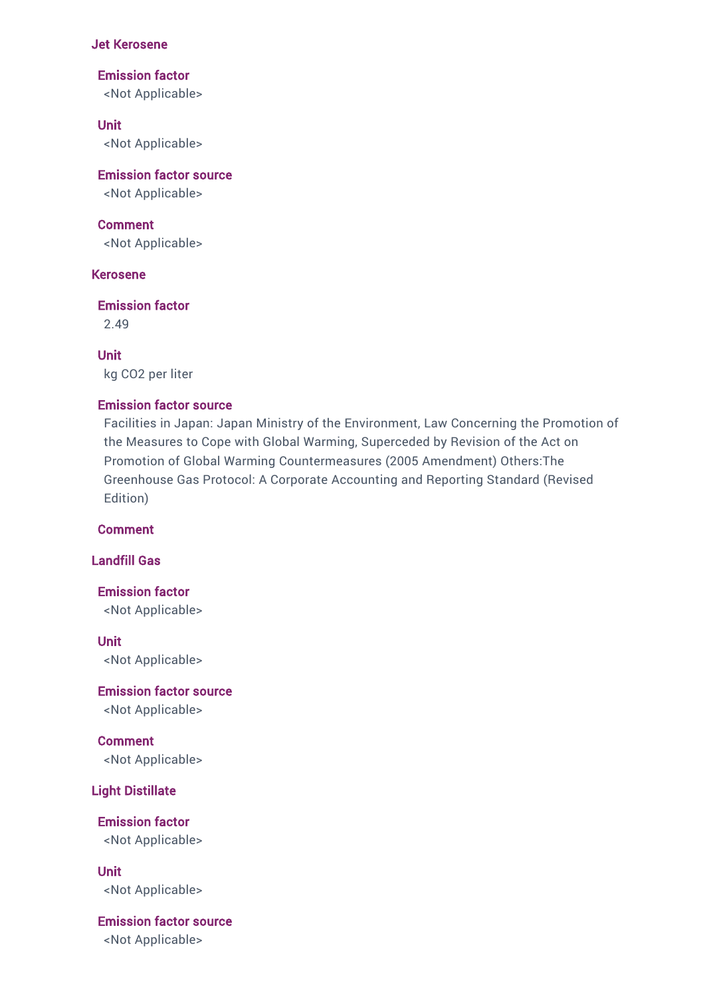#### Jet Kerosene

#### Emission factor

<Not Applicable>

### Unit

<Not Applicable>

# Emission factor source

<Not Applicable>

### Comment

<Not Applicable>

### Kerosene

### Emission factor

2.49

Unit kg CO2 per liter

#### Emission factor source

Facilities in Japan: Japan Ministry of the Environment, Law Concerning the Promotion of the Measures to Cope with Global Warming, Superceded by Revision of the Act on Promotion of Global Warming Countermeasures (2005 Amendment) Others:The Greenhouse Gas Protocol: A Corporate Accounting and Reporting Standard (Revised Edition)

## Comment

### Landfill Gas

Emission factor <Not Applicable>

Unit <Not Applicable>

Emission factor source <Not Applicable>

Comment

<Not Applicable>

# Light Distillate

Emission factor <Not Applicable>

Unit <Not Applicable>

# Emission factor source

<Not Applicable>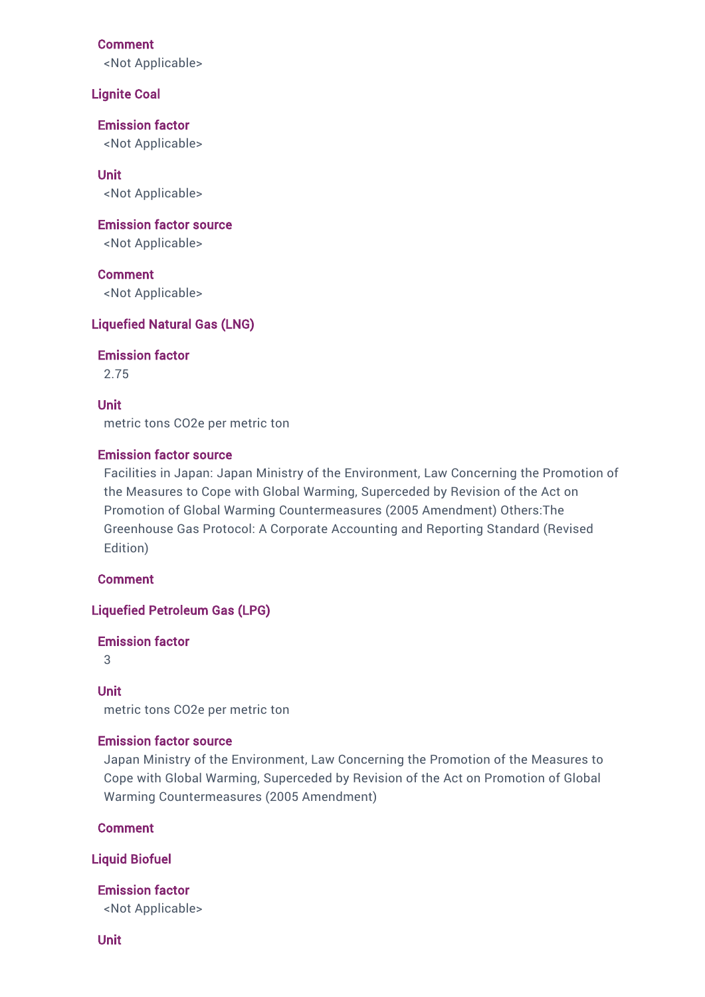#### Comment

<Not Applicable>

#### Lignite Coal

Emission factor <Not Applicable>

Unit <Not Applicable>

Emission factor source <Not Applicable>

Comment <Not Applicable>

### Liquefied Natural Gas (LNG)

Emission factor

2.75

#### Unit

metric tons CO2e per metric ton

#### Emission factor source

Facilities in Japan: Japan Ministry of the Environment, Law Concerning the Promotion of the Measures to Cope with Global Warming, Superceded by Revision of the Act on Promotion of Global Warming Countermeasures (2005 Amendment) Others:The Greenhouse Gas Protocol: A Corporate Accounting and Reporting Standard (Revised Edition)

Comment

Liquefied Petroleum Gas (LPG)

### Emission factor

3

#### Unit

metric tons CO2e per metric ton

#### Emission factor source

Japan Ministry of the Environment, Law Concerning the Promotion of the Measures to Cope with Global Warming, Superceded by Revision of the Act on Promotion of Global Warming Countermeasures (2005 Amendment)

Comment

#### Liquid Biofuel

Emission factor

<Not Applicable>

Unit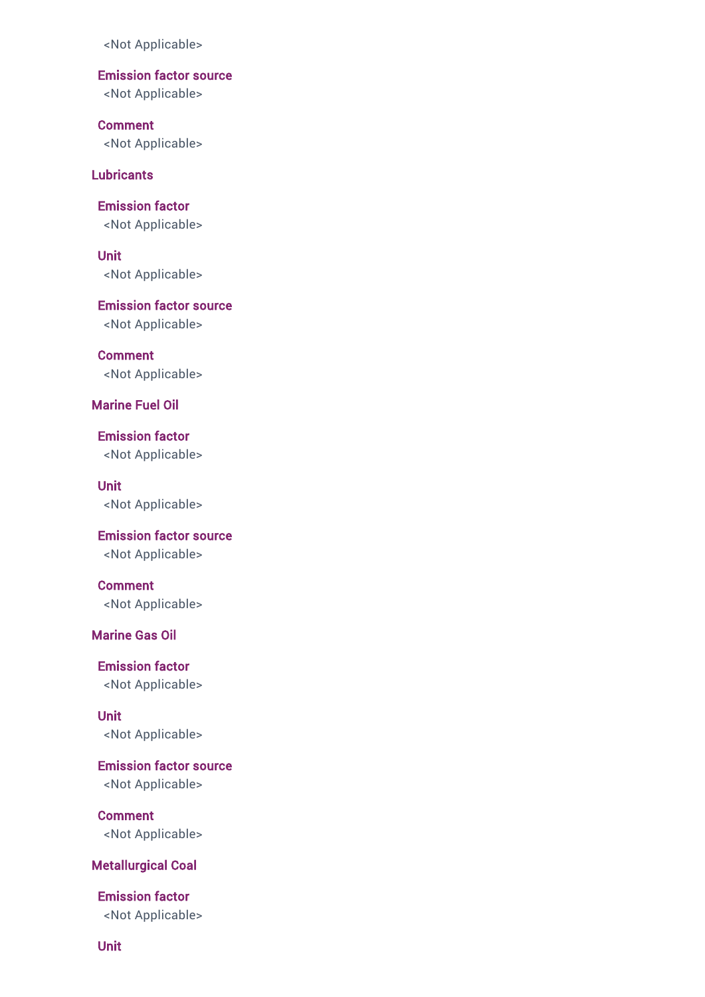Emission factor source

<Not Applicable>

Comment <Not Applicable>

**Lubricants** 

Emission factor <Not Applicable>

Unit <Not Applicable>

Emission factor source <Not Applicable>

Comment <Not Applicable>

Marine Fuel Oil

Emission factor <Not Applicable>

Unit <Not Applicable>

Emission factor source <Not Applicable>

Comment <Not Applicable>

### Marine Gas Oil

Emission factor <Not Applicable>

Unit <Not Applicable>

Emission factor source <Not Applicable>

Comment <Not Applicable>

#### Metallurgical Coal

Emission factor <Not Applicable>

Unit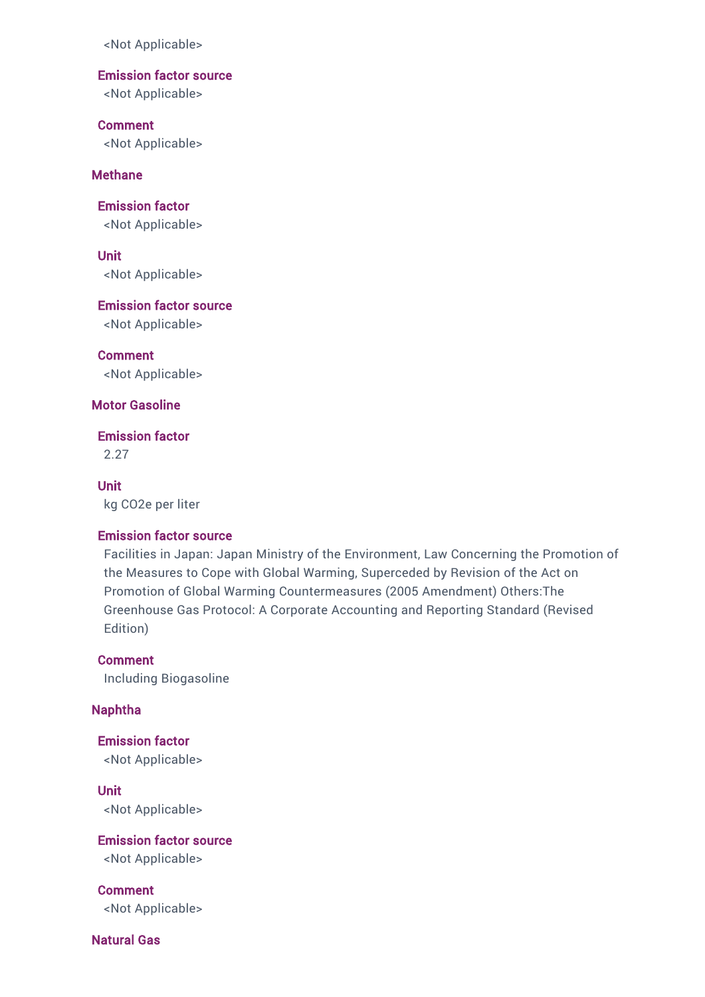## Emission factor source

<Not Applicable>

Comment <Not Applicable>

## **Methane**

Emission factor <Not Applicable>

Unit <Not Applicable>

Emission factor source

<Not Applicable>

Comment <Not Applicable>

Motor Gasoline

Emission factor

2.27

### Unit

kg CO2e per liter

### Emission factor source

Facilities in Japan: Japan Ministry of the Environment, Law Concerning the Promotion of the Measures to Cope with Global Warming, Superceded by Revision of the Act on Promotion of Global Warming Countermeasures (2005 Amendment) Others:The Greenhouse Gas Protocol: A Corporate Accounting and Reporting Standard (Revised Edition)

Comment Including Biogasoline

### Naphtha

Emission factor <Not Applicable>

Unit <Not Applicable>

Emission factor source <Not Applicable>

Comment <Not Applicable>

Natural Gas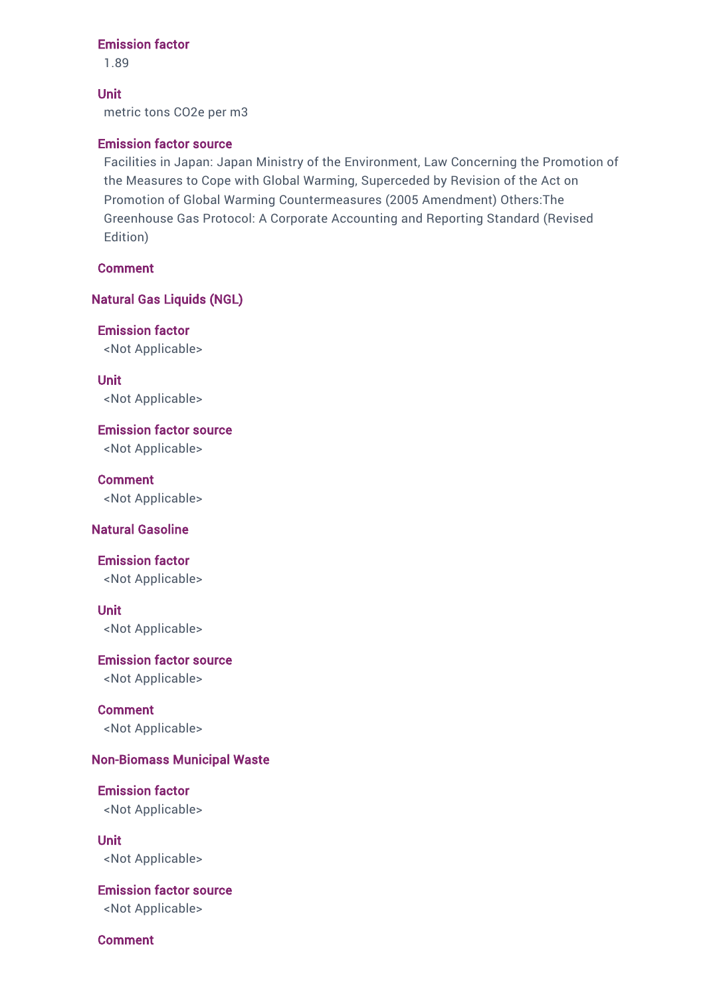#### Emission factor

1.89

Unit metric tons CO2e per m3

#### Emission factor source

Facilities in Japan: Japan Ministry of the Environment, Law Concerning the Promotion of the Measures to Cope with Global Warming, Superceded by Revision of the Act on Promotion of Global Warming Countermeasures (2005 Amendment) Others:The Greenhouse Gas Protocol: A Corporate Accounting and Reporting Standard (Revised Edition)

Comment

Natural Gas Liquids (NGL)

Emission factor <Not Applicable>

Unit <Not Applicable>

Emission factor source <Not Applicable>

Comment <Not Applicable>

#### Natural Gasoline

### Emission factor

<Not Applicable>

### Unit

<Not Applicable>

#### Emission factor source

<Not Applicable>

Comment <Not Applicable>

### Non-Biomass Municipal Waste

Emission factor <Not Applicable>

Unit <Not Applicable>

### Emission factor source

<Not Applicable>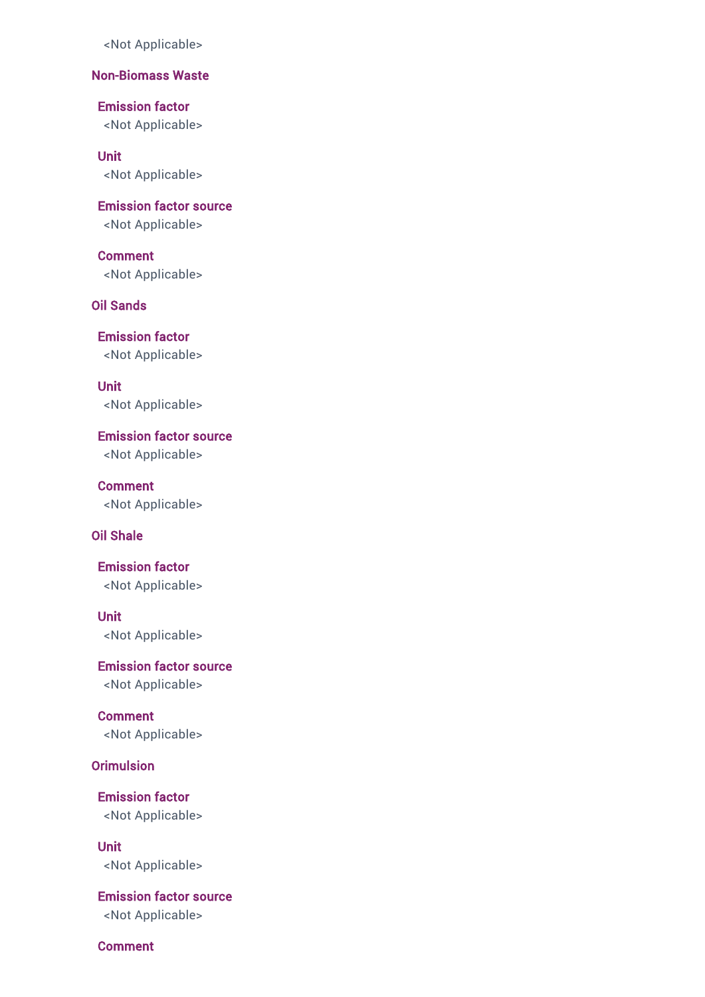## Non-Biomass Waste

Emission factor <Not Applicable>

Unit

<Not Applicable>

Emission factor source <Not Applicable>

Comment <Not Applicable>

Oil Sands

Emission factor <Not Applicable>

Unit <Not Applicable>

Emission factor source <Not Applicable>

Comment <Not Applicable>

### Oil Shale

Emission factor <Not Applicable>

Unit <Not Applicable>

Emission factor source <Not Applicable>

Comment <Not Applicable>

Orimulsion

Emission factor <Not Applicable>

Unit <Not Applicable>

Emission factor source <Not Applicable>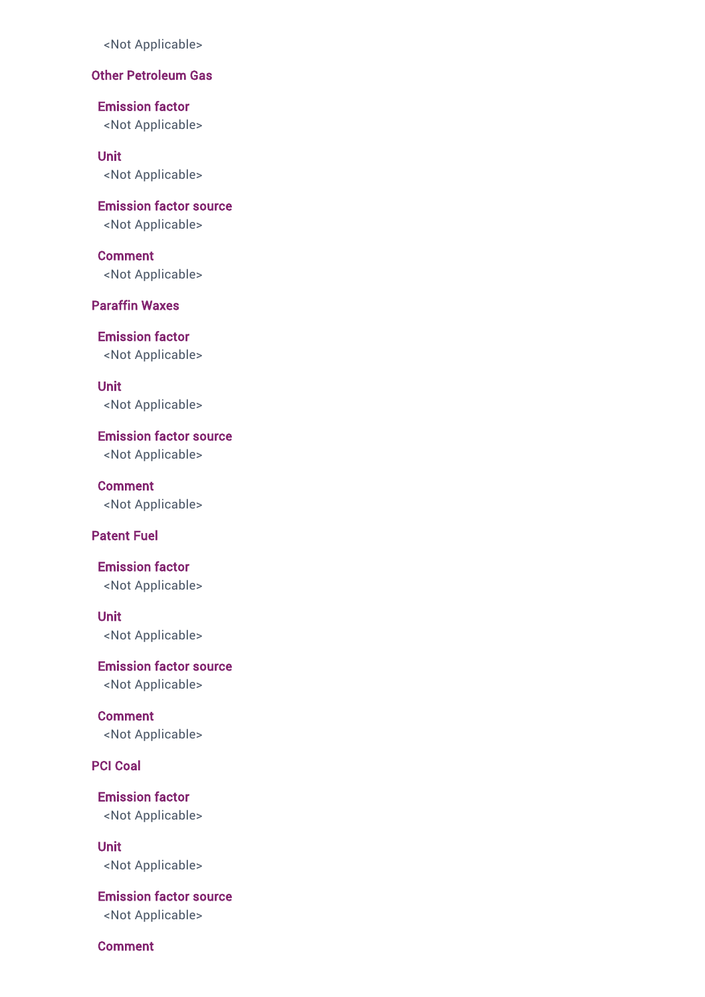# Other Petroleum Gas

Emission factor <Not Applicable>

Unit <Not Applicable>

Emission factor source <Not Applicable>

Comment <Not Applicable>

# Paraffin Waxes

Emission factor <Not Applicable>

Unit <Not Applicable>

Emission factor source <Not Applicable>

**Comment** <Not Applicable>

### Patent Fuel

Emission factor <Not Applicable>

Unit <Not Applicable>

Emission factor source <Not Applicable>

Comment <Not Applicable>

PCI Coal

Emission factor <Not Applicable>

Unit <Not Applicable>

Emission factor source <Not Applicable>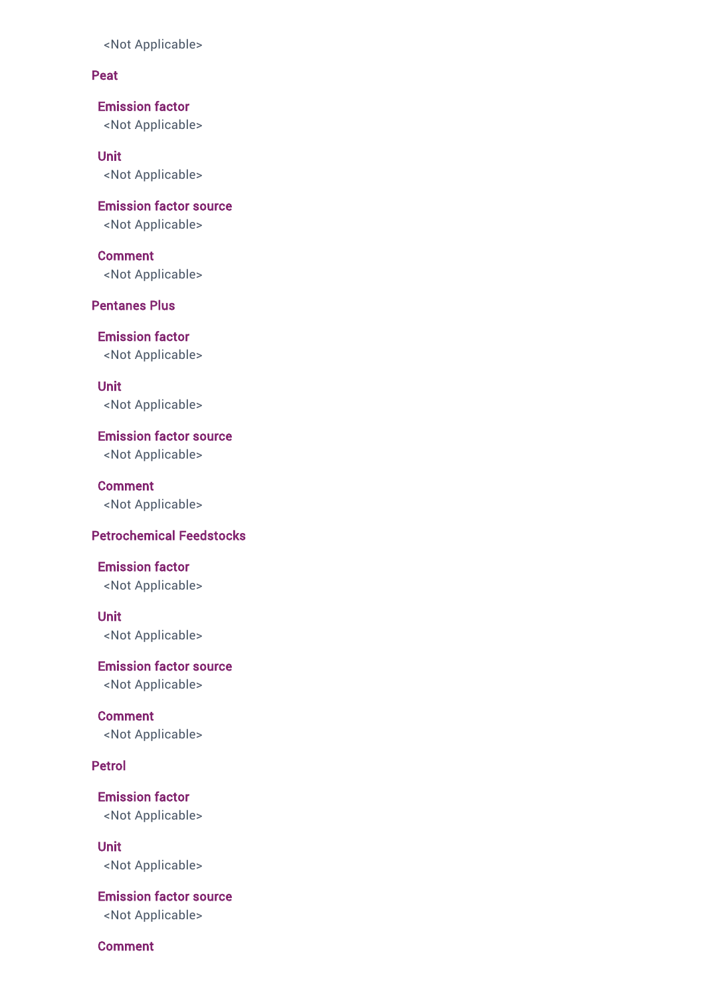### Peat

Emission factor <Not Applicable>

Unit <Not Applicable>

Emission factor source <Not Applicable>

Comment <Not Applicable>

Pentanes Plus

Emission factor <Not Applicable>

Unit <Not Applicable>

Emission factor source <Not Applicable>

Comment <Not Applicable>

### Petrochemical Feedstocks

Emission factor <Not Applicable>

Unit <Not Applicable>

Emission factor source <Not Applicable>

Comment <Not Applicable>

Petrol

Emission factor <Not Applicable>

Unit <Not Applicable>

Emission factor source <Not Applicable>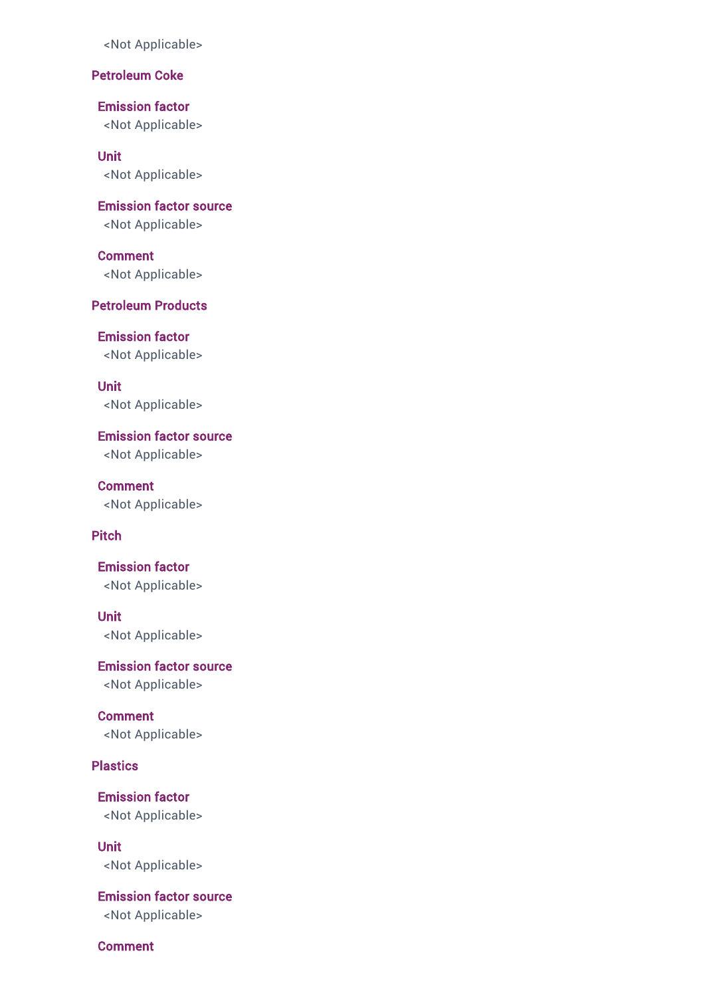### Petroleum Coke

Emission factor <Not Applicable>

Unit <Not Applicable>

Emission factor source <Not Applicable>

Comment <Not Applicable>

# Petroleum Products

Emission factor <Not Applicable>

Unit <Not Applicable>

Emission factor source <Not Applicable>

Comment <Not Applicable>

# Pitch

Emission factor <Not Applicable>

Unit <Not Applicable>

Emission factor source <Not Applicable>

Comment <Not Applicable>

**Plastics** 

Emission factor <Not Applicable>

Unit <Not Applicable>

Emission factor source <Not Applicable>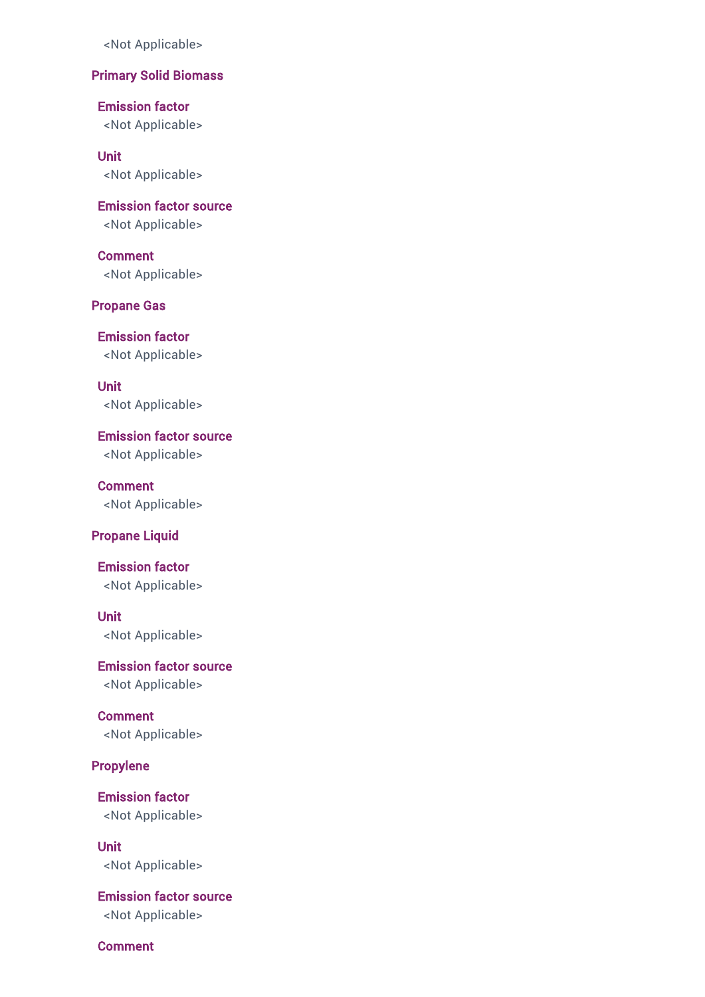## Primary Solid Biomass

Emission factor <Not Applicable>

Unit

<Not Applicable>

Emission factor source <Not Applicable>

Comment <Not Applicable>

Propane Gas

Emission factor <Not Applicable>

Unit <Not Applicable>

Emission factor source <Not Applicable>

**Comment** <Not Applicable>

### Propane Liquid

Emission factor <Not Applicable>

Unit <Not Applicable>

Emission factor source <Not Applicable>

Comment <Not Applicable>

Propylene

Emission factor <Not Applicable>

Unit <Not Applicable>

Emission factor source <Not Applicable>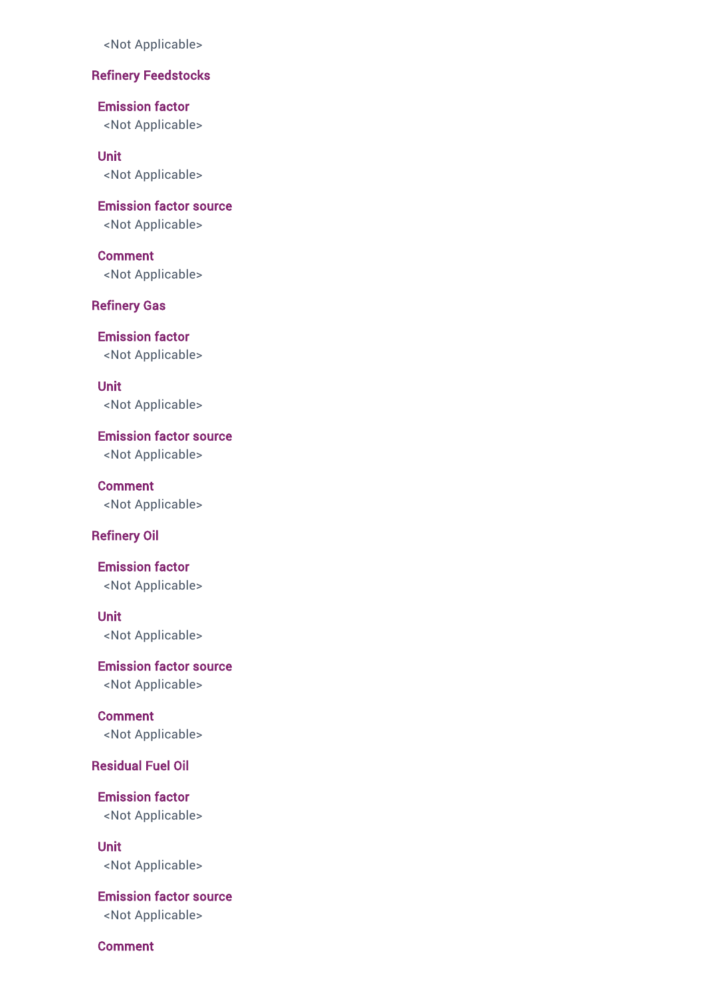### Refinery Feedstocks

Emission factor <Not Applicable>

Unit

<Not Applicable>

Emission factor source <Not Applicable>

Comment <Not Applicable>

Refinery Gas

Emission factor <Not Applicable>

Unit <Not Applicable>

Emission factor source <Not Applicable>

**Comment** <Not Applicable>

### Refinery Oil

Emission factor <Not Applicable>

Unit <Not Applicable>

Emission factor source <Not Applicable>

Comment <Not Applicable>

### Residual Fuel Oil

Emission factor <Not Applicable>

Unit <Not Applicable>

Emission factor source <Not Applicable>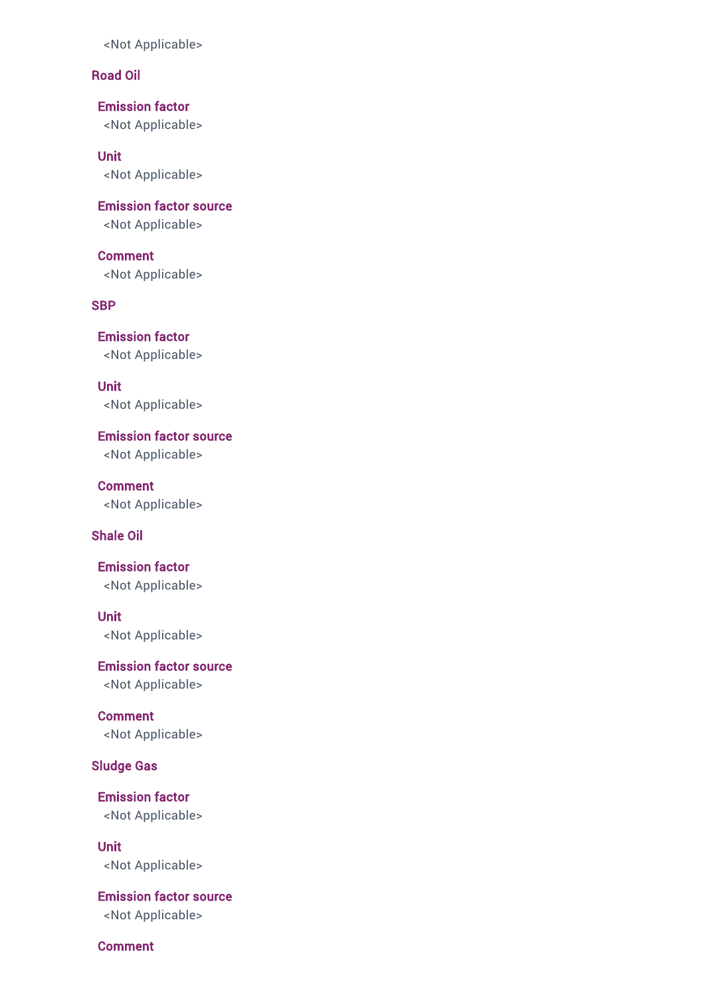### Road Oil

Emission factor <Not Applicable>

Unit <Not Applicable>

Emission factor source <Not Applicable>

Comment <Not Applicable>

**SBP** 

Emission factor <Not Applicable>

Unit <Not Applicable>

Emission factor source <Not Applicable>

Comment <Not Applicable>

### Shale Oil

Emission factor <Not Applicable>

Unit <Not Applicable>

Emission factor source <Not Applicable>

Comment <Not Applicable>

Sludge Gas

Emission factor <Not Applicable>

Unit <Not Applicable>

Emission factor source <Not Applicable>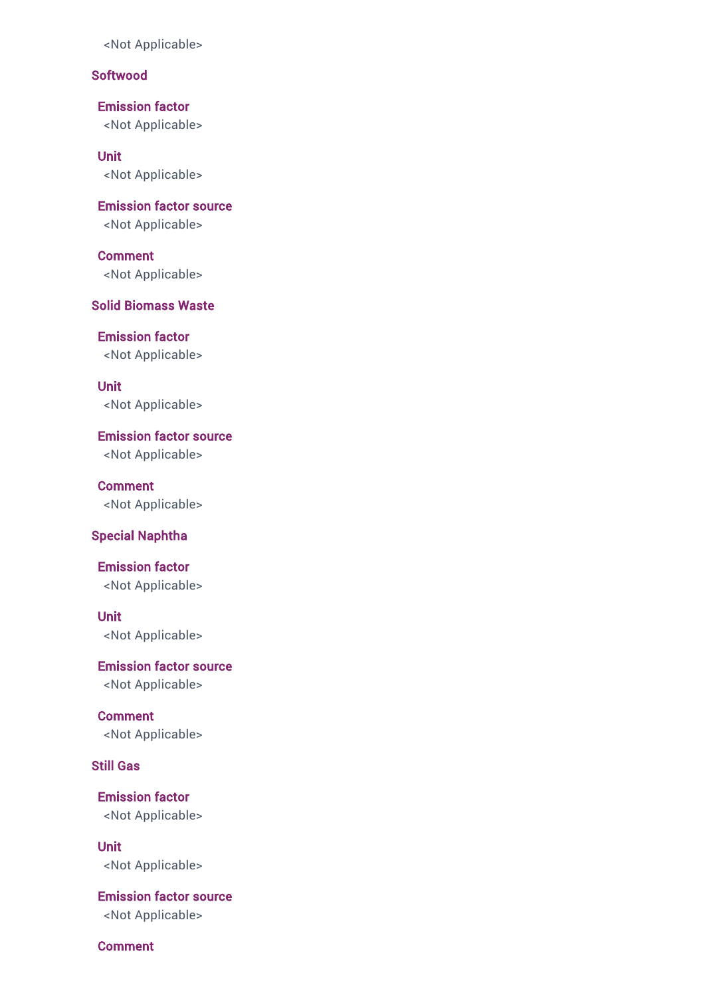## Softwood

Emission factor <Not Applicable>

Unit <Not Applicable>

Emission factor source <Not Applicable>

Comment <Not Applicable>

# Solid Biomass Waste

Emission factor <Not Applicable>

Unit <Not Applicable>

Emission factor source <Not Applicable>

**Comment** <Not Applicable>

#### Special Naphtha

Emission factor <Not Applicable>

# Unit

<Not Applicable>

Emission factor source <Not Applicable>

**Comment** <Not Applicable>

## Still Gas

Emission factor <Not Applicable>

Unit <Not Applicable>

Emission factor source <Not Applicable>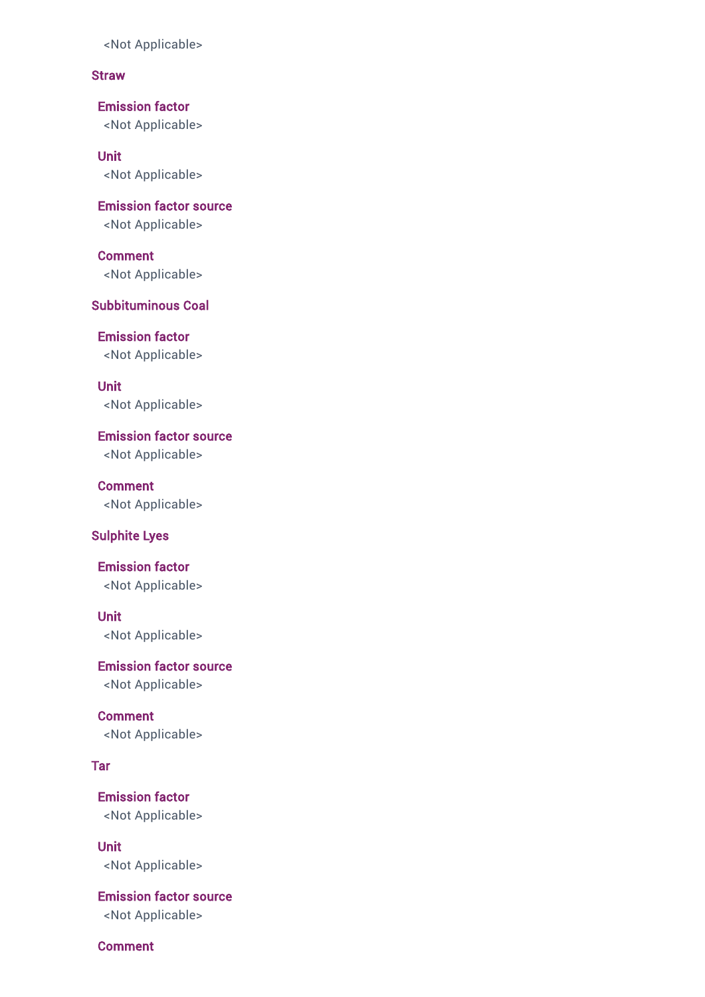### **Straw**

Emission factor <Not Applicable>

Unit <Not Applicable>

Emission factor source <Not Applicable>

Comment <Not Applicable>

# Subbituminous Coal

Emission factor <Not Applicable>

Unit <Not Applicable>

Emission factor source <Not Applicable>

Comment <Not Applicable>

### Sulphite Lyes

Emission factor <Not Applicable>

Unit

<Not Applicable>

Emission factor source <Not Applicable>

Comment <Not Applicable>

### Tar

Emission factor <Not Applicable>

Unit <Not Applicable>

Emission factor source <Not Applicable>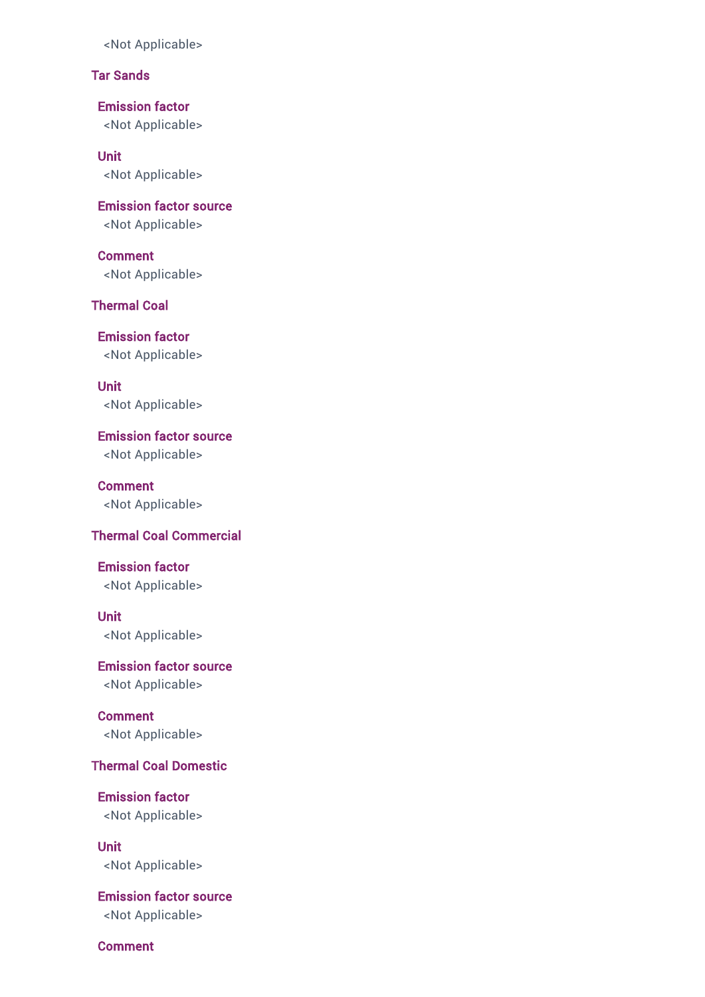# Tar Sands

Emission factor <Not Applicable>

Unit <Not Applicable>

Emission factor source <Not Applicable>

Comment <Not Applicable>

Thermal Coal

Emission factor <Not Applicable>

Unit <Not Applicable>

Emission factor source <Not Applicable>

Comment <Not Applicable>

### Thermal Coal Commercial

Emission factor <Not Applicable>

Unit <Not Applicable>

Emission factor source <Not Applicable>

Comment <Not Applicable>

# Thermal Coal Domestic

Emission factor <Not Applicable>

Unit <Not Applicable>

Emission factor source <Not Applicable>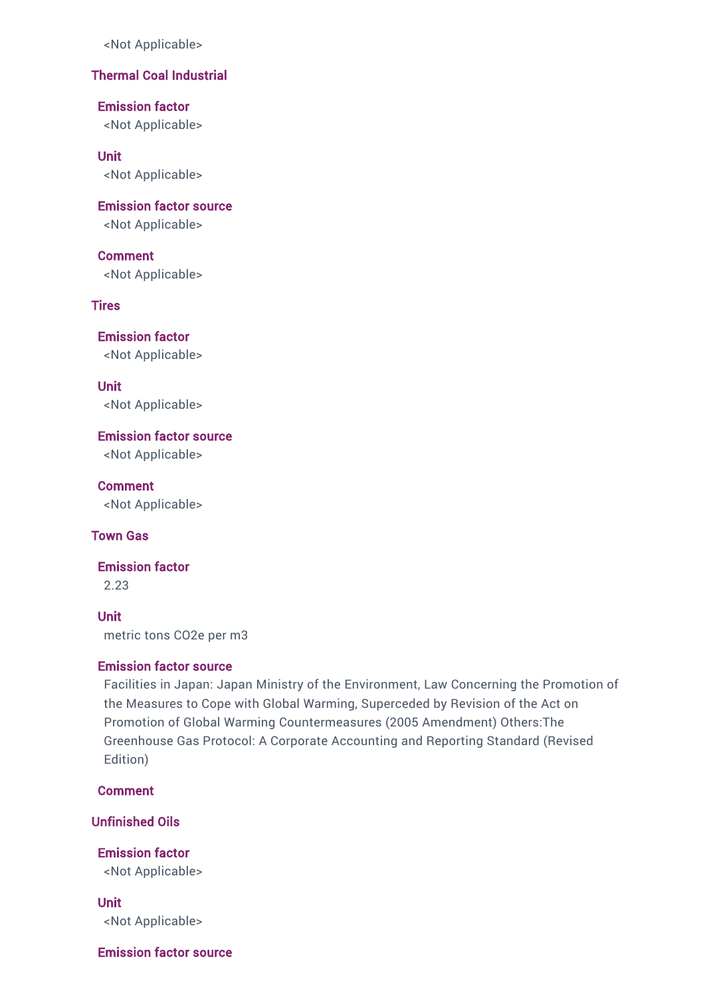# Thermal Coal Industrial

Emission factor

<Not Applicable>

#### Unit

<Not Applicable>

Emission factor source

<Not Applicable>

Comment <Not Applicable>

**Tires** 

Emission factor <Not Applicable>

Unit <Not Applicable>

Emission factor source <Not Applicable>

Comment <Not Applicable>

#### Town Gas

Emission factor 2.23

Unit metric tons CO2e per m3

### Emission factor source

Facilities in Japan: Japan Ministry of the Environment, Law Concerning the Promotion of the Measures to Cope with Global Warming, Superceded by Revision of the Act on Promotion of Global Warming Countermeasures (2005 Amendment) Others:The Greenhouse Gas Protocol: A Corporate Accounting and Reporting Standard (Revised Edition)

Comment

Unfinished Oils

Emission factor <Not Applicable>

Unit <Not Applicable>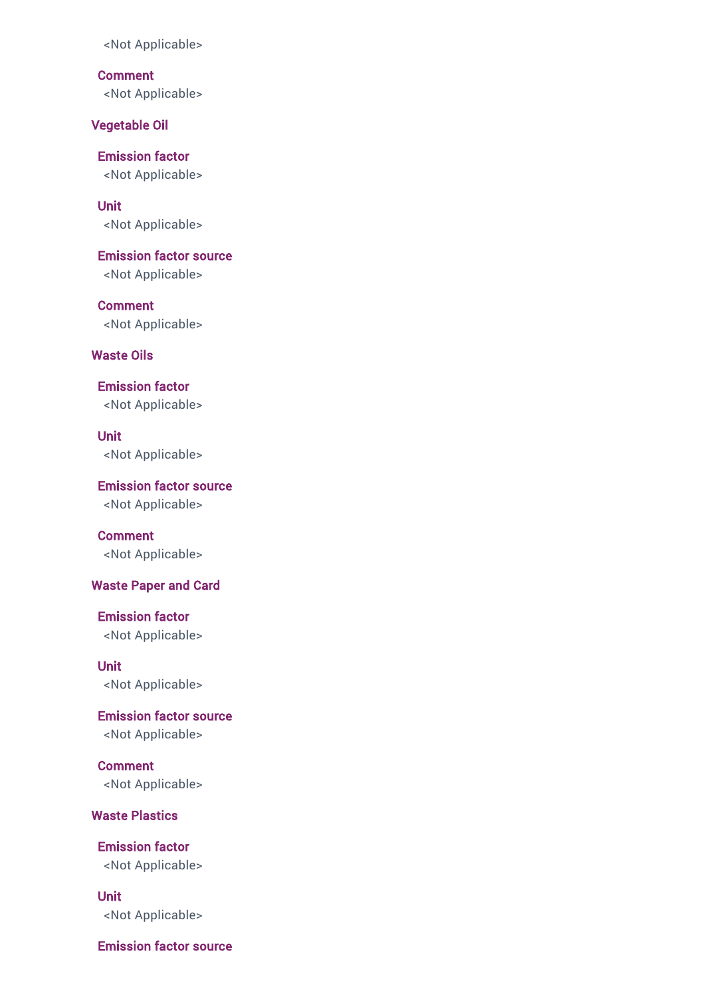**Comment** <Not Applicable>

Vegetable Oil

Emission factor <Not Applicable>

Unit <Not Applicable>

Emission factor source <Not Applicable>

Comment <Not Applicable>

Waste Oils

Emission factor <Not Applicable>

Unit <Not Applicable>

Emission factor source <Not Applicable>

Comment <Not Applicable>

Waste Paper and Card

Emission factor <Not Applicable>

Unit <Not Applicable>

Emission factor source <Not Applicable>

Comment <Not Applicable>

Waste Plastics

Emission factor <Not Applicable>

Unit <Not Applicable>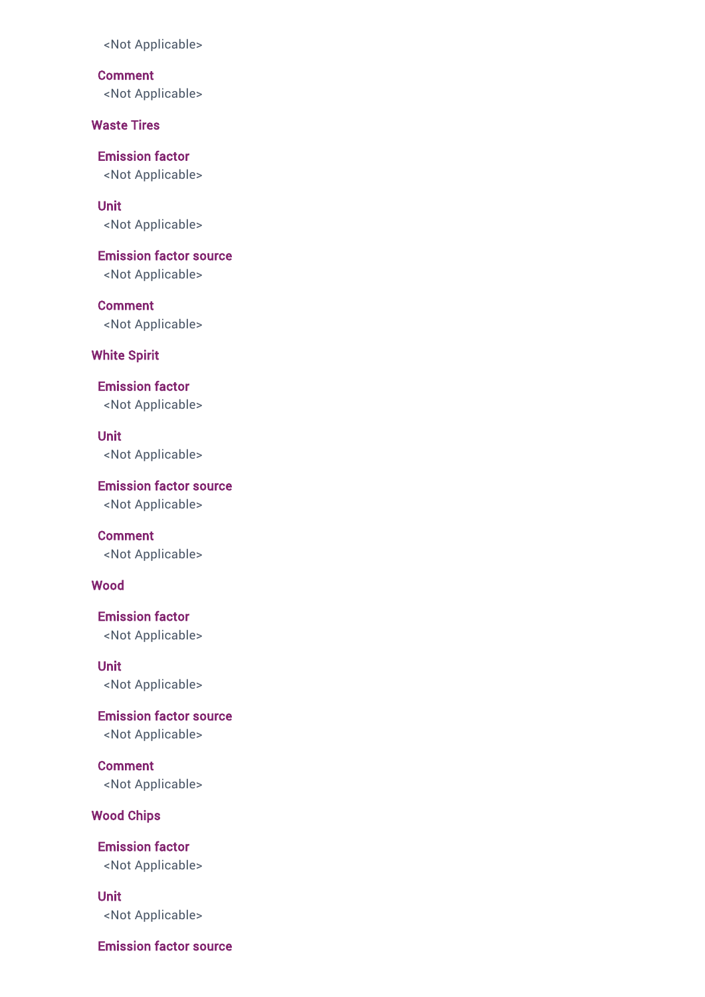**Comment** <Not Applicable>

Waste Tires

Emission factor <Not Applicable>

Unit <Not Applicable>

Emission factor source <Not Applicable>

Comment <Not Applicable>

White Spirit

Emission factor <Not Applicable>

Unit <Not Applicable>

Emission factor source <Not Applicable>

Comment <Not Applicable>

### Wood

Emission factor <Not Applicable>

Unit <Not Applicable>

Emission factor source <Not Applicable>

Comment <Not Applicable>

## Wood Chips

Emission factor <Not Applicable>

Unit <Not Applicable>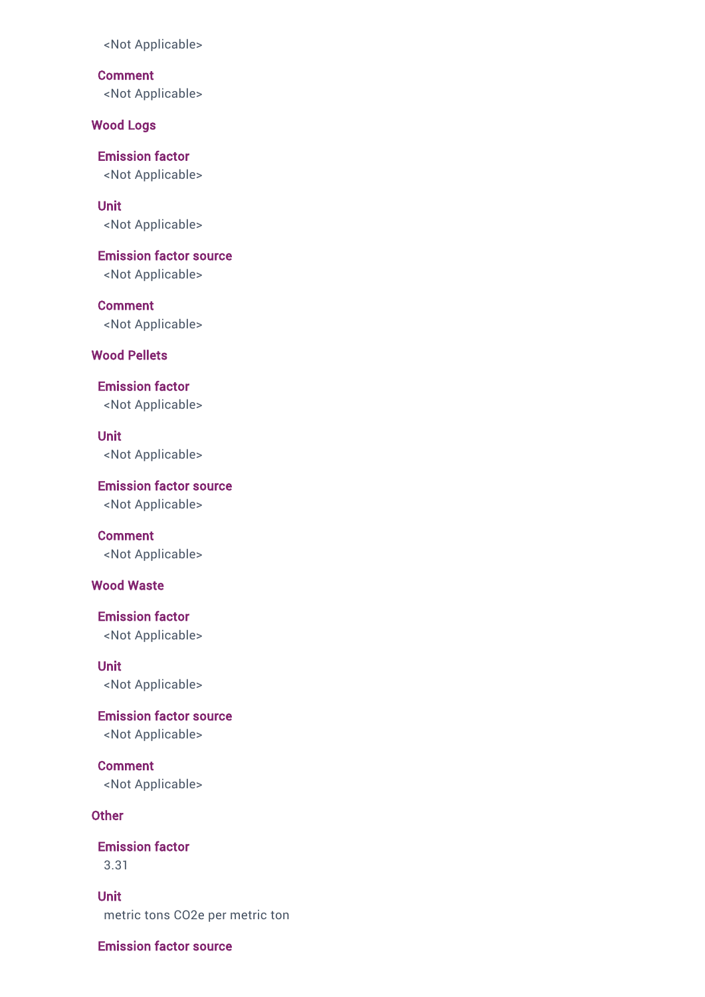**Comment** <Not Applicable>

Wood Logs

Emission factor <Not Applicable>

Unit <Not Applicable>

Emission factor source <Not Applicable>

Comment <Not Applicable>

Wood Pellets

Emission factor <Not Applicable>

Unit <Not Applicable>

Emission factor source <Not Applicable>

Comment <Not Applicable>

### Wood Waste

Emission factor <Not Applicable>

Unit <Not Applicable>

Emission factor source <Not Applicable>

Comment <Not Applicable>

### **Other**

Emission factor 3.31

Unit metric tons CO2e per metric ton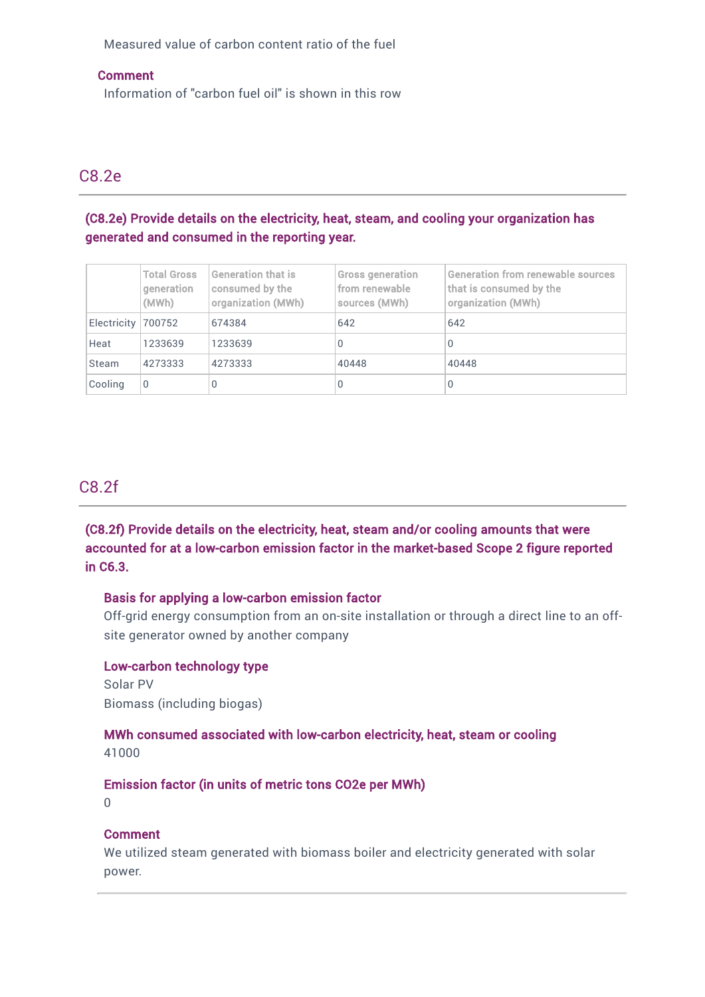Measured value of carbon content ratio of the fuel

### Comment

Information of "carbon fuel oil" is shown in this row

# C8.2e

# (C8.2e) Provide details on the electricity, heat, steam, and cooling your organization has generated and consumed in the reporting year.

|                    | <b>Total Gross</b><br>qeneration<br>(MWh) | <b>Generation that is</b><br>consumed by the<br>organization (MWh) | <b>Gross generation</b><br>from renewable<br>sources (MWh) | <b>Generation from renewable sources</b><br>that is consumed by the<br>organization (MWh) |
|--------------------|-------------------------------------------|--------------------------------------------------------------------|------------------------------------------------------------|-------------------------------------------------------------------------------------------|
| Electricity 700752 |                                           | 674384                                                             | 642                                                        | 642                                                                                       |
| Heat               | 1233639                                   | 1233639                                                            |                                                            | 0                                                                                         |
| Steam              | 4273333                                   | 4273333                                                            | 40448                                                      | 40448                                                                                     |
| Cooling            | 0                                         | 0                                                                  |                                                            | 0                                                                                         |

# C8.2f

(C8.2f) Provide details on the electricity, heat, steam and/or cooling amounts that were accounted for at a low-carbon emission factor in the market-based Scope 2 figure reported in C6.3.

### Basis for applying a low-carbon emission factor

Off-grid energy consumption from an on-site installation or through a direct line to an offsite generator owned by another company

### Low-carbon technology type

Solar PV Biomass (including biogas)

### MWh consumed associated with low-carbon electricity, heat, steam or cooling 41000

### Emission factor (in units of metric tons CO2e per MWh)

 $\Omega$ 

### Comment

We utilized steam generated with biomass boiler and electricity generated with solar power.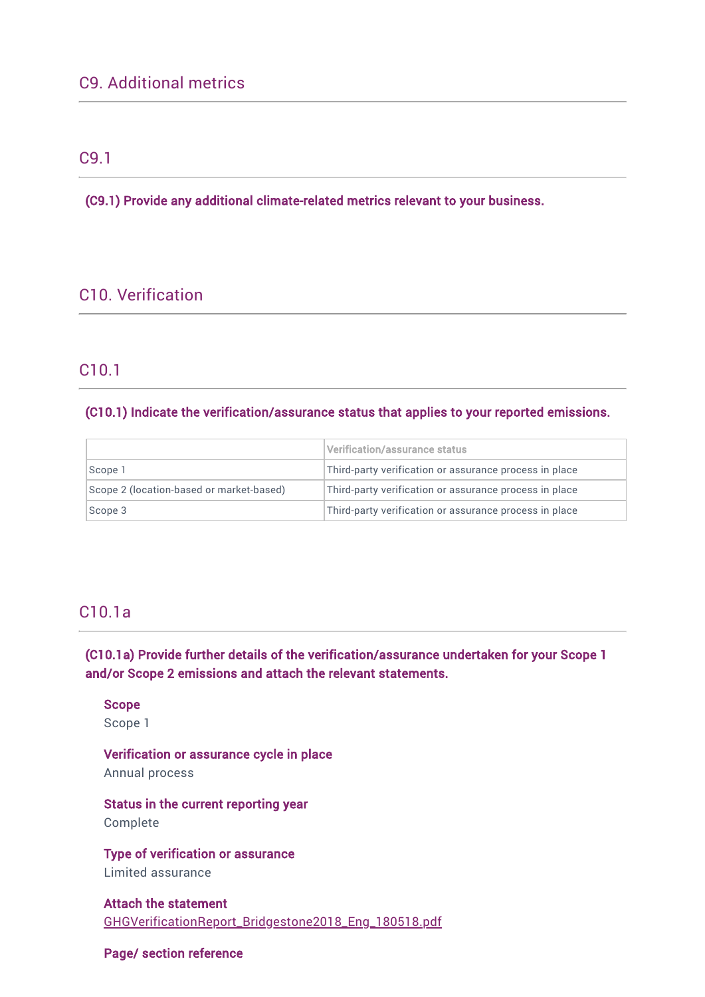# C9.1

(C9.1) Provide any additional climate-related metrics relevant to your business.

# C10. Verification

# C10.1

### (C10.1) Indicate the verification/assurance status that applies to your reported emissions.

|                                          | Verification/assurance status                          |  |
|------------------------------------------|--------------------------------------------------------|--|
| Scope 1                                  | Third-party verification or assurance process in place |  |
| Scope 2 (location-based or market-based) | Third-party verification or assurance process in place |  |
| Scope 3                                  | Third-party verification or assurance process in place |  |

# C10.1a

(C10.1a) Provide further details of the verification/assurance undertaken for your Scope 1 and/or Scope 2 emissions and attach the relevant statements.

Scope

Scope 1

Verification or assurance cycle in place Annual process

Status in the current reporting year Complete

Type of verification or assurance Limited assurance

Attach the statement [GHGVerificationReport\\_Bridgestone2018\\_Eng\\_180518.pdf](https://www.cdp.net/en/formatted_responses/files?file_path=k9me76vz7u2sozvqoi2gbw-cdp-credit360-com/DHX-_31erkaedg59g50JLQ/GHGVerificationReportBridgestone2018Eng180518.pdf)

# Page/ section reference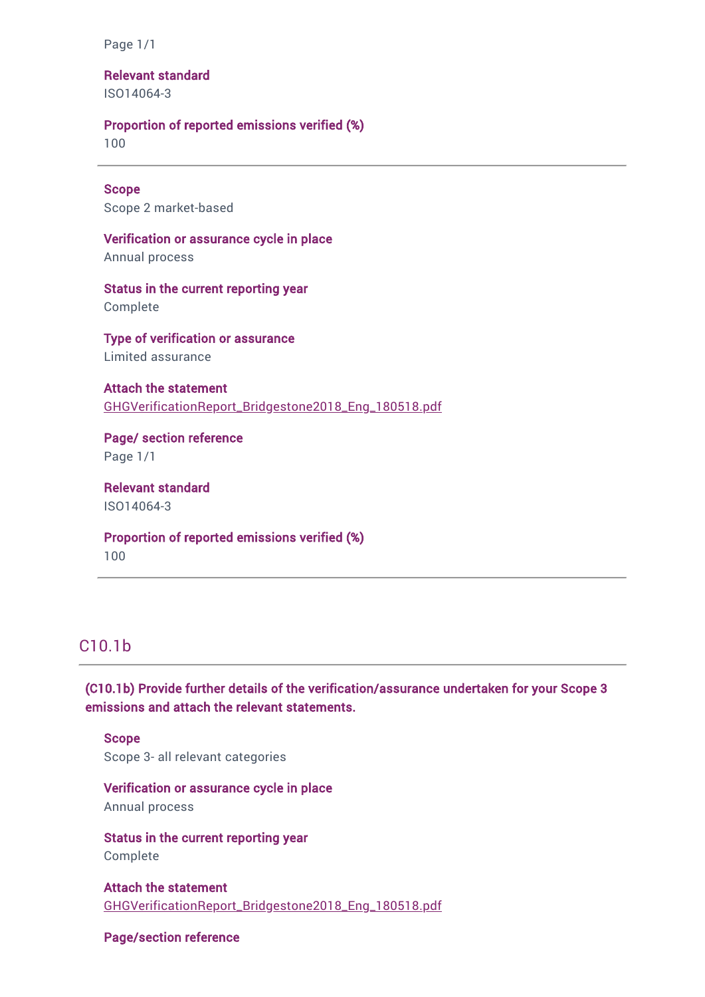Page 1/1

Relevant standard ISO14064-3

### Proportion of reported emissions verified (%)

100

Scope Scope 2 market-based

Verification or assurance cycle in place Annual process

Status in the current reporting year Complete

Type of verification or assurance Limited assurance

Attach the statement [GHGVerificationReport\\_Bridgestone2018\\_Eng\\_180518.pdf](https://www.cdp.net/en/formatted_responses/files?file_path=k9me76vz7u2sozvqoi2gbw-cdp-credit360-com/DHX-_31erkaedg59g50JLQ/GHGVerificationReportBridgestone2018Eng180518.pdf)

Page/ section reference Page 1/1

Relevant standard ISO14064-3

Proportion of reported emissions verified (%) 100

# C10.1b

(C10.1b) Provide further details of the verification/assurance undertaken for your Scope 3 emissions and attach the relevant statements.

**Scope** Scope 3- all relevant categories

### Verification or assurance cycle in place Annual process

Status in the current reporting year Complete

Attach the statement [GHGVerificationReport\\_Bridgestone2018\\_Eng\\_180518.pdf](https://www.cdp.net/en/formatted_responses/files?file_path=k9me76vz7u2sozvqoi2gbw-cdp-credit360-com/DHX-_31erkaedg59g50JLQ/GHGVerificationReportBridgestone2018Eng180518.pdf)

#### Page/section reference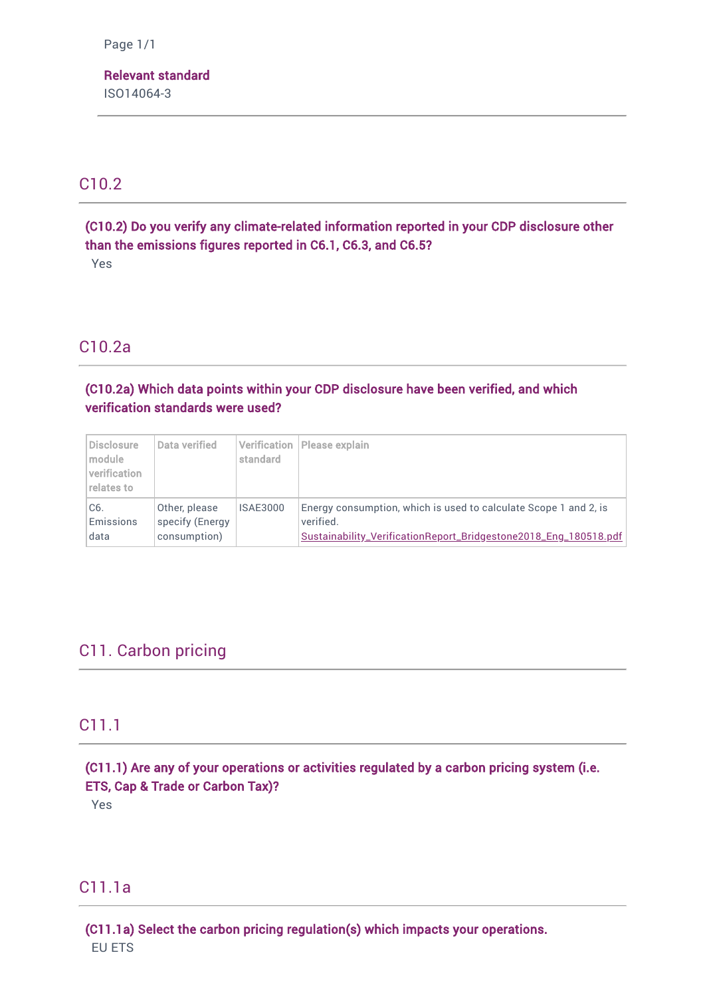Page 1/1

Relevant standard ISO14064-3

# C10.2

(C10.2) Do you verify any climate-related information reported in your CDP disclosure other than the emissions figures reported in C6.1, C6.3, and C6.5? Yes

# C10.2a

(C10.2a) Which data points within your CDP disclosure have been verified, and which verification standards were used?

| <b>Disclosure</b><br>module.<br>verification<br>relates to | Data verified   | standard        | Verification  Please explain                                     |
|------------------------------------------------------------|-----------------|-----------------|------------------------------------------------------------------|
| C6.                                                        | Other, please   | <b>ISAE3000</b> | Energy consumption, which is used to calculate Scope 1 and 2, is |
| Emissions                                                  | specify (Energy |                 | verified.                                                        |
| data                                                       | consumption)    |                 | Sustainability_VerificationReport_Bridgestone2018_Eng_180518.pdf |

# C11. Carbon pricing

# C11.1

(C11.1) Are any of your operations or activities regulated by a carbon pricing system (i.e. ETS, Cap & Trade or Carbon Tax)?

Yes

# C11.1a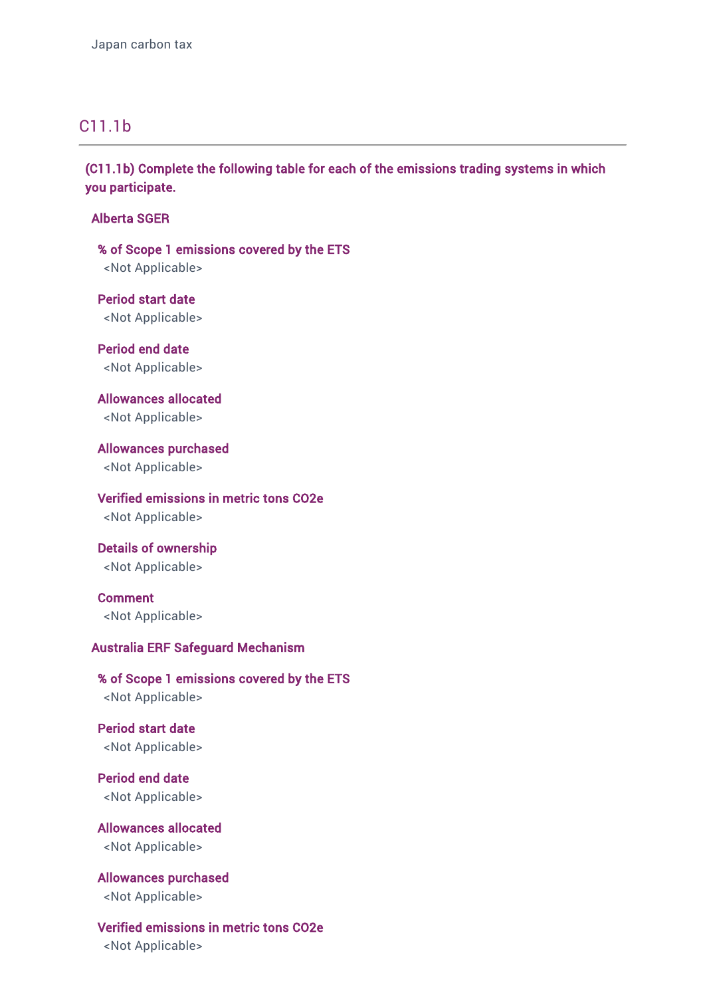# C11.1b

(C11.1b) Complete the following table for each of the emissions trading systems in which you participate.

Alberta SGER

% of Scope 1 emissions covered by the ETS <Not Applicable>

Period start date <Not Applicable>

Period end date <Not Applicable>

Allowances allocated <Not Applicable>

Allowances purchased <Not Applicable>

Verified emissions in metric tons CO2e <Not Applicable>

Details of ownership <Not Applicable>

Comment <Not Applicable>

### Australia ERF Safeguard Mechanism

% of Scope 1 emissions covered by the ETS <Not Applicable>

Period start date <Not Applicable>

Period end date <Not Applicable>

Allowances allocated <Not Applicable>

Allowances purchased <Not Applicable>

Verified emissions in metric tons CO2e <Not Applicable>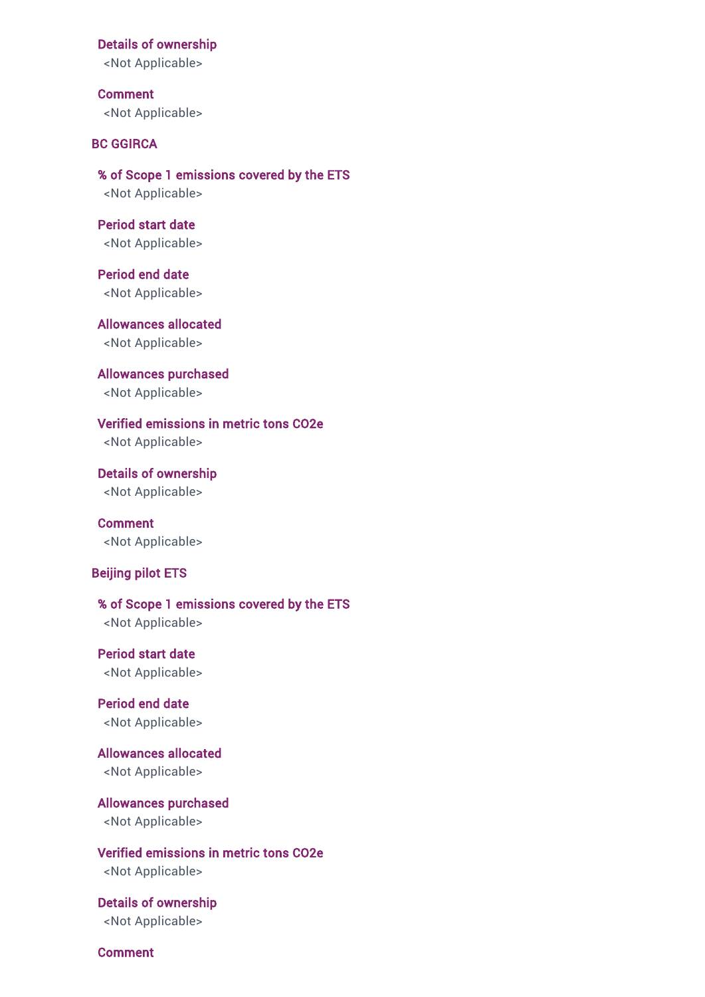#### Details of ownership

<Not Applicable>

Comment <Not Applicable>

### BC GGIRCA

% of Scope 1 emissions covered by the ETS <Not Applicable>

Period start date <Not Applicable>

Period end date <Not Applicable>

Allowances allocated <Not Applicable>

Allowances purchased <Not Applicable>

Verified emissions in metric tons CO2e <Not Applicable>

Details of ownership <Not Applicable>

Comment <Not Applicable>

### Beijing pilot ETS

% of Scope 1 emissions covered by the ETS <Not Applicable>

Period start date <Not Applicable>

Period end date <Not Applicable>

Allowances allocated <Not Applicable>

Allowances purchased <Not Applicable>

Verified emissions in metric tons CO2e <Not Applicable>

Details of ownership <Not Applicable>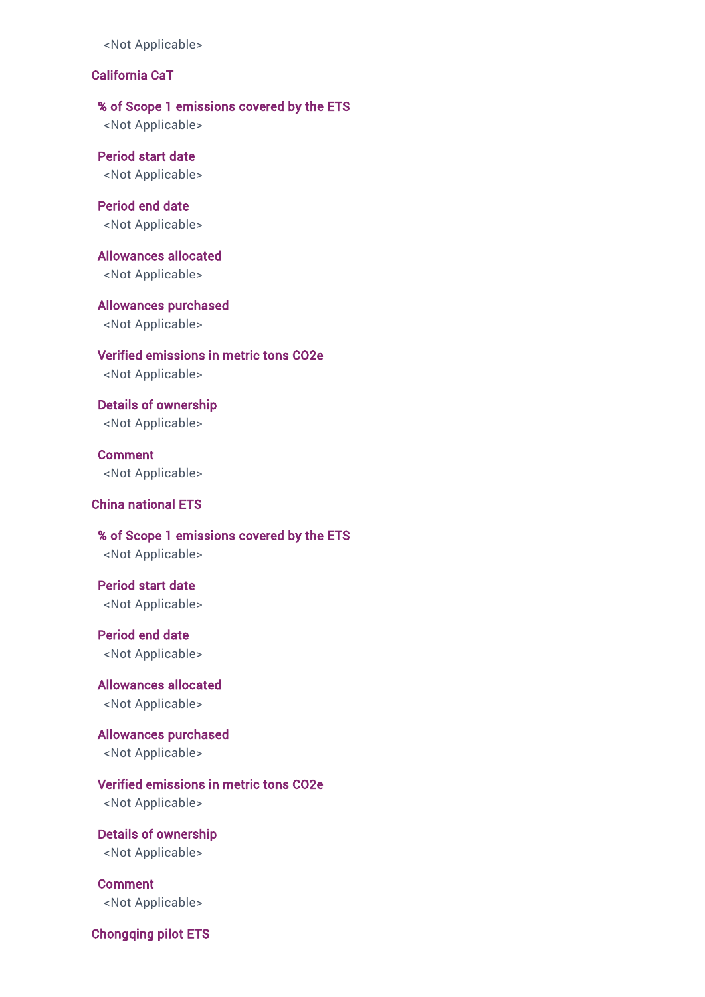# California CaT

% of Scope 1 emissions covered by the ETS

<Not Applicable>

Period start date <Not Applicable>

Period end date <Not Applicable>

Allowances allocated <Not Applicable>

Allowances purchased <Not Applicable>

Verified emissions in metric tons CO2e <Not Applicable>

Details of ownership <Not Applicable>

Comment <Not Applicable>

## China national ETS

% of Scope 1 emissions covered by the ETS <Not Applicable>

Period start date <Not Applicable>

Period end date <Not Applicable>

Allowances allocated <Not Applicable>

Allowances purchased <Not Applicable>

Verified emissions in metric tons CO2e <Not Applicable>

Details of ownership <Not Applicable>

Comment <Not Applicable>

Chongqing pilot ETS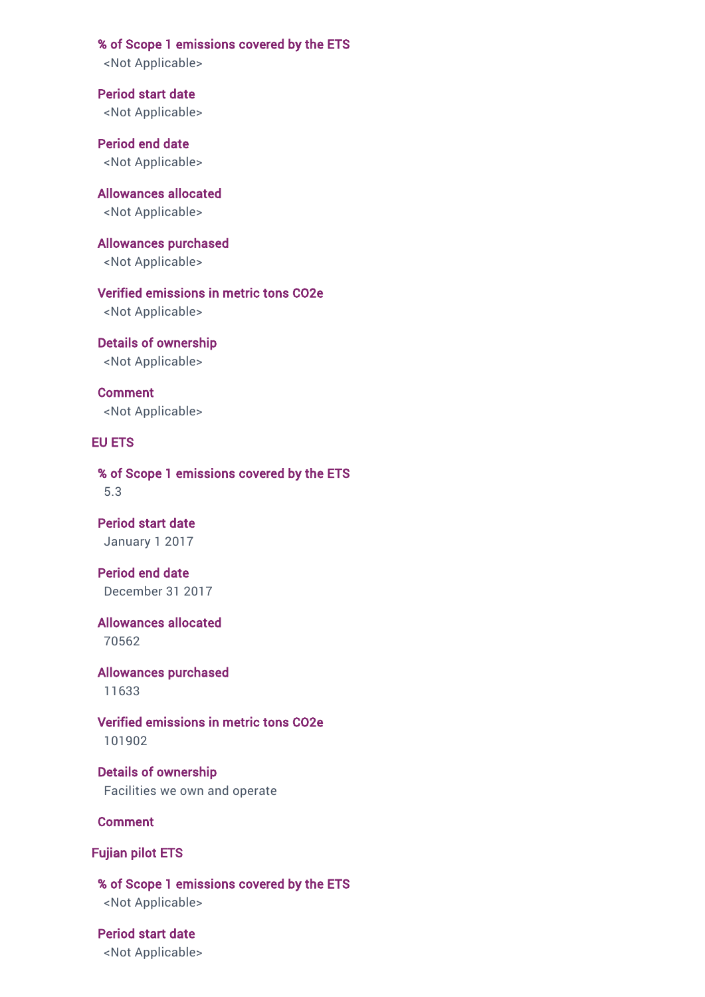% of Scope 1 emissions covered by the ETS

<Not Applicable>

Period start date <Not Applicable>

Period end date <Not Applicable>

Allowances allocated <Not Applicable>

Allowances purchased <Not Applicable>

Verified emissions in metric tons CO2e <Not Applicable>

Details of ownership <Not Applicable>

Comment <Not Applicable>

#### EU ETS

% of Scope 1 emissions covered by the ETS 5.3

Period start date January 1 2017

Period end date December 31 2017

Allowances allocated 70562

Allowances purchased 11633

Verified emissions in metric tons CO2e 101902

Details of ownership Facilities we own and operate

Comment

Fujian pilot ETS

% of Scope 1 emissions covered by the ETS <Not Applicable>

Period start date <Not Applicable>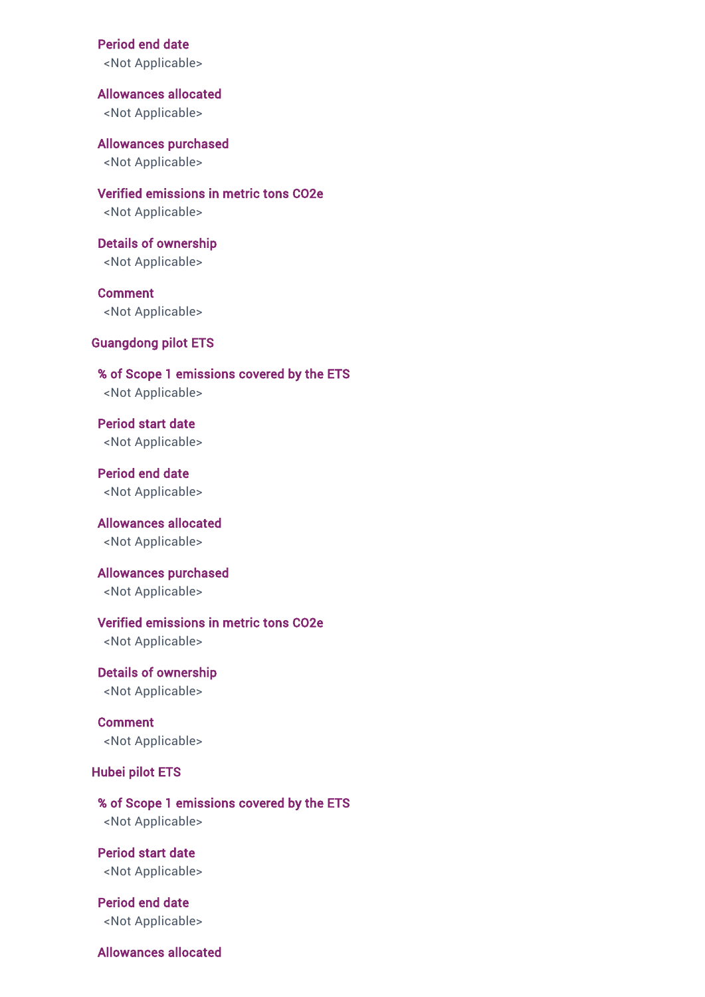Period end date

<Not Applicable>

Allowances allocated <Not Applicable>

Allowances purchased <Not Applicable>

Verified emissions in metric tons CO2e <Not Applicable>

Details of ownership <Not Applicable>

Comment <Not Applicable>

### Guangdong pilot ETS

% of Scope 1 emissions covered by the ETS <Not Applicable>

Period start date <Not Applicable>

Period end date <Not Applicable>

Allowances allocated <Not Applicable>

Allowances purchased <Not Applicable>

### Verified emissions in metric tons CO2e

<Not Applicable>

Details of ownership <Not Applicable>

Comment <Not Applicable>

### Hubei pilot ETS

% of Scope 1 emissions covered by the ETS <Not Applicable>

Period start date <Not Applicable>

Period end date <Not Applicable>

# Allowances allocated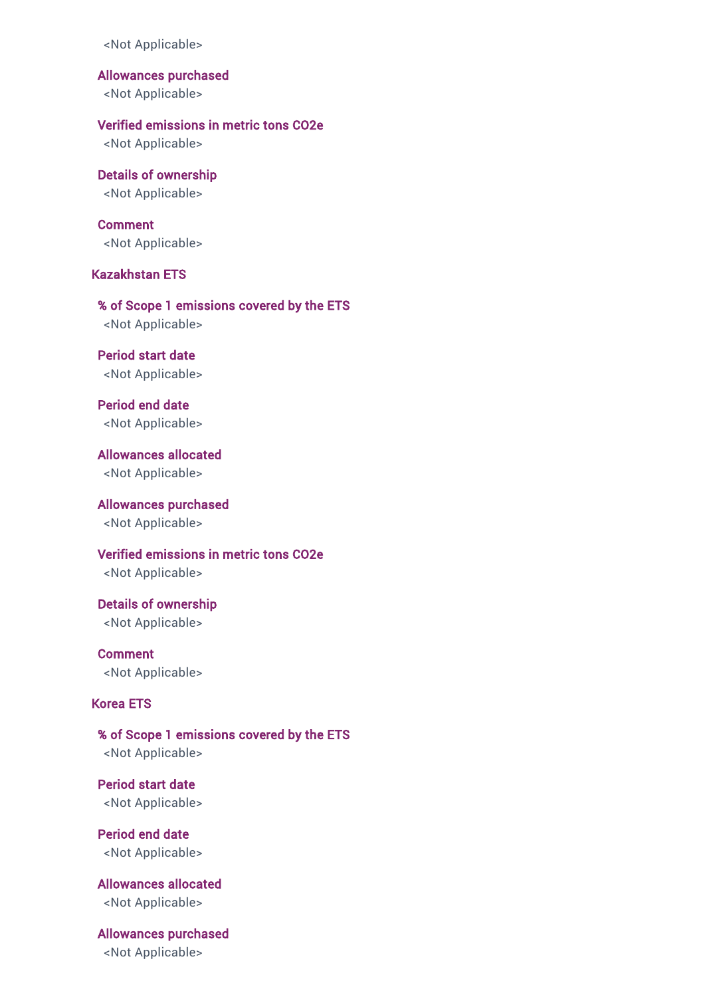Allowances purchased

<Not Applicable>

### Verified emissions in metric tons CO2e

<Not Applicable>

# Details of ownership

<Not Applicable>

### Comment

<Not Applicable>

## Kazakhstan ETS

% of Scope 1 emissions covered by the ETS

<Not Applicable>

# Period start date

<Not Applicable>

### Period end date <Not Applicable>

Allowances allocated <Not Applicable>

### Allowances purchased <Not Applicable>

Verified emissions in metric tons CO2e <Not Applicable>

## Details of ownership <Not Applicable>

Comment <Not Applicable>

## Korea ETS

# % of Scope 1 emissions covered by the ETS <Not Applicable>

Period start date <Not Applicable>

Period end date <Not Applicable>

# Allowances allocated <Not Applicable>

# Allowances purchased

<Not Applicable>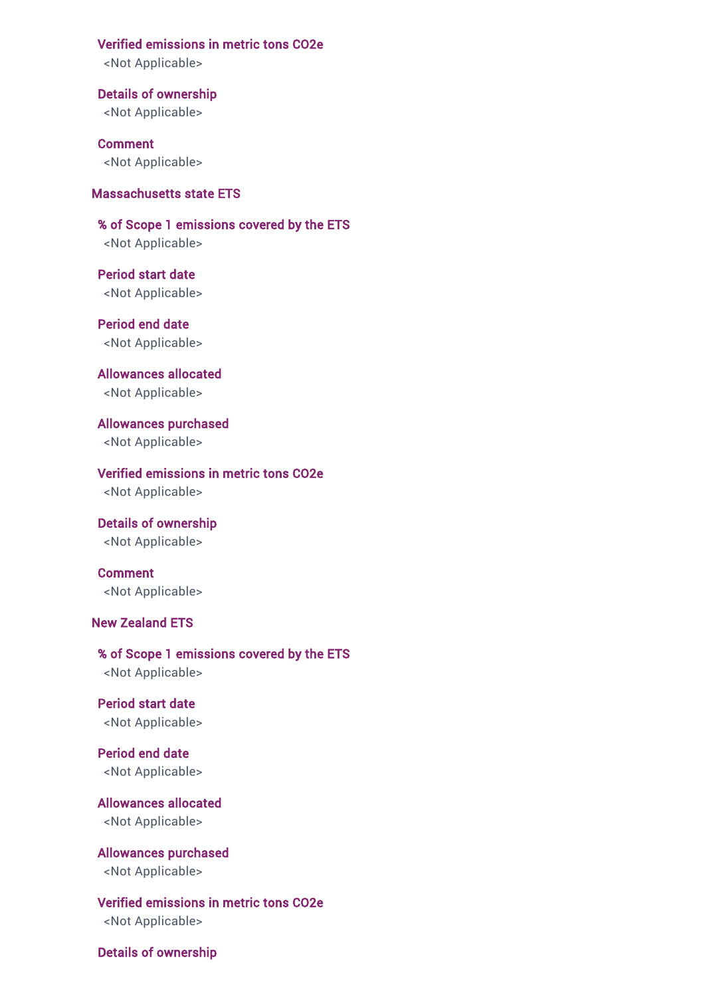#### Verified emissions in metric tons CO2e

<Not Applicable>

Details of ownership <Not Applicable>

Comment <Not Applicable>

### Massachusetts state ETS

% of Scope 1 emissions covered by the ETS <Not Applicable>

Period start date <Not Applicable>

Period end date <Not Applicable>

Allowances allocated <Not Applicable>

Allowances purchased <Not Applicable>

Verified emissions in metric tons CO2e <Not Applicable>

Details of ownership <Not Applicable>

Comment <Not Applicable>

### New Zealand ETS

% of Scope 1 emissions covered by the ETS <Not Applicable>

Period start date <Not Applicable>

Period end date <Not Applicable>

Allowances allocated <Not Applicable>

Allowances purchased <Not Applicable>

Verified emissions in metric tons CO2e <Not Applicable>

Details of ownership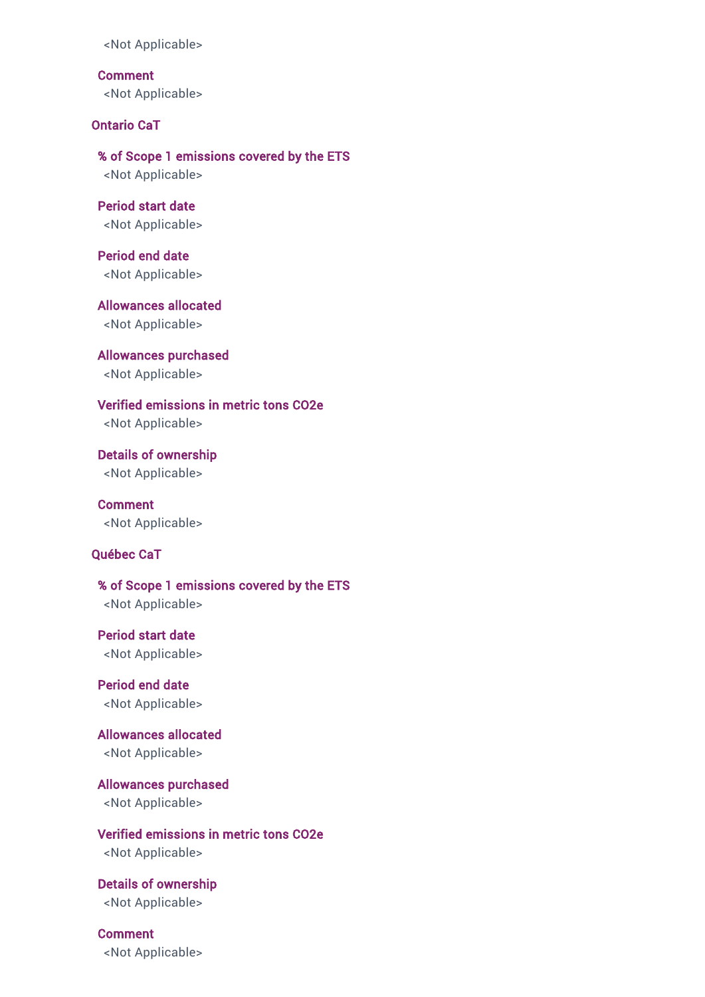Comment <Not Applicable>

Ontario CaT

% of Scope 1 emissions covered by the ETS <Not Applicable>

Period start date <Not Applicable>

Period end date <Not Applicable>

Allowances allocated <Not Applicable>

Allowances purchased <Not Applicable>

Verified emissions in metric tons CO2e <Not Applicable>

Details of ownership <Not Applicable>

**Comment** <Not Applicable>

### Québec CaT

% of Scope 1 emissions covered by the ETS <Not Applicable>

Period start date <Not Applicable>

Period end date <Not Applicable>

Allowances allocated <Not Applicable>

Allowances purchased <Not Applicable>

Verified emissions in metric tons CO2e <Not Applicable>

Details of ownership <Not Applicable>

Comment <Not Applicable>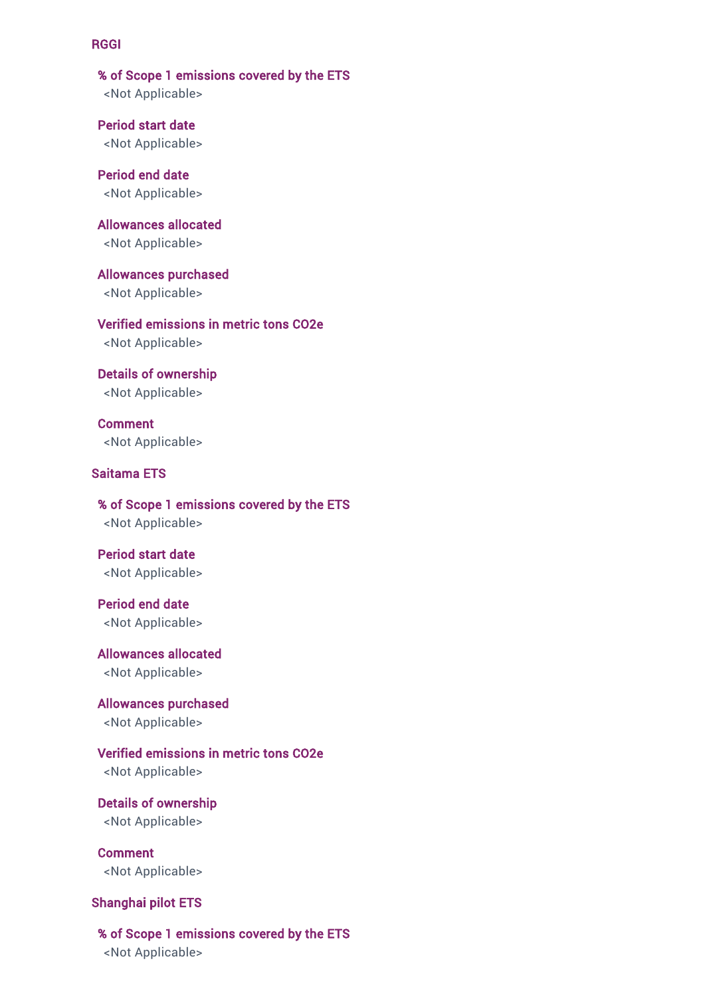#### RGGI

% of Scope 1 emissions covered by the ETS <Not Applicable>

Period start date <Not Applicable>

Period end date <Not Applicable>

Allowances allocated <Not Applicable>

Allowances purchased <Not Applicable>

Verified emissions in metric tons CO2e <Not Applicable>

Details of ownership <Not Applicable>

Comment <Not Applicable>

# Saitama ETS

% of Scope 1 emissions covered by the ETS <Not Applicable>

Period start date <Not Applicable>

Period end date <Not Applicable>

Allowances allocated <Not Applicable>

Allowances purchased <Not Applicable>

Verified emissions in metric tons CO2e <Not Applicable>

Details of ownership <Not Applicable>

Comment <Not Applicable>

### Shanghai pilot ETS

#### % of Scope 1 emissions covered by the ETS

<Not Applicable>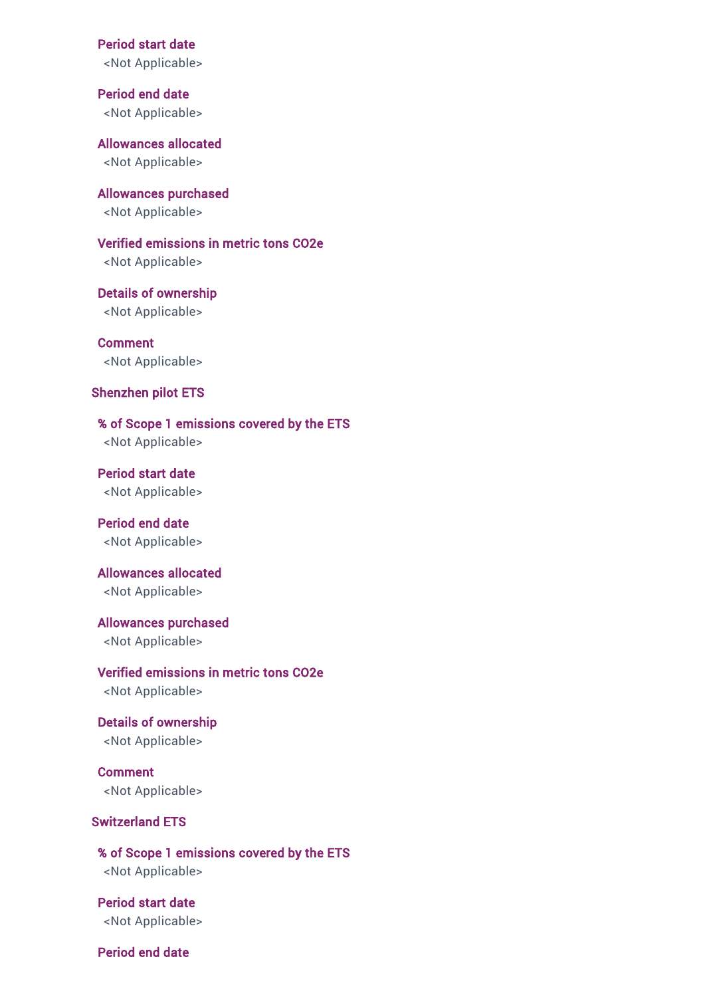Period start date

<Not Applicable>

Period end date <Not Applicable>

Allowances allocated <Not Applicable>

Allowances purchased <Not Applicable>

Verified emissions in metric tons CO2e <Not Applicable>

Details of ownership <Not Applicable>

Comment <Not Applicable>

### Shenzhen pilot ETS

% of Scope 1 emissions covered by the ETS <Not Applicable>

Period start date <Not Applicable>

Period end date <Not Applicable>

Allowances allocated

<Not Applicable>

Allowances purchased

<Not Applicable>

Verified emissions in metric tons CO2e <Not Applicable>

Details of ownership <Not Applicable>

Comment <Not Applicable>

## Switzerland ETS

% of Scope 1 emissions covered by the ETS <Not Applicable>

Period start date <Not Applicable>

Period end date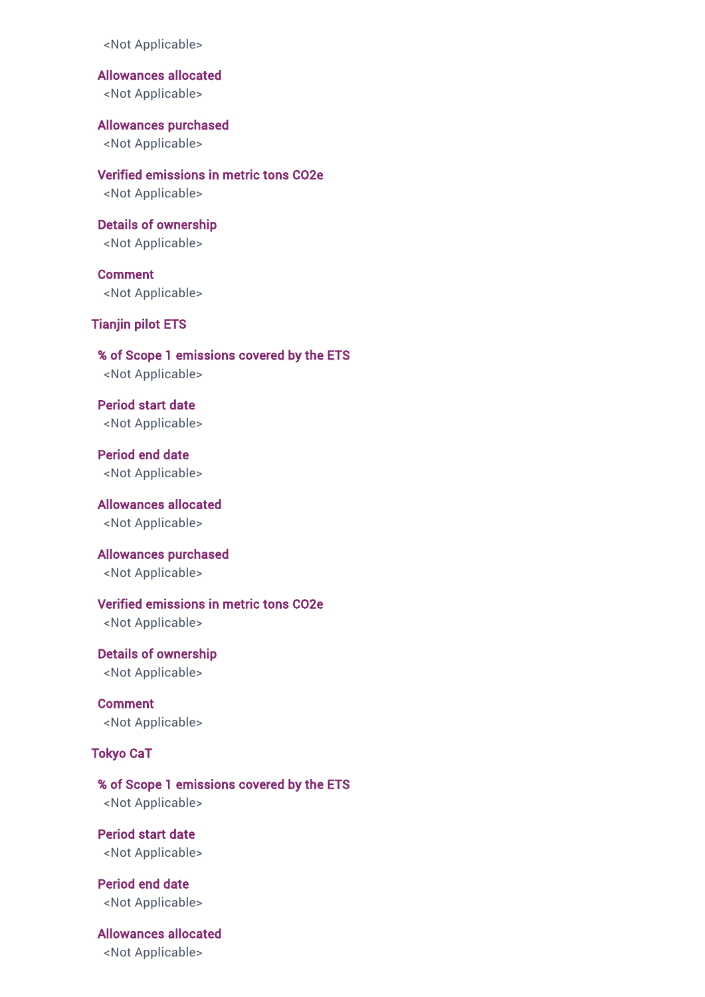<Not Applicable>

Allowances allocated

<Not Applicable>

Allowances purchased <Not Applicable>

Verified emissions in metric tons CO2e <Not Applicable>

Details of ownership <Not Applicable>

Comment <Not Applicable>

### Tianjin pilot ETS

% of Scope 1 emissions covered by the ETS <Not Applicable>

Period start date <Not Applicable>

Period end date <Not Applicable>

Allowances allocated <Not Applicable>

Allowances purchased <Not Applicable>

## Verified emissions in metric tons CO2e

<Not Applicable>

Details of ownership <Not Applicable>

Comment <Not Applicable>

## Tokyo CaT

% of Scope 1 emissions covered by the ETS <Not Applicable>

Period start date <Not Applicable>

Period end date <Not Applicable>

Allowances allocated <Not Applicable>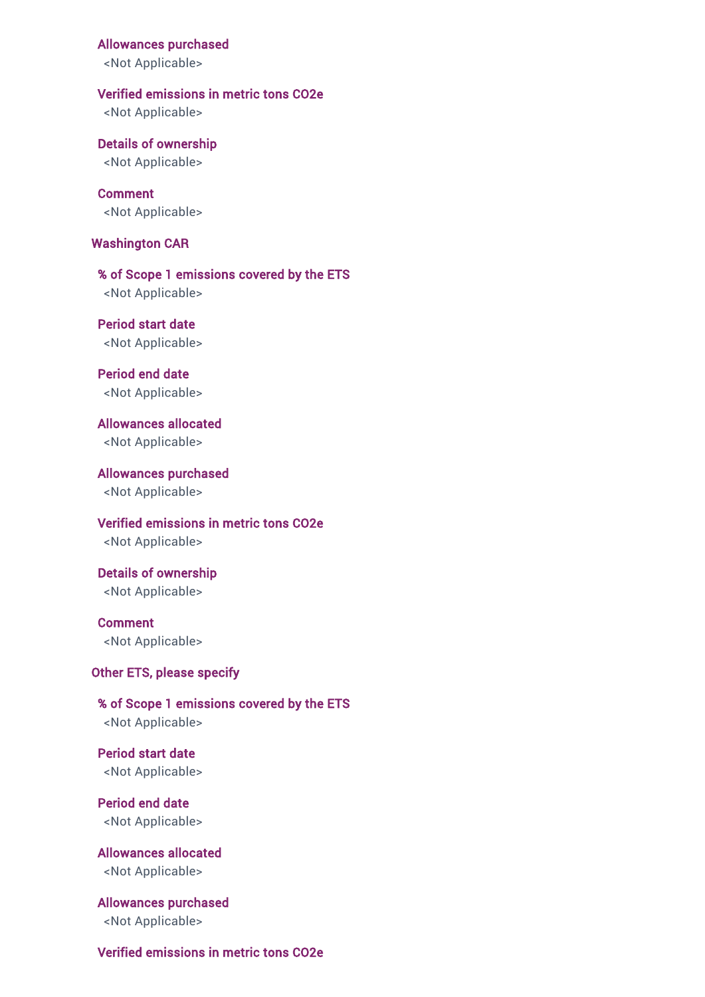#### Allowances purchased

<Not Applicable>

#### Verified emissions in metric tons CO2e

<Not Applicable>

Details of ownership <Not Applicable>

Comment <Not Applicable>

#### Washington CAR

% of Scope 1 emissions covered by the ETS <Not Applicable>

Period start date <Not Applicable>

Period end date <Not Applicable>

Allowances allocated <Not Applicable>

Allowances purchased <Not Applicable>

Verified emissions in metric tons CO2e <Not Applicable>

Details of ownership <Not Applicable>

Comment <Not Applicable>

### Other ETS, please specify

% of Scope 1 emissions covered by the ETS <Not Applicable>

Period start date <Not Applicable>

Period end date <Not Applicable>

Allowances allocated <Not Applicable>

Allowances purchased <Not Applicable>

## Verified emissions in metric tons CO2e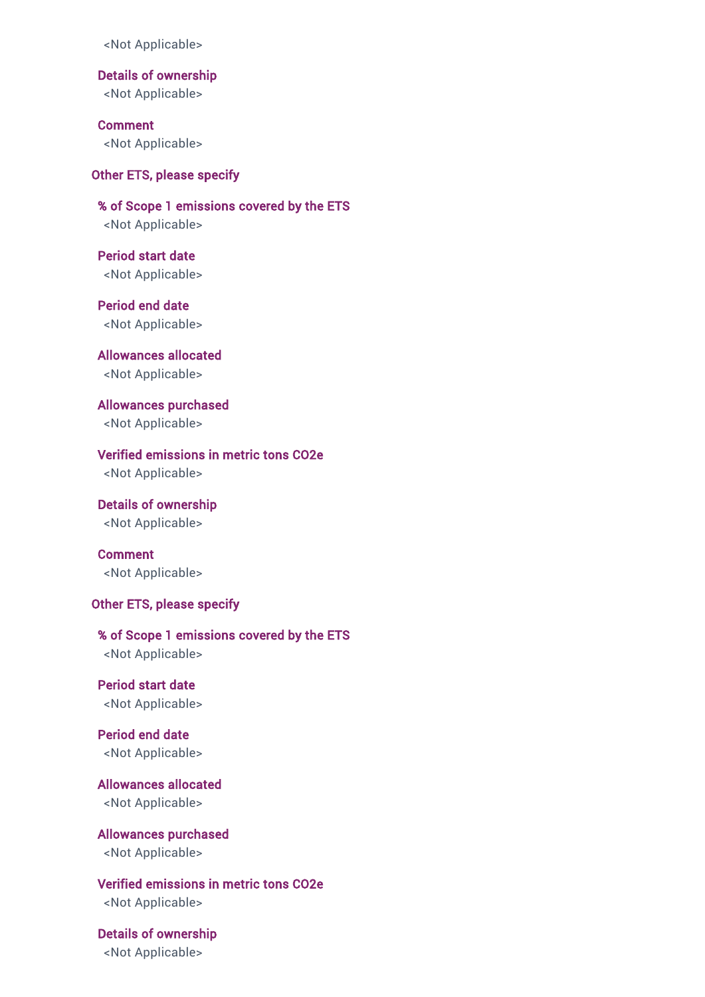<Not Applicable>

Details of ownership

<Not Applicable>

Comment <Not Applicable>

## Other ETS, please specify

% of Scope 1 emissions covered by the ETS <Not Applicable>

Period start date <Not Applicable>

Period end date <Not Applicable>

Allowances allocated <Not Applicable>

Allowances purchased <Not Applicable>

## Verified emissions in metric tons CO2e

<Not Applicable>

Details of ownership <Not Applicable>

Comment <Not Applicable>

#### Other ETS, please specify

% of Scope 1 emissions covered by the ETS <Not Applicable>

Period start date <Not Applicable>

Period end date <Not Applicable>

Allowances allocated <Not Applicable>

Allowances purchased <Not Applicable>

Verified emissions in metric tons CO2e <Not Applicable>

Details of ownership <Not Applicable>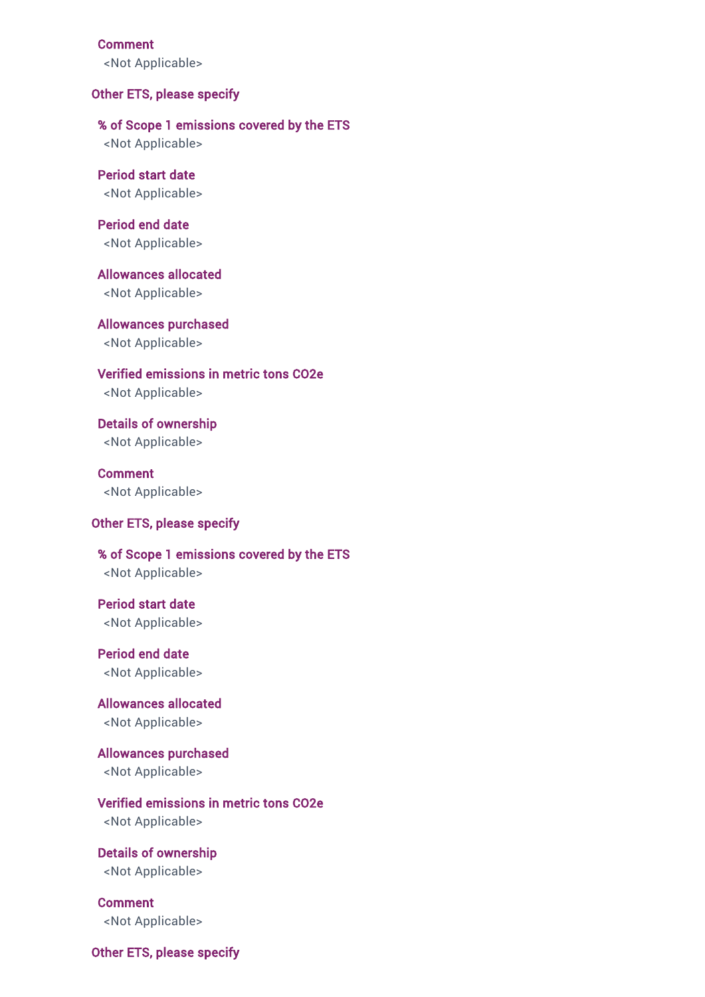#### Comment

<Not Applicable>

#### Other ETS, please specify

### % of Scope 1 emissions covered by the ETS

<Not Applicable>

## Period start date <Not Applicable>

Period end date <Not Applicable>

Allowances allocated <Not Applicable>

Allowances purchased <Not Applicable>

Verified emissions in metric tons CO2e <Not Applicable>

Details of ownership <Not Applicable>

Comment <Not Applicable>

#### Other ETS, please specify

## % of Scope 1 emissions covered by the ETS <Not Applicable>

Period start date <Not Applicable>

Period end date <Not Applicable>

Allowances allocated <Not Applicable>

Allowances purchased <Not Applicable>

## Verified emissions in metric tons CO2e

<Not Applicable>

Details of ownership <Not Applicable>

Comment <Not Applicable>

Other ETS, please specify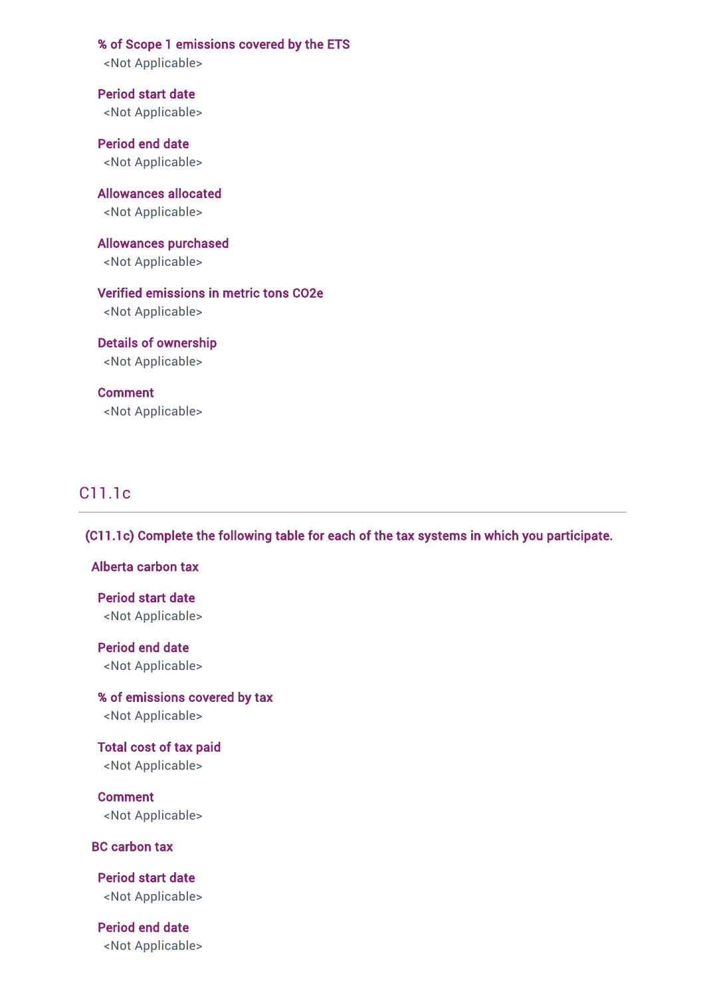% of Scope 1 emissions covered by the ETS

<Not Applicable>

Period start date <Not Applicable>

Period end date <Not Applicable>

Allowances allocated <Not Applicable>

Allowances purchased <Not Applicable>

Verified emissions in metric tons CO2e <Not Applicable>

Details of ownership <Not Applicable>

Comment <Not Applicable>

## C11.1c

(C11.1c) Complete the following table for each of the tax systems in which you participate.

## Alberta carbon tax

Period start date <Not Applicable>

Period end date

<Not Applicable>

% of emissions covered by tax <Not Applicable>

Total cost of tax paid <Not Applicable>

Comment <Not Applicable>

BC carbon tax

Period start date <Not Applicable>

Period end date <Not Applicable>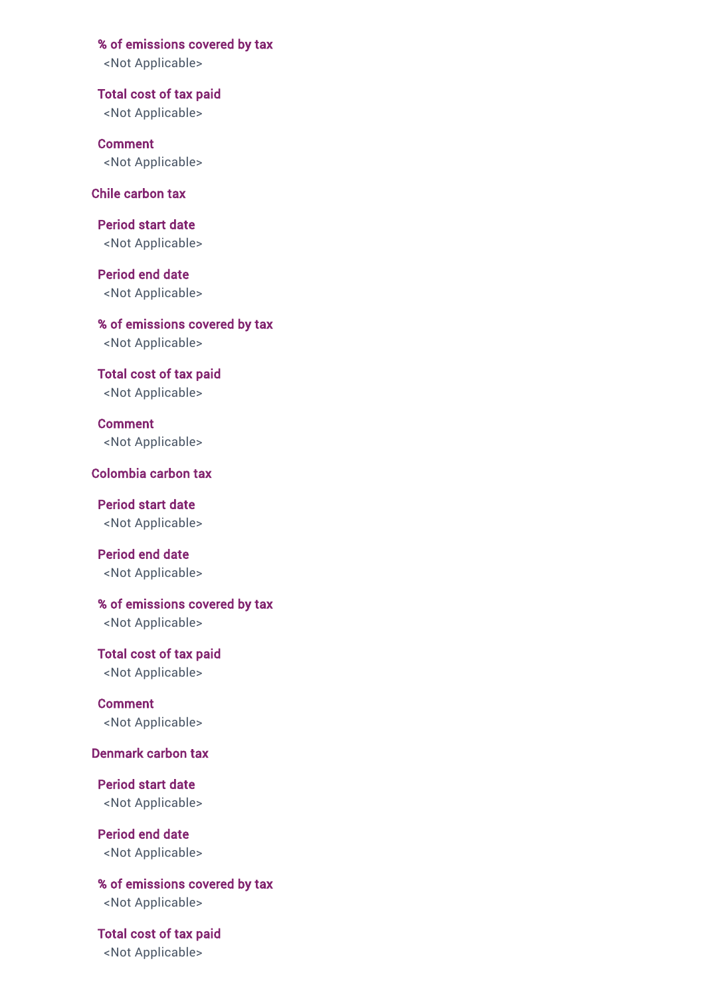% of emissions covered by tax

<Not Applicable>

Total cost of tax paid <Not Applicable>

Comment <Not Applicable>

## Chile carbon tax

Period start date <Not Applicable>

Period end date <Not Applicable>

% of emissions covered by tax <Not Applicable>

Total cost of tax paid <Not Applicable>

Comment <Not Applicable>

## Colombia carbon tax

Period start date <Not Applicable>

Period end date <Not Applicable>

% of emissions covered by tax

<Not Applicable>

Total cost of tax paid <Not Applicable>

Comment <Not Applicable>

## Denmark carbon tax

Period start date <Not Applicable>

Period end date <Not Applicable>

% of emissions covered by tax <Not Applicable>

Total cost of tax paid <Not Applicable>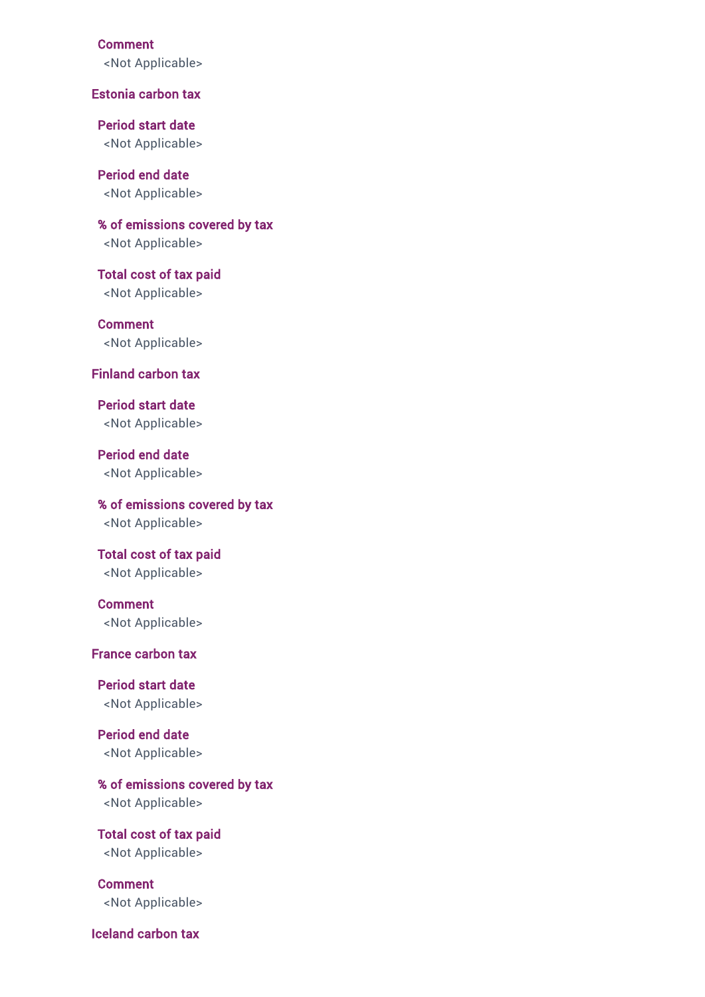#### Comment

<Not Applicable>

#### Estonia carbon tax

Period start date <Not Applicable>

Period end date <Not Applicable>

% of emissions covered by tax <Not Applicable>

Total cost of tax paid <Not Applicable>

Comment <Not Applicable>

#### Finland carbon tax

Period start date <Not Applicable>

Period end date <Not Applicable>

% of emissions covered by tax <Not Applicable>

Total cost of tax paid <Not Applicable>

Comment <Not Applicable>

## France carbon tax

Period start date <Not Applicable>

Period end date <Not Applicable>

% of emissions covered by tax <Not Applicable>

Total cost of tax paid <Not Applicable>

Comment <Not Applicable>

Iceland carbon tax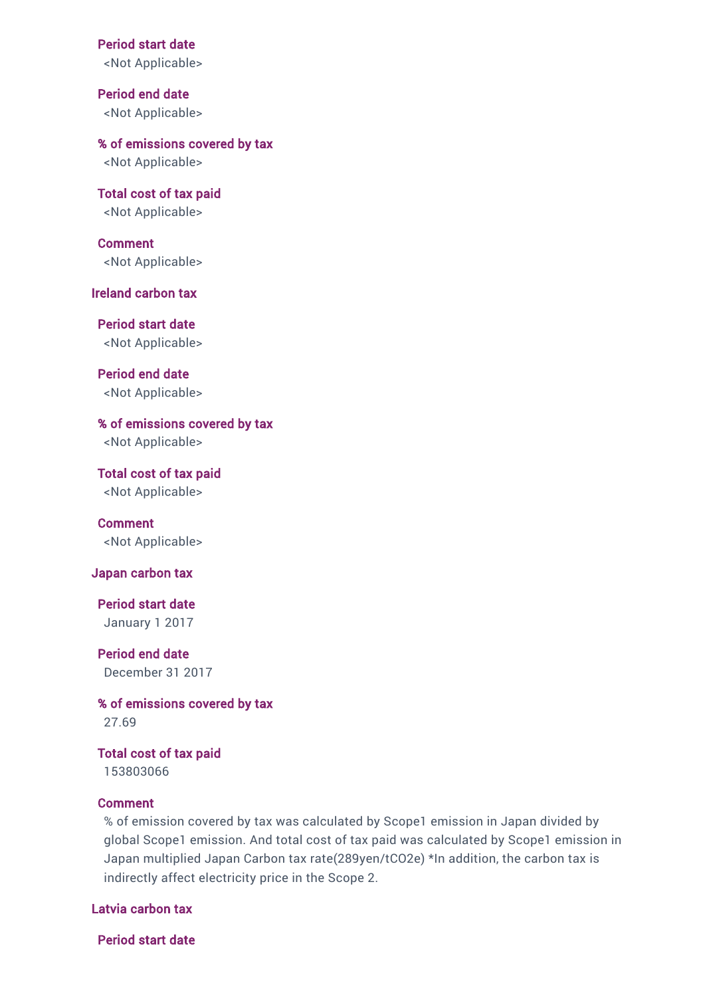#### Period start date

<Not Applicable>

Period end date <Not Applicable>

% of emissions covered by tax <Not Applicable>

Total cost of tax paid <Not Applicable>

Comment <Not Applicable>

#### Ireland carbon tax

Period start date <Not Applicable>

Period end date <Not Applicable>

% of emissions covered by tax <Not Applicable>

Total cost of tax paid <Not Applicable>

Comment <Not Applicable>

#### Japan carbon tax

Period start date January 1 2017

Period end date December 31 2017

% of emissions covered by tax 27.69

Total cost of tax paid 153803066

## Comment

% of emission covered by tax was calculated by Scope1 emission in Japan divided by global Scope1 emission. And total cost of tax paid was calculated by Scope1 emission in Japan multiplied Japan Carbon tax rate(289yen/tCO2e) \*In addition, the carbon tax is indirectly affect electricity price in the Scope 2.

## Latvia carbon tax

Period start date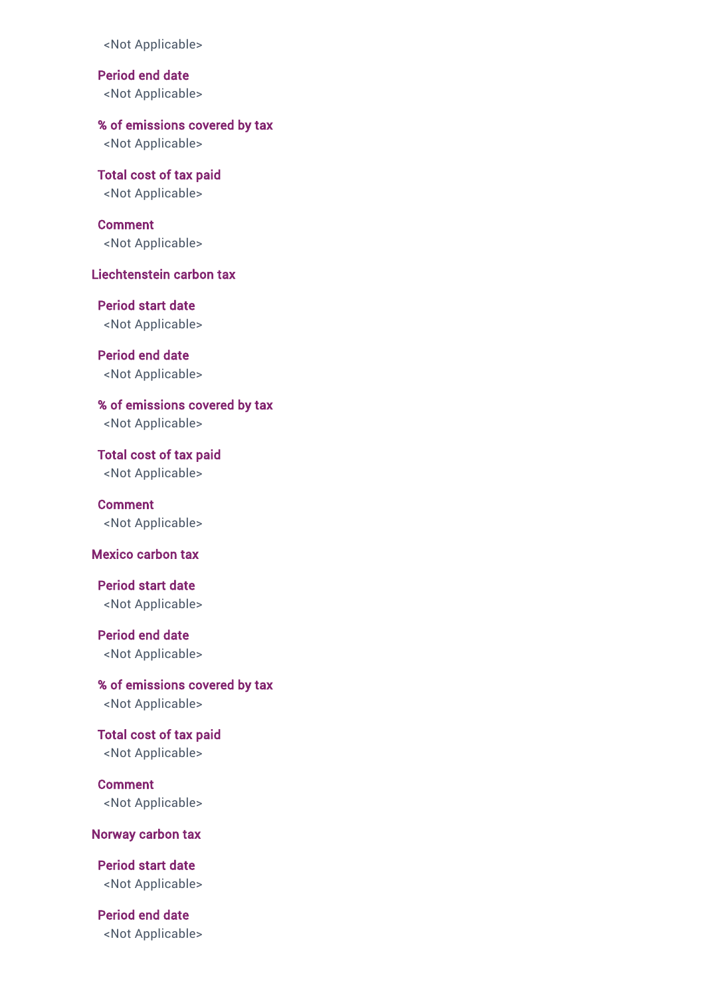<Not Applicable>

Period end date <Not Applicable>

% of emissions covered by tax

<Not Applicable>

Total cost of tax paid <Not Applicable>

**Comment** <Not Applicable>

## Liechtenstein carbon tax

Period start date <Not Applicable>

Period end date <Not Applicable>

% of emissions covered by tax <Not Applicable>

Total cost of tax paid <Not Applicable>

Comment <Not Applicable>

## Mexico carbon tax

Period start date <Not Applicable>

Period end date <Not Applicable>

% of emissions covered by tax <Not Applicable>

Total cost of tax paid <Not Applicable>

Comment <Not Applicable>

#### Norway carbon tax

Period start date <Not Applicable>

Period end date <Not Applicable>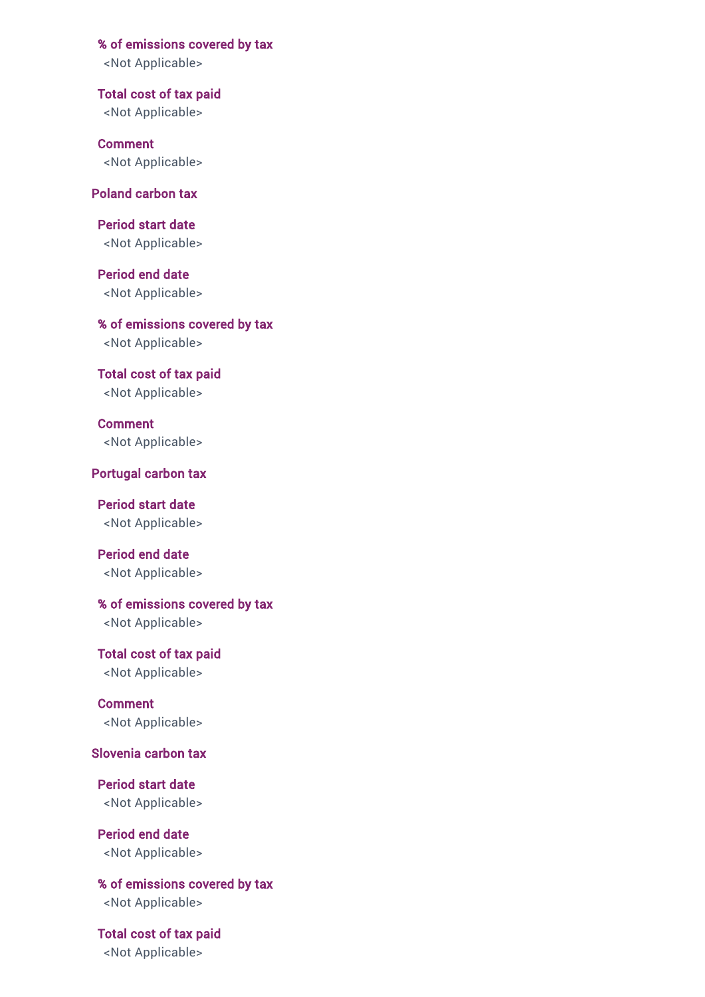% of emissions covered by tax

<Not Applicable>

Total cost of tax paid <Not Applicable>

Comment <Not Applicable>

Poland carbon tax

Period start date <Not Applicable>

Period end date <Not Applicable>

% of emissions covered by tax <Not Applicable>

Total cost of tax paid <Not Applicable>

Comment <Not Applicable>

Portugal carbon tax

Period start date <Not Applicable>

Period end date <Not Applicable>

% of emissions covered by tax <Not Applicable>

Total cost of tax paid <Not Applicable>

Comment <Not Applicable>

Slovenia carbon tax

Period start date <Not Applicable>

Period end date <Not Applicable>

% of emissions covered by tax <Not Applicable>

Total cost of tax paid <Not Applicable>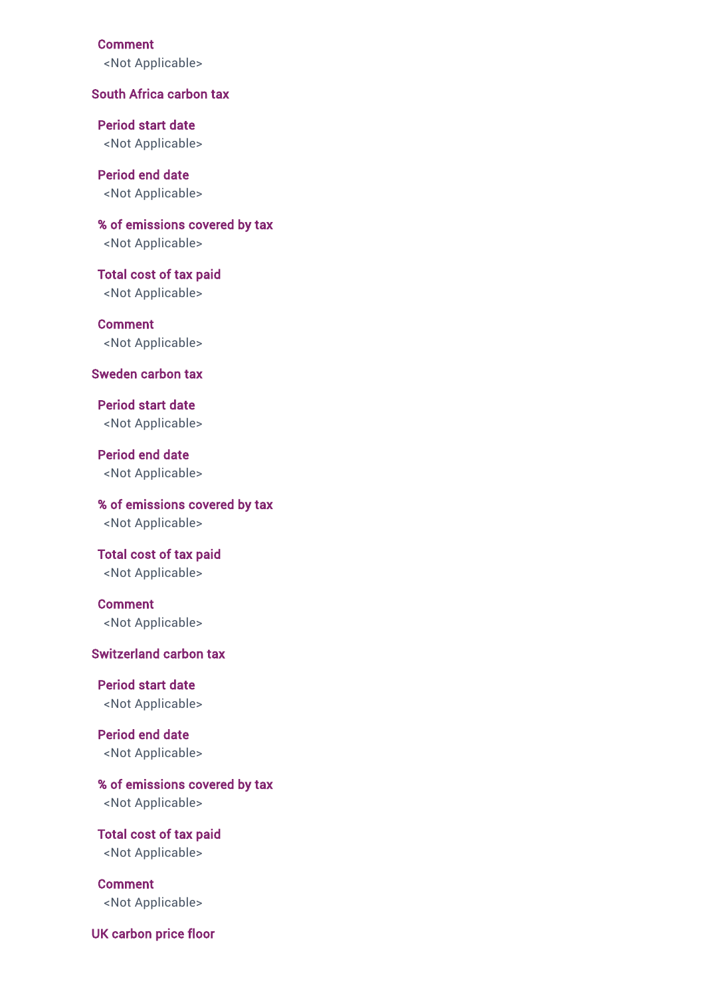Comment

<Not Applicable>

## South Africa carbon tax

Period start date <Not Applicable>

Period end date <Not Applicable>

% of emissions covered by tax <Not Applicable>

Total cost of tax paid <Not Applicable>

Comment <Not Applicable>

#### Sweden carbon tax

Period start date <Not Applicable>

Period end date <Not Applicable>

% of emissions covered by tax <Not Applicable>

Total cost of tax paid <Not Applicable>

## Comment <Not Applicable>

#### Switzerland carbon tax

Period start date <Not Applicable>

Period end date <Not Applicable>

% of emissions covered by tax <Not Applicable>

Total cost of tax paid <Not Applicable>

Comment <Not Applicable>

UK carbon price floor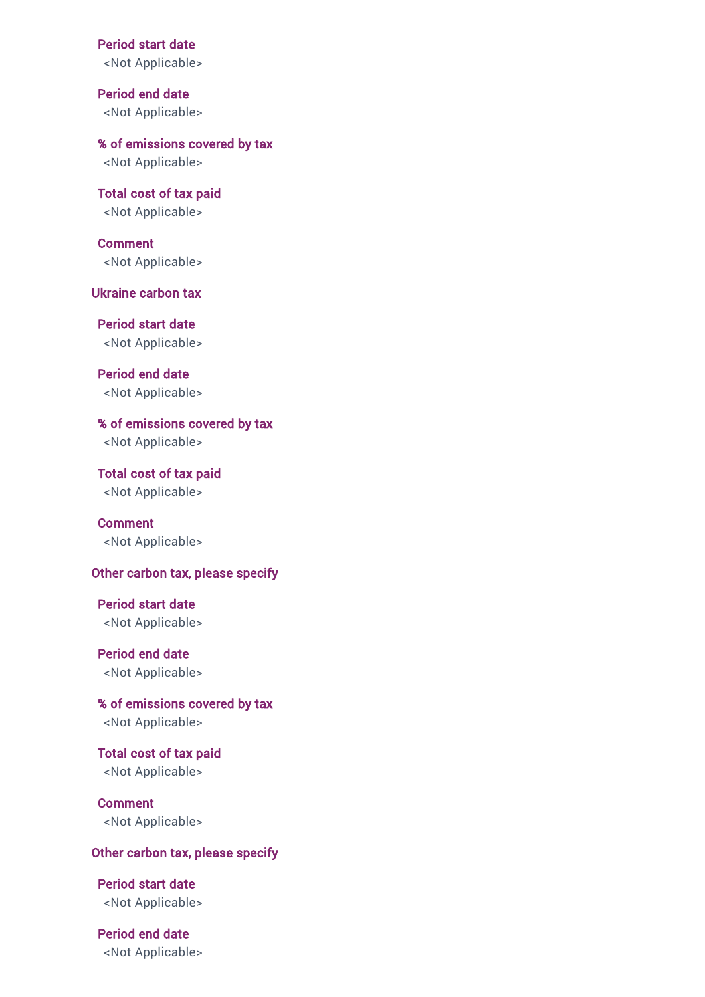Period start date

<Not Applicable>

Period end date <Not Applicable>

% of emissions covered by tax <Not Applicable>

Total cost of tax paid <Not Applicable>

Comment <Not Applicable>

Ukraine carbon tax

Period start date <Not Applicable>

Period end date <Not Applicable>

% of emissions covered by tax <Not Applicable>

Total cost of tax paid <Not Applicable>

Comment <Not Applicable>

#### Other carbon tax, please specify

Period start date <Not Applicable>

Period end date <Not Applicable>

% of emissions covered by tax <Not Applicable>

Total cost of tax paid <Not Applicable>

Comment <Not Applicable>

### Other carbon tax, please specify

Period start date <Not Applicable>

Period end date <Not Applicable>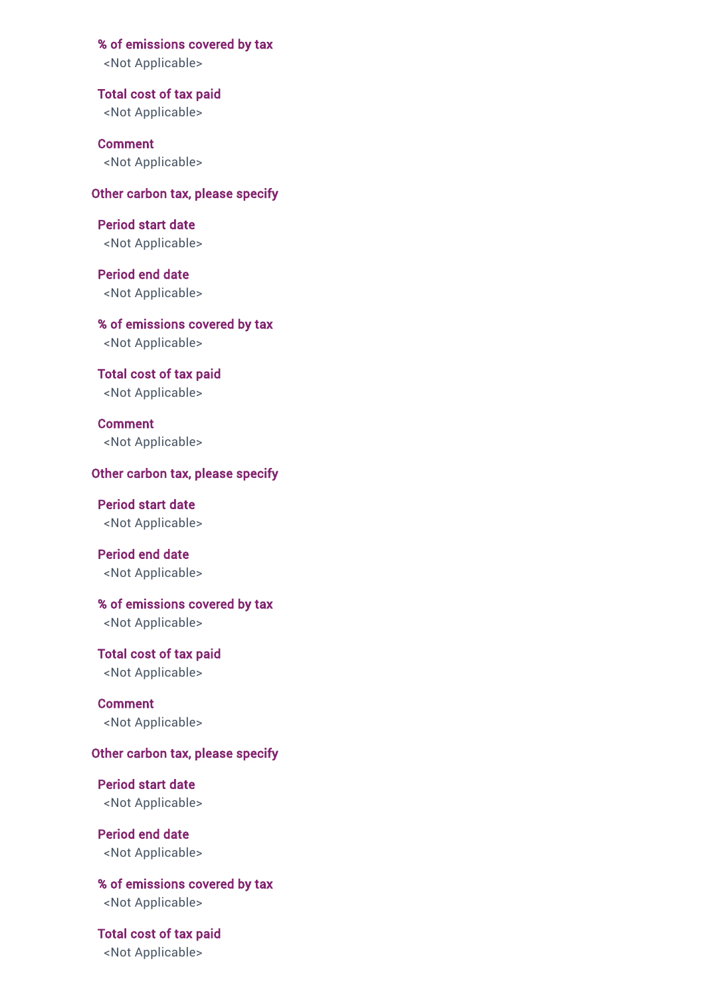% of emissions covered by tax

<Not Applicable>

Total cost of tax paid <Not Applicable>

Comment <Not Applicable>

Other carbon tax, please specify

Period start date <Not Applicable>

Period end date <Not Applicable>

% of emissions covered by tax <Not Applicable>

Total cost of tax paid <Not Applicable>

Comment <Not Applicable>

## Other carbon tax, please specify

Period start date <Not Applicable>

Period end date <Not Applicable>

% of emissions covered by tax

<Not Applicable>

Total cost of tax paid <Not Applicable>

Comment <Not Applicable>

## Other carbon tax, please specify

Period start date <Not Applicable>

Period end date <Not Applicable>

% of emissions covered by tax <Not Applicable>

Total cost of tax paid <Not Applicable>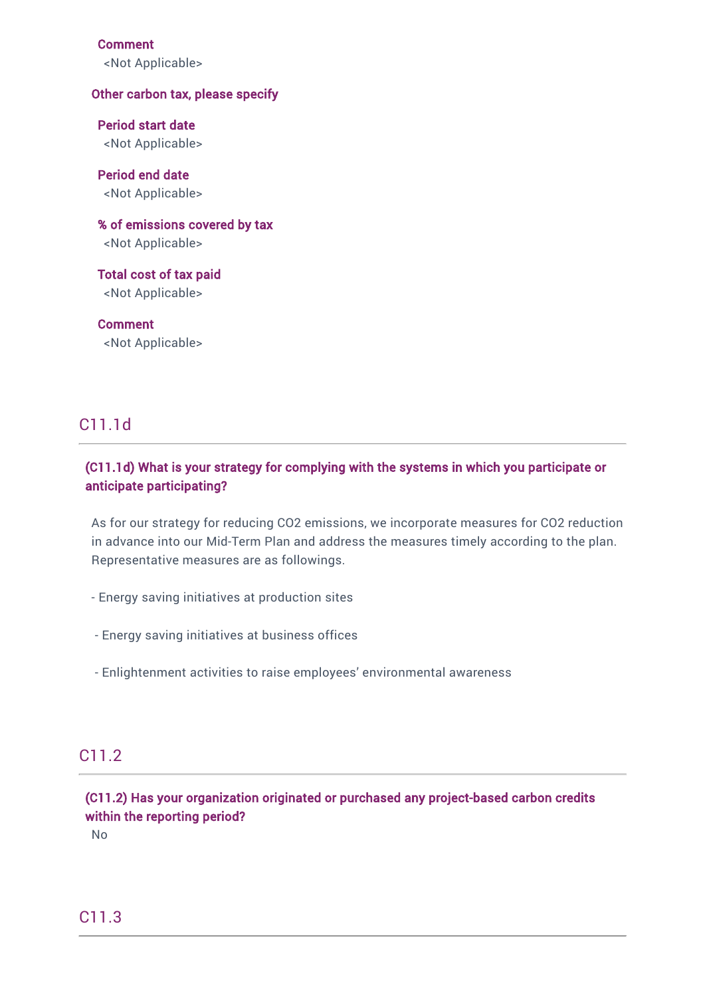Comment

<Not Applicable>

### Other carbon tax, please specify

Period start date <Not Applicable>

Period end date <Not Applicable>

% of emissions covered by tax <Not Applicable>

Total cost of tax paid <Not Applicable>

Comment <Not Applicable>

## C11.1d

## (C11.1d) What is your strategy for complying with the systems in which you participate or anticipate participating?

As for our strategy for reducing CO2 emissions, we incorporate measures for CO2 reduction in advance into our Mid-Term Plan and address the measures timely according to the plan. Representative measures are as followings.

- Energy saving initiatives at production sites
- Energy saving initiatives at business offices
- Enlightenment activities to raise employees' environmental awareness

## C11.2

(C11.2) Has your organization originated or purchased any project-based carbon credits within the reporting period?

No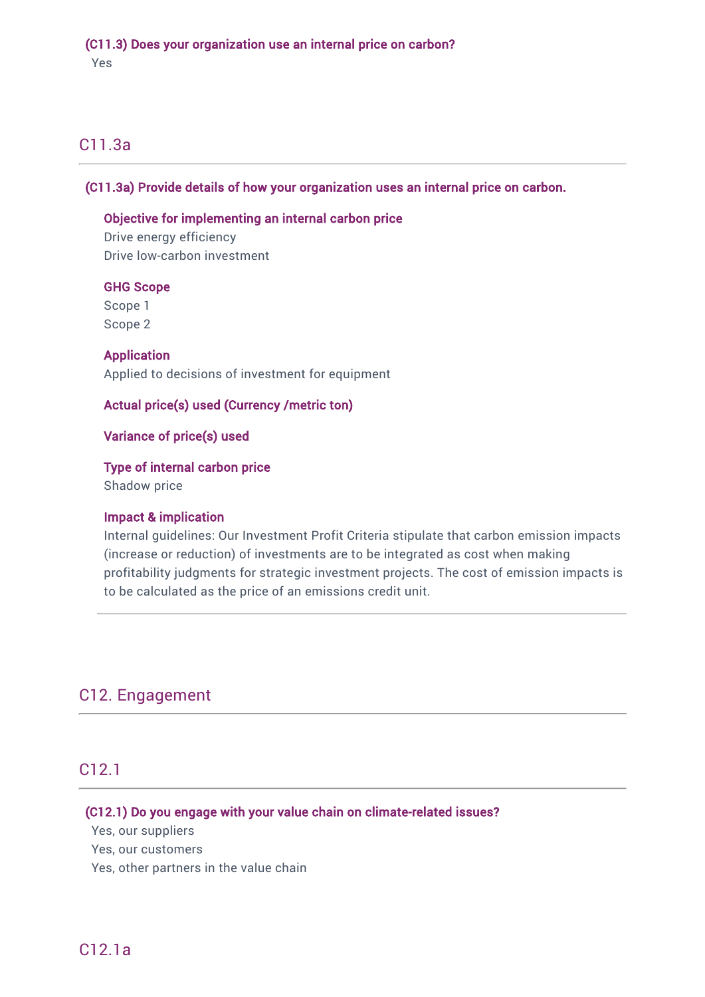## (C11.3) Does your organization use an internal price on carbon?

Yes

## C11.3a

## (C11.3a) Provide details of how your organization uses an internal price on carbon.

## Objective for implementing an internal carbon price

Drive energy efficiency Drive low-carbon investment

## GHG Scope

Scope 1 Scope 2

Application Applied to decisions of investment for equipment

## Actual price(s) used (Currency /metric ton)

## Variance of price(s) used

## Type of internal carbon price

Shadow price

## Impact & implication

Internal guidelines: Our Investment Profit Criteria stipulate that carbon emission impacts (increase or reduction) of investments are to be integrated as cost when making profitability judgments for strategic investment projects. The cost of emission impacts is to be calculated as the price of an emissions credit unit.

## C12. Engagement

## C12.1

## (C12.1) Do you engage with your value chain on climate-related issues?

Yes, our suppliers

Yes, our customers

Yes, other partners in the value chain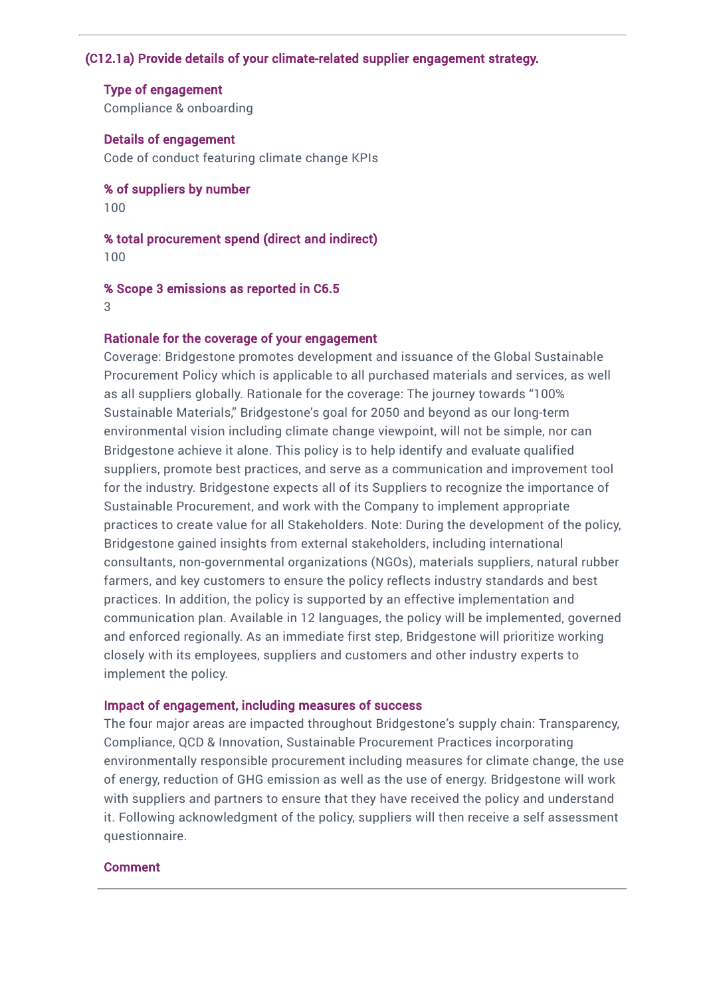## (C12.1a) Provide details of your climate-related supplier engagement strategy.

Type of engagement Compliance & onboarding

Details of engagement Code of conduct featuring climate change KPIs

% of suppliers by number 100

% total procurement spend (direct and indirect)

100

% Scope 3 emissions as reported in C6.5

3

### Rationale for the coverage of your engagement

Coverage: Bridgestone promotes development and issuance of the Global Sustainable Procurement Policy which is applicable to all purchased materials and services, as well as all suppliers globally. Rationale for the coverage: The journey towards "100% Sustainable Materials," Bridgestone's goal for 2050 and beyond as our long-term environmental vision including climate change viewpoint, will not be simple, nor can Bridgestone achieve it alone. This policy is to help identify and evaluate qualified suppliers, promote best practices, and serve as a communication and improvement tool for the industry. Bridgestone expects all of its Suppliers to recognize the importance of Sustainable Procurement, and work with the Company to implement appropriate practices to create value for all Stakeholders. Note: During the development of the policy, Bridgestone gained insights from external stakeholders, including international consultants, non-governmental organizations (NGOs), materials suppliers, natural rubber farmers, and key customers to ensure the policy reflects industry standards and best practices. In addition, the policy is supported by an effective implementation and communication plan. Available in 12 languages, the policy will be implemented, governed and enforced regionally. As an immediate first step, Bridgestone will prioritize working closely with its employees, suppliers and customers and other industry experts to implement the policy.

### Impact of engagement, including measures of success

The four major areas are impacted throughout Bridgestone's supply chain: Transparency, Compliance, QCD & Innovation, Sustainable Procurement Practices incorporating environmentally responsible procurement including measures for climate change, the use of energy, reduction of GHG emission as well as the use of energy. Bridgestone will work with suppliers and partners to ensure that they have received the policy and understand it. Following acknowledgment of the policy, suppliers will then receive a self assessment questionnaire.

#### Comment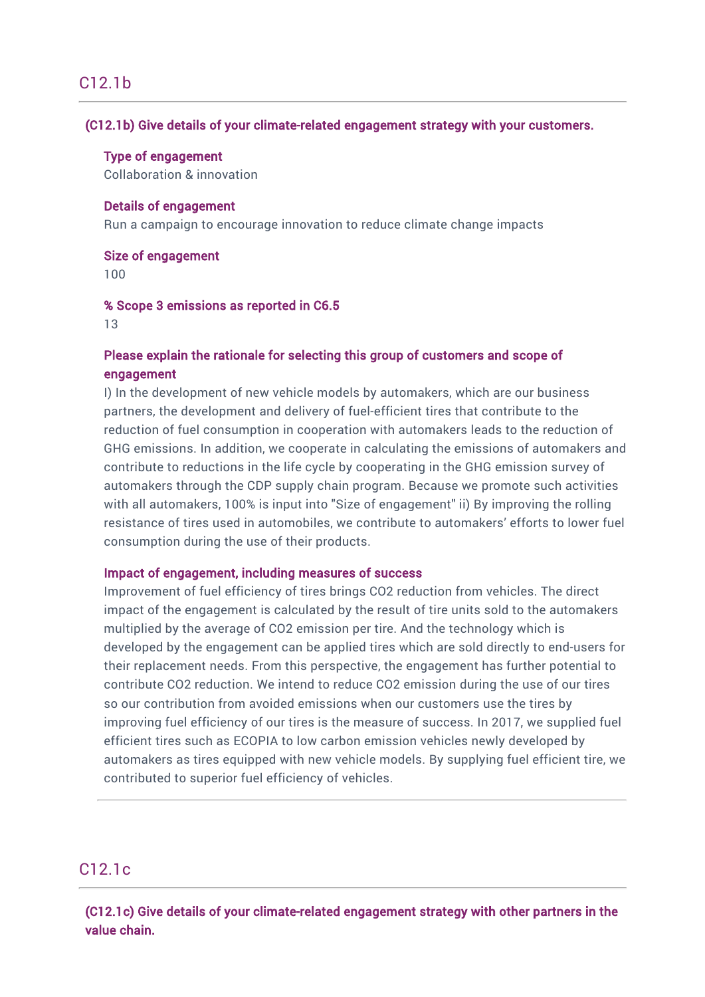## C12.1b

## (C12.1b) Give details of your climate-related engagement strategy with your customers.

#### Type of engagement

Collaboration & innovation

### Details of engagement

Run a campaign to encourage innovation to reduce climate change impacts

#### Size of engagement

100

#### % Scope 3 emissions as reported in C6.5

13

## Please explain the rationale for selecting this group of customers and scope of engagement

I) In the development of new vehicle models by automakers, which are our business partners, the development and delivery of fuel-efficient tires that contribute to the reduction of fuel consumption in cooperation with automakers leads to the reduction of GHG emissions. In addition, we cooperate in calculating the emissions of automakers and contribute to reductions in the life cycle by cooperating in the GHG emission survey of automakers through the CDP supply chain program. Because we promote such activities with all automakers, 100% is input into "Size of engagement" ii) By improving the rolling resistance of tires used in automobiles, we contribute to automakers' efforts to lower fuel consumption during the use of their products.

### Impact of engagement, including measures of success

Improvement of fuel efficiency of tires brings CO2 reduction from vehicles. The direct impact of the engagement is calculated by the result of tire units sold to the automakers multiplied by the average of CO2 emission per tire. And the technology which is developed by the engagement can be applied tires which are sold directly to end-users for their replacement needs. From this perspective, the engagement has further potential to contribute CO2 reduction. We intend to reduce CO2 emission during the use of our tires so our contribution from avoided emissions when our customers use the tires by improving fuel efficiency of our tires is the measure of success. In 2017, we supplied fuel efficient tires such as ECOPIA to low carbon emission vehicles newly developed by automakers as tires equipped with new vehicle models. By supplying fuel efficient tire, we contributed to superior fuel efficiency of vehicles.

## C12.1c

(C12.1c) Give details of your climate-related engagement strategy with other partners in the value chain.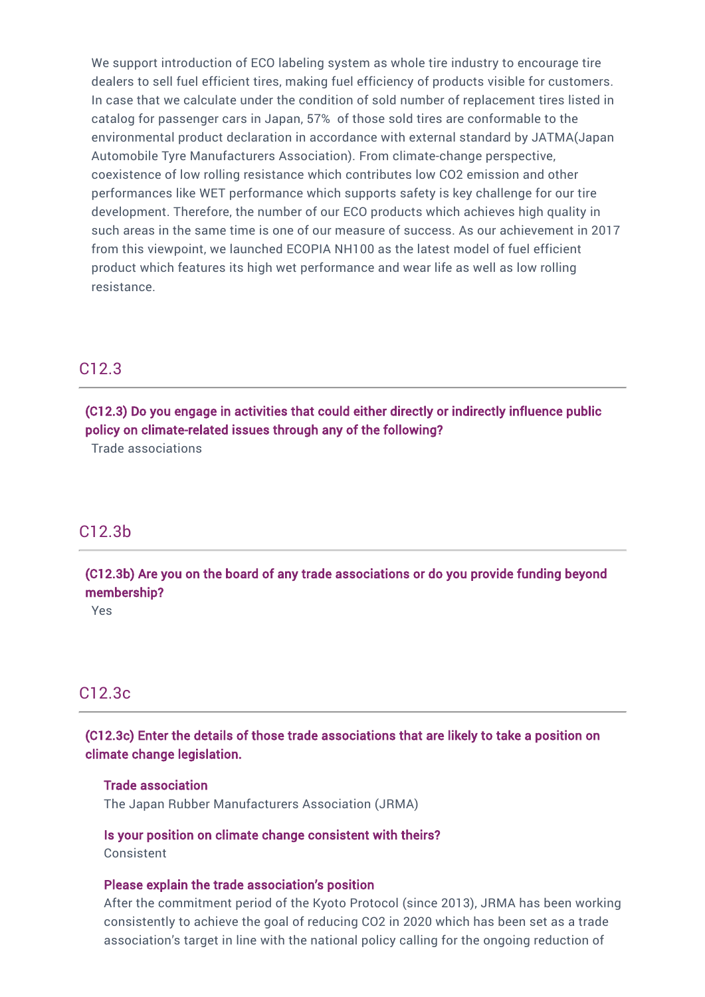We support introduction of ECO labeling system as whole tire industry to encourage tire dealers to sell fuel efficient tires, making fuel efficiency of products visible for customers. In case that we calculate under the condition of sold number of replacement tires listed in catalog for passenger cars in Japan, 57% of those sold tires are conformable to the environmental product declaration in accordance with external standard by JATMA(Japan Automobile Tyre Manufacturers Association). From climate-change perspective, coexistence of low rolling resistance which contributes low CO2 emission and other performances like WET performance which supports safety is key challenge for our tire development. Therefore, the number of our ECO products which achieves high quality in such areas in the same time is one of our measure of success. As our achievement in 2017 from this viewpoint, we launched ECOPIA NH100 as the latest model of fuel efficient product which features its high wet performance and wear life as well as low rolling resistance.

## C12.3

(C12.3) Do you engage in activities that could either directly or indirectly influence public policy on climate-related issues through any of the following?

Trade associations

## C12.3b

(C12.3b) Are you on the board of any trade associations or do you provide funding beyond membership?

Yes

## C12.3c

(C12.3c) Enter the details of those trade associations that are likely to take a position on climate change legislation.

#### Trade association

The Japan Rubber Manufacturers Association (JRMA)

Is your position on climate change consistent with theirs? Consistent

#### Please explain the trade association's position

After the commitment period of the Kyoto Protocol (since 2013), JRMA has been working consistently to achieve the goal of reducing CO2 in 2020 which has been set as a trade association's target in line with the national policy calling for the ongoing reduction of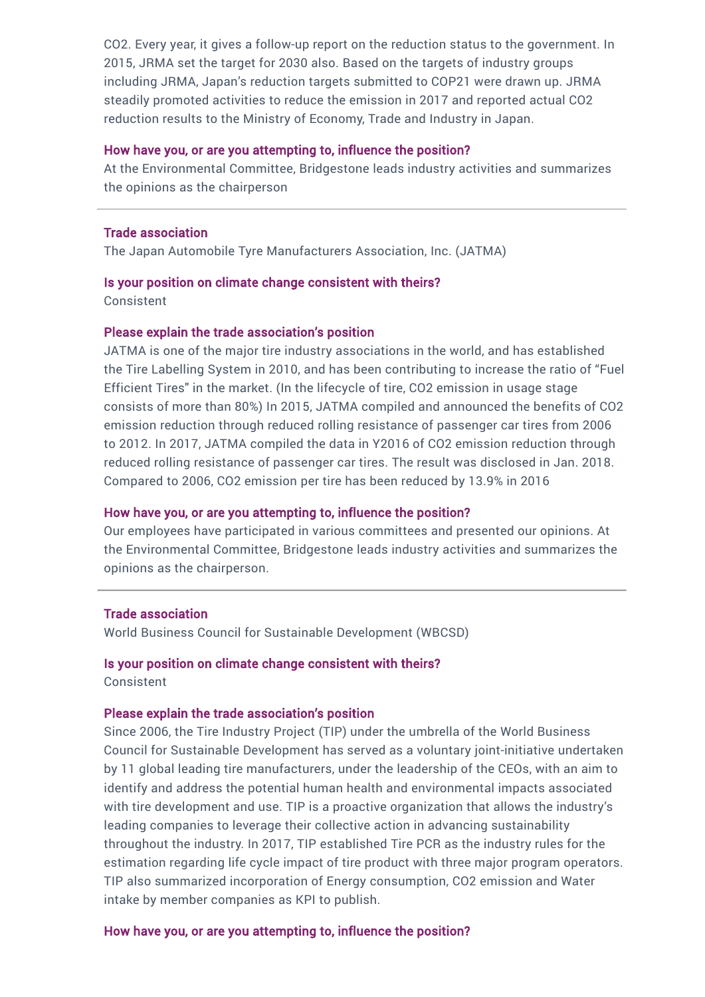CO2. Every year, it gives a follow-up report on the reduction status to the government. In 2015, JRMA set the target for 2030 also. Based on the targets of industry groups including JRMA, Japan's reduction targets submitted to COP21 were drawn up. JRMA steadily promoted activities to reduce the emission in 2017 and reported actual CO2 reduction results to the Ministry of Economy, Trade and Industry in Japan.

#### How have you, or are you attempting to, influence the position?

At the Environmental Committee, Bridgestone leads industry activities and summarizes the opinions as the chairperson

#### Trade association

The Japan Automobile Tyre Manufacturers Association, Inc. (JATMA)

#### Is your position on climate change consistent with theirs?

Consistent

### Please explain the trade association's position

JATMA is one of the major tire industry associations in the world, and has established the Tire Labelling System in 2010, and has been contributing to increase the ratio of "Fuel Efficient Tires" in the market. (In the lifecycle of tire, CO2 emission in usage stage consists of more than 80%) In 2015, JATMA compiled and announced the benefits of CO2 emission reduction through reduced rolling resistance of passenger car tires from 2006 to 2012. In 2017, JATMA compiled the data in Y2016 of CO2 emission reduction through reduced rolling resistance of passenger car tires. The result was disclosed in Jan. 2018. Compared to 2006, CO2 emission per tire has been reduced by 13.9% in 2016

### How have you, or are you attempting to, influence the position?

Our employees have participated in various committees and presented our opinions. At the Environmental Committee, Bridgestone leads industry activities and summarizes the opinions as the chairperson.

#### Trade association

World Business Council for Sustainable Development (WBCSD)

# Is your position on climate change consistent with theirs?

Consistent

### Please explain the trade association's position

Since 2006, the Tire Industry Project (TIP) under the umbrella of the World Business Council for Sustainable Development has served as a voluntary joint-initiative undertaken by 11 global leading tire manufacturers, under the leadership of the CEOs, with an aim to identify and address the potential human health and environmental impacts associated with tire development and use. TIP is a proactive organization that allows the industry's leading companies to leverage their collective action in advancing sustainability throughout the industry. In 2017, TIP established Tire PCR as the industry rules for the estimation regarding life cycle impact of tire product with three major program operators. TIP also summarized incorporation of Energy consumption, CO2 emission and Water intake by member companies as KPI to publish.

### How have you, or are you attempting to, influence the position?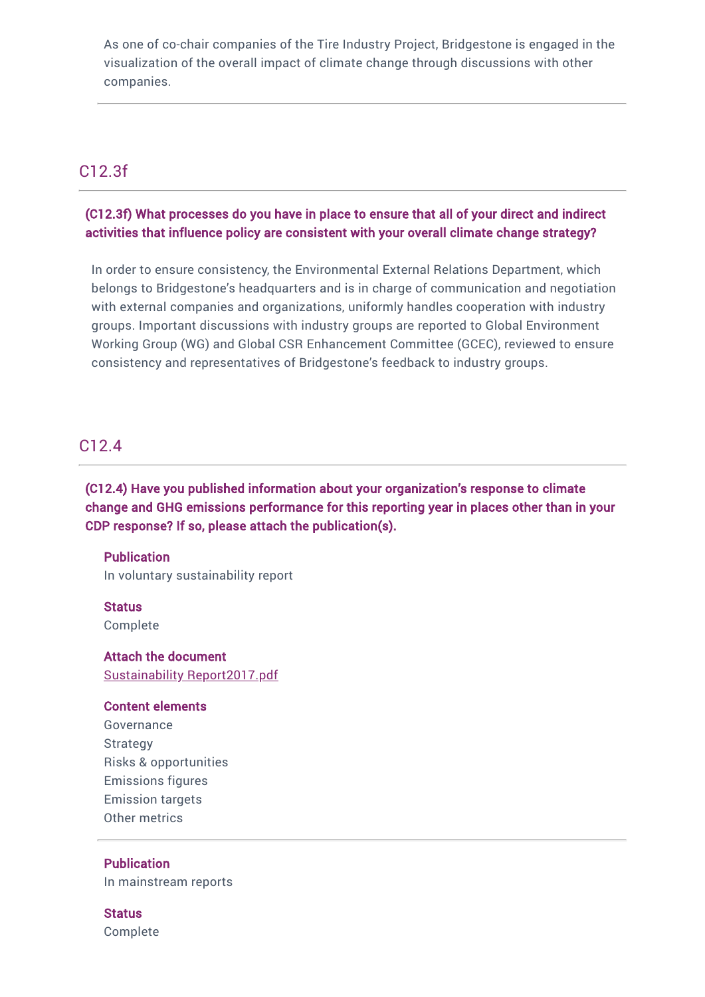As one of co-chair companies of the Tire Industry Project, Bridgestone is engaged in the visualization of the overall impact of climate change through discussions with other companies.

## C12.3f

## (C12.3f) What processes do you have in place to ensure that all of your direct and indirect activities that influence policy are consistent with your overall climate change strategy?

In order to ensure consistency, the Environmental External Relations Department, which belongs to Bridgestone's headquarters and is in charge of communication and negotiation with external companies and organizations, uniformly handles cooperation with industry groups. Important discussions with industry groups are reported to Global Environment Working Group (WG) and Global CSR Enhancement Committee (GCEC), reviewed to ensure consistency and representatives of Bridgestone's feedback to industry groups.

## C12.4

(C12.4) Have you published information about your organization's response to climate change and GHG emissions performance for this reporting year in places other than in your CDP response? If so, please attach the publication(s).

**Publication** In voluntary sustainability report

**Status** Complete

Attach the document Sustainability [Report2017.pdf](https://www.cdp.net/en/formatted_responses/files?file_path=k9me76vz7u2sozvqoi2gbw-cdp-credit360-com/f5sFvrEhu0OUTTUgOCAwhQ/SustainabilityReport2017.pdf)

### Content elements

Governance Strategy Risks & opportunities Emissions figures Emission targets Other metrics

## **Publication**

In mainstream reports

### **Status**

Complete